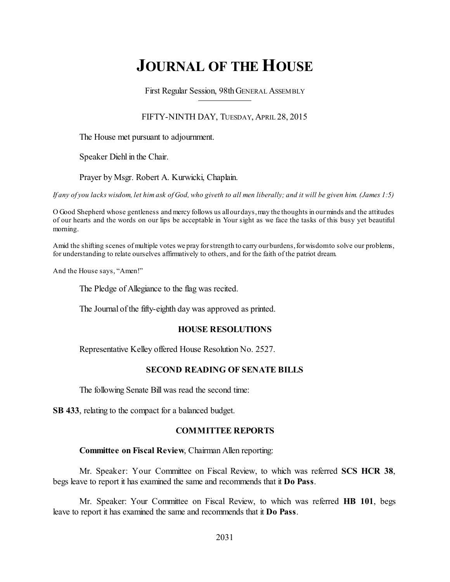# **JOURNAL OF THE HOUSE**

First Regular Session, 98thGENERAL ASSEMBLY

# FIFTY-NINTH DAY, TUESDAY, APRIL 28, 2015

The House met pursuant to adjournment.

Speaker Diehl in the Chair.

Prayer by Msgr. Robert A. Kurwicki, Chaplain.

If any of you lacks wisdom, let him ask of God, who give th to all men liberally; and it will be given him. (James 1:5)

O Good Shepherd whose gentleness and mercy follows us allourdays,may the thoughts in ourminds and the attitudes of our hearts and the words on our lips be acceptable in Your sight as we face the tasks of this busy yet beautiful morning.

Amid the shifting scenes of multiple votes we pray forstrength to carry ourburdens,forwisdomto solve our problems, for understanding to relate ourselves affirmatively to others, and for the faith of the patriot dream.

And the House says, "Amen!"

The Pledge of Allegiance to the flag was recited.

The Journal of the fifty-eighth day was approved as printed.

# **HOUSE RESOLUTIONS**

Representative Kelley offered House Resolution No. 2527.

# **SECOND READING OF SENATE BILLS**

The following Senate Bill was read the second time:

**SB 433**, relating to the compact for a balanced budget.

# **COMMITTEE REPORTS**

# **Committee on Fiscal Review**, Chairman Allen reporting:

Mr. Speaker: Your Committee on Fiscal Review, to which was referred **SCS HCR 38**, begs leave to report it has examined the same and recommends that it **Do Pass**.

Mr. Speaker: Your Committee on Fiscal Review, to which was referred **HB 101**, begs leave to report it has examined the same and recommends that it **Do Pass**.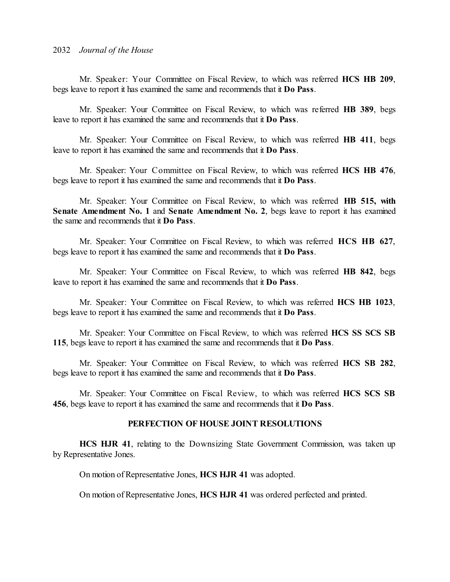Mr. Speaker: Your Committee on Fiscal Review, to which was referred **HCS HB 209**, begs leave to report it has examined the same and recommends that it **Do Pass**.

Mr. Speaker: Your Committee on Fiscal Review, to which was referred **HB 389**, begs leave to report it has examined the same and recommends that it **Do Pass**.

Mr. Speaker: Your Committee on Fiscal Review, to which was referred **HB 411**, begs leave to report it has examined the same and recommends that it **Do Pass**.

Mr. Speaker: Your Committee on Fiscal Review, to which was referred **HCS HB 476**, begs leave to report it has examined the same and recommends that it **Do Pass**.

Mr. Speaker: Your Committee on Fiscal Review, to which was referred **HB 515, with Senate Amendment No. 1** and **Senate Amendment No. 2**, begs leave to report it has examined the same and recommends that it **Do Pass**.

Mr. Speaker: Your Committee on Fiscal Review, to which was referred **HCS HB 627**, begs leave to report it has examined the same and recommends that it **Do Pass**.

Mr. Speaker: Your Committee on Fiscal Review, to which was referred **HB 842**, begs leave to report it has examined the same and recommends that it **Do Pass**.

Mr. Speaker: Your Committee on Fiscal Review, to which was referred **HCS HB 1023**, begs leave to report it has examined the same and recommends that it **Do Pass**.

Mr. Speaker: Your Committee on Fiscal Review, to which was referred **HCS SS SCS SB 115**, begs leave to report it has examined the same and recommends that it **Do Pass**.

Mr. Speaker: Your Committee on Fiscal Review, to which was referred **HCS SB 282**, begs leave to report it has examined the same and recommends that it **Do Pass**.

Mr. Speaker: Your Committee on Fiscal Review, to which was referred **HCS SCS SB 456**, begs leave to report it has examined the same and recommends that it **Do Pass**.

### **PERFECTION OF HOUSE JOINT RESOLUTIONS**

**HCS HJR 41**, relating to the Downsizing State Government Commission, was taken up by Representative Jones.

On motion of Representative Jones, **HCS HJR 41** was adopted.

On motion of Representative Jones, **HCS HJR 41** was ordered perfected and printed.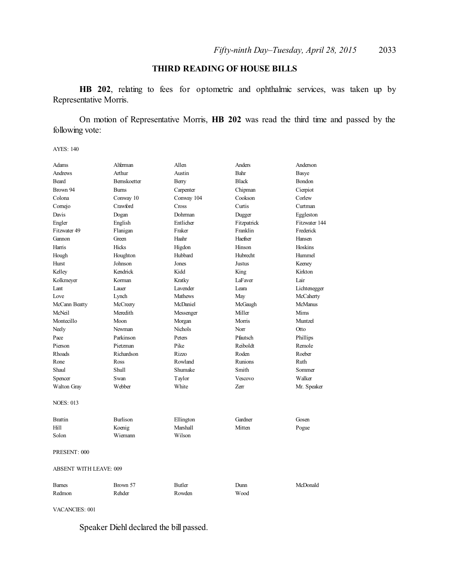# **THIRD READING OF HOUSE BILLS**

**HB 202**, relating to fees for optometric and ophthalmic services, was taken up by Representative Morris.

On motion of Representative Morris, **HB 202** was read the third time and passed by the following vote:

AYES: 140

| Adams                         | Alferman        | Allen          | Anders          | Anderson       |
|-------------------------------|-----------------|----------------|-----------------|----------------|
| Andrews                       | Arthur          | Austin         | Bahr            | Basye          |
| Beard                         | Bernskoetter    | Berry          | <b>Black</b>    | Bondon         |
| Brown 94                      | <b>Bums</b>     | Carpenter      | Chipman         | Cierpiot       |
| Colona                        | Conway 10       | Conway 104     | Cookson         | Corlew         |
| Cornejo                       | Crawford        | Cross          | Curtis          | Curtman        |
| Davis                         | Dogan           | Dohrman        | Dugger          | Eggleston      |
| Engler                        | English         | Entlicher      | Fitzpatrick     | Fitzwater 144  |
| Fitzwater 49                  | Flanigan        | Fraker         | Franklin        | Frederick      |
| Gannon                        | Green           | Haahr          | Haefner         | Hansen         |
| Harris                        | Hicks           | Higdon         | Hinson          | Hoskins        |
| Hough                         | Houghton        | Hubbard        | <b>Hubrecht</b> | Hummel         |
| Hurst                         | Johnson         | Jones          | <b>Justus</b>   | Keeney         |
| Kelley                        | Kendrick        | Kidd           | King            | Kirkton        |
| Kolkmeyer                     | Korman          | Kratky         | LaFaver         | Lair           |
| Lant                          | Lauer           | Lavender       | I eara          | Lichtenegger   |
| Love                          | Lynch           | <b>Mathews</b> | May             | McCaherty      |
| McCann Beatty                 | McCreery        | McDaniel       | McGaugh         | <b>McManus</b> |
| McNeil                        | Meredith        | Messenger      | Miller          | Mims           |
| Montecillo                    | Moon            | Morgan         | Morris          | Muntzel        |
| Neely                         | Newman          | <b>Nichols</b> | Norr            | Otto           |
| Pace                          | Parkinson       | Peters         | Pfautsch        | Phillips       |
| Pierson                       | Pietzman        | Pike           | Reiboldt        | Remole         |
| Rhoads                        | Richardson      | Rizzo          | Roden           | Roeber         |
| Rone                          | Ross            | Rowland        | Runions         | Ruth           |
| Shaul                         | <b>Shull</b>    | Shumake        | Smith           | Sommer         |
| Spencer                       | Swan            | Taylor         | Vescovo         | Walker         |
| <b>Walton Gray</b>            | Webber          | White          | <b>Zerr</b>     | Mr. Speaker    |
| <b>NOES: 013</b>              |                 |                |                 |                |
| <b>Brattin</b>                | <b>Burlison</b> | Ellington      | Gardner         | Gosen          |
| Hill                          | Koenig          | Marshall       | Mitten          | Pogue          |
| Solon                         | Wiemann         | Wilson         |                 |                |
| PRESENT: 000                  |                 |                |                 |                |
| <b>ABSENT WITH LEAVE: 009</b> |                 |                |                 |                |
| <b>Barnes</b>                 | Brown 57        | Butler         | Dunn            | McDonald       |
| Redmon                        | Rehder          | Rowden         | Wood            |                |

VACANCIES: 001

Speaker Diehl declared the bill passed.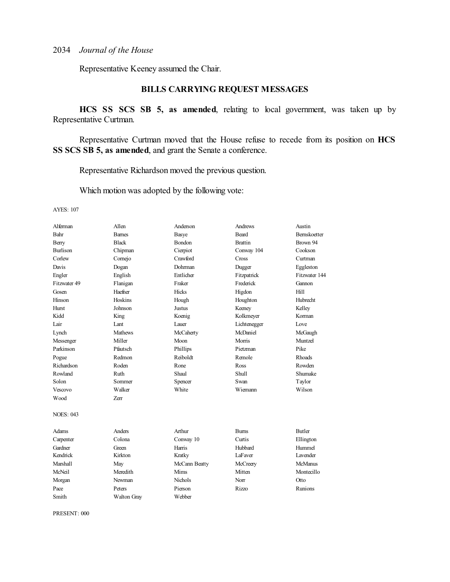Representative Keeney assumed the Chair.

# **BILLS CARRYING REQUEST MESSAGES**

**HCS SS SCS SB 5, as amended**, relating to local government, was taken up by Representative Curtman.

Representative Curtman moved that the House refuse to recede from its position on **HCS SS SCS SB 5, as amended**, and grant the Senate a conference.

Representative Richardson moved the previous question.

Which motion was adopted by the following vote:

AYES: 107

| Alferman         | Allen              | Anderson       | <b>Andrews</b> | Austin              |
|------------------|--------------------|----------------|----------------|---------------------|
| Bahr             | <b>Barnes</b>      | Basye          | <b>Beard</b>   | <b>Bernskoetter</b> |
| Berry            | <b>Black</b>       | <b>Bondon</b>  | <b>Brattin</b> | Brown 94            |
| <b>Burlison</b>  | Chipman            | Cierpiot       | Conway 104     | Cookson             |
| Corlew           | Cornejo            | Crawford       | Cross          | Curtman             |
| Davis            | Dogan              | Dohrman        | Dugger         | Eggleston           |
| Engler           | English            | Entlicher      | Fitzpatrick    | Fitzwater 144       |
| Fitzwater 49     | Flanigan           | Fraker         | Frederick      | Gannon              |
| Gosen            | Haefner            | Hicks          | Higdon         | Hill                |
| Hinson           | Hoskins            | Hough          | Houghton       | Hubrecht            |
| <b>Hurst</b>     | Johnson            | <b>Justus</b>  | Keeney         | Kelley              |
| Kidd             | King               | Koenig         | Kolkmeyer      | Korman              |
| Lair             | Lant               | Lauer          | Lichtenegger   | Love                |
| Lynch            | <b>Mathews</b>     | McCaherty      | McDaniel       | McGaugh             |
| Messenger        | Miller             | Moon           | Morris         | Muntzel             |
| Parkinson        | Pfautsch           | Phillips       | Pietzman       | Pike                |
| Pogue            | Redmon             | Reiboldt       | Remole         | <b>Rhoads</b>       |
| Richardson       | Roden              | Rone           | Ross           | Rowden              |
| Rowland          | Ruth               | Shaul          | Shull          | Shumake             |
| Solon            | Sommer             | Spencer        | Swan           | Taylor              |
| Vescovo          | Walker             | White          | Wiemann        | Wilson              |
| Wood             | <b>Zerr</b>        |                |                |                     |
| <b>NOES: 043</b> |                    |                |                |                     |
| Adams            | Anders             | Arthur         | <b>Burns</b>   | Butler              |
| Carpenter        | Colona             | Conway 10      | Curtis         | Ellington           |
| Gardner          | Green              | Harris         | Hubbard        | Hummel              |
| Kendrick         | Kirkton            | Kratky         | LaFaver        | Lavender            |
| Marshall         | May                | McCann Beatty  | McCreery       | <b>McManus</b>      |
| McNeil           | Meredith           | Mims           | Mitten         | Montecillo          |
| Morgan           | Newman             | <b>Nichols</b> | Norr           | Otto                |
| Pace             | Peters             | Pierson        | <b>Rizzo</b>   | Runions             |
| Smith            | <b>Walton Grav</b> | Webber         |                |                     |

PRESENT: 000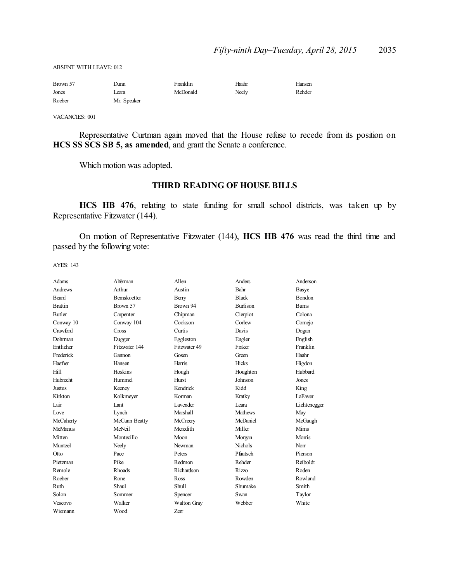ABSENT WITH LEAVE: 012

| Brown 57 | Dunn        | Franklin | Haahr | Hansen |
|----------|-------------|----------|-------|--------|
| Jones    | eara        | McDonald | Neely | Rehder |
| Roeber   | Mr. Speaker |          |       |        |

VACANCIES: 001

Representative Curtman again moved that the House refuse to recede from its position on **HCS SS SCS SB 5, as amended**, and grant the Senate a conference.

Which motion was adopted.

### **THIRD READING OF HOUSE BILLS**

**HCS HB 476**, relating to state funding for small school districts, was taken up by Representative Fitzwater (144).

On motion of Representative Fitzwater (144), **HCS HB 476** was read the third time and passed by the following vote:

| Adams          | Alferman            | Allen                | Anders          | Anderson      |
|----------------|---------------------|----------------------|-----------------|---------------|
| Andrews        | Arthur              | Austin               | Bahr            | <b>Basye</b>  |
| Beard          | <b>Bernskoetter</b> | Berry                | <b>Black</b>    | <b>Bondon</b> |
| <b>Brattin</b> | Brown 57            | Brown 94             | <b>Burlison</b> | <b>Burns</b>  |
| <b>Butler</b>  | Carpenter           | Chipman              | Cierpiot        | Colona        |
| Conway 10      | Conway 104          | Cookson              | Corlew          | Comejo        |
| Crawford       | Cross               | Curtis               | Davis           | Dogan         |
| Dohrman        | Dugger              | Eggleston            | Engler          | English       |
| Entlicher      | Fitzwater 144       | Fitzwater 49         | Fraker          | Franklin      |
| Frederick      | Gannon              | Gosen                | Green           | Haahr         |
| Haefner        | Hansen              | Harris               | Hicks           | Higdon        |
| Hill           | Hoskins             | Hough                | Houghton        | Hubbard       |
| Hubrecht       | Hummel              | Hurst                | Johnson         | Jones         |
| Justus         | Keeney              | Kendrick             | Kidd            | King          |
| Kirkton        | Kolkmeyer           | Korman               | Kratky          | LaFaver       |
| Lair           | Lant                | L <sub>avender</sub> | I eara          | Lichtenegger  |
| Love           | Lynch               | Marshall             | <b>Mathews</b>  | May           |
| McCaherty      | McCann Beatty       | McCreery             | McDaniel        | McGaugh       |
| <b>McManus</b> | McNeil              | Meredith             | Miller          | Mims          |
| Mitten         | Montecillo          | Moon                 | Morgan          | Morris        |
| Muntzel        | Neely               | Newman               | <b>Nichols</b>  | Norr          |
| Otto           | Pace                | Peters               | Pfautsch        | Pierson       |
| Pietzman       | Pike                | Redmon               | Rehder          | Reiboldt      |
| Remole         | <b>Rhoads</b>       | Richardson           | <b>Rizzo</b>    | Roden         |
| Roeber         | Rone                | Ross                 | Rowden          | Rowland       |
| Ruth           | Shaul               | Shull                | Shumake         | Smith         |
| Solon          | Sommer              | Spencer              | Swan            | Taylor        |
| Vescovo        | Walker              | Walton Gray          | Webber          | White         |
| Wiemann        | Wood                | Zerr                 |                 |               |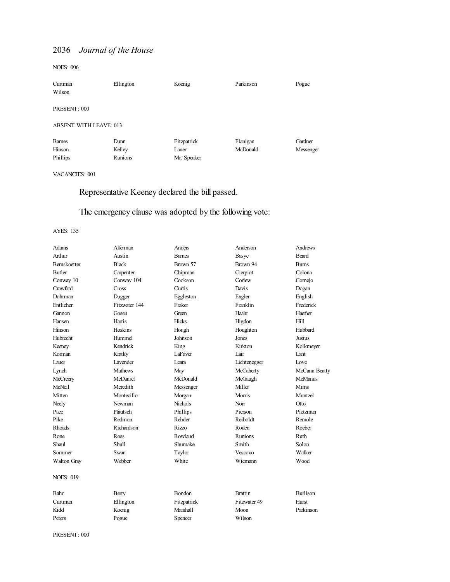#### NOES: 006

| Curtman<br>Wilson             | Ellington | Koenig      | Parkinson | Pogue     |
|-------------------------------|-----------|-------------|-----------|-----------|
| PRESENT: 000                  |           |             |           |           |
| <b>ABSENT WITH LEAVE: 013</b> |           |             |           |           |
| <b>Barnes</b>                 | Dunn      | Fitzpatrick | Flanigan  | Gardner   |
| Hinson                        | Kelley    | Lauer       | McDonald  | Messenger |
| Phillips                      | Runions   | Mr. Speaker |           |           |

### VACANCIES: 001

# Representative Keeney declared the bill passed.

# The emergency clause was adopted by the following vote:

| Adams               | Alferman       | Anders          | Anderson       | Andrews         |
|---------------------|----------------|-----------------|----------------|-----------------|
| Arthur              | Austin         | <b>Barnes</b>   | Basye          | <b>Beard</b>    |
| <b>Bernskoetter</b> | <b>Black</b>   | Brown 57        | Brown 94       | <b>Burns</b>    |
| <b>Butler</b>       | Carpenter      | Chipman         | Cierpiot       | Colona          |
| Conway 10           | Conway 104     | Cookson         | Corlew         | Comejo          |
| Crawford            | Cross          | Curtis          | Davis          | Dogan           |
| Dohrman             | Dugger         | Eggleston       | Engler         | English         |
| Entlicher           | Fitzwater 144  | Fraker          | Franklin       | Frederick       |
| Gannon              | Gosen          | Green           | Haahr          | Haefner         |
| Hansen              | Harris         | Hicks           | Higdon         | Hill            |
| Hinson              | Hoskins        | Hough           | Houghton       | Hubbard         |
| <b>Hubrecht</b>     | Hummel         | Johnson         | Jones          | <b>Justus</b>   |
| Keeney              | Kendrick       | King            | Kirkton        | Kolkmeyer       |
| Korman              | Kratky         | LaFaver         | Lair           | Lant            |
| Lauer               | Lavender       | Leara           | Lichtenegger   | Love            |
| Lynch               | <b>Mathews</b> | May             | McCaherty      | McCann Beatty   |
| McCreery            | McDaniel       | McDonald        | McGaugh        | <b>McManus</b>  |
| McNeil              | Meredith       | Messenger       | Miller         | Mims            |
| Mitten              | Montecillo     | Morgan          | Morris         | Muntzel         |
| Neely               | Newman         | Nichols         | Norr           | Otto            |
| Pace                | Pfautsch       | Phillips        | Pierson        | Pietzman        |
| Pike                | Redmon         | Rehder          | Reiboldt       | Remole          |
| <b>Rhoads</b>       | Richardson     | Rizzo           | Roden          | Roeber          |
| Rone                | Ross           | Rowland         | <b>Runions</b> | Ruth            |
| Shaul               | Shull          | Shumake         | Smith          | Solon           |
| Sommer              | Swan           | Taylor          | Vescovo        | Walker          |
| Walton Gray         | Webber         | White           | Wiemann        | Wood            |
| NOES: 019           |                |                 |                |                 |
| Bahr                | Berry          | Bondon          | <b>Brattin</b> | <b>Burlison</b> |
| Curtman             | Ellington      | Fitzpatrick     | Fitzwater 49   | <b>Hurst</b>    |
| Kidd                | Koenig         | <b>Marshall</b> | Moon           | Parkinson       |
| Peters              | Pogue          | Spencer         | Wilson         |                 |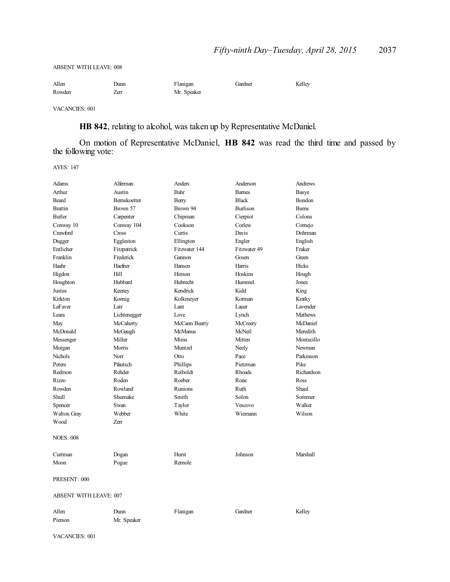#### ABSENT WITH LEAVE: 008

| Allen  | Junn | Flanigan    | Gardner | Kelley |
|--------|------|-------------|---------|--------|
| Rowden | Zerr | Mr. Speaker |         |        |

VACANCIES: 001

# **HB 842**, relating to alcohol, was taken up by Representative McDaniel.

On motion of Representative McDaniel, **HB 842** was read the third time and passed by the following vote:

AYES: 147

| Adams                         | Alferman            | Anders         | Anderson        | Andrews        |
|-------------------------------|---------------------|----------------|-----------------|----------------|
| Arthur                        | Austin              | Bahr           | <b>Bames</b>    | Basye          |
| <b>Beard</b>                  | <b>Bernskoetter</b> | Berry          | <b>Black</b>    | Bondon         |
| <b>Brattin</b>                | Brown 57            | Brown 94       | <b>Burlison</b> | <b>Bums</b>    |
| Butler                        | Carpenter           | Chipman        | Cierpiot        | Colona         |
| Conway 10                     | Conway 104          | Cookson        | Corlew          | Comejo         |
| Crawford                      | Cross               | Curtis         | Davis           | Dohrman        |
| Dugger                        | Eggleston           | Ellington      | Engler          | English        |
| Entlicher                     | Fitzpatrick         | Fitzwater 144  | Fitzwater 49    | Fraker         |
| Franklin                      | Frederick           | Gannon         | Gosen           | Green          |
| Haahr                         | Haefner             | Hansen         | Harris          | Hicks          |
| Higdon                        | Hill                | Hinson         | Hoskins         | Hough          |
| Houghton                      | Hubbard             | Hubrecht       | Hummel          | Jones          |
| Justus                        | Keeney              | Kendrick       | Kidd            | King           |
| Kirkton                       | Koenig              | Kolkmeyer      | Korman          | Kratky         |
| LaFaver                       | Lair                | Lant           | Lauer           | Lavender       |
| Leara                         | Lichtenegger        | Love           | Lynch           | <b>Mathews</b> |
| May                           | McCaherty           | McCann Beatty  | McCreery        | McDaniel       |
| McDonald                      | McGaugh             | <b>McManus</b> | McNeil          | Meredith       |
| Messenger                     | Miller              | Mims           | Mitten          | Montecillo     |
| Morgan                        | Morris              | Muntzel        | Neely           | Newman         |
| Nichols                       | Norr                | Otto           | Pace            | Parkinson      |
| Peters                        | Pfautsch            | Phillips       | Pietzman        | Pike           |
| Redmon                        | Rehder              | Reiboldt       | <b>Rhoads</b>   | Richardson     |
| <b>Rizzo</b>                  | Roden               | Roeber         | Rone            | Ross           |
| Rowden                        | Rowland             | Runions        | Ruth            | Shaul          |
| Shull                         | Shumake             | Smith          | Solon           | Sommer         |
| Spencer                       | Swan                | Taylor         | Vescovo         | Walker         |
| Walton Gray                   | Webber              | White          | Wiemann         | Wilson         |
| Wood                          | Zerr                |                |                 |                |
| <b>NOES: 008</b>              |                     |                |                 |                |
| Curtman                       | Dogan               | Hurst          | Johnson         | Marshall       |
| Moon                          | Pogue               | Remole         |                 |                |
| PRESENT: 000                  |                     |                |                 |                |
| <b>ABSENT WITH LEAVE: 007</b> |                     |                |                 |                |
| Allen                         | Dunn                | Flanigan       | Gardner         | Kelley         |
| Pierson                       | Mr. Speaker         |                |                 |                |

VACANCIES: 001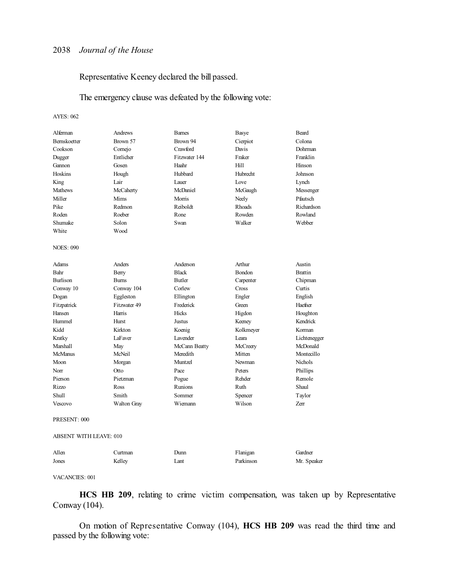Representative Keeney declared the bill passed.

# The emergency clause was defeated by the following vote:

AYES: 062

| Alferman            | Andrews      | <b>Barnes</b>  | Basye         | Beard          |
|---------------------|--------------|----------------|---------------|----------------|
| <b>Bernskoetter</b> | Brown 57     | Brown 94       | Cierpiot      | Colona         |
| Cookson             | Cornejo      | Crawford       | Davis         | Dohrman        |
| Dugger              | Entlicher    | Fitzwater 144  | Fraker        | Franklin       |
| Gannon              | Gosen        | Haahr          | Hill          | Hinson         |
| Hoskins             | Hough        | Hubbard        | Hubrecht      | Johnson        |
| King                | Lair         | Lauer          | Love          | Lynch          |
| Mathews             | McCaherty    | McDaniel       | McGaugh       | Messenger      |
| Miller              | Mims         | Morris         | Neely         | Pfautsch       |
| Pike                | Redmon       | Reiboldt       | <b>Rhoads</b> | Richardson     |
| Roden               | Roeber       | Rone           | Rowden        | Rowland        |
| Shumake             | Solon        | Swan           | Walker        | Webber         |
| White               | Wood         |                |               |                |
| <b>NOES: 090</b>    |              |                |               |                |
| Adams               | Anders       | Anderson       | Arthur        | Austin         |
| Bahr                | Berry        | <b>Black</b>   | <b>Bondon</b> | <b>Brattin</b> |
| Burlison            | <b>Burns</b> | <b>Butler</b>  | Carpenter     | Chipman        |
| Conway 10           | Conway 104   | Corlew         | Cross         | Curtis         |
| Dogan               | Eggleston    | Ellington      | Engler        | English        |
| Fitzpatrick         | Fitzwater 49 | Frederick      | Green         | Haefner        |
| Hansen              | Harris       | <b>Hicks</b>   | Higdon        | Houghton       |
| Hummel              | <b>Hurst</b> | Justus         | Keeney        | Kendrick       |
| Kidd                | Kirkton      | Koenig         | Kolkmeyer     | Korman         |
| Kratky              | LaFaver      | Lavender       | Leara         | Lichtenegger   |
| Marshall            | May          | McCann Beatty  | McCreery      | McDonald       |
| <b>McManus</b>      | McNeil       | Meredith       | Mitten        | Montecillo     |
| Moon                | Morgan       | Muntzel        | Newman        | <b>Nichols</b> |
| Norr                | Otto         | Pace           | Peters        | Phillips       |
| Pierson             | Pietzman     | Pogue          | Rehder        | Remole         |
| Rizzo               | Ross         | <b>Runions</b> | Ruth          | Shaul          |
| Shull               | Smith        | Sommer         | Spencer       | Taylor         |
| Vescovo             | Walton Gray  | Wiemann        | Wilson        | Zerr           |
| PRESENT: 000        |              |                |               |                |

ABSENT WITH LEAVE: 010

| Allen | \urtman | Dunn | Flanigan  | Gardner     |
|-------|---------|------|-----------|-------------|
| Jones | Kelley  | Lant | Parkinson | Mr. Speaker |

### VACANCIES: 001

**HCS HB 209**, relating to crime victim compensation, was taken up by Representative Conway (104).

On motion of Representative Conway (104), **HCS HB 209** was read the third time and passed by the following vote: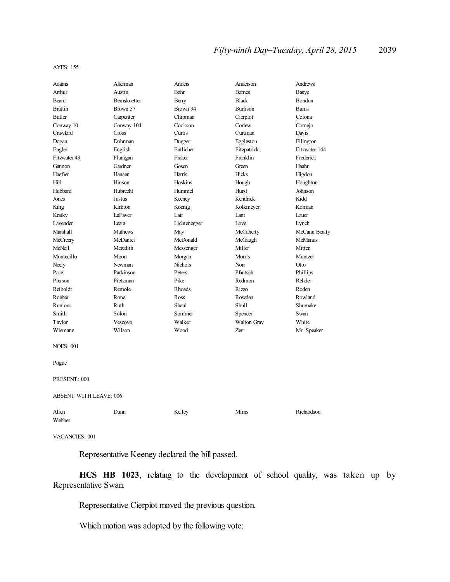#### AYES: 155

| Adams                         | Alferman     | Anders         | Anderson        | Andrews        |
|-------------------------------|--------------|----------------|-----------------|----------------|
| Arthur                        | Austin       | Bahr           | <b>Barnes</b>   | Basye          |
| Beard                         | Bernskoetter | Berry          | <b>Black</b>    | Bondon         |
| <b>Brattin</b>                | Brown 57     | Brown 94       | <b>Burlison</b> | <b>Burns</b>   |
| <b>Butler</b>                 | Carpenter    | Chipman        | Cierpiot        | Colona         |
| Conway 10                     | Conway 104   | Cookson        | Corlew          | Comejo         |
| Crawford                      | Cross        | Curtis         | Curtman         | Davis          |
| Dogan                         | Dohrman      | Dugger         | Eggleston       | Ellington      |
| Engler                        | English      | Entlicher      | Fitzpatrick     | Fitzwater 144  |
| Fitzwater 49                  | Flanigan     | Fraker         | Franklin        | Frederick      |
| Gannon                        | Gardner      | Gosen          | Green           | Haahr          |
| Haefner                       | Hansen       | Harris         | Hicks           | Higdon         |
| Hill                          | Hinson       | Hoskins        | Hough           | Houghton       |
| Hubbard                       | Hubrecht     | Hummel         | Hurst           | Johnson        |
| Jones                         | Justus       | Keeney         | Kendrick        | Kidd           |
| King                          | Kirkton      | Koenig         | Kolkmeyer       | Korman         |
| Kratky                        | LaFaver      | Lair           | Lant            | Lauer          |
| Lavender                      | Leara        | Lichtenegger   | Love            | Lynch          |
| Marshall                      | Mathews      | May            | McCaherty       | McCann Beatty  |
| McCreery                      | McDaniel     | McDonald       | McGaugh         | <b>McManus</b> |
| McNeil                        | Meredith     | Messenger      | Miller          | Mitten         |
| Montecillo                    | Moon         | Morgan         | Morris          | Muntzel        |
| Neely                         | Newman       | <b>Nichols</b> | Norr            | Otto           |
| Pace                          | Parkinson    | Peters         | Pfautsch        | Phillips       |
| Pierson                       | Pietzman     | Pike           | Redmon          | Rehder         |
| Reiboldt                      | Remole       | Rhoads         | Rizzo           | Roden          |
| Roeber                        | Rone         | Ross           | Rowden          | Rowland        |
| Runions                       | Ruth         | Shaul          | <b>Shull</b>    | Shumake        |
| Smith                         | Solon        | Sommer         | Spencer         | Swan           |
| Taylor                        | Vescovo      | Walker         | Walton Gray     | White          |
| Wiemann                       | Wilson       | Wood           | Zerr            | Mr. Speaker    |
| <b>NOES: 001</b>              |              |                |                 |                |
| Pogue                         |              |                |                 |                |
| PRESENT: 000                  |              |                |                 |                |
| <b>ABSENT WITH LEAVE: 006</b> |              |                |                 |                |
| Allen                         |              |                |                 |                |
|                               | Dunn         | Kelley         | Mims            | Richardson     |

### VACANCIES: 001

Representative Keeney declared the bill passed.

**HCS HB 1023**, relating to the development of school quality, was taken up by Representative Swan.

Representative Cierpiot moved the previous question.

Which motion was adopted by the following vote: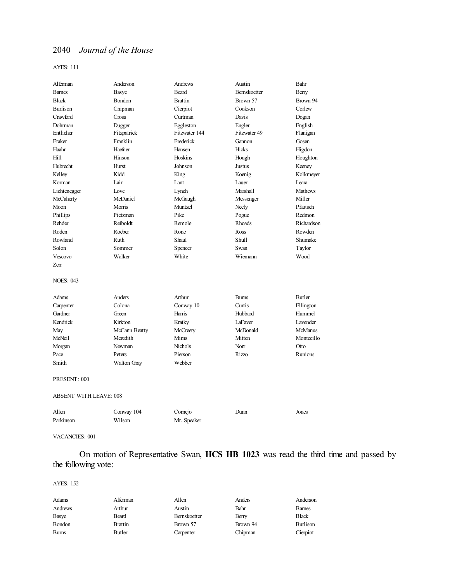### AYES: 111

| Alferman                      | Anderson      | Andrews        | Austin        | Bahr           |
|-------------------------------|---------------|----------------|---------------|----------------|
| <b>Barnes</b>                 | Basye         | <b>Beard</b>   | Bernskoetter  | Berry          |
| <b>Black</b>                  | <b>Bondon</b> | <b>Brattin</b> | Brown 57      | Brown 94       |
| <b>Burlison</b>               | Chipman       | Cierpiot       | Cookson       | Corlew         |
| Crawford                      | Cross         | Curtman        | Davis         | Dogan          |
| Dohrman                       | Dugger        | Eggleston      | Engler        | English        |
| Entlicher                     | Fitzpatrick   | Fitzwater 144  | Fitzwater 49  | Flanigan       |
| Fraker                        | Franklin      | Frederick      | Gannon        | Gosen          |
| Haahr                         | Haefner       | Hansen         | Hicks         | Higdon         |
| Hill                          | Hinson        | Hoskins        | Hough         | Houghton       |
| <b>Hubrecht</b>               | <b>Hurst</b>  | Johnson        | <b>Justus</b> | Keeney         |
| Kelley                        | Kidd          | King           | Koenig        | Kolkmeyer      |
| Korman                        | Lair          | Lant           | Lauer         | Leara          |
| Lichtenegger                  | Love          | Lynch          | Marshall      | <b>Mathews</b> |
| McCaherty                     | McDaniel      | McGaugh        | Messenger     | Miller         |
| Moon                          | Morris        | Muntzel        | Neely         | Pfautsch       |
| Phillips                      | Pietzman      | Pike           | Pogue         | Redmon         |
| Rehder                        | Reiboldt      | Remole         | <b>Rhoads</b> | Richardson     |
| Roden                         | Roeber        | Rone           | Ross          | Rowden         |
| Rowland                       | Ruth          | Shaul          | Shull         | Shumake        |
| Solon                         | Sommer        | Spencer        | Swan          | Taylor         |
| Vescovo                       | Walker        | White          | Wiemann       | Wood           |
| Zerr                          |               |                |               |                |
| <b>NOES: 043</b>              |               |                |               |                |
| Adams                         | Anders        | Arthur         | <b>Burns</b>  | <b>Butler</b>  |
| Carpenter                     | Colona        | Conway 10      | Curtis        | Ellington      |
| Gardner                       | Green         | Harris         | Hubbard       | Hummel         |
| Kendrick                      | Kirkton       | Kratky         | LaFaver       | Lavender       |
| May                           | McCann Beatty | McCreery       | McDonald      | <b>McManus</b> |
| McNeil                        | Meredith      | Mims           | Mitten        | Montecillo     |
| Morgan                        | Newman        | <b>Nichols</b> | Norr          | Otto           |
| Pace                          | Peters        | Pierson        | Rizzo         | Runions        |
| Smith                         | Walton Gray   | Webber         |               |                |
| PRESENT: 000                  |               |                |               |                |
| <b>ABSENT WITH LEAVE: 008</b> |               |                |               |                |
| Allen                         | Conway 104    | Cornejo        | Dunn          | Jones          |
| Parkinson                     | Wilson        | Mr. Speaker    |               |                |

### VACANCIES: 001

On motion of Representative Swan, **HCS HB 1023** was read the third time and passed by the following vote:

| Adams   | Alferman       | Allen        | Anders   | Anderson     |
|---------|----------------|--------------|----------|--------------|
| Andrews | Arthur         | Austin       | Bahr     | <b>Bames</b> |
| Basye   | Beard          | Bernskoetter | Berry    | <b>Black</b> |
| Bondon  | <b>Brattin</b> | Brown 57     | Brown 94 | Burlison     |
| Burns   | Butler         | Carpenter    | Chipman  | Cierpiot     |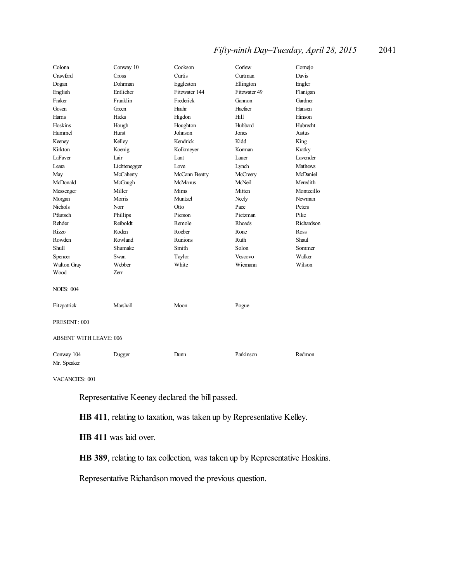# *Fifty-ninth Day–Tuesday, April 28, 2015* 2041

| Colona                        | Conway 10    | Cookson        | Corlew         | Cornejo         |
|-------------------------------|--------------|----------------|----------------|-----------------|
| Crawford                      | Cross        | Curtis         | Curtman        | Davis           |
| Dogan                         | Dohrman      | Eggleston      | Ellington      | Engler          |
| English                       | Entlicher    | Fitzwater 144  | Fitzwater 49   | Flanigan        |
| Fraker                        | Franklin     | Frederick      | Gannon         | Gardner         |
| Gosen                         | Green        | Haahr          | Haefner        | Hansen          |
| Harris                        | <b>Hicks</b> | Higdon         | Hill           | Hinson          |
| Hoskins                       | Hough        | Houghton       | Hubbard        | <b>Hubrecht</b> |
| Hummel                        | Hurst        | Johnson        | Jones          | Justus          |
| Keeney                        | Kelley       | Kendrick       | Kidd           | King            |
| Kirkton                       | Koenig       | Kolkmeyer      | Korman         | Kratky          |
| <b>LaFaver</b>                | Lair         | Lant           | Lauer          | <b>Lavender</b> |
| Leara                         | Lichtenegger | Love           | Lynch          | <b>Mathews</b>  |
| May                           | McCaherty    | McCann Beatty  | McCreery       | McDaniel        |
| McDonald                      | McGaugh      | <b>McManus</b> | McNeil         | Meredith        |
| Messenger                     | Miller       | Mims           | Mitten         | Montecillo      |
| Morgan                        | Morris       | Muntzel        | Neely          | Newman          |
| Nichols                       | Norr         | Otto           | Pace           | Peters          |
| Pfautsch                      | Phillips     | Pierson        | Pietzman       | Pike            |
| Rehder                        | Reiboldt     | Remole         | <b>Rhoads</b>  | Richardson      |
| <b>Rizzo</b>                  | Roden        | Roeber         | Rone           | Ross            |
| Rowden                        | Rowland      | Runions        | Ruth           | Shaul           |
| Shull                         | Shumake      | Smith          | Solon          | Sommer          |
| Spencer                       | Swan         | Taylor         | <b>Vescovo</b> | Walker          |
| Walton Gray                   | Webber       | White          | Wiemann        | Wilson          |
| Wood                          | Zerr         |                |                |                 |
| <b>NOES: 004</b>              |              |                |                |                 |
| Fitzpatrick                   | Marshall     | Moon           | Pogue          |                 |
| PRESENT: 000                  |              |                |                |                 |
| <b>ABSENT WITH LEAVE: 006</b> |              |                |                |                 |
| Conway 104                    | Dugger       | Dunn           | Parkinson      | Redmon          |

VACANCIES: 001

Mr. Speaker

Representative Keeney declared the bill passed.

**HB 411**, relating to taxation, was taken up by Representative Kelley.

**HB 411** was laid over.

**HB 389**, relating to tax collection, was taken up by Representative Hoskins.

Representative Richardson moved the previous question.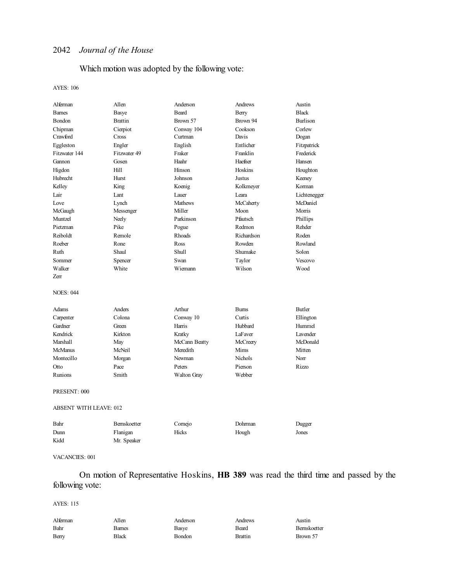# Which motion was adopted by the following vote:

#### AYES: 106

| Alferman                      | Allen          | Anderson      | Andrews        | Austin          |
|-------------------------------|----------------|---------------|----------------|-----------------|
| <b>Barnes</b>                 | Basye          | <b>Beard</b>  | Berry          | <b>Black</b>    |
| Bondon                        | <b>Brattin</b> | Brown 57      | Brown 94       | <b>Burlison</b> |
| Chipman                       | Cierpiot       | Conway 104    | Cookson        | Corlew          |
| Crawford                      | Cross          | Curtman       | Davis          | Dogan           |
| Eggleston                     | Engler         | English       | Entlicher      | Fitzpatrick     |
| Fitzwater 144                 | Fitzwater 49   | Fraker        | Franklin       | Frederick       |
| Gannon                        | Gosen          | Haahr         | Haefner        | Hansen          |
| Higdon                        | Hill           | Hinson        | Hoskins        | Houghton        |
| Hubrecht                      | Hurst          | Johnson       | Justus         | Keeney          |
| Kelley                        | King           | Koenig        | Kolkmeyer      | Korman          |
| Lair                          | Lant           | Lauer         | Leara          | Lichtenegger    |
| Love                          | Lynch          | Mathews       | McCaherty      | McDaniel        |
| McGaugh                       | Messenger      | Miller        | Moon           | Morris          |
| Muntzel                       | Neely          | Parkinson     | Pfautsch       | Phillips        |
| Pietzman                      | Pike           | Pogue         | Redmon         | Rehder          |
| Reiboldt                      | Remole         | <b>Rhoads</b> | Richardson     | Roden           |
| Roeber                        | Rone           | Ross          | Rowden         | Rowland         |
| Ruth                          | Shaul          | <b>Shull</b>  | Shumake        | Solon           |
| Sommer                        | Spencer        | Swan          | Taylor         | Vescovo         |
| Walker                        | White          | Wiemann       | Wilson         | Wood            |
| Zerr                          |                |               |                |                 |
| <b>NOES: 044</b>              |                |               |                |                 |
| Adams                         | Anders         | Arthur        | <b>Burns</b>   | <b>Butler</b>   |
| Carpenter                     | Colona         | Conway 10     | Curtis         | Ellington       |
| Gardner                       | Green          | Harris        | Hubbard        | Hummel          |
| Kendrick                      | Kirkton        | Kratky        | LaFaver        | Lavender        |
| Marshall                      | May            | McCann Beatty | McCreery       | McDonald        |
| <b>McManus</b>                | McNeil         | Meredith      | Mims           | Mitten          |
| Montecillo                    | Morgan         | Newman        | <b>Nichols</b> | Norr            |
| Otto                          | Pace           | Peters        | Pierson        | <b>Rizzo</b>    |
| Runions                       | Smith          | Walton Gray   | Webber         |                 |
| PRESENT: 000                  |                |               |                |                 |
| <b>ABSENT WITH LEAVE: 012</b> |                |               |                |                 |
| Bahr                          | Bernskoetter   | Cornejo       | Dohrman        | Dugger          |
| Dunn                          | Flanigan       | Hicks         | Hough          | Jones           |
| Kidd                          | Mr. Speaker    |               |                |                 |

### VACANCIES: 001

On motion of Representative Hoskins, **HB 389** was read the third time and passed by the following vote:

| Alferman | Allen  | Anderson      | Andrews | Austin              |
|----------|--------|---------------|---------|---------------------|
| Bahr     | Barnes | Basve         | Beard   | <b>Bernskoetter</b> |
| Berry    | Black  | <b>Bondon</b> | Brattin | Brown 57            |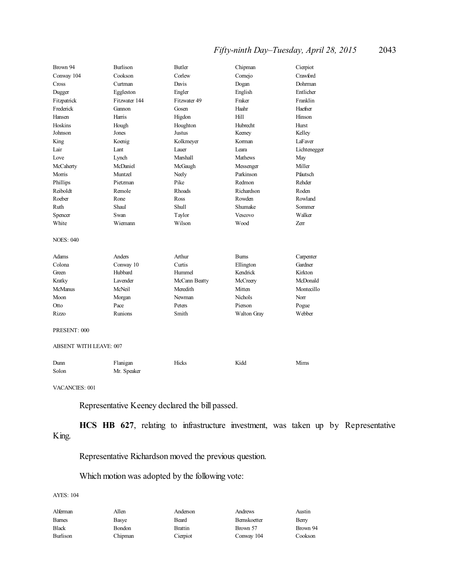# *Fifty-ninth Day–Tuesday, April 28, 2015* 2043

| Brown 94         | <b>Burlison</b> | Butler        | Chipman        | Cierpiot     |
|------------------|-----------------|---------------|----------------|--------------|
| Conway 104       | Cookson         | Corlew        | Comejo         | Crawford     |
| Cross            | Curtman         | Davis         | Dogan          | Dohrman      |
| Dugger           | Eggleston       | Engler        | English        | Entlicher    |
| Fitzpatrick      | Fitzwater 144   | Fitzwater 49  | Fraker         | Franklin     |
| Frederick        | Gannon          | Gosen         | Haahr          | Haefner      |
| Hansen           | Harris          | Higdon        | Hill           | Hinson       |
| Hoskins          | Hough           | Houghton      | Hubrecht       | Hurst        |
| Johnson          | Jones           | <b>Justus</b> | Keeney         | Kelley       |
| King             | Koenig          | Kolkmeyer     | Korman         | LaFaver      |
| Lair             | Lant            | Lauer         | Leara          | Lichtenegger |
| Love             | Lynch           | Marshall      | <b>Mathews</b> | May          |
| McCaherty        | McDaniel        | McGaugh       | Messenger      | Miller       |
| Morris           | Muntzel         | Neely         | Parkinson      | Pfautsch     |
| Phillips         | Pietzman        | Pike          | Redmon         | Rehder       |
| Reiboldt         | Remole          | <b>Rhoads</b> | Richardson     | Roden        |
| Roeber           | Rone            | Ross          | Rowden         | Rowland      |
| Ruth             | Shaul           | Shull         | Shumake        | Sommer       |
| Spencer          | Swan            | Taylor        | Vescovo        | Walker       |
| White            | Wiemann         | Wilson        | Wood           | Zerr         |
| <b>NOES: 040</b> |                 |               |                |              |
| Adams            | Anders          | Arthur        | <b>Burns</b>   | Carpenter    |
| Colona           | Conway 10       | Curtis        | Ellington      | Gardner      |
| Green            | Hubbard         | Hummel        | Kendrick       | Kirkton      |
| Kratky           | Lavender        | McCann Beatty | McCreery       | McDonald     |
| <b>McManus</b>   | McNeil          | Meredith      | Mitten         | Montecillo   |
| Moon             | Morgan          | Newman        | <b>Nichols</b> | Norr         |
| Otto             | Pace            | Peters        | Pierson        | Pogue        |
| Rizzo            | Runions         | Smith         | Walton Gray    | Webber       |
|                  |                 |               |                |              |

# PRESENT: 000

#### ABSENT WITH LEAVE: 007

| Dunn  | Flanigan    | Hicks | Kidd | Mims |
|-------|-------------|-------|------|------|
| Solon | Mr. Speaker |       |      |      |

VACANCIES: 001

Representative Keeney declared the bill passed.

**HCS HB 627**, relating to infrastructure investment, was taken up by Representative King.

Representative Richardson moved the previous question.

Which motion was adopted by the following vote:

| Alferman      | Allen   | Anderson       | Andrews     | Austin   |
|---------------|---------|----------------|-------------|----------|
| <b>Barnes</b> | Basve   | Beard          | Bemskoetter | Berry    |
| <b>Black</b>  | Bondon  | <b>Brattin</b> | Brown 57    | Brown 94 |
| Burlison      | Chipman | Cierpiot       | Conway 104  | Cookson  |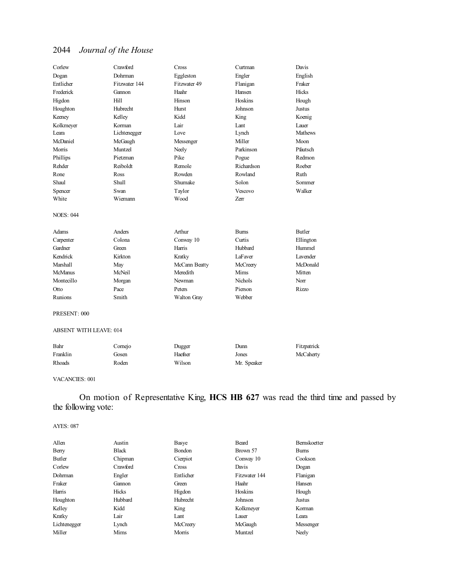| Corlew                        | Crawford        | Cross         | Curtman        | Davis           |
|-------------------------------|-----------------|---------------|----------------|-----------------|
| Dogan                         | Dohrman         | Eggleston     | Engler         | English         |
| Entlicher                     | Fitzwater 144   | Fitzwater 49  | Flanigan       | Fraker          |
| Frederick                     | Gannon          | Haahr         | Hansen         | Hicks           |
| Higdon                        | Hill            | Hinson        | Hoskins        | Hough           |
| Houghton                      | <b>Hubrecht</b> | Hurst         | Johnson        | Justus          |
| Keeney                        | Kelley          | Kidd          | King           | Koenig          |
| Kolkmeyer                     | Korman          | Lair          | Lant           | Lauer           |
| Leara                         | Lichtenegger    | Love          | Lynch          | <b>Mathews</b>  |
| McDaniel                      | McGaugh         | Messenger     | Miller         | Moon            |
| Morris                        | Muntzel         | Neely         | Parkinson      | Pfautsch        |
| Phillips                      | Pietzman        | Pike          | Pogue          | Redmon          |
| Rehder                        | Reiboldt        | Remole        | Richardson     | Roeber          |
| Rone                          | Ross            | Rowden        | Rowland        | Ruth            |
| Shaul                         | Shull           | Shumake       | Solon          | Sommer          |
| Spencer                       | Swan            | Taylor        | Vescovo        | Walker          |
| White                         | Wiemann         | Wood          | Zerr           |                 |
| <b>NOES: 044</b>              |                 |               |                |                 |
| Adams                         | Anders          | Arthur        | <b>Burns</b>   | <b>Butler</b>   |
| Carpenter                     | Colona          | Conway 10     | Curtis         | Ellington       |
| Gardner                       | Green           | Harris        | Hubbard        | Hummel          |
| Kendrick                      | Kirkton         | Kratky        | LaFaver        | <b>Lavender</b> |
| Marshall                      | May             | McCann Beatty | McCreery       | McDonald        |
| <b>McManus</b>                | McNeil          | Meredith      | Mims           | Mitten          |
| Montecillo                    | Morgan          | Newman        | <b>Nichols</b> | Norr            |
| Otto                          | Pace            | Peters        | Pierson        | Rizzo           |
| Runions                       | Smith           | Walton Gray   | Webber         |                 |
| PRESENT: 000                  |                 |               |                |                 |
| <b>ABSENT WITH LEAVE: 014</b> |                 |               |                |                 |
| Bahr                          | Cornejo         | Dugger        | Dunn           | Fitzpatrick     |
| Franklin                      | Gosen           | Haefner       | Jones          | McCaherty       |

VACANCIES: 001

# On motion of Representative King, **HCS HB 627** was read the third time and passed by the following vote:

### AYES: 087

| Allen        | Austin       | Basye        | <b>Beard</b>  | <b>Bernskoetter</b> |
|--------------|--------------|--------------|---------------|---------------------|
| Berry        | <b>Black</b> | Bondon       | Brown 57      | <b>Burns</b>        |
| Butler       | Chipman      | Cierpiot     | Conway 10     | Cookson             |
| Corlew       | Crawford     | <b>Cross</b> | Davis         | Dogan               |
| Dohrman      | Engler       | Entlicher    | Fitzwater 144 | Flanigan            |
| Fraker       | Gannon       | Green        | Haahr         | Hansen              |
| Harris       | Hicks        | Higdon       | Hoskins       | Hough               |
| Houghton     | Hubbard      | Hubrecht     | Johnson       | Justus              |
| Kelley       | Kidd         | King         | Kolkmeyer     | Korman              |
| Kratky       | Lair         | Lant         | Lauer         | Leara               |
| Lichtenegger | Lynch        | McCreery     | McGaugh       | Messenger           |
| Miller       | Mims         | Morris       | Muntzel       | Neely               |

Rhoads Roden Wilson Mr. Speaker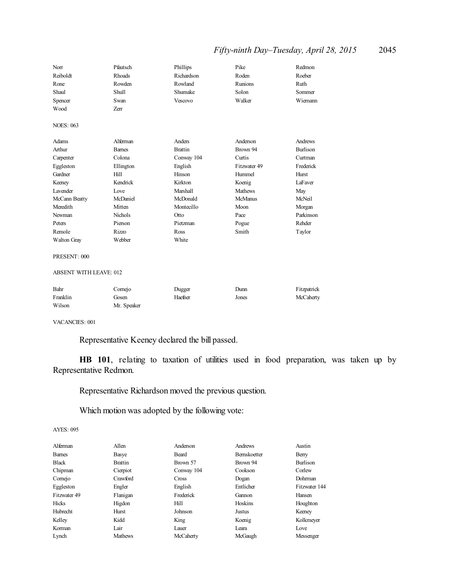# *Fifty-ninth Day–Tuesday, April 28, 2015* 2045

| Norr                          | Pfautsch      | Phillips       | Pike           | Redmon          |
|-------------------------------|---------------|----------------|----------------|-----------------|
| Reiboldt                      | Rhoads        | Richardson     | Roden          | Roeber          |
| Rone                          | Rowden        | Rowland        | <b>Runions</b> | Ruth            |
| Shaul                         | Shull         | Shumake        | Solon          | Sommer          |
| Spencer                       | Swan          | Vescovo        | Walker         | Wiemann         |
| Wood                          | Zerr          |                |                |                 |
| <b>NOES: 063</b>              |               |                |                |                 |
| Adams                         | Alferman      | Anders         | Anderson       | Andrews         |
| Arthur                        | <b>Barnes</b> | <b>Brattin</b> | Brown 94       | <b>Burlison</b> |
| Carpenter                     | Colona        | Conway 104     | Curtis         | Curtman         |
| Eggleston                     | Ellington     | English        | Fitzwater 49   | Frederick       |
| Gardner                       | Hill          | Hinson         | Hummel         | Hurst           |
| Keeney                        | Kendrick      | Kirkton        | Koenig         | LaFaver         |
| <b>Lavender</b>               | Love          | Marshall       | <b>Mathews</b> | May             |
| McCann Beatty                 | McDaniel      | McDonald       | <b>McManus</b> | McNeil          |
| Meredith                      | Mitten        | Montecillo     | Moon           | Morgan          |
| Newman                        | Nichols       | Otto           | Pace           | Parkinson       |
| Peters                        | Pierson       | Pietzman       | Pogue          | Rehder          |
| Remole                        | <b>Rizzo</b>  | Ross           | Smith          | Taylor          |
| Walton Gray                   | Webber        | White          |                |                 |
| PRESENT: 000                  |               |                |                |                 |
| <b>ABSENT WITH LEAVE: 012</b> |               |                |                |                 |
| Bahr                          | Cornejo       | Dugger         | Dunn           | Fitzpatrick     |
| Franklin                      | Gosen         | Haefner        | Jones          | McCaherty       |
| Wilson                        | Mr. Speaker   |                |                |                 |

VACANCIES: 001

Representative Keeney declared the bill passed.

**HB 101**, relating to taxation of utilities used in food preparation, was taken up by Representative Redmon.

Representative Richardson moved the previous question.

Which motion was adopted by the following vote:

| Alferman      | Allen          | Anderson     | Andrews      | Austin          |
|---------------|----------------|--------------|--------------|-----------------|
| <b>Barnes</b> | Basye          | Beard        | Bernskoetter | Berry           |
| <b>Black</b>  | <b>Brattin</b> | Brown 57     | Brown 94     | <b>Burlison</b> |
| Chipman       | Cierpiot       | Conway 104   | Cookson      | Corlew          |
| Comejo        | Crawford       | <b>Cross</b> | Dogan        | Dohrman         |
| Eggleston     | Engler         | English      | Entlicher    | Fitzwater 144   |
| Fitzwater 49  | Flanigan       | Frederick    | Gannon       | Hansen          |
| Hicks         | Higdon         | Hill         | Hoskins      | Houghton        |
| Hubrecht      | Hurst          | Johnson      | Justus       | Keeney          |
| Kelley        | Kidd           | King         | Koenig       | Kolkmeyer       |
| Korman        | Lair           | Lauer        | Leara        | Love            |
| Lynch         | <b>Mathews</b> | McCaherty    | McGaugh      | Messenger       |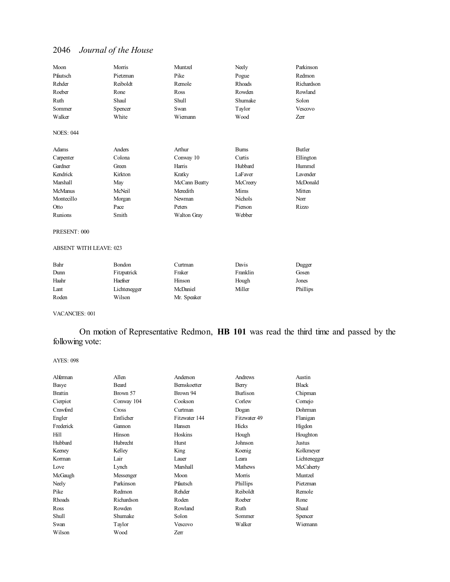| Moon             | Morris   | Muntzel            | Neely          | Parkinson  |
|------------------|----------|--------------------|----------------|------------|
| Pfautsch         | Pietzman | Pike               | Pogue          | Redmon     |
| Rehder           | Reiboldt | Remole             | Rhoads         | Richardson |
| Roeber           | Rone     | Ross               | Rowden         | Rowland    |
| Ruth             | Shaul    | Shull              | Shumake        | Solon      |
| Sommer           | Spencer  | Swan               | Taylor         | Vescovo    |
| Walker           | White    | Wiemann            | Wood           | Zerr       |
| <b>NOES: 044</b> |          |                    |                |            |
| Adams            | Anders   | Arthur             | <b>Burns</b>   | Butler     |
| Carpenter        | Colona   | Conway 10          | Curtis         | Ellington  |
| Gardner          | Green    | Harris             | Hubbard        | Hummel     |
| Kendrick         | Kirkton  | Kratky             | LaFaver        | Lavender   |
| Marshall         | May      | McCann Beatty      | McCreery       | McDonald   |
| <b>McManus</b>   | McNeil   | Meredith           | Mims           | Mitten     |
| Montecillo       | Morgan   | Newman             | <b>Nichols</b> | Norr       |
| Otto             | Pace     | Peters             | Pierson        | Rizzo      |
| Runions          | Smith    | <b>Walton Gray</b> | Webber         |            |

PRESENT: 000

#### ABSENT WITH LEAVE: 023

| Bahr  | <b>Bondon</b> | Curtman     | Davis    | Dugger   |
|-------|---------------|-------------|----------|----------|
| Dunn  | Fitzpatrick   | Fraker      | Franklin | Gosen    |
| Haahr | Haefner       | Hinson      | Hough    | Jones    |
| Lant  | Lichtenegger  | McDaniel    | Miller   | Phillips |
| Roden | Wilson        | Mr. Speaker |          |          |

#### VACANCIES: 001

# On motion of Representative Redmon, **HB 101** was read the third time and passed by the following vote:

| Alferman       | Allen        | Anderson      | Andrews        | Austin       |
|----------------|--------------|---------------|----------------|--------------|
| Basye          | Beard        | Bernskoetter  | Berry          | <b>Black</b> |
| <b>Brattin</b> | Brown 57     | Brown 94      | Burlison       | Chipman      |
| Cierpiot       | Conway 104   | Cookson       | Corlew         | Cornejo      |
| Crawford       | <b>Cross</b> | Curtman       | Dogan          | Dohrman      |
| Engler         | Entlicher    | Fitzwater 144 | Fitzwater 49   | Flanigan     |
| Frederick      | Gannon       | Hansen        | Hicks          | Higdon       |
| Hill           | Hinson       | Hoskins       | Hough          | Houghton     |
| Hubbard        | Hubrecht     | Hurst         | Johnson        | Justus       |
| Keeney         | Kelley       | King          | Koenig         | Kolkmeyer    |
| Korman         | Lair         | Lauer         | Leara          | Lichtenegger |
| Love           | Lynch        | Marshall      | <b>Mathews</b> | McCaherty    |
| McGaugh        | Messenger    | Moon          | Morris         | Muntzel      |
| Neely          | Parkinson    | Pfautsch      | Phillips       | Pietzman     |
| Pike           | Redmon       | Rehder        | Reiboldt       | Remole       |
| Rhoads         | Richardson   | Roden         | Roeber         | Rone         |
| Ross           | Rowden       | Rowland       | Ruth           | Shaul        |
| Shull          | Shumake      | Solon         | Sommer         | Spencer      |
| Swan           | Taylor       | Vescovo       | Walker         | Wiemann      |
| Wilson         | Wood         | Zerr          |                |              |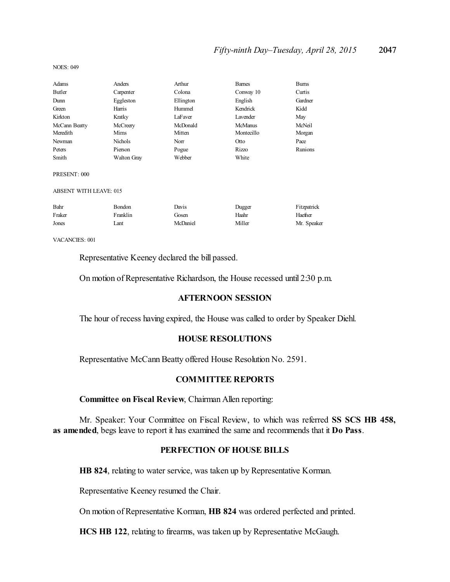| Adams                         | Anders             | Arthur    | <b>Barnes</b>  | <b>Burns</b> |
|-------------------------------|--------------------|-----------|----------------|--------------|
| Butler                        | Carpenter          | Colona    | Conway 10      | Curtis       |
| Dunn                          | Eggleston          | Ellington | English        | Gardner      |
| Green                         | Harris             | Hummel    | Kendrick       | Kidd         |
| Kirkton                       | Kratky             | LaFaver   | Lavender       | May          |
| McCann Beatty                 | McCreery           | McDonald  | <b>McManus</b> | McNeil       |
| Meredith                      | Mims               | Mitten    | Montecillo     | Morgan       |
| Newman                        | <b>Nichols</b>     | Norr      | Otto           | Pace         |
| Peters                        | Pierson            | Pogue     | Rizzo          | Runions      |
| Smith                         | <b>Walton Gray</b> | Webber    | White          |              |
| PRESENT: 000                  |                    |           |                |              |
| <b>ABSENT WITH LEAVE: 015</b> |                    |           |                |              |
| Bahr                          | Bondon             | Davis     | Dugger         | Fitzpatrick  |
| Fraker                        | Franklin           | Gosen     | Haahr          | Haefner      |
| Jones                         | Lant               | McDaniel  | Miller         | Mr. Speaker  |
| <b>VACANCIES: 001</b>         |                    |           |                |              |

Representative Keeney declared the bill passed.

On motion of Representative Richardson, the House recessed until 2:30 p.m.

### **AFTERNOON SESSION**

The hour of recess having expired, the House was called to order by Speaker Diehl.

### **HOUSE RESOLUTIONS**

Representative McCann Beatty offered House Resolution No. 2591.

### **COMMITTEE REPORTS**

### **Committee on Fiscal Review**, Chairman Allen reporting:

Mr. Speaker: Your Committee on Fiscal Review, to which was referred **SS SCS HB 458, as amended**, begs leave to report it has examined the same and recommends that it **Do Pass**.

# **PERFECTION OF HOUSE BILLS**

**HB 824**, relating to water service, was taken up by Representative Korman.

Representative Keeney resumed the Chair.

On motion of Representative Korman, **HB 824** was ordered perfected and printed.

**HCS HB 122**, relating to firearms, was taken up by Representative McGaugh.

NOES: 049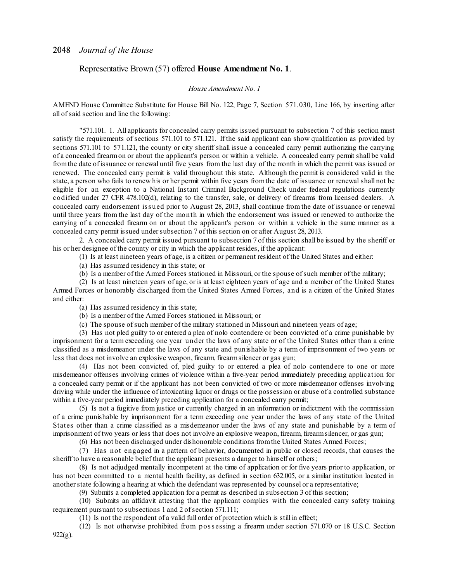### Representative Brown (57) offered **House Amendment No. 1**.

#### *House Amendment No. 1*

AMEND House Committee Substitute for House Bill No. 122, Page 7, Section 571.030, Line 166, by inserting after all ofsaid section and line the following:

"571.101. 1. All applicants for concealed carry permits issued pursuant to subsection 7 of this section must satisfy the requirements of sections 571.101 to 571.121. If the said applicant can show qualification as provided by sections 571.101 to 571.121, the county or city sheriff shall issue a concealed carry permit authorizing the carrying of a concealed firearmon or about the applicant's person or within a vehicle. A concealed carry permit shall be valid fromthe date of issuance or renewal until five years from the last day of the month in which the permit was issued or renewed. The concealed carry permit is valid throughout this state. Although the permit is considered valid in the state, a person who fails to renew his or her permit within five years fromthe date of issuance or renewal shall not be eligible for an exception to a National Instant Criminal Background Check under federal regulations currently codified under 27 CFR 478.102(d), relating to the transfer, sale, or delivery of firearms from licensed dealers. A concealed carry endorsement iss ued prior to August 28, 2013, shall continue from the date of issuance or renewal until three years from the last day of the month in which the endorsement was issued or renewed to authorize the carrying of a concealed firearm on or about the applicant's person or within a vehicle in the same manner as a concealed carry permit issued undersubsection 7 of this section on or after August 28, 2013.

2. A concealed carry permit issued pursuant to subsection 7 of this section shall be issued by the sheriff or his or her designee of the county or city in which the applicant resides, if the applicant:

(1) Is at least nineteen years of age, is a citizen or permanent resident of the United States and either:

(a) Has assumed residency in this state; or

(b) Is a member of the Armed Forces stationed in Missouri, or the spouse ofsuch member of the military;

(2) Is at least nineteen years of age, or is at least eighteen years of age and a member of the United States Armed Forces or honorably discharged from the United States Armed Forces, and is a citizen of the United States and either:

(a) Has assumed residency in this state;

(b) Is a member of the Armed Forces stationed in Missouri; or

(c) The spouse ofsuch member of the military stationed in Missouri and nineteen years of age;

(3) Has not pled guilty to or entered a plea of nolo contendere or been convicted of a crime punishable by imprisonment for a term exceeding one year under the laws of any state or of the United States other than a crime classified as a misdemeanor under the laws of any state and punishable by a term of imprisonment of two years or less that does not involve an explosive weapon, firearm, firearmsilencer or gas gun;

(4) Has not been convicted of, pled guilty to or entered a plea of nolo contendere to one or more misdemeanor offenses involving crimes of violence within a five-year period immediately preceding application for a concealed carry permit or if the applicant has not been convicted of two or more misdemeanor offenses involving driving while under the influence of intoxicating liquor or drugs or the possession or abuse of a controlled substance within a five-year period immediately preceding application for a concealed carry permit;

(5) Is not a fugitive from justice or currently charged in an information or indictment with the commission of a crime punishable by imprisonment for a term exceeding one year under the laws of any state of the United States other than a crime classified as a misdemeanor under the laws of any state and punishable by a term of imprisonment of two years or less that does not involve an explosive weapon, firearm, firearmsilencer, or gas gun;

(6) Has not been discharged under dishonorable conditions fromthe United States Armed Forces;

(7) Has not engaged in a pattern of behavior, documented in public or closed records, that causes the sheriff to have a reasonable belief that the applicant presents a danger to himself or others;

(8) Is not adjudged mentally incompetent at the time of application or for five years prior to application, or has not been committed to a mental health facility, as defined in section 632.005, or a similar institution located in another state following a hearing at which the defendant was represented by counsel or a representative;

(9) Submits a completed application for a permit as described in subsection 3 of this section;

(10) Submits an affidavit attesting that the applicant complies with the concealed carry safety training requirement pursuant to subsections 1 and 2 of section 571.111;

(11) Is not the respondent of a valid full order of protection which is still in effect;

(12) Is not otherwise prohibited from poss essing a firearm under section 571.070 or 18 U.S.C. Section  $922(g)$ .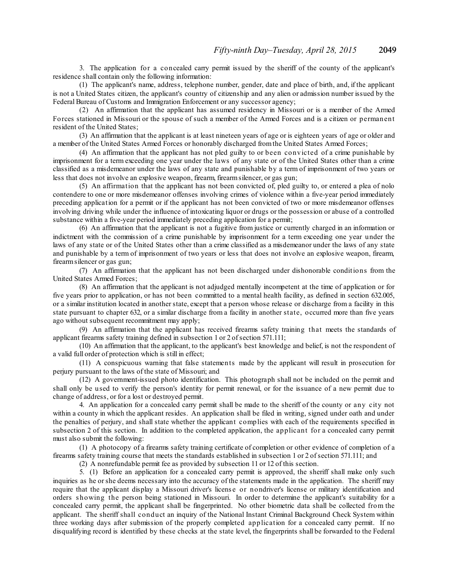3. The application for a concealed carry permit issued by the sheriff of the county of the applicant's residence shall contain only the following information:

(1) The applicant's name, address, telephone number, gender, date and place of birth, and, if the applicant is not a United States citizen, the applicant's country of citizenship and any alien or admission number issued by the Federal Bureau of Customs and Immigration Enforcement or any successor agency;

(2) An affirmation that the applicant has assumed residency in Missouri or is a member of the Armed Forces stationed in Missouri or the spouse of such a member of the Armed Forces and is a citizen or permanent resident of the United States;

(3) An affirmation that the applicant is at least nineteen years of age or is eighteen years of age or older and a member of the United States Armed Forces or honorably discharged fromthe United States Armed Forces;

(4) An affirmation that the applicant has not pled guilty to or been convicted of a crime punishable by imprisonment for a term exceeding one year under the laws of any state or of the United States other than a crime classified as a misdemeanor under the laws of any state and punishable by a term of imprisonment of two years or less that does not involve an explosive weapon, firearm, firearmsilencer, or gas gun;

(5) An affirmation that the applicant has not been convicted of, pled guilty to, or entered a plea of nolo contendere to one or more misdemeanor offenses involving crimes of violence within a five-year period immediately preceding application for a permit or if the applicant has not been convicted of two or more misdemeanor offenses involving driving while under the influence of intoxicating liquor or drugs or the possession or abuse of a controlled substance within a five-year period immediately preceding application for a permit;

(6) An affirmation that the applicant is not a fugitive from justice or currently charged in an information or indictment with the commission of a crime punishable by imprisonment for a term exceeding one year under the laws of any state or of the United States other than a crime classified as a misdemeanor under the laws of any state and punishable by a term of imprisonment of two years or less that does not involve an explosive weapon, firearm, firearmsilencer or gas gun;

(7) An affirmation that the applicant has not been discharged under dishonorable conditions from the United States Armed Forces;

(8) An affirmation that the applicant is not adjudged mentally incompetent at the time of application or for five years prior to application, or has not been committed to a mental health facility, as defined in section 632.005, or a similar institution located in anotherstate, except that a person whose release or discharge from a facility in this state pursuant to chapter 632, or a similar discharge from a facility in another state, occurred more than five years ago without subsequent recommitment may apply;

(9) An affirmation that the applicant has received firearms safety training that meets the standards of applicant firearms safety training defined in subsection 1 or 2 of section 571.111;

(10) An affirmation that the applicant, to the applicant's best knowledge and belief, is not the respondent of a valid full order of protection which is still in effect;

(11) A conspicuous warning that false statements made by the applicant will result in prosecution for perjury pursuant to the laws of the state of Missouri; and

(12) A government-issued photo identification. This photograph shall not be included on the permit and shall only be used to verify the person's identity for permit renewal, or for the issuance of a new permit due to change of address, or for a lost or destroyed permit.

4. An application for a concealed carry permit shall be made to the sheriff of the county or any city not within a county in which the applicant resides. An application shall be filed in writing, signed under oath and under the penalties of perjury, and shall state whether the applicant complies with each of the requirements specified in subsection 2 of this section. In addition to the completed application, the applicant for a concealed carry permit must also submit the following:

(1) A photocopy of a firearms safety training certificate of completion or other evidence of completion of a firearms safety training course that meets the standards established in subsection 1 or 2 ofsection 571.111; and

(2) A nonrefundable permit fee as provided by subsection 11 or 12 of this section.

5. (1) Before an application for a concealed carry permit is approved, the sheriff shall make only such inquiries as he orshe deems necessary into the accuracy of the statements made in the application. The sheriff may require that the applicant display a Missouri driver's licens e or nondriver's license or military identification and orders s howing the person being stationed in Missouri. In order to determine the applicant's suitability for a concealed carry permit, the applicant shall be fingerprinted. No other biometric data shall be collected from the applicant. The sheriff shall conduct an inquiry of the National Instant Criminal Background Check System within three working days after submission of the properly completed application for a concealed carry permit. If no disqualifying record is identified by these checks at the state level, the fingerprints shall be forwarded to the Federal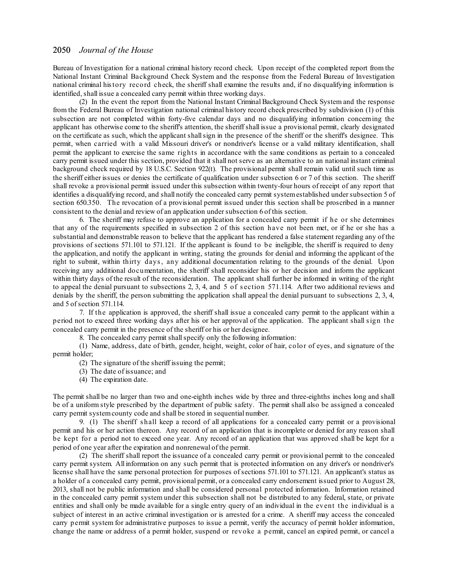Bureau of Investigation for a national criminal history record check. Upon receipt of the completed report from the National Instant Criminal Background Check System and the response from the Federal Bureau of Investigation national criminal history record check, the sheriff shall examine the results and, if no disqualifying information is identified, shall issue a concealed carry permit within three working days.

(2) In the event the report from the National Instant Criminal Background Check System and the response from the Federal Bureau of Investigation national criminal history record check prescribed by subdivision (1) of this subsection are not completed within forty-five calendar days and no disqualifying information concerning the applicant has otherwise come to the sheriff's attention, the sheriffshall issue a provisional permit, clearly designated on the certificate as such, which the applicant shallsign in the presence of the sheriff or the sheriff's designee. This permit, when carried with a valid Missouri driver's or nondriver's license or a valid military identification, shall permit the applicant to exercise the same rights in accordance with the same conditions as pertain to a concealed carry permit issued under this section, provided that it shall not serve as an alternative to an national instant criminal background check required by 18 U.S.C. Section 922(t). The provisional permit shall remain valid until such time as the sheriff either issues or denies the certificate of qualification under subsection 6 or 7 of this section. The sheriff shall revoke a provisional permit issued under this subsection within twenty-four hours of receipt of any report that identifies a disqualifying record, and shall notify the concealed carry permit system established under subsection 5 of section 650.350. The revocation of a provisional permit issued under this section shall be proscribed in a manner consistent to the denial and review of an application undersubsection 6 of this section.

6. The sheriff may refuse to approve an application for a concealed carry permit if he or she determines that any of the requirements specified in subsection 2 of this section have not been met, or if he or she has a substantial and demonstrable reason to believe that the applicant has rendered a false statement regarding any of the provisions of sections 571.101 to 571.121. If the applicant is found to be ineligible, the sheriff is required to deny the application, and notify the applicant in writing, stating the grounds for denial and informing the applicant of the right to submit, within thirty days, any additional documentation relating to the grounds of the denial. Upon receiving any additional documentation, the sheriff shall reconsider his or her decision and inform the applicant within thirty days of the result of the reconsideration. The applicant shall further be informed in writing of the right to appeal the denial pursuant to subsections 2, 3, 4, and 5 of s ection 571.114. After two additional reviews and denials by the sheriff, the person submitting the application shall appeal the denial pursuant to subsections 2, 3, 4, and 5 ofsection 571.114.

7. If the application is approved, the sheriff shall issue a concealed carry permit to the applicant within a period not to exceed three working days after his or her approval of the application. The applicant shall sign the concealed carry permit in the presence of the sheriff or his or her designee.

8. The concealed carry permit shall specify only the following information:

(1) Name, address, date of birth, gender, height, weight, color of hair, color of eyes, and signature of the permit holder;

(2) The signature of the sheriff issuing the permit;

- (3) The date of issuance; and
- (4) The expiration date.

The permit shall be no larger than two and one-eighth inches wide by three and three-eighths inches long and shall be of a uniform style prescribed by the department of public safety. The permit shall also be assigned a concealed carry permit systemcounty code and shall be stored in sequential number.

9. (1) The sheriff s hall keep a record of all applications for a concealed carry permit or a provisional permit and his or her action thereon. Any record of an application that is incomplete or denied for any reason shall be kept for a period not to exceed one year. Any record of an application that was approved shall be kept for a period of one year after the expiration and nonrenewal of the permit.

(2) The sheriff shall report the issuance of a concealed carry permit or provisional permit to the concealed carry permit system. All information on any such permit that is protected information on any driver's or nondriver's license shall have the same personal protection for purposes ofsections 571.101 to 571.121. An applicant's status as a holder of a concealed carry permit, provisional permit, or a concealed carry endorsement issued prior to August 28, 2013, shall not be public information and shall be considered personal protected information. Information retained in the concealed carry permit system under this subsection shall not be distributed to any federal, state, or private entities and shall only be made available for a single entry query of an individual in the event the individual is a subject of interest in an active criminal investigation or is arrested for a crime. A sheriff may access the concealed carry permit system for administrative purposes to issue a permit, verify the accuracy of permit holder information, change the name or address of a permit holder, suspend or revoke a permit, cancel an expired permit, or cancel a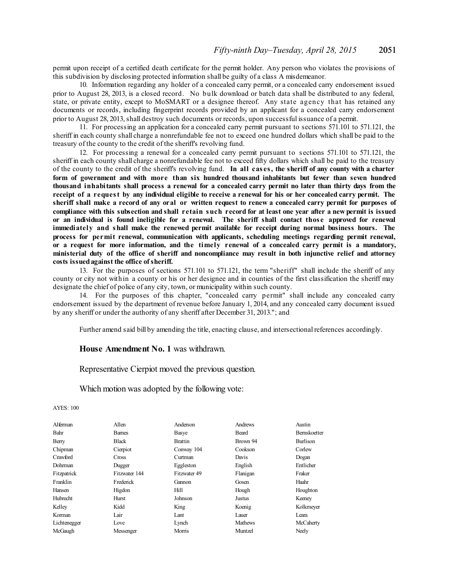permit upon receipt of a certified death certificate for the permit holder. Any person who violates the provisions of this subdivision by disclosing protected information shall be guilty of a class A misdemeanor.

10. Information regarding any holder of a concealed carry permit, or a concealed carry endorsement issued prior to August 28, 2013, is a closed record. No bulk download or batch data shall be distributed to any federal, state, or private entity, except to MoSMART or a designee thereof. Any state agency that has retained any documents or records, including fingerprint records provided by an applicant for a concealed carry endorsement prior to August 28, 2013, shall destroy such documents or records, upon successful issuance of a permit.

11. For processing an application for a concealed carry permit pursuant to sections 571.101 to 571.121, the sheriff in each county shall charge a nonrefundable fee not to exceed one hundred dollars which shall be paid to the treasury of the county to the credit of the sheriff's revolving fund.

12. For processing a renewal for a concealed carry permit pursuant to s ections 571.101 to 571.121, the sheriff in each county shall charge a nonrefundable fee not to exceed fifty dollars which shall be paid to the treasury of the county to the credit of the sheriff's revolving fund. **In all cas es, the sheriff of any county with a charter form of government and with more than six hundred thousand inhabitants but fewer than seven hundred** thous and inhabitants shall process a renewal for a concealed carry permit no later than thirty days from the receipt of a request by any individual eligible to receive a renewal for his or her concealed carry permit. The sheriff shall make a record of any oral or written request to renew a concealed carry permit for purposes of compliance with this subsection and shall retain such record for at least one year after a new permit is issued **or an individual is found ineligible for a renewal. The sheriff shall contact thos e approved for renewal immediately and shall make the renewed permit available for receipt during normal business hours. The process for permit renewal, communication with applicants, scheduling meetings regarding permit renewal,** or a request for more information, and the timely renewal of a concealed carry permit is a mandatory, **ministerial duty of the office of sheriff and noncompliance may result in both injunctive relief and attorney costs issuedagainst the office ofsheriff.**

13. For the purposes of sections 571.101 to 571.121, the term "sheriff" shall include the sheriff of any county or city not within a county or his or her designee and in counties of the first classification the sheriff may designate the chief of police of any city, town, or municipality within such county.

14. For the purposes of this chapter, "concealed carry permit" shall include any concealed carry endorsement issued by the department of revenue before January 1, 2014, and any concealed carry document issued by any sheriff or under the authority of any sheriff after December 31, 2013."; and

Further amend said bill by amending the title, enacting clause, and intersectional references accordingly.

### **House Amendment No. 1** was withdrawn.

### Representative Cierpiot moved the previous question.

Which motion was adopted by the following vote:

| Alferman     | Allen         | Anderson       | Andrews        | Austin              |
|--------------|---------------|----------------|----------------|---------------------|
| Bahr         | <b>Barnes</b> | Basye          | <b>Beard</b>   | <b>Bernskoetter</b> |
| Berry        | <b>Black</b>  | <b>Brattin</b> | Brown 94       | <b>Burlison</b>     |
| Chipman      | Cierpiot      | Conway 104     | Cookson        | Corlew              |
| Crawford     | <b>Cross</b>  | Curtman        | Davis          | Dogan               |
| Dohrman      | Dugger        | Eggleston      | English        | Entlicher           |
| Fitzpatrick  | Fitzwater 144 | Fitzwater 49   | Flanigan       | Fraker              |
| Franklin     | Frederick     | Gannon         | Gosen          | Haahr               |
| Hansen       | Higdon        | Hill           | Hough          | Houghton            |
| Hubrecht     | Hurst         | Johnson        | Justus         | Keeney              |
| Kelley       | Kidd          | King           | Koenig         | Kolkmeyer           |
| Korman       | Lair          | Lant           | Lauer          | Leara               |
| Lichtenegger | Love          | Lynch          | <b>Mathews</b> | McCaherty           |
| McGaugh      | Messenger     | Morris         | Muntzel        | Neely               |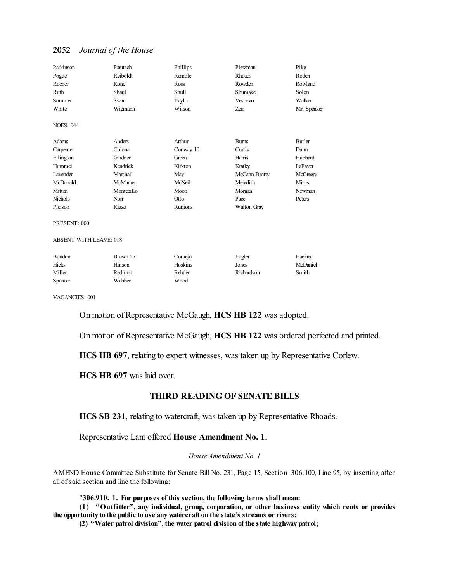| Parkinson        | Pfautsch       | Phillips  | Pietzman      | Pike        |
|------------------|----------------|-----------|---------------|-------------|
| Pogue            | Reiboldt       | Remole    | <b>Rhoads</b> | Roden       |
| Roeber           | Rone           | Ross      | Rowden        | Rowland     |
| Ruth             | Shaul          | Shull     | Shumake       | Solon       |
| Sommer           | Swan           | Taylor    | Vescovo       | Walker      |
| White            | Wiemann        | Wilson    | Zerr          | Mr. Speaker |
| <b>NOES: 044</b> |                |           |               |             |
| Adams            | Anders         | Arthur    | <b>Burns</b>  | Butler      |
| Carpenter        | Colona         | Conway 10 | Curtis        | Dunn        |
| Ellington        | Gardner        | Green     | Harris        | Hubbard     |
| Hummel           | Kendrick       | Kirkton   | Kratky        | LaFaver     |
| Lavender         | Marshall       | May       | McCann Beatty | McCreery    |
| McDonald         | <b>McManus</b> | McNeil    | Meredith      | Mims        |
| Mitten           | Montecillo     | Moon      | Morgan        | Newman      |
| Nichols          | Norr           | Otto      | Pace          | Peters      |
| Pierson          | Rizzo          | Runions   | Walton Gray   |             |
| PRESENT: 000     |                |           |               |             |

ABSENT WITH LEAVE: 018

| <b>Bondon</b> | Brown 57 | Comejo  | Engler     | Haefner  |
|---------------|----------|---------|------------|----------|
| Hicks         | Hinson   | Hoskins | Jones      | McDaniel |
| Miller        | Redmon   | Rehder  | Richardson | Smith    |
| Spencer       | Webber   | Wood    |            |          |

VACANCIES: 001

On motion of Representative McGaugh, **HCS HB 122** was adopted.

On motion of Representative McGaugh, **HCS HB 122** was ordered perfected and printed.

**HCS HB 697**, relating to expert witnesses, was taken up by Representative Corlew.

**HCS HB 697** was laid over.

# **THIRD READING OF SENATE BILLS**

**HCS SB 231**, relating to watercraft, was taken up by Representative Rhoads.

Representative Lant offered **House Amendment No. 1**.

*House Amendment No. 1*

AMEND House Committee Substitute for Senate Bill No. 231, Page 15, Section 306.100, Line 95, by inserting after all ofsaid section and line the following:

"**306.910. 1. For purposes of this section, the following terms shall mean:**

**(1) "Outfitter", any individual, group, corporation, or other business entity which rents or provides the opportunity to the public to use any watercraft on the state's streams or rivers;**

**(2) "Water patrol division", the water patrol division of the state highway patrol;**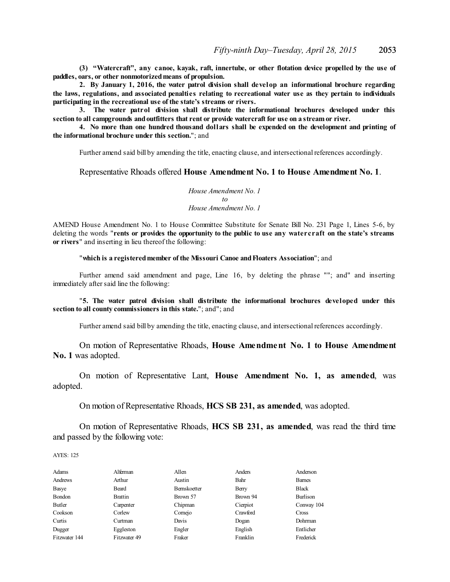**(3) "Watercraft", any canoe, kayak, raft, innertube, or other flotation device propelled by the use of paddles, oars, or other nonmotorizedmeans of propulsion.**

**2. By January 1, 2016, the water patrol division shall develop an informational brochure regarding** the laws, regulations, and associated penalties relating to recreational water use as they pertain to individuals **participating in the recreational use of the state's streams or rivers.**

**3. The water patrol division shall distribute the informational brochures developed under this section to all campgrounds andoutfitters that rent or provide watercraft for use on a streamor river.**

**4. No more than one hundred thousand dollars shall be expended on the development and printing of the informational brochure under this section.**"; and

Further amend said bill by amending the title, enacting clause, and intersectional references accordingly.

Representative Rhoads offered **House Amendment No. 1 to House Amendment No. 1**.

*House Amendment No. 1 to House Amendment No. 1*

AMEND House Amendment No. 1 to House Committee Substitute for Senate Bill No. 231 Page 1, Lines 5-6, by deleting the words "**rents or provides the opportunity to the public to use any watercraft on the state's streams or rivers**" and inserting in lieu thereof the following:

"**which is a registeredmember of the Missouri Canoe andFloaters Association**"; and

Further amend said amendment and page, Line 16, by deleting the phrase ""; and" and inserting immediately after said line the following:

"**5. The water patrol division shall distribute the informational brochures developed under this section to all county commissioners in this state.**"; and"; and

Further amend said bill by amending the title, enacting clause, and intersectional references accordingly.

On motion of Representative Rhoads, **House Amendment No. 1 to House Amendment No. 1** was adopted.

On motion of Representative Lant, **House Amendment No. 1, as amended**, was adopted.

On motion of Representative Rhoads, **HCS SB 231, as amended**, was adopted.

On motion of Representative Rhoads, **HCS SB 231, as amended**, was read the third time and passed by the following vote:

| Adams         | Alferman       | Allen        | Anders   | Anderson        |
|---------------|----------------|--------------|----------|-----------------|
| Andrews       | Arthur         | Austin       | Bahr     | <b>Barnes</b>   |
| Basye         | Beard          | Bernskoetter | Berry    | <b>Black</b>    |
| Bondon        | <b>Brattin</b> | Brown 57     | Brown 94 | <b>Burlison</b> |
| Butler        | Carpenter      | Chipman      | Cierpiot | Conway 104      |
| Cookson       | Corlew         | Comejo       | Crawford | <b>Cross</b>    |
| Curtis        | Curtman        | Davis        | Dogan    | Dohrman         |
| Dugger        | Eggleston      | Engler       | English  | Entlicher       |
| Fitzwater 144 | Fitzwater 49   | Fraker       | Franklin | Frederick       |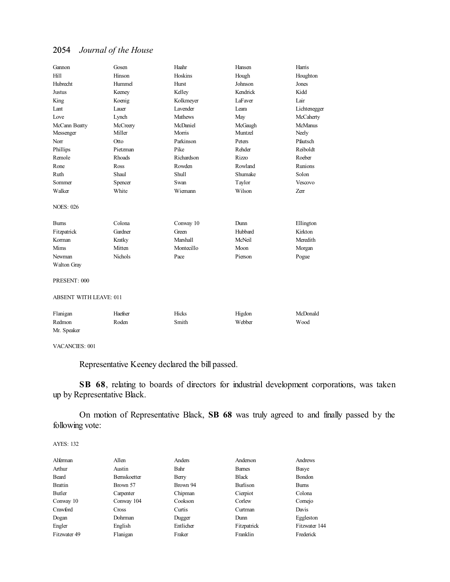| Gannon                        | Gosen    | Haahr           | Hansen   | Harris         |  |
|-------------------------------|----------|-----------------|----------|----------------|--|
| Hill                          | Hinson   | Hoskins         | Hough    | Houghton       |  |
| Hubrecht                      | Hummel   | Hurst           | Johnson  | Jones          |  |
| Justus                        | Keeney   | Kelley          | Kendrick | Kidd           |  |
| King                          | Koenig   | Kolkmeyer       | LaFaver  | Lair           |  |
| Lant                          | Lauer    | <b>Lavender</b> | Leara    | Lichtenegger   |  |
| Love                          | Lynch    | <b>Mathews</b>  | May      | McCaherty      |  |
| McCann Beatty                 | McCreery | McDaniel        | McGaugh  | <b>McManus</b> |  |
| Messenger                     | Miller   | Morris          | Muntzel  | Neely          |  |
| Norr                          | Otto     | Parkinson       | Peters   | Pfautsch       |  |
| Phillips                      | Pietzman | Pike            | Rehder   | Reiboldt       |  |
| Remole                        | Rhoads   | Richardson      | Rizzo    | Roeber         |  |
| Rone                          | Ross     | Rowden          | Rowland  | Runions        |  |
| Ruth                          | Shaul    | Shull           | Shumake  | Solon          |  |
| Sommer                        | Spencer  | Swan            | Taylor   | Vescovo        |  |
| Walker                        | White    | Wiemann         | Wilson   | Zerr           |  |
| <b>NOES: 026</b>              |          |                 |          |                |  |
| <b>Burns</b>                  | Colona   | Conway 10       | Dunn     | Ellington      |  |
| Fitzpatrick                   | Gardner  | Green           | Hubbard  | Kirkton        |  |
| Korman                        | Kratky   | Marshall        | McNeil   | Meredith       |  |
| Mims                          | Mitten   | Montecillo      | Moon     | Morgan         |  |
| Newman                        | Nichols  | Pace            | Pierson  | Pogue          |  |
| Walton Gray                   |          |                 |          |                |  |
| PRESENT: 000                  |          |                 |          |                |  |
| <b>ABSENT WITH LEAVE: 011</b> |          |                 |          |                |  |
| Flanigan                      | Haefner  | Hicks           | Higdon   | McDonald       |  |
| Redmon                        | Roden    | Smith           | Webber   | Wood           |  |
| Mr. Speaker                   |          |                 |          |                |  |

VACANCIES: 001

Representative Keeney declared the bill passed.

**SB 68**, relating to boards of directors for industrial development corporations, was taken up by Representative Black.

On motion of Representative Black, **SB 68** was truly agreed to and finally passed by the following vote:

| Alferman       | Allen               | Anders    | Anderson     | Andrews       |
|----------------|---------------------|-----------|--------------|---------------|
| Arthur         | Austin              | Bahr      | <b>Bames</b> | Basye         |
| Beard          | <b>Bernskoetter</b> | Berry     | <b>Black</b> | Bondon        |
| <b>Brattin</b> | Brown 57            | Brown 94  | Burlison     | <b>Bums</b>   |
| Butler         | Carpenter           | Chipman   | Cierpiot     | Colona        |
| Conway 10      | Conway 104          | Cookson   | Corlew       | Comejo        |
| Crawford       | Cross               | Curtis    | Curtman      | Davis         |
| Dogan          | Dohrman             | Dugger    | Dunn         | Eggleston     |
| Engler         | English             | Entlicher | Fitzpatrick  | Fitzwater 144 |
| Fitzwater 49   | Flanigan            | Fraker    | Franklin     | Frederick     |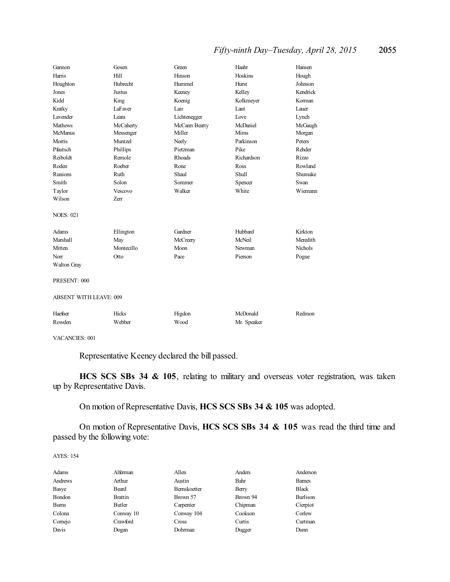# *Fifty-ninth Day–Tuesday, April 28, 2015* 2055

| Gannon                        | Gosen      | Green         | Haahr       | Hansen         |
|-------------------------------|------------|---------------|-------------|----------------|
| Harris                        | Hill       | Hinson        | Hoskins     | Hough          |
| Houghton                      | Hubrecht   | Hummel        | Hurst       | Johnson        |
| Jones                         | Justus     | Keeney        | Kelley      | Kendrick       |
| Kidd                          | King       | Koenig        | Kolkmeyer   | Korman         |
| Kratky                        | LaFaver    | Lair          | Lant        | Lauer          |
| Lavender                      | Leara      | Lichtenegger  | Love        | Lynch          |
| Mathews                       | McCaherty  | McCann Beatty | McDaniel    | McGaugh        |
| <b>McManus</b>                | Messenger  | Miller        | Mims        | Morgan         |
| Morris                        | Muntzel    | Neely         | Parkinson   | Peters         |
| Pfautsch                      | Phillips   | Pietzman      | Pike        | Rehder         |
| Reiboldt                      | Remole     | Rhoads        | Richardson  | Rizzo          |
| Roden                         | Roeber     | Rone          | Ross        | Rowland        |
| Runions                       | Ruth       | Shaul         | Shull       | Shumake        |
| Smith                         | Solon      | Sommer        | Spencer     | Swan           |
| Taylor                        | Vescovo    | Walker        | White       | Wiemann        |
| Wilson                        | Zerr       |               |             |                |
| <b>NOES: 021</b>              |            |               |             |                |
| Adams                         | Ellington  | Gardner       | Hubbard     | Kirkton        |
| Marshall                      | May        | McCreery      | McNeil      | Meredith       |
| Mitten                        | Montecillo | Moon          | Newman      | <b>Nichols</b> |
| Norr                          | Otto       | Pace          | Pierson     | Pogue          |
| Walton Gray                   |            |               |             |                |
| PRESENT: 000                  |            |               |             |                |
| <b>ABSENT WITH LEAVE: 009</b> |            |               |             |                |
| Haefner                       | Hicks      | Higdon        | McDonald    | Redmon         |
| Rowden                        | Webber     | Wood          | Mr. Speaker |                |
|                               |            |               |             |                |

VACANCIES: 001

Representative Keeney declared the bill passed.

**HCS SCS SBs 34 & 105**, relating to military and overseas voter registration, was taken up by Representative Davis.

On motion of Representative Davis, **HCS SCS SBs 34 & 105** was adopted.

On motion of Representative Davis, **HCS SCS SBs 34 & 105** was read the third time and passed by the following vote:

| Adams        | Alferman       | Allen        | Anders   | Anderson     |
|--------------|----------------|--------------|----------|--------------|
| Andrews      | Arthur         | Austin       | Bahr     | <b>Bames</b> |
| Basye        | Beard          | Bernskoetter | Berry    | <b>Black</b> |
| Bondon       | <b>Brattin</b> | Brown 57     | Brown 94 | Burlison     |
| <b>Burns</b> | Butler         | Carpenter    | Chipman  | Cierpiot     |
| Colona       | Conway 10      | Conway 104   | Cookson  | Corlew       |
| Comejo       | Crawford       | <b>Cross</b> | Curtis   | Curtman      |
| Davis        | Dogan          | Dohrman      | Dugger   | Dunn         |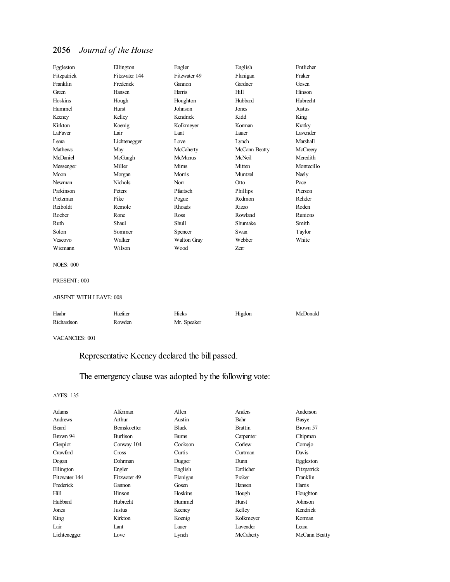| Eggleston      | Ellington      | Engler             | English       | Entlicher       |
|----------------|----------------|--------------------|---------------|-----------------|
| Fitzpatrick    | Fitzwater 144  | Fitzwater 49       | Flanigan      | Fraker          |
| Franklin       | Frederick      | Gannon             | Gardner       | Gosen           |
| Green          | Hansen         | Harris             | Hill          | Hinson          |
| Hoskins        | Hough          | Houghton           | Hubbard       | <b>Hubrecht</b> |
| Hummel         | Hurst          | Johnson            | Jones         | <b>Justus</b>   |
| Keeney         | Kelley         | Kendrick           | Kidd          | King            |
| Kirkton        | Koenig         | Kolkmeyer          | Korman        | Kratky          |
| LaFaver        | Lair           | Lant               | Lauer         | Lavender        |
| Leara          | Lichtenegger   | Love               | Lynch         | Marshall        |
| <b>Mathews</b> | May            | McCaherty          | McCann Beatty | McCreery        |
| McDaniel       | McGaugh        | <b>McManus</b>     | McNeil        | Meredith        |
| Messenger      | Miller         | Mims               | Mitten        | Montecillo      |
| Moon           | Morgan         | Morris             | Muntzel       | Neely           |
| Newman         | <b>Nichols</b> | Norr               | Otto          | Pace            |
| Parkinson      | Peters         | Pfautsch           | Phillips      | Pierson         |
| Pietzman       | Pike           | Pogue              | Redmon        | Rehder          |
| Reiboldt       | Remole         | <b>Rhoads</b>      | <b>Rizzo</b>  | Roden           |
| Roeber         | Rone           | Ross               | Rowland       | Runions         |
| Ruth           | Shaul          | <b>Shull</b>       | Shumake       | Smith           |
| Solon          | Sommer         | Spencer            | Swan          | Taylor          |
| Vescovo        | Walker         | <b>Walton Gray</b> | Webber        | White           |
| Wiemann        | Wilson         | Wood               | Zerr          |                 |

#### NOES: 000

### PRESENT: 000

#### ABSENT WITH LEAVE: 008

| Haahr      | Haefner | Hicks       | Higdon | McDonald |
|------------|---------|-------------|--------|----------|
| Richardson | Rowden  | Mr. Speaker |        |          |

#### VACANCIES: 001

# Representative Keeney declared the bill passed.

# The emergency clause was adopted by the following vote:

| Adams         | Alferman            | Allen        | Anders         | Anderson      |
|---------------|---------------------|--------------|----------------|---------------|
| Andrews       | Arthur              | Austin       | Bahr           | Basye         |
| Beard         | <b>Bernskoetter</b> | <b>Black</b> | <b>Brattin</b> | Brown 57      |
| Brown 94      | Burlison            | <b>Bums</b>  | Carpenter      | Chipman       |
| Cierpiot      | Conway 104          | Cookson      | Corlew         | Comejo        |
| Crawford      | <b>Cross</b>        | Curtis       | Curtman        | Davis         |
| Dogan         | Dohrman             | Dugger       | Dunn           | Eggleston     |
| Ellington     | Engler              | English      | Entlicher      | Fitzpatrick   |
| Fitzwater 144 | Fitzwater 49        | Flanigan     | Fraker         | Franklin      |
| Frederick     | Gannon              | Gosen        | Hansen         | Harris        |
| Hill          | Hinson              | Hoskins      | Hough          | Houghton      |
| Hubbard       | Hubrecht            | Hummel       | Hurst          | Johnson       |
| Jones         | Justus              | Keeney       | Kelley         | Kendrick      |
| King          | Kirkton             | Koenig       | Kolkmeyer      | Korman        |
| Lair          | Lant                | Lauer        | Lavender       | Leara         |
| Lichtenegger  | Love                | Lynch        | McCaherty      | McCann Beatty |
|               |                     |              |                |               |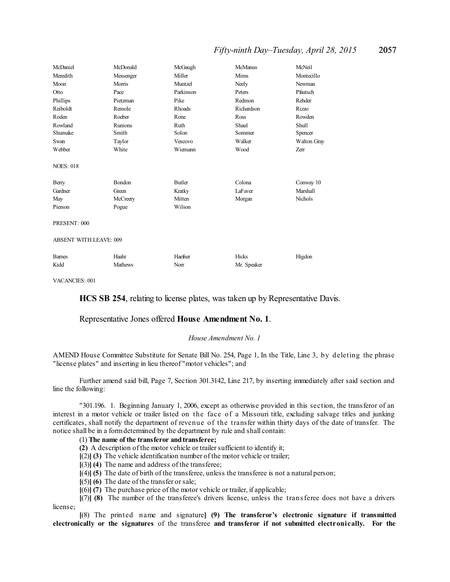### *Fifty-ninth Day–Tuesday, April 28, 2015* 2057

| McDaniel                      | McDonald       | McGaugh       | <b>McManus</b> | McNeil       |
|-------------------------------|----------------|---------------|----------------|--------------|
| Meredith                      | Messenger      | Miller        | Mims           | Montecillo   |
| Moon                          | Morris         | Muntzel       | Neely          | Newman       |
| Otto                          | Pace           | Parkinson     | Peters         | Pfautsch     |
| Phillips                      | Pietzman       | Pike          | Redmon         | Rehder       |
| Reiboldt                      | Remole         | Rhoads        | Richardson     | <b>Rizzo</b> |
| Roden                         | Roeber         | Rone          | Ross           | Rowden       |
| Rowland                       | <b>Runions</b> | Ruth          | Shaul          | Shull        |
| Shumake                       | Smith          | Solon         | Sommer         | Spencer      |
| Swan                          | Taylor         | Vescovo       | Walker         | Walton Gray  |
| Webber                        | White          | Wiemann       | Wood           | Zerr         |
| <b>NOES: 018</b>              |                |               |                |              |
| Berry                         | Bondon         | <b>Butler</b> | Colona         | Conway 10    |
| Gardner                       | Green          | Kratky        | LaFaver        | Marshall     |
| May                           | McCreery       | Mitten        | Morgan         | Nichols      |
| Pierson                       | Pogue          | Wilson        |                |              |
| PRESENT: 000                  |                |               |                |              |
| <b>ABSENT WITH LEAVE: 009</b> |                |               |                |              |
| <b>Barnes</b>                 | Haahr          | Haefner       | Hicks          | Higdon       |
| Kidd                          | <b>Mathews</b> | Norr          | Mr. Speaker    |              |

VACANCIES: 001

**HCS SB 254**, relating to license plates, was taken up by Representative Davis.

### Representative Jones offered **House Amendment No. 1**.

#### *House Amendment No. 1*

AMEND House Committee Substitute for Senate Bill No. 254, Page 1, In the Title, Line 3, by deleting the phrase "license plates" and inserting in lieu thereof "motor vehicles"; and

Further amend said bill, Page 7, Section 301.3142, Line 217, by inserting immediately after said section and line the following:

"301.196. 1. Beginning January 1, 2006, except as otherwise provided in this section, the transferor of an interest in a motor vehicle or trailer listed on the face of a Missouri title, excluding salvage titles and junking certificates, shall notify the department of revenue of the transfer within thirty days of the date of transfer. The notice shall be in a formdetermined by the department by rule and shall contain:

#### (1) **The name of the transferor andtransferee;**

**(2)** A description of the motor vehicle or trailer sufficient to identify it;

**[**(2)**] (3)** The vehicle identification number of the motor vehicle or trailer;

- **[**(3)**] (4)** The name and address of the transferee;
- **[**(4)**] (5)** The date of birth of the transferee, unless the transferee is not a natural person;
- **[**(5)**] (6)** The date of the transfer orsale;
- **[**(6)**] (7)** The purchase price of the motor vehicle or trailer, if applicable;

**[**(7)**] (8)** The number of the transferee's drivers license, unless the transferee does not have a drivers license;

**[**(8) The printed name and signature**] (9) The transferor's electronic signature if transmitted electronically or the signatures** of the transferee **and transferor if not submitted electronically. For the**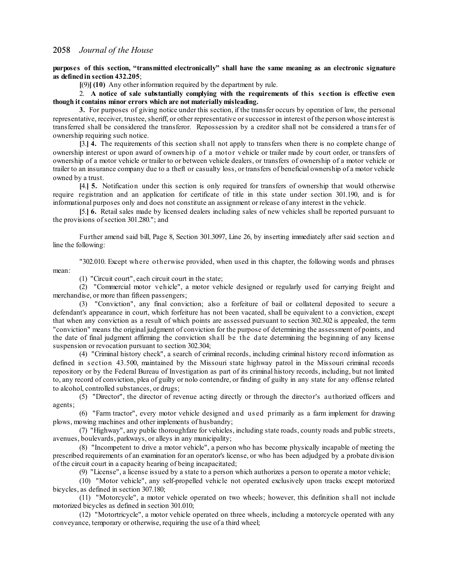**purposes of this section, "transmitted electronically" shall have the same meaning as an electronic signature as definedin section 432.205**;

**[**(9)**] (10)** Any other information required by the department by rule.

2. **A notice of sale substantially complying with the requirements of this s ection is effective even though it contains minor errors which are not materially misleading.**

**3.** For purposes of giving notice under this section, if the transfer occurs by operation of law, the personal representative, receiver, trustee, sheriff, or other representative orsuccessor in interest of the person whose interest is transferred shall be considered the transferor. Repossession by a creditor shall not be considered a transfer of ownership requiring such notice.

**[**3.**] 4.** The requirements of this section shall not apply to transfers when there is no complete change of ownership interest or upon award of owners hip of a motor vehicle or trailer made by court order, or transfers of ownership of a motor vehicle or trailer to or between vehicle dealers, or transfers of ownership of a motor vehicle or trailer to an insurance company due to a theft or casualty loss, or transfers of beneficial ownership of a motor vehicle owned by a trust.

**[**4.**] 5.** Notification under this section is only required for transfers of ownership that would otherwise require registration and an application for certificate of title in this state under section 301.190, and is for informational purposes only and does not constitute an assignment or release of any interest in the vehicle.

**[**5.**] 6.** Retail sales made by licensed dealers including sales of new vehicles shall be reported pursuant to the provisions ofsection 301.280."; and

Further amend said bill, Page 8, Section 301.3097, Line 26, by inserting immediately after said section and line the following:

"302.010. Except where otherwise provided, when used in this chapter, the following words and phrases mean:

(1) "Circuit court", each circuit court in the state;

(2) "Commercial motor vehicle", a motor vehicle designed or regularly used for carrying freight and merchandise, or more than fifteen passengers;

(3) "Conviction", any final conviction; also a forfeiture of bail or collateral deposited to secure a defendant's appearance in court, which forfeiture has not been vacated, shall be equivalent to a conviction, except that when any conviction as a result of which points are assessed pursuant to section 302.302 is appealed, the term "conviction" means the original judgment of conviction for the purpose of determining the assessment of points, and the date of final judgment affirming the conviction shall be the date determining the beginning of any license suspension or revocation pursuant to section 302.304;

(4) "Criminal history check", a search of criminal records, including criminal history record information as defined in s ection 43.500, maintained by the Missouri state highway patrol in the Missouri criminal records repository or by the Federal Bureau of Investigation as part of its criminal history records, including, but not limited to, any record of conviction, plea of guilty or nolo contendre, or finding of guilty in any state for any offense related to alcohol, controlled substances, or drugs;

(5) "Director", the director of revenue acting directly or through the director's authorized officers and agents;

(6) "Farm tractor", every motor vehicle designed and us ed primarily as a farm implement for drawing plows, mowing machines and other implements of husbandry;

(7) "Highway", any public thoroughfare for vehicles, including state roads, county roads and public streets, avenues, boulevards, parkways, or alleys in any municipality;

(8) "Incompetent to drive a motor vehicle", a person who has become physically incapable of meeting the prescribed requirements of an examination for an operator's license, or who has been adjudged by a probate division of the circuit court in a capacity hearing of being incapacitated;

(9) "License", a license issued by a state to a person which authorizes a person to operate a motor vehicle;

(10) "Motor vehicle", any self-propelled vehicle not operated exclusively upon tracks except motorized bicycles, as defined in section 307.180;

(11) "Motorcycle", a motor vehicle operated on two wheels; however, this definition s hall not include motorized bicycles as defined in section 301.010;

(12) "Motortricycle", a motor vehicle operated on three wheels, including a motorcycle operated with any conveyance, temporary or otherwise, requiring the use of a third wheel;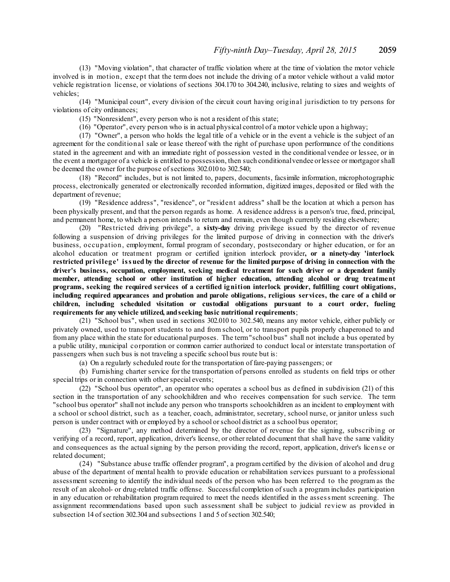(13) "Moving violation", that character of traffic violation where at the time of violation the motor vehicle involved is in motion, except that the term does not include the driving of a motor vehicle without a valid motor vehicle registration license, or violations of sections 304.170 to 304.240, inclusive, relating to sizes and weights of vehicles;

(14) "Municipal court", every division of the circuit court having original jurisdiction to try persons for violations of city ordinances;

(15) "Nonresident", every person who is not a resident of this state;

(16) "Operator", every person who is in actual physical control of a motor vehicle upon a highway;

(17) "Owner", a person who holds the legal title of a vehicle or in the event a vehicle is the subject of an agreement for the conditional sale or lease thereof with the right of purchase upon performance of the conditions stated in the agreement and with an immediate right of possession vested in the conditional vendee or lessee, or in the event a mortgagor of a vehicle is entitled to possession, then such conditionalvendee orlessee or mortgagorshall be deemed the owner for the purpose of sections 302.010 to 302.540;

(18) "Record" includes, but is not limited to, papers, documents, facsimile information, microphotographic process, electronically generated or electronically recorded information, digitized images, deposited or filed with the department of revenue;

(19) "Residence address", "residence", or "resident address" shall be the location at which a person has been physically present, and that the person regards as home. A residence address is a person's true, fixed, principal, and permanent home, to which a person intends to return and remain, even though currently residing elsewhere;

(20) "Restricted driving privilege", a **sixty-day** driving privilege issued by the director of revenue following a suspension of driving privileges for the limited purpose of driving in connection with the driver's business, occupation, employment, formal program of secondary, postsecondary or higher education, or for an alcohol education or treatment program or certified ignition interlock provider**, or a ninety-day 'interlock** restricted privilege' issued by the director of revenue for the limited purpose of driving in connection with the **driver's business, occupation, employment, seeking medical treatment for such driver or a dependent family member, attending school or other institution of higher education, attending alcohol or drug treatment programs, seeking the required services of a certified ignition interlock provider, fulfilling court obligations, including required appearances and probation and parole obligations, religious services, the care of a child or children, including scheduled visitation or custodial obligations pursuant to a court order, fueling requirements for any vehicle utilized, andseeking basic nutritional requirements**;

(21) "School bus", when used in sections 302.010 to 302.540, means any motor vehicle, either publicly or privately owned, used to transport students to and from school, or to transport pupils properly chaperoned to and fromany place within the state for educational purposes. The term"school bus" shall not include a bus operated by a public utility, municipal corporation or common carrier authorized to conduct local or interstate transportation of passengers when such bus is not traveling a specific school bus route but is:

(a) On a regularly scheduled route for the transportation of fare-paying passengers; or

(b) Furnishing charter service for the transportation of persons enrolled as students on field trips or other special trips or in connection with other special events;

(22) "School bus operator", an operator who operates a school bus as defined in subdivision (21) of this section in the transportation of any schoolchildren and who receives compensation for such service. The term "school bus operator" shall not include any person who transports schoolchildren as an incident to employment with a school or school district, such as a teacher, coach, administrator, secretary, school nurse, or janitor unless such person is under contract with or employed by a school orschool district as a school bus operator;

(23) "Signature", any method determined by the director of revenue for the signing, subscribing or verifying of a record, report, application, driver's license, or other related document that shall have the same validity and consequences as the actual signing by the person providing the record, report, application, driver's licens e or related document;

(24) "Substance abuse traffic offender program", a program certified by the division of alcohol and drug abuse of the department of mental health to provide education or rehabilitation services pursuant to a professional assessment screening to identify the individual needs of the person who has been referred to the program as the result of an alcohol- or drug-related traffic offense. Successful completion ofsuch a program includes participation in any education or rehabilitation program required to meet the needs identified in the assessment screening. The assignment recommendations based upon such assessment shall be subject to judicial review as provided in subsection 14 of section 302.304 and subsections 1 and 5 of section 302.540;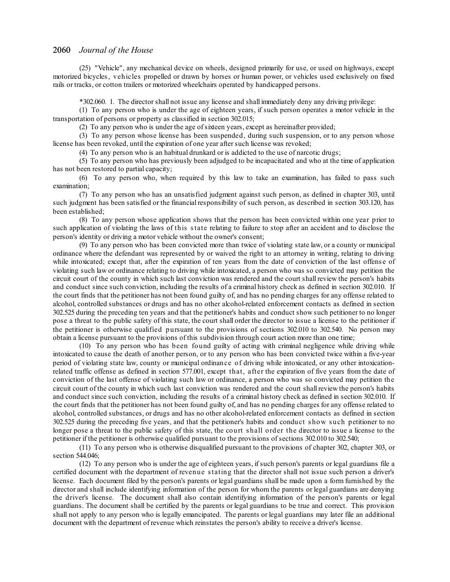(25) "Vehicle", any mechanical device on wheels, designed primarily for use, or used on highways, except motorized bicycles, vehicles propelled or drawn by horses or human power, or vehicles used exclusively on fixed rails or tracks, or cotton trailers or motorized wheelchairs operated by handicapped persons.

\*302.060. 1. The directorshall not issue any license and shall immediately deny any driving privilege:

(1) To any person who is under the age of eighteen years, if such person operates a motor vehicle in the transportation of persons or property as classified in section 302.015;

(2) To any person who is under the age ofsixteen years, except as hereinafter provided;

(3) To any person whose license has been suspended, during such suspension, or to any person whose license has been revoked, until the expiration of one year after such license was revoked;

(4) To any person who is an habitual drunkard or is addicted to the use of narcotic drugs;

(5) To any person who has previously been adjudged to be incapacitated and who at the time of application has not been restored to partial capacity;

(6) To any person who, when required by this law to take an examination, has failed to pass such examination;

(7) To any person who has an unsatisfied judgment against such person, as defined in chapter 303, until such judgment has been satisfied or the financial responsibility of such person, as described in section 303.120, has been established;

(8) To any person whose application shows that the person has been convicted within one year prior to such application of violating the laws of this state relating to failure to stop after an accident and to disclose the person's identity or driving a motor vehicle without the owner's consent;

(9) To any person who has been convicted more than twice of violating state law, or a county or municipal ordinance where the defendant was represented by or waived the right to an attorney in writing, relating to driving while intoxicated; except that, after the expiration of ten years from the date of conviction of the last offense of violating such law or ordinance relating to driving while intoxicated, a person who was so convicted may petition the circuit court of the county in which such last conviction was rendered and the court shall review the person's habits and conduct since such conviction, including the results of a criminal history check as defined in section 302.010. If the court finds that the petitioner has not been found guilty of, and has no pending charges for any offense related to alcohol, controlled substances or drugs and has no other alcohol-related enforcement contacts as defined in section 302.525 during the preceding ten years and that the petitioner's habits and conduct show such petitioner to no longer pose a threat to the public safety of this state, the court shall order the director to issue a license to the petitioner if the petitioner is otherwise qualified pursuant to the provisions of sections 302.010 to 302.540. No person may obtain a license pursuant to the provisions of this subdivision through court action more than one time;

(10) To any person who has been found guilty of acting with criminal negligence while driving while intoxicated to cause the death of another person, or to any person who has been convicted twice within a five-year period of violating state law, county or municipal ordinance of driving while intoxicated, or any other intoxicationrelated traffic offense as defined in section 577.001, except that, after the expiration of five years from the date of conviction of the last offense of violating such law or ordinance, a person who was so convicted may petition the circuit court of the county in which such last conviction was rendered and the court shallreview the person's habits and conduct since such conviction, including the results of a criminal history check as defined in section 302.010. If the court finds that the petitioner has not been found guilty of, and has no pending charges for any offense related to alcohol, controlled substances, or drugs and has no other alcohol-related enforcement contacts as defined in section 302.525 during the preceding five years, and that the petitioner's habits and conduct s how s uch petitioner to no longer pose a threat to the public safety of this state, the court shall order the director to issue a license to the petitioner if the petitioner is otherwise qualified pursuant to the provisions ofsections 302.010 to 302.540;

(11) To any person who is otherwise disqualified pursuant to the provisions of chapter 302, chapter 303, or section 544.046;

(12) To any person who is under the age of eighteen years, ifsuch person's parents or legal guardians file a certified document with the department of revenue stating that the director shall not issue such person a driver's license. Each document filed by the person's parents or legal guardians shall be made upon a form furnished by the director and shall include identifying information of the person for whom the parents or legal guardians are denying the driver's license. The document shall also contain identifying information of the person's parents or legal guardians. The document shall be certified by the parents or legal guardians to be true and correct. This provision shall not apply to any person who is legally emancipated. The parents or legal guardians may later file an additional document with the department of revenue which reinstates the person's ability to receive a driver's license.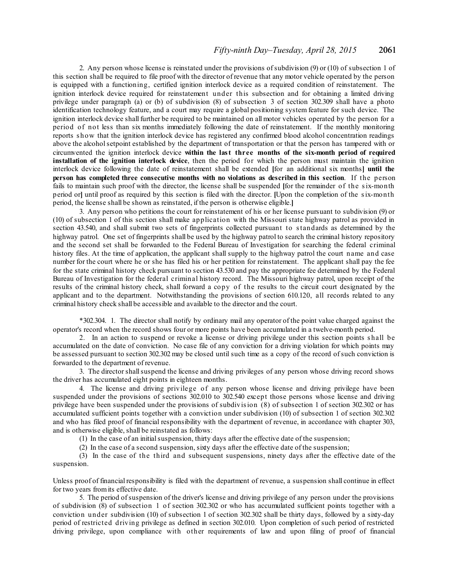### *Fifty-ninth Day–Tuesday, April 28, 2015* 2061

2. Any person whose license is reinstated under the provisions ofsubdivision (9) or (10) of subsection 1 of this section shall be required to file proof with the director of revenue that any motor vehicle operated by the person is equipped with a functioning, certified ignition interlock device as a required condition of reinstatement. The ignition interlock device required for reinstatement under this subsection and for obtaining a limited driving privilege under paragraph (a) or (b) of subdivision (8) of subsection 3 of section 302.309 shall have a photo identification technology feature, and a court may require a global positioning system feature for such device. The ignition interlock device shallfurther be required to be maintained on all motor vehicles operated by the person for a period of not less than six months immediately following the date of reinstatement. If the monthly monitoring reports s how that the ignition interlock device has registered any confirmed blood alcohol concentration readings above the alcoholsetpoint established by the department of transportation or that the person has tampered with or circumvented the ignition interlock device **within the last three months of the six-month period of required installation** of the **ignition interlock** device, then the period for which the person must maintain the ignition interlock device following the date of reinstatement shall be extended **[**for an additional six months**] until the person has completed three consecutive months with no violations as described in this section**. If the person fails to maintain such proof with the director, the license shall be suspended **[**for the remainder of the six-month period or**]** until proof as required by this section is filed with the director. **[**Upon the completion of the six-month period, the license shall be shown as reinstated, if the person is otherwise eligible.**]**

3. Any person who petitions the court for reinstatement of his or her license pursuant to subdivision (9) or (10) of subsection 1 of this section shall make application with the Missouri state highway patrol as provided in section 43.540, and shall submit two sets of fingerprints collected pursuant to standards as determined by the highway patrol. One set of fingerprints shall be used by the highway patrol to search the criminal history repository and the second set shall be forwarded to the Federal Bureau of Investigation for searching the federal criminal history files. At the time of application, the applicant shall supply to the highway patrol the court name and case number for the court where he or she has filed his or her petition for reinstatement. The applicant shall pay the fee for the state criminal history check pursuant to section 43.530 and pay the appropriate fee determined by the Federal Bureau of Investigation for the federal criminal history record. The Missouri highway patrol, upon receipt of the results of the criminal history check, shall forward a copy of the results to the circuit court designated by the applicant and to the department. Notwithstanding the provisions of section 610.120, all records related to any criminal history check shall be accessible and available to the director and the court.

\*302.304. 1. The director shall notify by ordinary mail any operator of the point value charged against the operator's record when the record shows four or more points have been accumulated in a twelve-month period.

2. In an action to suspend or revoke a license or driving privilege under this section points s hall be accumulated on the date of conviction. No case file of any conviction for a driving violation for which points may be assessed pursuant to section 302.302 may be closed until such time as a copy of the record ofsuch conviction is forwarded to the department of revenue.

3. The directorshallsuspend the license and driving privileges of any person whose driving record shows the driver has accumulated eight points in eighteen months.

4. The license and driving privilege of any person whose license and driving privilege have been suspended under the provisions of sections 302.010 to 302.540 except those persons whose license and driving privilege have been suspended under the provisions of subdivision (8) of subsection 1 of section 302.302 or has accumulated sufficient points together with a conviction under subdivision (10) of subsection 1 of section 302.302 and who has filed proof of financial responsibility with the department of revenue, in accordance with chapter 303, and is otherwise eligible, shall be reinstated as follows:

(1) In the case of an initialsuspension, thirty days after the effective date of the suspension;

(2) In the case of a second suspension, sixty days after the effective date of the suspension;

(3) In the case of the third and subsequent suspensions, ninety days after the effective date of the suspension.

Unless proof of financial responsibility is filed with the department of revenue, a suspension shall continue in effect for two years fromits effective date.

5. The period ofsuspension of the driver's license and driving privilege of any person under the provisions of subdivision (8) of subsection 1 of section 302.302 or who has accumulated sufficient points together with a conviction under subdivision (10) of subsection 1 of section 302.302 shall be thirty days, followed by a sixty-day period of restricted driving privilege as defined in section 302.010. Upon completion of such period of restricted driving privilege, upon compliance with other requirements of law and upon filing of proof of financial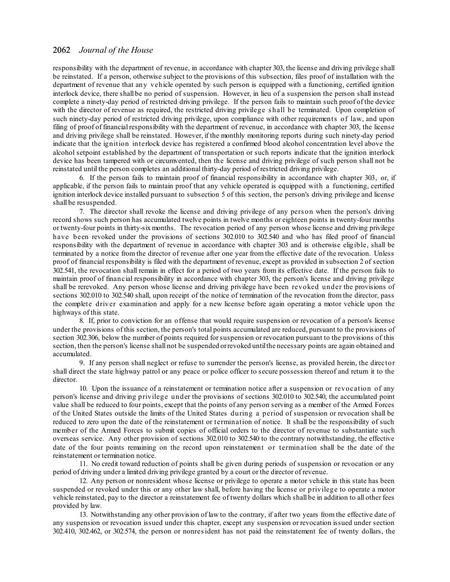responsibility with the department of revenue, in accordance with chapter 303, the license and driving privilege shall be reinstated. If a person, otherwise subject to the provisions of this subsection, files proof of installation with the department of revenue that any vehicle operated by such person is equipped with a functioning, certified ignition interlock device, there shall be no period of suspension. However, in lieu of a suspension the person shall instead complete a ninety-day period of restricted driving privilege. If the person fails to maintain such proof of the device with the director of revenue as required, the restricted driving privilege s hall be terminated. Upon completion of such ninety-day period of restricted driving privilege, upon compliance with other requirements of law, and upon filing of proof of financial responsibility with the department of revenue, in accordance with chapter 303, the license and driving privilege shall be reinstated. However, if the monthly monitoring reports during such ninety-day period indicate that the ignition interlock device has registered a confirmed blood alcohol concentration level above the alcohol setpoint established by the department of transportation or such reports indicate that the ignition interlock device has been tampered with or circumvented, then the license and driving privilege of such person shall not be reinstated until the person completes an additional thirty-day period of restricted driving privilege.

6. If the person fails to maintain proof of financial responsibility in accordance with chapter 303, or, if applicable, if the person fails to maintain proof that any vehicle operated is equipped with a functioning, certified ignition interlock device installed pursuant to subsection 5 of this section, the person's driving privilege and license shall be resuspended.

7. The director shall revoke the license and driving privilege of any pers on when the person's driving record shows such person has accumulated twelve points in twelve months or eighteen points in twenty-four months or twenty-four points in thirty-six months. The revocation period of any person whose license and driving privilege have been revoked under the provisions of sections 302.010 to 302.540 and who has filed proof of financial responsibility with the department of revenue in accordance with chapter 303 and is otherwise eligible, shall be terminated by a notice from the director of revenue after one year from the effective date of the revocation. Unless proof of financial responsibility is filed with the department of revenue, except as provided in subsection 2 of section 302.541, the revocation shall remain in effect for a period of two years from its effective date. If the person fails to maintain proof of financial responsibility in accordance with chapter 303, the person's license and driving privilege shall be rerevoked. Any person whose license and driving privilege have been revoked under the provisions of sections 302.010 to 302.540 shall, upon receipt of the notice of termination of the revocation from the director, pass the complete driver examination and apply for a new license before again operating a motor vehicle upon the highways of this state.

8. If, prior to conviction for an offense that would require suspension or revocation of a person's license under the provisions of this section, the person's total points accumulated are reduced, pursuant to the provisions of section 302.306, below the number of points required for suspension or revocation pursuant to the provisions of this section, then the person's license shall not be suspended orrevoked until the necessary points are again obtained and accumulated.

9. If any person shall neglect or refuse to surrender the person's license, as provided herein, the director shall direct the state highway patrol or any peace or police officer to secure possession thereof and return it to the director.

10. Upon the issuance of a reinstatement or termination notice after a suspension or revocation of any person's license and driving privilege under the provisions of sections 302.010 to 302.540, the accumulated point value shall be reduced to four points, except that the points of any person serving as a member of the Armed Forces of the United States outside the limits of the United States during a period of suspension or revocation shall be reduced to zero upon the date of the reinstatement or termination of notice. It shall be the responsibility of such member of the Armed Forces to submit copies of official orders to the director of revenue to substantiate such overseas service. Any other provision of sections 302.010 to 302.540 to the contrary notwithstanding, the effective date of the four points remaining on the record upon reinstatement or termination shall be the date of the reinstatement or termination notice.

11. No credit toward reduction of points shall be given during periods of suspension or revocation or any period of driving under a limited driving privilege granted by a court or the director of revenue.

12. Any person or nonresident whose license or privilege to operate a motor vehicle in this state has been suspended or revoked under this or any other law shall, before having the license or privilege to operate a motor vehicle reinstated, pay to the director a reinstatement fee of twenty dollars which shall be in addition to all other fees provided by law.

13. Notwithstanding any other provision of law to the contrary, if after two years from the effective date of any suspension or revocation issued under this chapter, except any suspension or revocation issued under section 302.410, 302.462, or 302.574, the person or nonresident has not paid the reinstatement fee of twenty dollars, the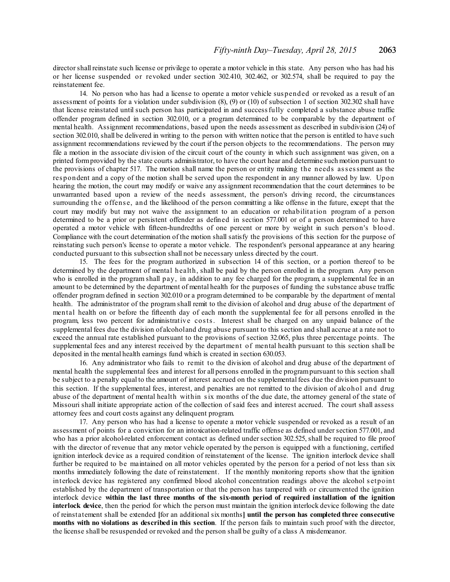director shall reinstate such license or privilege to operate a motor vehicle in this state. Any person who has had his or her license suspended or revoked under section 302.410, 302.462, or 302.574, shall be required to pay the reinstatement fee.

14. No person who has had a license to operate a motor vehicle sus pended or revoked as a result of an assessment of points for a violation under subdivision (8), (9) or (10) of subsection 1 of section 302.302 shall have that license reinstated until such person has participated in and successfully completed a substance abuse traffic offender program defined in section 302.010, or a program determined to be comparable by the department of mental health. Assignment recommendations, based upon the needs assessment as described in subdivision (24) of section 302.010, shall be delivered in writing to the person with written notice that the person is entitled to have such assignment recommendations reviewed by the court if the person objects to the recommendations. The person may file a motion in the associate division of the circuit court of the county in which such assignment was given, on a printed formprovided by the state courts administrator, to have the court hear and determine such motion pursuant to the provisions of chapter 517. The motion shall name the person or entity making the needs ass essment as the res pondent and a copy of the motion shall be served upon the respondent in any manner allowed by law. Upon hearing the motion, the court may modify or waive any assignment recommendation that the court determines to be unwarranted based upon a review of the needs assessment, the person's driving record, the circumstances surrounding the offens e, and the likelihood of the person committing a like offense in the future, except that the court may modify but may not waive the assignment to an education or rehabilitation program of a person determined to be a prior or persistent offender as defined in section 577.001 or of a person determined to have operated a motor vehicle with fifteen-hundredths of one percent or more by weight in such person's blood. Compliance with the court determination of the motion shall satisfy the provisions of this section for the purpose of reinstating such person's license to operate a motor vehicle. The respondent's personal appearance at any hearing conducted pursuant to this subsection shall not be necessary unless directed by the court.

15. The fees for the program authorized in subsection 14 of this section, or a portion thereof to be determined by the department of mental health, shall be paid by the person enrolled in the program. Any person who is enrolled in the program shall pay, in addition to any fee charged for the program, a supplemental fee in an amount to be determined by the department of mental health for the purposes of funding the substance abuse traffic offender program defined in section 302.010 or a program determined to be comparable by the department of mental health. The administrator of the program shall remit to the division of alcohol and drug abuse of the department of mental health on or before the fifteenth day of each month the supplemental fee for all persons enrolled in the program, less two percent for administrative costs. Interest shall be charged on any unpaid balance of the supplemental fees due the division of alcoholand drug abuse pursuant to this section and shall accrue at a rate not to exceed the annual rate established pursuant to the provisions of section 32.065, plus three percentage points. The supplemental fees and any interest received by the department of mental health pursuant to this section shall be deposited in the mental health earnings fund which is created in section 630.053.

16. Any administrator who fails to remit to the division of alcohol and drug abuse of the department of mental health the supplemental fees and interest for all persons enrolled in the programpursuant to this section shall be subject to a penalty equal to the amount of interest accrued on the supplemental fees due the division pursuant to this section. If the supplemental fees, interest, and penalties are not remitted to the division of alcohol and drug abuse of the department of mental health within six months of the due date, the attorney general of the state of Missouri shall initiate appropriate action of the collection of said fees and interest accrued. The court shall assess attorney fees and court costs against any delinquent program.

17. Any person who has had a license to operate a motor vehicle suspended or revoked as a result of an assessment of points for a conviction for an intoxication-related traffic offense as defined undersection 577.001, and who has a prior alcohol-related enforcement contact as defined under section 302.525, shall be required to file proof with the director of revenue that any motor vehicle operated by the person is equipped with a functioning, certified ignition interlock device as a required condition of reinstatement of the license. The ignition interlock device shall further be required to be maintained on all motor vehicles operated by the person for a period of not less than six months immediately following the date of reinstatement. If the monthly monitoring reports show that the ignition interlock device has registered any confirmed blood alcohol concentration readings above the alcohol s etpoint established by the department of transportation or that the person has tampered with or circumvented the ignition interlock device **within the last three months of the six-month period of required installation of the ignition interlock device**, then the period for which the person must maintain the ignition interlock device following the date of reinstatement shall be extended **[**for an additional six months**] until the person has completed three consecutive months with no violations as described in this section**. If the person fails to maintain such proof with the director, the license shall be resuspended or revoked and the person shall be guilty of a class A misdemeanor.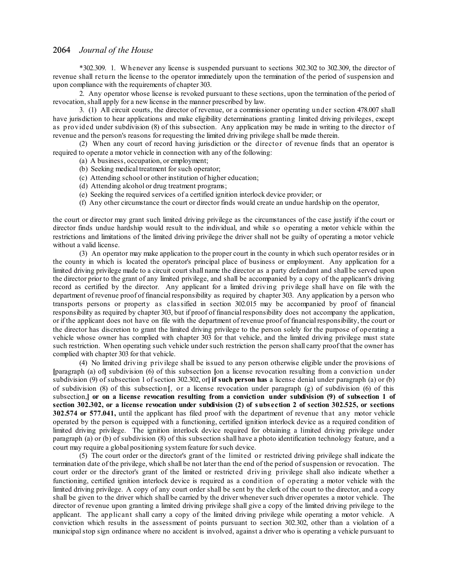\*302.309. 1. Whenever any license is suspended pursuant to sections 302.302 to 302.309, the director of revenue shall return the license to the operator immediately upon the termination of the period of suspension and upon compliance with the requirements of chapter 303.

2. Any operator whose license is revoked pursuant to these sections, upon the termination of the period of revocation, shall apply for a new license in the manner prescribed by law.

3. (1) All circuit courts, the director of revenue, or a commissioner operating under section 478.007 shall have jurisdiction to hear applications and make eligibility determinations granting limited driving privileges, except as provided under subdivision (8) of this subsection. Any application may be made in writing to the director of revenue and the person's reasons for requesting the limited driving privilege shall be made therein.

(2) When any court of record having jurisdiction or the director of revenue finds that an operator is required to operate a motor vehicle in connection with any of the following:

- (a) A business, occupation, or employment;
- (b) Seeking medical treatment for such operator;
- (c) Attending school or other institution of higher education;
- (d) Attending alcohol or drug treatment programs;
- (e) Seeking the required services of a certified ignition interlock device provider; or
- (f) Any other circumstance the court or director finds would create an undue hardship on the operator,

the court or director may grant such limited driving privilege as the circumstances of the case justify if the court or director finds undue hardship would result to the individual, and while so operating a motor vehicle within the restrictions and limitations of the limited driving privilege the driver shall not be guilty of operating a motor vehicle without a valid license.

(3) An operator may make application to the proper court in the county in which such operator resides or in the county in which is located the operator's principal place of business or employment. Any application for a limited driving privilege made to a circuit court shall name the director as a party defendant and shall be served upon the director prior to the grant of any limited privilege, and shall be accompanied by a copy of the applicant's driving record as certified by the director. Any applicant for a limited driving privilege shall have on file with the department of revenue proof of financial responsibility as required by chapter 303. Any application by a person who transports persons or property as classified in section 302.015 may be accompanied by proof of financial responsibility as required by chapter 303, but if proof of financial responsibility does not accompany the application, or if the applicant does not have on file with the department of revenue proof of financial responsibility, the court or the director has discretion to grant the limited driving privilege to the person solely for the purpose of operating a vehicle whose owner has complied with chapter 303 for that vehicle, and the limited driving privilege must state such restriction. When operating such vehicle under such restriction the person shall carry proof that the owner has complied with chapter 303 for that vehicle.

(4) No limited driving privilege shall be issued to any person otherwise eligible under the provisions of **[**paragraph (a) of**]** subdivision (6) of this subsection **[**on a license revocation resulting from a conviction under subdivision (9) of subsection 1 ofsection 302.302, or**] if such person has** a license denial under paragraph (a) or (b) of subdivision (8) of this subsection**[**, or a license revocation under paragraph (g) of subdivision (6) of this subsection,] or on a license revocation resulting from a conviction under subdivision (9) of subsection 1 of section 302.302, or a license revocation under subdivision (2) of subsection 2 of section 302.525, or sections **302.574 or 577.041,** until the applicant has filed proof with the department of revenue that any motor vehicle operated by the person is equipped with a functioning, certified ignition interlock device as a required condition of limited driving privilege. The ignition interlock device required for obtaining a limited driving privilege under paragraph (a) or (b) of subdivision (8) of this subsection shall have a photo identification technology feature, and a court may require a global positioning systemfeature forsuch device.

(5) The court order or the director's grant of the limited or restricted driving privilege shall indicate the termination date of the privilege, which shall be not later than the end of the period ofsuspension or revocation. The court order or the director's grant of the limited or restricted driving privilege shall also indicate whether a functioning, certified ignition interlock device is required as a condition of operating a motor vehicle with the limited driving privilege. A copy of any court order shall be sent by the clerk of the court to the director, and a copy shall be given to the driver which shall be carried by the driver wheneversuch driver operates a motor vehicle. The director of revenue upon granting a limited driving privilege shall give a copy of the limited driving privilege to the applicant. The applicant shall carry a copy of the limited driving privilege while operating a motor vehicle. A conviction which results in the assessment of points pursuant to section 302.302, other than a violation of a municipalstop sign ordinance where no accident is involved, against a driver who is operating a vehicle pursuant to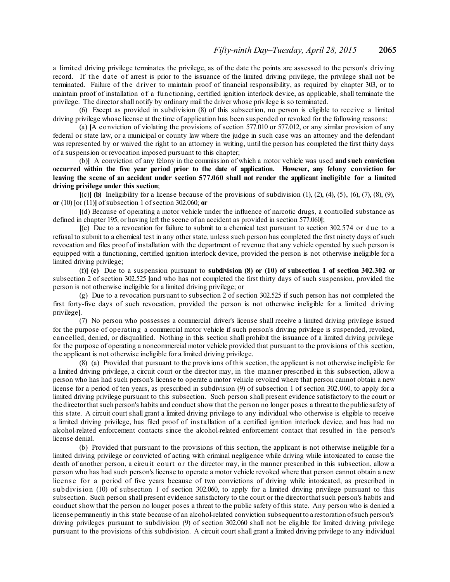a limited driving privilege terminates the privilege, as of the date the points are assessed to the person's driving record. If the date of arrest is prior to the issuance of the limited driving privilege, the privilege shall not be terminated. Failure of the driver to maintain proof of financial responsibility, as required by chapter 303, or to maintain proof of installation of a functioning, certified ignition interlock device, as applicable, shall terminate the privilege. The directorshall notify by ordinary mail the driver whose privilege is so terminated.

(6) Except as provided in subdivision (8) of this subsection, no person is eligible to receive a limited driving privilege whose license at the time of application has been suspended or revoked for the following reasons:

(a) **[**A conviction of violating the provisions of section 577.010 or 577.012, or any similar provision of any federal or state law, or a municipal or county law where the judge in such case was an attorney and the defendant was represented by or waived the right to an attorney in writing, until the person has completed the first thirty days of a suspension or revocation imposed pursuant to this chapter;

(b)**]** A conviction of any felony in the commission of which a motor vehicle was used **and such conviction occurred within the five year period prior to the date of application. However, any felony conviction for** leaving the scene of an accident under section 577.060 shall not render the applicant ineligible for a limited **driving privilege under this section**;

 $[{\rm (c)}]$  (b) Ineligibility for a license because of the provisions of subdivision  $(1)$ ,  $(2)$ ,  $(4)$ ,  $(5)$ ,  $(6)$ ,  $(7)$ ,  $(8)$ ,  $(9)$ , **or** (10) **[**or (11)**]** ofsubsection 1 ofsection 302.060; **or**

**[**(d) Because of operating a motor vehicle under the influence of narcotic drugs, a controlled substance as defined in chapter 195, or having left the scene of an accident as provided in section 577.060**]**;

**[**(e) Due to a revocation for failure to submit to a chemical test pursuant to section 302.574 or due to a refusal to submit to a chemical test in any other state, unless such person has completed the first ninety days of such revocation and files proof of installation with the department of revenue that any vehicle operated by such person is equipped with a functioning, certified ignition interlock device, provided the person is not otherwise ineligible for a limited driving privilege;

(f)**] (c)** Due to a suspension pursuant to **subdivision (8) or (10) of subsection 1 of section 302.302 or** subsection 2 of section 302.525 **[**and who has not completed the first thirty days of such suspension, provided the person is not otherwise ineligible for a limited driving privilege; or

(g) Due to a revocation pursuant to subsection 2 of section 302.525 if such person has not completed the first forty-five days of such revocation, provided the person is not otherwise ineligible for a limited driving privilege**]**.

(7) No person who possesses a commercial driver's license shall receive a limited driving privilege issued for the purpose of operating a commercial motor vehicle if such person's driving privilege is suspended, revoked, cancelled, denied, or disqualified. Nothing in this section shall prohibit the issuance of a limited driving privilege for the purpose of operating a noncommercial motor vehicle provided that pursuant to the provisions of this section, the applicant is not otherwise ineligible for a limited driving privilege.

(8) (a) Provided that pursuant to the provisions of this section, the applicant is not otherwise ineligible for a limited driving privilege, a circuit court or the director may, in the manner prescribed in this subsection, allow a person who has had such person's license to operate a motor vehicle revoked where that person cannot obtain a new license for a period of ten years, as prescribed in subdivision (9) of subsection 1 of section 302.060, to apply for a limited driving privilege pursuant to this subsection. Such person shall present evidence satisfactory to the court or the directorthatsuch person's habits and conduct show that the person no longer poses a threat to the public safety of this state. A circuit court shall grant a limited driving privilege to any individual who otherwise is eligible to receive a limited driving privilege, has filed proof of installation of a certified ignition interlock device, and has had no alcohol-related enforcement contacts since the alcohol-related enforcement contact that resulted in the person's license denial.

(b) Provided that pursuant to the provisions of this section, the applicant is not otherwise ineligible for a limited driving privilege or convicted of acting with criminal negligence while driving while intoxicated to cause the death of another person, a circuit court or the director may, in the manner prescribed in this subsection, allow a person who has had such person's license to operate a motor vehicle revoked where that person cannot obtain a new licens e for a period of five years because of two convictions of driving while intoxicated, as prescribed in subdivision (10) of subsection 1 of section 302.060, to apply for a limited driving privilege pursuant to this subsection. Such person shall present evidence satisfactory to the court or the directorthatsuch person's habits and conduct show that the person no longer poses a threat to the public safety of this state. Any person who is denied a license permanently in this state because of an alcohol-related conviction subsequent to a restoration ofsuch person's driving privileges pursuant to subdivision (9) of section 302.060 shall not be eligible for limited driving privilege pursuant to the provisions of this subdivision. A circuit court shall grant a limited driving privilege to any individual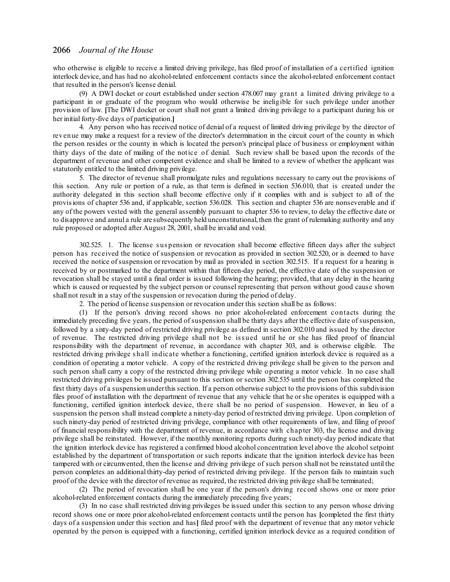who otherwise is eligible to receive a limited driving privilege, has filed proof of installation of a certified ignition interlock device, and has had no alcohol-related enforcement contacts since the alcohol-related enforcement contact that resulted in the person's license denial.

(9) A DWI docket or court established under section 478.007 may grant a limited driving privilege to a participant in or graduate of the program who would otherwise be ineligible for such privilege under another provision of law. **[**The DWI docket or court shall not grant a limited driving privilege to a participant during his or her initial forty-five days of participation.**]**

4. Any person who has received notice of denial of a request of limited driving privilege by the director of revenue may make a request for a review of the director's determination in the circuit court of the county in which the person resides or the county in which is located the person's principal place of business or employment within thirty days of the date of mailing of the notice of denial. Such review shall be based upon the records of the department of revenue and other competent evidence and shall be limited to a review of whether the applicant was statutorily entitled to the limited driving privilege.

5. The director of revenue shall promulgate rules and regulations necessary to carry out the provisions of this section. Any rule or portion of a rule, as that term is defined in section 536.010, that is created under the authority delegated in this section shall become effective only if it complies with and is subject to all of the provisions of chapter 536 and, if applicable, section 536.028. This section and chapter 536 are nonseverable and if any of the powers vested with the general assembly pursuant to chapter 536 to review, to delay the effective date or to disapprove and annul a rule are subsequently held unconstitutional,then the grant of rulemaking authority and any rule proposed or adopted after August 28, 2001, shall be invalid and void.

302.525. 1. The license suspension or revocation shall become effective fifteen days after the subject person has received the notice of suspension or revocation as provided in section 302.520, or is deemed to have received the notice ofsuspension or revocation by mail as provided in section 302.515. If a request for a hearing is received by or postmarked to the department within that fifteen-day period, the effective date of the suspension or revocation shall be stayed until a final order is issued following the hearing; provided, that any delay in the hearing which is caused or requested by the subject person or counsel representing that person without good cause shown shall not result in a stay of the suspension or revocation during the period of delay.

2. The period of license suspension or revocation under this section shall be as follows:

(1) If the person's driving record shows no prior alcohol-related enforcement contacts during the immediately preceding five years, the period ofsuspension shall be thirty days after the effective date ofsuspension, followed by a sixty-day period of restricted driving privilege as defined in section 302.010 and issued by the director of revenue. The restricted driving privilege shall not be iss ued until he or she has filed proof of financial responsibility with the department of revenue, in accordance with chapter 303, and is otherwise eligible. The restricted driving privilege s hall indicate whether a functioning, certified ignition interlock device is required as a condition of operating a motor vehicle. A copy of the restricted driving privilege shall be given to the person and such person shall carry a copy of the restricted driving privilege while operating a motor vehicle. In no case shall restricted driving privileges be issued pursuant to this section or section 302.535 until the person has completed the first thirty days of a suspension underthis section. If a person otherwise subject to the provisions of this subdivision files proof of installation with the department of revenue that any vehicle that he orshe operates is equipped with a functioning, certified ignition interlock device, there shall be no period of suspension. However, in lieu of a suspension the person shall instead complete a ninety-day period of restricted driving privilege. Upon completion of such ninety-day period of restricted driving privilege, compliance with other requirements of law, and filing of proof of financial responsibility with the department of revenue, in accordance with chapter 303, the license and driving privilege shall be reinstated. However, if the monthly monitoring reports during such ninety-day period indicate that the ignition interlock device has registered a confirmed blood alcohol concentration level above the alcohol setpoint established by the department of transportation or such reports indicate that the ignition interlock device has been tampered with or circumvented, then the license and driving privilege of such person shall not be reinstated until the person completes an additional thirty-day period of restricted driving privilege. If the person fails to maintain such proof of the device with the director of revenue as required, the restricted driving privilege shall be terminated;

(2) The period of revocation shall be one year if the person's driving record shows one or more prior alcohol-related enforcement contacts during the immediately preceding five years;

(3) In no case shall restricted driving privileges be issued under this section to any person whose driving record shows one or more prior alcohol-related enforcement contacts until the person has **[**completed the first thirty days of a suspension under this section and has**]** filed proof with the department of revenue that any motor vehicle operated by the person is equipped with a functioning, certified ignition interlock device as a required condition of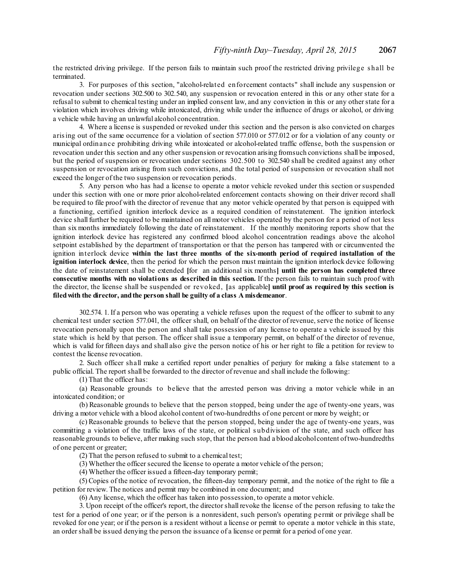the restricted driving privilege. If the person fails to maintain such proof the restricted driving privilege s hall be terminated.

3. For purposes of this section, "alcohol-related enforcement contacts" shall include any suspension or revocation under sections 302.500 to 302.540, any suspension or revocation entered in this or any other state for a refusal to submit to chemical testing under an implied consent law, and any conviction in this or any otherstate for a violation which involves driving while intoxicated, driving while under the influence of drugs or alcohol, or driving a vehicle while having an unlawful alcohol concentration.

4. Where a license is suspended or revoked under this section and the person is also convicted on charges arising out of the same occurrence for a violation of section 577.010 or 577.012 or for a violation of any county or municipal ordinance prohibiting driving while intoxicated or alcohol-related traffic offense, both the suspension or revocation under this section and any other suspension or revocation arising fromsuch convictions shall be imposed, but the period of suspension or revocation under sections 302.500 to 302.540 shall be credited against any other suspension or revocation arising from such convictions, and the total period of suspension or revocation shall not exceed the longer of the two suspension or revocation periods.

5. Any person who has had a license to operate a motor vehicle revoked under this section orsuspended under this section with one or more prior alcohol-related enforcement contacts showing on their driver record shall be required to file proof with the director of revenue that any motor vehicle operated by that person is equipped with a functioning, certified ignition interlock device as a required condition of reinstatement. The ignition interlock device shall further be required to be maintained on all motor vehicles operated by the person for a period of not less than six months immediately following the date of reinstatement. If the monthly monitoring reports show that the ignition interlock device has registered any confirmed blood alcohol concentration readings above the alcohol setpoint established by the department of transportation or that the person has tampered with or circumvented the ignition interlock device **within the last three months of the six-month period of required installation of the ignition interlock device**, then the period for which the person must maintain the ignition interlock device following the date of reinstatement shall be extended **[**for an additional six months**] until the person has completed three consecutive months with no violations as described in this section.** If the person fails to maintain such proof with the director, the license shall be suspended or revoked, **[**as applicable**] until proof as required by this section is filedwith the director, andthe person shall be guilty of a class A misdemeanor**.

302.574. 1. If a person who was operating a vehicle refuses upon the request of the officer to submit to any chemical test under section 577.041, the officer shall, on behalf of the director of revenue, serve the notice of license revocation personally upon the person and shall take possession of any license to operate a vehicle issued by this state which is held by that person. The officer shall issue a temporary permit, on behalf of the director of revenue, which is valid for fifteen days and shall also give the person notice of his or her right to file a petition for review to contest the license revocation.

2. Such officer shall make a certified report under penalties of perjury for making a false statement to a public official. The report shall be forwarded to the director of revenue and shall include the following:

(1) That the officer has:

(a) Reasonable grounds to believe that the arrested person was driving a motor vehicle while in an intoxicated condition; or

(b) Reasonable grounds to believe that the person stopped, being under the age of twenty-one years, was driving a motor vehicle with a blood alcohol content of two-hundredths of one percent or more by weight; or

(c) Reasonable grounds to believe that the person stopped, being under the age of twenty-one years, was committing a violation of the traffic laws of the state, or political s ubdivision of the state, and such officer has reasonable grounds to believe, after making such stop, that the person had a blood alcoholcontent oftwo-hundredths of one percent or greater;

(2) That the person refused to submit to a chemical test;

(3) Whether the officer secured the license to operate a motor vehicle of the person;

(4) Whether the officer issued a fifteen-day temporary permit;

(5) Copies of the notice of revocation, the fifteen-day temporary permit, and the notice of the right to file a petition for review. The notices and permit may be combined in one document; and

(6) Any license, which the officer has taken into possession, to operate a motor vehicle.

3. Upon receipt of the officer's report, the directorshallrevoke the license of the person refusing to take the test for a period of one year; or if the person is a nonresident, such person's operating permit or privilege shall be revoked for one year; or if the person is a resident without a license or permit to operate a motor vehicle in this state, an ordershall be issued denying the person the issuance of a license or permit for a period of one year.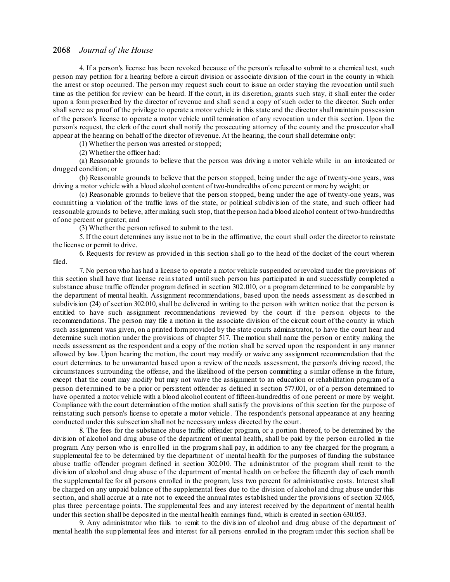4. If a person's license has been revoked because of the person's refusal to submit to a chemical test, such person may petition for a hearing before a circuit division or associate division of the court in the county in which the arrest or stop occurred. The person may request such court to issue an order staying the revocation until such time as the petition for review can be heard. If the court, in its discretion, grants such stay, it shall enter the order upon a form prescribed by the director of revenue and shall s end a copy of such order to the director. Such order shall serve as proof of the privilege to operate a motor vehicle in this state and the directorshall maintain possession of the person's license to operate a motor vehicle until termination of any revocation under this section. Upon the person's request, the clerk of the court shall notify the prosecuting attorney of the county and the prosecutor shall appear at the hearing on behalf of the director of revenue. At the hearing, the court shall determine only:

(1) Whether the person was arrested orstopped;

(2) Whether the officer had:

(a) Reasonable grounds to believe that the person was driving a motor vehicle while in an intoxicated or drugged condition; or

(b) Reasonable grounds to believe that the person stopped, being under the age of twenty-one years, was driving a motor vehicle with a blood alcohol content of two-hundredths of one percent or more by weight; or

(c) Reasonable grounds to believe that the person stopped, being under the age of twenty-one years, was committing a violation of the traffic laws of the state, or political subdivision of the state, and such officer had reasonable grounds to believe, after making such stop, that the person had a blood alcohol content of two-hundredths of one percent or greater; and

(3) Whether the person refused to submit to the test.

5. If the court determines any issue not to be in the affirmative, the court shall order the director to reinstate the license or permit to drive.

6. Requests for review as provided in this section shall go to the head of the docket of the court wherein filed.

7. No person who has had a license to operate a motor vehicle suspended or revoked under the provisions of this section shall have that license reinstated until such person has participated in and successfully completed a substance abuse traffic offender program defined in section 302.010, or a program determined to be comparable by the department of mental health. Assignment recommendations, based upon the needs assessment as described in subdivision (24) of section 302.010, shall be delivered in writing to the person with written notice that the person is entitled to have such assignment recommendations reviewed by the court if the person objects to the recommendations. The person may file a motion in the associate division of the circuit court of the county in which such assignment was given, on a printed formprovided by the state courts administrator, to have the court hear and determine such motion under the provisions of chapter 517. The motion shall name the person or entity making the needs assessment as the respondent and a copy of the motion shall be served upon the respondent in any manner allowed by law. Upon hearing the motion, the court may modify or waive any assignment recommendation that the court determines to be unwarranted based upon a review of the needs assessment, the person's driving record, the circumstances surrounding the offense, and the likelihood of the person committing a similar offense in the future, except that the court may modify but may not waive the assignment to an education or rehabilitation program of a person determined to be a prior or persistent offender as defined in section 577.001, or of a person determined to have operated a motor vehicle with a blood alcohol content of fifteen-hundredths of one percent or more by weight. Compliance with the court determination of the motion shall satisfy the provisions of this section for the purpose of reinstating such person's license to operate a motor vehicle. The respondent's personal appearance at any hearing conducted under this subsection shall not be necessary unless directed by the court.

8. The fees for the substance abuse traffic offender program, or a portion thereof, to be determined by the division of alcohol and drug abuse of the department of mental health, shall be paid by the person enrolled in the program. Any person who is enrolled in the program shall pay, in addition to any fee charged for the program, a supplemental fee to be determined by the department of mental health for the purposes of funding the substance abuse traffic offender program defined in section 302.010. The administrator of the program shall remit to the division of alcohol and drug abuse of the department of mental health on or before the fifteenth day of each month the supplemental fee for all persons enrolled in the program, less two percent for administrative costs. Interest shall be charged on any unpaid balance of the supplemental fees due to the division of alcohol and drug abuse under this section, and shall accrue at a rate not to exceed the annual rates established under the provisions of section 32.065, plus three percentage points. The supplemental fees and any interest received by the department of mental health under this section shall be deposited in the mental health earnings fund, which is created in section 630.053.

9. Any administrator who fails to remit to the division of alcohol and drug abuse of the department of mental health the supplemental fees and interest for all persons enrolled in the program under this section shall be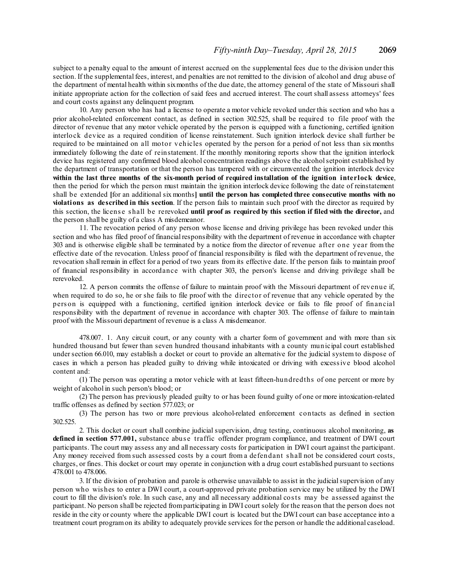subject to a penalty equal to the amount of interest accrued on the supplemental fees due to the division under this section. If the supplemental fees, interest, and penalties are not remitted to the division of alcohol and drug abuse of the department of mental health within sixmonths of the due date, the attorney general of the state of Missouri shall initiate appropriate action for the collection of said fees and accrued interest. The court shall assess attorneys' fees and court costs against any delinquent program.

10. Any person who has had a license to operate a motor vehicle revoked under this section and who has a prior alcohol-related enforcement contact, as defined in section 302.525, shall be required to file proof with the director of revenue that any motor vehicle operated by the person is equipped with a functioning, certified ignition interlock device as a required condition of license reinstatement. Such ignition interlock device shall further be required to be maintained on all motor vehicles operated by the person for a period of not less than six months immediately following the date of reinstatement. If the monthly monitoring reports show that the ignition interlock device has registered any confirmed blood alcohol concentration readings above the alcoholsetpoint established by the department of transportation or that the person has tampered with or circumvented the ignition interlock device within the last three months of the six-month period of required installation of the ignition interlock device, then the period for which the person must maintain the ignition interlock device following the date of reinstatement shall be extended **[**for an additional six months**] until the person has completed three consecutive months with no violations as described in this section**. If the person fails to maintain such proof with the director as required by this section, the licens e s hall be rerevoked **until proof as required by this section if filed with the director,** and the person shall be guilty of a class A misdemeanor.

11. The revocation period of any person whose license and driving privilege has been revoked under this section and who has filed proof of financial responsibility with the department of revenue in accordance with chapter 303 and is otherwise eligible shall be terminated by a notice from the director of revenue after one year from the effective date of the revocation. Unless proof of financial responsibility is filed with the department of revenue, the revocation shall remain in effect for a period of two years from its effective date. If the person fails to maintain proof of financial responsibility in accordance with chapter 303, the person's license and driving privilege shall be rerevoked.

12. A person commits the offense of failure to maintain proof with the Missouri department of revenue if, when required to do so, he or she fails to file proof with the director of revenue that any vehicle operated by the pers on is equipped with a functioning, certified ignition interlock device or fails to file proof of financial responsibility with the department of revenue in accordance with chapter 303. The offense of failure to maintain proof with the Missouri department of revenue is a class A misdemeanor.

478.007. 1. Any circuit court, or any county with a charter form of government and with more than six hundred thousand but fewer than seven hundred thousand inhabitants with a county municipal court established under section 66.010, may establish a docket or court to provide an alternative for the judicial system to dispose of cases in which a person has pleaded guilty to driving while intoxicated or driving with excessive blood alcohol content and:

(1) The person was operating a motor vehicle with at least fifteen-hundredths of one percent or more by weight of alcohol in such person's blood; or

(2) The person has previously pleaded guilty to or has been found guilty of one or more intoxication-related traffic offenses as defined by section 577.023; or

(3) The person has two or more previous alcohol-related enforcement contacts as defined in section 302.525.

2. This docket or court shall combine judicial supervision, drug testing, continuous alcohol monitoring, **as defined in section 577.001,** substance abus e traffic offender program compliance, and treatment of DWI court participants. The court may assess any and all necessary costs for participation in DWI court against the participant. Any money received from such assessed costs by a court from a defendant s hall not be considered court costs, charges, or fines. This docket or court may operate in conjunction with a drug court established pursuant to sections 478.001 to 478.006.

3. If the division of probation and parole is otherwise unavailable to assist in the judicialsupervision of any person who wis hes to enter a DWI court, a court-approved private probation service may be utilized by the DWI court to fill the division's role. In such case, any and all necessary additional costs may be assessed against the participant. No person shall be rejected fromparticipating in DWI court solely for the reason that the person does not reside in the city or county where the applicable DWI court is located but the DWI court can base acceptance into a treatment court programon its ability to adequately provide services for the person or handle the additional caseload.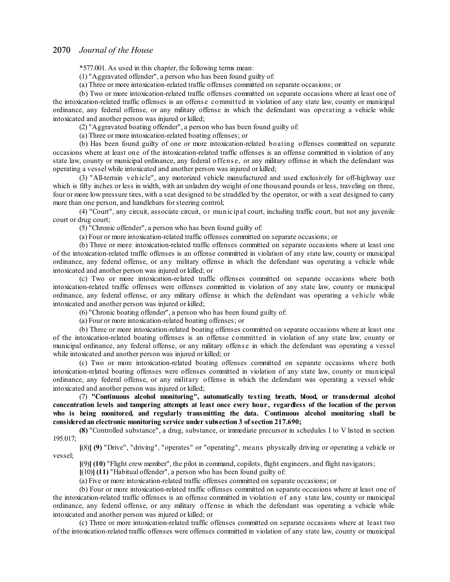\*577.001. As used in this chapter, the following terms mean:

(1) "Aggravated offender", a person who has been found guilty of:

(a) Three or more intoxication-related traffic offenses committed on separate occasions; or

(b) Two or more intoxication-related traffic offenses committed on separate occasions where at least one of the intoxication-related traffic offenses is an offens e committed in violation of any state law, county or municipal ordinance, any federal offense, or any military offense in which the defendant was operating a vehicle while intoxicated and another person was injured or killed;

(2) "Aggravated boating offender", a person who has been found guilty of:

(a) Three or more intoxication-related boating offenses; or

(b) Has been found guilty of one or more intoxication-related boating offenses committed on separate occasions where at least one of the intoxication-related traffic offenses is an offense committed in violation of any state law, county or municipal ordinance, any federal offens e, or any military offense in which the defendant was operating a vessel while intoxicated and another person was injured or killed;

(3) "All-terrain vehicle", any motorized vehicle manufactured and used exclusively for off-highway use which is fifty inches or less in width, with an unladen dry weight of one thousand pounds or less, traveling on three, four or more low pressure tires, with a seat designed to be straddled by the operator, or with a seat designed to carry more than one person, and handlebars for steering control;

(4) "Court", any circuit, associate circuit, or municipal court, including traffic court, but not any juvenile court or drug court;

(5) "Chronic offender", a person who has been found guilty of:

(a) Four or more intoxication-related traffic offenses committed on separate occasions; or

(b) Three or more intoxication-related traffic offenses committed on separate occasions where at least one of the intoxication-related traffic offenses is an offense committed in violation of any state law, county or municipal ordinance, any federal offense, or any military offense in which the defendant was operating a vehicle while intoxicated and another person was injured or killed; or

(c) Two or more intoxication-related traffic offenses committed on separate occasions where both intoxication-related traffic offenses were offenses committed in violation of any state law, county or municipal ordinance, any federal offense, or any military offense in which the defendant was operating a vehicle while intoxicated and another person was injured or killed;

(6) "Chronic boating offender", a person who has been found guilty of:

(a) Four or more intoxication-related boating offenses; or

(b) Three or more intoxication-related boating offenses committed on separate occasions where at least one of the intoxication-related boating offenses is an offense committed in violation of any state law, county or municipal ordinance, any federal offense, or any military offens e in which the defendant was operating a vessel while intoxicated and another person was injured or killed; or

(c) Two or more intoxication-related boating offenses committed on separate occasions where both intoxication-related boating offenses were offenses committed in violation of any state law, county or municipal ordinance, any federal offense, or any military offense in which the defendant was operating a vessel while intoxicated and another person was injured or killed;

(7) **"Continuous alcohol monitoring", automatically testing breath, blood, or transdermal alcohol** concentration levels and tampering attempts at least once every hour, regardless of the location of the person **who is being monitored, and regularly transmitting the data. Continuous alcohol monitoring shall be consideredan electronic monitoring service under subsection 3 ofsection 217.690;**

**(8)** "Controlled substance", a drug, substance, or immediate precursor in schedules I to V listed in section 195.017;

**[**(8)**] (9)** "Drive", "driving", "operates" or "operating", means physically driving or operating a vehicle or vessel;

**[**(9)**] (10)** "Flight crew member", the pilot in command, copilots, flight engineers, and flight navigators;

**[**(10)**] (11)** "Habitual offender", a person who has been found guilty of:

(a) Five or more intoxication-related traffic offenses committed on separate occasions; or

(b) Four or more intoxication-related traffic offenses committed on separate occasions where at least one of the intoxication-related traffic offenses is an offense committed in violation of any state law, county or municipal ordinance, any federal offense, or any military offense in which the defendant was operating a vehicle while intoxicated and another person was injured or killed; or

(c) Three or more intoxication-related traffic offenses committed on separate occasions where at least two of the intoxication-related traffic offenses were offenses committed in violation of any state law, county or municipal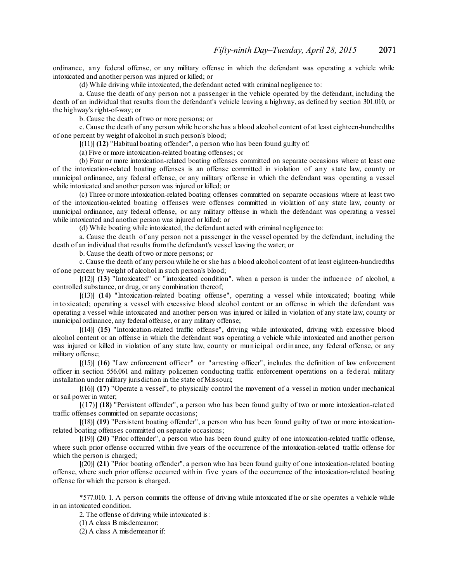ordinance, any federal offense, or any military offense in which the defendant was operating a vehicle while intoxicated and another person was injured or killed; or

(d) While driving while intoxicated, the defendant acted with criminal negligence to:

a. Cause the death of any person not a passenger in the vehicle operated by the defendant, including the death of an individual that results from the defendant's vehicle leaving a highway, as defined by section 301.010, or the highway's right-of-way; or

b. Cause the death of two or more persons; or

c. Cause the death of any person while he orshe has a blood alcohol content of at least eighteen-hundredths of one percent by weight of alcohol in such person's blood;

**[**(11)**] (12)** "Habitual boating offender", a person who has been found guilty of:

(a) Five or more intoxication-related boating offenses; or

(b) Four or more intoxication-related boating offenses committed on separate occasions where at least one of the intoxication-related boating offenses is an offense committed in violation of any state law, county or municipal ordinance, any federal offense, or any military offense in which the defendant was operating a vessel while intoxicated and another person was injured or killed; or

(c) Three or more intoxication-related boating offenses committed on separate occasions where at least two of the intoxication-related boating offenses were offenses committed in violation of any state law, county or municipal ordinance, any federal offense, or any military offense in which the defendant was operating a vessel while intoxicated and another person was injured or killed; or

(d) While boating while intoxicated, the defendant acted with criminal negligence to:

a. Cause the death of any person not a passenger in the vessel operated by the defendant, including the death of an individual that results fromthe defendant's vessel leaving the water; or

b. Cause the death of two or more persons; or

c. Cause the death of any person while he orshe has a blood alcohol content of at least eighteen-hundredths of one percent by weight of alcohol in such person's blood;

**[**(12)**] (13)** "Intoxicated" or "intoxicated condition", when a person is under the influence of alcohol, a controlled substance, or drug, or any combination thereof;

**[**(13)**] (14)** "Intoxication-related boating offense", operating a vessel while intoxicated; boating while intoxicated; operating a vessel with excessive blood alcohol content or an offense in which the defendant was operating a vessel while intoxicated and another person was injured or killed in violation of any state law, county or municipal ordinance, any federal offense, or any military offense;

**[**(14)**] (15)** "Intoxication-related traffic offense", driving while intoxicated, driving with excessive blood alcohol content or an offense in which the defendant was operating a vehicle while intoxicated and another person was injured or killed in violation of any state law, county or municipal ordinance, any federal offense, or any military offense;

**[**(15)**] (16)** "Law enforcement officer" or " arresting officer", includes the definition of law enforcement officer in section 556.061 and military policemen conducting traffic enforcement operations on a federal military installation under military jurisdiction in the state of Missouri;

**[**(16)**] (17)** "Operate a vessel", to physically control the movement of a vessel in motion under mechanical orsail power in water;

**[**(17)**] (18)** "Persistent offender", a person who has been found guilty of two or more intoxication-related traffic offenses committed on separate occasions;

**[**(18)**] (19)** "Persistent boating offender", a person who has been found guilty of two or more intoxicationrelated boating offenses committed on separate occasions;

**[**(19)**] (20)** "Prior offender", a person who has been found guilty of one intoxication-related traffic offense, where such prior offense occurred within five years of the occurrence of the intoxication-related traffic offense for which the person is charged;

**[**(20)**] (21)** "Prior boating offender", a person who has been found guilty of one intoxication-related boating offense, where such prior offense occurred within five years of the occurrence of the intoxication-related boating offense for which the person is charged.

\*577.010. 1. A person commits the offense of driving while intoxicated if he or she operates a vehicle while in an intoxicated condition.

2. The offense of driving while intoxicated is:

(1) A class B misdemeanor;

(2) A class A misdemeanor if: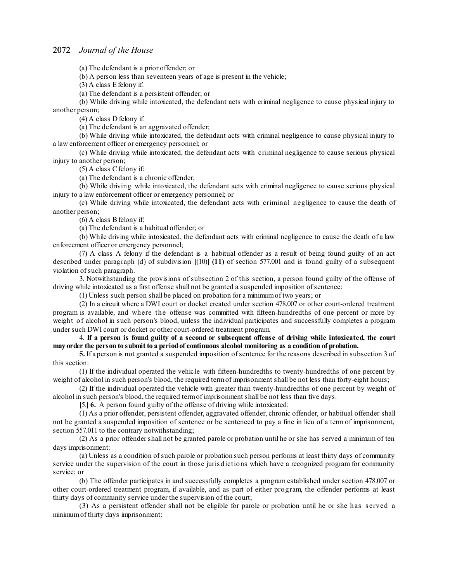(a) The defendant is a prior offender; or

(b) A person less than seventeen years of age is present in the vehicle;

(3) A class Efelony if:

(a) The defendant is a persistent offender; or

(b) While driving while intoxicated, the defendant acts with criminal negligence to cause physical injury to another person;

(4) A class D felony if:

(a) The defendant is an aggravated offender;

(b) While driving while intoxicated, the defendant acts with criminal negligence to cause physical injury to a law enforcement officer or emergency personnel; or

(c) While driving while intoxicated, the defendant acts with criminal negligence to cause serious physical injury to another person;

(5) A class Cfelony if:

(a) The defendant is a chronic offender;

(b) While driving while intoxicated, the defendant acts with criminal negligence to cause serious physical injury to a law enforcement officer or emergency personnel; or

(c) While driving while intoxicated, the defendant acts with criminal negligence to cause the death of another person;

 $(6)$  A class B felony if:

(a) The defendant is a habitual offender; or

(b) While driving while intoxicated, the defendant acts with criminal negligence to cause the death of a law enforcement officer or emergency personnel;

(7) A class A felony if the defendant is a habitual offender as a result of being found guilty of an act described under paragraph (d) of subdivision **[**(10)**] (11)** of section 577.001 and is found guilty of a subsequent violation of such paragraph.

3. Notwithstanding the provisions of subsection 2 of this section, a person found guilty of the offense of driving while intoxicated as a first offense shall not be granted a suspended imposition ofsentence:

(1) Unless such person shall be placed on probation for a minimumof two years; or

(2) In a circuit where a DWI court or docket created under section 478.007 or other court-ordered treatment program is available, and where the offense was committed with fifteen-hundredths of one percent or more by weight of alcohol in such person's blood, unless the individual participates and successfully completes a program under such DWI court or docket or other court-ordered treatment program.

4. **If a person is found guilty of a second or subsequent offense of driving while intoxicated, the court may order the person to submit to a periodof continuous alcohol monitoring as a condition of probation.**

**5.** If a person is not granted a suspended imposition of sentence for the reasons described in subsection 3 of this section:

(1) If the individual operated the vehicle with fifteen-hundredths to twenty-hundredths of one percent by weight of alcohol in such person's blood, the required term of imprisonment shall be not less than forty-eight hours;

(2) If the individual operated the vehicle with greater than twenty-hundredths of one percent by weight of alcohol in such person's blood, the required termof imprisonment shall be not less than five days.

**[**5.**] 6.** A person found guilty of the offense of driving while intoxicated:

(1) As a prior offender, persistent offender, aggravated offender, chronic offender, or habitual offender shall not be granted a suspended imposition of sentence or be sentenced to pay a fine in lieu of a term of imprisonment, section 557.011 to the contrary notwithstanding;

(2) As a prior offendershall not be granted parole or probation until he or she has served a minimum of ten days imprisonment:

(a) Unless as a condition ofsuch parole or probation such person performs at least thirty days of community service under the supervision of the court in those juris dictions which have a recognized program for community service; or

(b) The offender participates in and successfully completes a program established under section 478.007 or other court-ordered treatment program, if available, and as part of either program, the offender performs at least thirty days of community service under the supervision of the court;

(3) As a persistent offender shall not be eligible for parole or probation until he or she has s erved a minimumof thirty days imprisonment: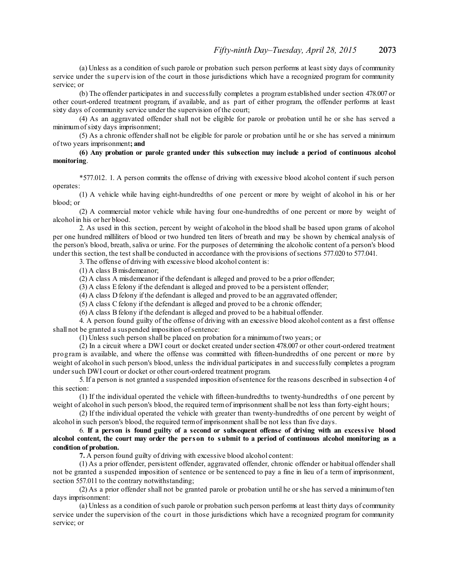(a) Unless as a condition ofsuch parole or probation such person performs at least sixty days of community service under the supervision of the court in those jurisdictions which have a recognized program for community service; or

(b) The offender participates in and successfully completes a program established under section 478.007 or other court-ordered treatment program, if available, and as part of either program, the offender performs at least sixty days of community service under the supervision of the court;

(4) As an aggravated offender shall not be eligible for parole or probation until he or she has served a minimumofsixty days imprisonment;

(5) As a chronic offendershall not be eligible for parole or probation until he or she has served a minimum of two years imprisonment**; and**

**(6) Any probation or parole granted under this subsection may include a period of continuous alcohol monitoring**.

\*577.012. 1. A person commits the offense of driving with excessive blood alcohol content if such person operates:

(1) A vehicle while having eight-hundredths of one percent or more by weight of alcohol in his or her blood; or

(2) A commercial motor vehicle while having four one-hundredths of one percent or more by weight of alcohol in his or her blood.

2. As used in this section, percent by weight of alcohol in the blood shall be based upon grams of alcohol per one hundred milliliters of blood or two hundred ten liters of breath and may be shown by chemical analysis of the person's blood, breath,saliva or urine. For the purposes of determining the alcoholic content of a person's blood under this section, the test shall be conducted in accordance with the provisions ofsections 577.020 to 577.041.

3. The offense of driving with excessive blood alcohol content is:

(1) A class B misdemeanor;

(2) A class A misdemeanor if the defendant is alleged and proved to be a prior offender;

(3) A class Efelony if the defendant is alleged and proved to be a persistent offender;

(4) A class D felony if the defendant is alleged and proved to be an aggravated offender;

(5) A class Cfelony if the defendant is alleged and proved to be a chronic offender;

(6) A class Bfelony if the defendant is alleged and proved to be a habitual offender.

4. A person found guilty of the offense of driving with an excessive blood alcohol content as a first offense shall not be granted a suspended imposition of sentence:

(1) Unless such person shall be placed on probation for a minimumof two years; or

(2) In a circuit where a DWI court or docket created undersection 478.007 or other court-ordered treatment program is available, and where the offense was committed with fifteen-hundredths of one percent or more by weight of alcohol in such person's blood, unless the individual participates in and successfully completes a program under such DWI court or docket or other court-ordered treatment program.

5. If a person is not granted a suspended imposition ofsentence for the reasons described in subsection 4 of this section:

(1) If the individual operated the vehicle with fifteen-hundredths to twenty-hundredths of one percent by weight of alcohol in such person's blood, the required term of imprisonment shall be not less than forty-eight hours;

(2) If the individual operated the vehicle with greater than twenty-hundredths of one percent by weight of alcohol in such person's blood, the required termof imprisonment shall be not less than five days.

6. If a person is found guilty of a second or subsequent offense of driving with an excessive blood alcohol content, the court may order the person to submit to a period of continuous alcohol monitoring as a **condition of probation.**

**7.** A person found guilty of driving with excessive blood alcohol content:

(1) As a prior offender, persistent offender, aggravated offender, chronic offender or habitual offendershall not be granted a suspended imposition of sentence or be sentenced to pay a fine in lieu of a term of imprisonment, section 557.011 to the contrary notwithstanding;

(2) As a prior offender shall not be granted parole or probation until he orshe has served a minimumof ten days imprisonment:

(a) Unless as a condition ofsuch parole or probation such person performs at least thirty days of community service under the supervision of the court in those jurisdictions which have a recognized program for community service; or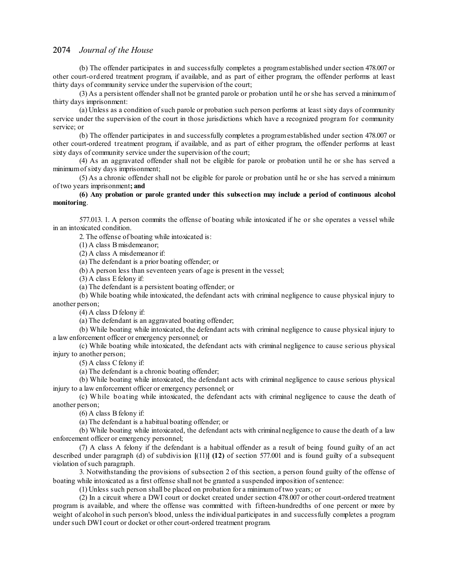(b) The offender participates in and successfully completes a programestablished undersection 478.007 or other court-ordered treatment program, if available, and as part of either program, the offender performs at least thirty days of community service under the supervision of the court;

(3) As a persistent offendershall not be granted parole or probation until he orshe has served a minimumof thirty days imprisonment:

(a) Unless as a condition ofsuch parole or probation such person performs at least sixty days of community service under the supervision of the court in those jurisdictions which have a recognized program for community service; or

(b) The offender participates in and successfully completes a programestablished under section 478.007 or other court-ordered treatment program, if available, and as part of either program, the offender performs at least sixty days of community service under the supervision of the court;

(4) As an aggravated offender shall not be eligible for parole or probation until he or she has served a minimumofsixty days imprisonment;

(5) As a chronic offender shall not be eligible for parole or probation until he or she has served a minimum of two years imprisonment**; and**

# **(6) Any probation or parole granted under this subsection may include a period of continuous alcohol monitoring**.

577.013. 1. A person commits the offense of boating while intoxicated if he or she operates a vessel while in an intoxicated condition.

2. The offense of boating while intoxicated is:

(1) A class B misdemeanor;

(2) A class A misdemeanor if:

(a) The defendant is a prior boating offender; or

(b) A person less than seventeen years of age is present in the vessel;

(3) A class Efelony if:

(a) The defendant is a persistent boating offender; or

(b) While boating while intoxicated, the defendant acts with criminal negligence to cause physical injury to another person;

(4) A class D felony if:

(a) The defendant is an aggravated boating offender;

(b) While boating while intoxicated, the defendant acts with criminal negligence to cause physical injury to a law enforcement officer or emergency personnel; or

(c) While boating while intoxicated, the defendant acts with criminal negligence to cause serious physical injury to another person;

 $(5)$  A class C felony if:

(a) The defendant is a chronic boating offender;

(b) While boating while intoxicated, the defendant acts with criminal negligence to cause serious physical injury to a law enforcement officer or emergency personnel; or

(c) While boating while intoxicated, the defendant acts with criminal negligence to cause the death of another person;

 $(6)$  A class B felony if:

(a) The defendant is a habitual boating offender; or

(b) While boating while intoxicated, the defendant acts with criminal negligence to cause the death of a law enforcement officer or emergency personnel;

(7) A class A felony if the defendant is a habitual offender as a result of being found guilty of an act described under paragraph (d) of subdivision **[**(11)**] (12)** of section 577.001 and is found guilty of a subsequent violation of such paragraph.

3. Notwithstanding the provisions of subsection 2 of this section, a person found guilty of the offense of boating while intoxicated as a first offense shall not be granted a suspended imposition ofsentence:

(1) Unless such person shall be placed on probation for a minimumof two years; or

(2) In a circuit where a DWI court or docket created under section 478.007 or other court-ordered treatment program is available, and where the offense was committed with fifteen-hundredths of one percent or more by weight of alcohol in such person's blood, unless the individual participates in and successfully completes a program under such DWI court or docket or other court-ordered treatment program.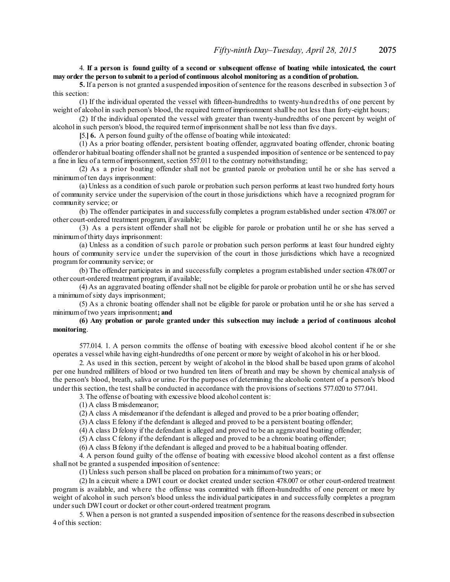4. **If a person is found guilty of a second or subsequent offense of boating while intoxicated, the court may order the person to submit to a periodof continuous alcohol monitoring as a condition of probation.**

**5.** If a person is not granted a suspended imposition of sentence for the reasons described in subsection 3 of this section:

(1) If the individual operated the vessel with fifteen-hundredths to twenty-hundredths of one percent by weight of alcohol in such person's blood, the required term of imprisonment shall be not less than forty-eight hours;

(2) If the individual operated the vessel with greater than twenty-hundredths of one percent by weight of alcohol in such person's blood, the required termof imprisonment shall be not less than five days.

**[**5.**] 6.** A person found guilty of the offense of boating while intoxicated:

(1) As a prior boating offender, persistent boating offender, aggravated boating offender, chronic boating offenderor habitual boating offendershall not be granted a suspended imposition ofsentence or be sentenced to pay a fine in lieu of a termof imprisonment, section 557.011 to the contrary notwithstanding;

(2) As a prior boating offender shall not be granted parole or probation until he or she has served a minimumof ten days imprisonment:

(a) Unless as a condition ofsuch parole or probation such person performs at least two hundred forty hours of community service under the supervision of the court in those jurisdictions which have a recognized program for community service; or

(b) The offender participates in and successfully completes a program established under section 478.007 or other court-ordered treatment program, if available;

(3) As a persistent offender shall not be eligible for parole or probation until he or she has served a minimumof thirty days imprisonment:

(a) Unless as a condition of such parole or probation such person performs at least four hundred eighty hours of community service under the supervision of the court in those jurisdictions which have a recognized programfor community service; or

(b) The offender participates in and successfully completes a program established under section 478.007 or other court-ordered treatment program, if available;

(4) As an aggravated boating offendershall not be eligible for parole or probation until he orshe has served a minimumofsixty days imprisonment;

(5) As a chronic boating offender shall not be eligible for parole or probation until he or she has served a minimumof two years imprisonment**; and**

**(6) Any probation or parole granted under this subsection may include a period of continuous alcohol monitoring**.

577.014. 1. A person commits the offense of boating with excessive blood alcohol content if he or she operates a vessel while having eight-hundredths of one percent or more by weight of alcohol in his or her blood.

2. As used in this section, percent by weight of alcohol in the blood shall be based upon grams of alcohol per one hundred milliliters of blood or two hundred ten liters of breath and may be shown by chemical analysis of the person's blood, breath, saliva or urine. For the purposes of determining the alcoholic content of a person's blood under this section, the test shall be conducted in accordance with the provisions ofsections 577.020 to 577.041.

3. The offense of boating with excessive blood alcohol content is:

(1) A class B misdemeanor;

(2) A class A misdemeanor if the defendant is alleged and proved to be a prior boating offender;

(3) A class Efelony if the defendant is alleged and proved to be a persistent boating offender;

(4) A class D felony if the defendant is alleged and proved to be an aggravated boating offender;

(5) A class Cfelony if the defendant is alleged and proved to be a chronic boating offender;

(6) A class Bfelony if the defendant is alleged and proved to be a habitual boating offender.

4. A person found guilty of the offense of boating with excessive blood alcohol content as a first offense shall not be granted a suspended imposition of sentence:

(1) Unless such person shall be placed on probation for a minimumof two years; or

(2) In a circuit where a DWI court or docket created under section 478.007 or other court-ordered treatment program is available, and where the offense was committed with fifteen-hundredths of one percent or more by weight of alcohol in such person's blood unless the individual participates in and successfully completes a program under such DWI court or docket or other court-ordered treatment program.

5. When a person is not granted a suspended imposition ofsentence for the reasons described in subsection 4 of this section: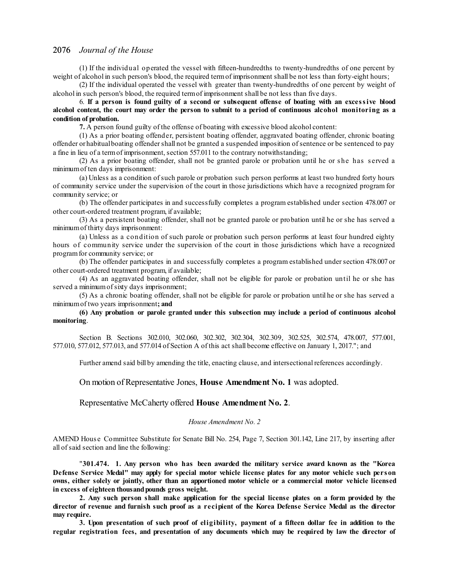(1) If the individual operated the vessel with fifteen-hundredths to twenty-hundredths of one percent by weight of alcohol in such person's blood, the required term of imprisonment shall be not less than forty-eight hours;

(2) If the individual operated the vessel with greater than twenty-hundredths of one percent by weight of alcohol in such person's blood, the required termof imprisonment shall be not less than five days.

6. If a person is found guilty of a second or subsequent offense of boating with an excessive blood alcohol content, the court may order the person to submit to a period of continuous alcohol monitoring as a **condition of probation.**

**7.** A person found guilty of the offense of boating with excessive blood alcohol content:

(1) As a prior boating offender, persistent boating offender, aggravated boating offender, chronic boating offender orhabitualboating offendershall not be granted a suspended imposition ofsentence or be sentenced to pay a fine in lieu of a termof imprisonment, section 557.011 to the contrary notwithstanding;

(2) As a prior boating offender, shall not be granted parole or probation until he or s he has s erved a minimumof ten days imprisonment:

(a) Unless as a condition ofsuch parole or probation such person performs at least two hundred forty hours of community service under the supervision of the court in those jurisdictions which have a recognized program for community service; or

(b) The offender participates in and successfully completes a program established under section 478.007 or other court-ordered treatment program, if available;

(3) As a persistent boating offender, shall not be granted parole or probation until he or she has served a minimumof thirty days imprisonment:

(a) Unless as a condition of such parole or probation such person performs at least four hundred eighty hours of community service under the supervision of the court in those jurisdictions which have a recognized programfor community service; or

(b) The offender participates in and successfully completes a program established undersection 478.007 or other court-ordered treatment program, if available;

(4) As an aggravated boating offender, shall not be eligible for parole or probation until he or she has served a minimum of sixty days imprisonment;

(5) As a chronic boating offender, shall not be eligible for parole or probation until he or she has served a minimumof two years imprisonment**; and**

**(6) Any probation or parole granted under this subsection may include a period of continuous alcohol monitoring**.

Section B. Sections 302.010, 302.060, 302.302, 302.304, 302.309, 302.525, 302.574, 478.007, 577.001, 577.010, 577.012, 577.013, and 577.014 of Section A of this act shall become effective on January 1, 2017."; and

Further amend said bill by amending the title, enacting clause, and intersectional references accordingly.

On motion of Representative Jones, **House Amendment No. 1** was adopted.

Representative McCaherty offered **House Amendment No. 2**.

#### *House Amendment No. 2*

AMEND Hous e Committee Substitute for Senate Bill No. 254, Page 7, Section 301.142, Line 217, by inserting after all ofsaid section and line the following:

"**301.474. 1. Any person who has been awarded the military service award known as the "Korea** Defense Service Medal" may apply for special motor vehicle license plates for any motor vehicle such person owns, either solely or jointly, other than an apportioned motor vehicle or a commercial motor vehicle licensed **in excess of eighteen thousandpounds gross weight.**

**2. Any such person shall make application for the special license plates on a form provided by the** director of revenue and furnish such proof as a recipient of the Korea Defense Service Medal as the director **may require.**

3. Upon presentation of such proof of eligibility, payment of a fifteen dollar fee in addition to the **regular registration fees, and presentation of any documents which may be required by law the director of**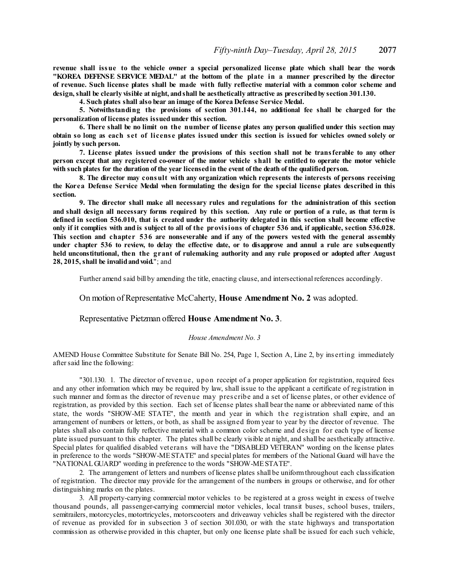**revenue shall issue to the vehicle owner a special personalized license plate which shall bear the words "KOREA DEFENSE SERVICE MEDAL" at the bottom of the plate in a manner prescribed by the director** of revenue. Such license plates shall be made with fully reflective material with a common color scheme and **design, shall be clearly visible at night, andshall be aesthetically attractive as prescribedby section 301.130.**

**4. Such plates shall also bear an image of the Korea Defense Service Medal.**

**5. Notwithstanding the provisions of section 301.144, no additional fee shall be charged for the personalization of license plates issuedunder this section.**

6. There shall be no limit on the number of license plates any person qualified under this section may obtain so long as each set of license plates issued under this section is issued for vehicles owned solely or **jointly by such person.**

**7. License plates issued under the provisions of this section shall not be transferable to any other** person except that any registered co-owner of the motor vehicle shall be entitled to operate the motor vehicle **with such plates for the duration of the year licensedin the event of the death of the qualifiedperson.**

**8. The director may consult with any organization which represents the interests of persons receiving the Korea Defense Service Medal when formulating the design for the special license plates described in this section.**

**9. The director shall make all necessary rules and regulations for the administration of this section** and shall design all necessary forms required by this section. Any rule or portion of a rule, as that term is defined in section 536.010, that is created under the authority delegated in this section shall become effective only if it complies with and is subject to all of the provisions of chapter 536 and, if applicable, section 536.028. This section and chapter 536 are nonseverable and if any of the powers vested with the general assembly under chapter 536 to review, to delay the effective date, or to disapprove and annul a rule are subsequently **held unconstitutional, then the grant of rulemaking authority and any rule proposed or adopted after August 28, 2015,shall be invalidandvoid.**"; and

Further amend said bill by amending the title, enacting clause, and intersectional references accordingly.

On motion of Representative McCaherty, **House Amendment No. 2** was adopted.

#### Representative Pietzman offered **House Amendment No. 3**.

#### *House Amendment No. 3*

AMEND House Committee Substitute for Senate Bill No. 254, Page 1, Section A, Line 2, by ins erting immediately after said line the following:

"301.130. 1. The director of revenue, upon receipt of a proper application for registration, required fees and any other information which may be required by law, shall issue to the applicant a certificate of registration in such manner and form as the director of revenue may pres cribe and a set of license plates, or other evidence of registration, as provided by this section. Each set of license plates shall bear the name or abbreviated name of this state, the words "SHOW-ME STATE", the month and year in which the registration shall expire, and an arrangement of numbers or letters, or both, as shall be assigned from year to year by the director of revenue. The plates shall also contain fully reflective material with a common color scheme and design for each type of license plate issued pursuant to this chapter. The plates shall be clearly visible at night, and shall be aesthetically attractive. Special plates for qualified disabled veterans will have the "DISABLED VETERAN" wording on the license plates in preference to the words "SHOW-MESTATE" and special plates for members of the National Guard will have the "NATIONALGUARD" wording in preference to the words "SHOW-MESTATE".

2. The arrangement of letters and numbers of license plates shall be uniformthroughout each classification of registration. The director may provide for the arrangement of the numbers in groups or otherwise, and for other distinguishing marks on the plates.

3. All property-carrying commercial motor vehicles to be registered at a gross weight in excess of twelve thousand pounds, all passenger-carrying commercial motor vehicles, local transit buses, school buses, trailers, semitrailers, motorcycles, motortricycles, motorscooters and driveaway vehicles shall be registered with the director of revenue as provided for in subsection 3 of section 301.030, or with the state highways and transportation commission as otherwise provided in this chapter, but only one license plate shall be issued for each such vehicle,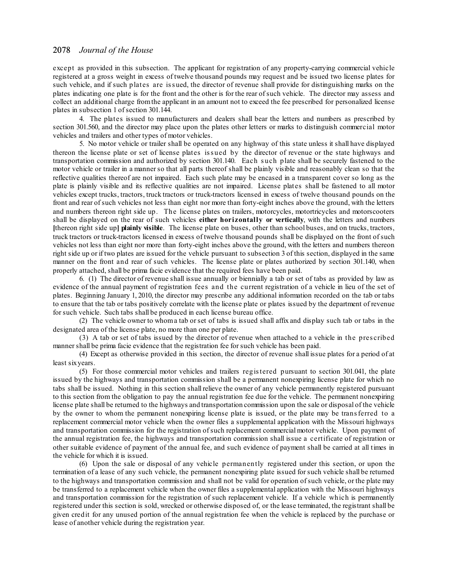except as provided in this subsection. The applicant for registration of any property-carrying commercial vehicle registered at a gross weight in excess of twelve thousand pounds may request and be issued two license plates for such vehicle, and if such plates are iss ued, the director of revenue shall provide for distinguishing marks on the plates indicating one plate is for the front and the other is for the rear ofsuch vehicle. The director may assess and collect an additional charge fromthe applicant in an amount not to exceed the fee prescribed for personalized license plates in subsection 1 ofsection 301.144.

4. The plates issued to manufacturers and dealers shall bear the letters and numbers as prescribed by section 301.560, and the director may place upon the plates other letters or marks to distinguish commercial motor vehicles and trailers and other types of motor vehicles.

5. No motor vehicle or trailer shall be operated on any highway of this state unless it shall have displayed thereon the license plate or set of license plates iss ued by the director of revenue or the state highways and transportation commission and authorized by section 301.140. Each s uch plate shall be securely fastened to the motor vehicle or trailer in a mannerso that all parts thereof shall be plainly visible and reasonably clean so that the reflective qualities thereof are not impaired. Each such plate may be encased in a transparent cover so long as the plate is plainly visible and its reflective qualities are not impaired. License plates shall be fastened to all motor vehicles except trucks, tractors, truck tractors or truck-tractors licensed in excess of twelve thousand pounds on the front and rear ofsuch vehicles not less than eight nor more than forty-eight inches above the ground, with the letters and numbers thereon right side up. The license plates on trailers, motorcycles, motortricycles and motorscooters shall be displayed on the rear of such vehicles **either horizontally or vertically**, with the letters and numbers **[**thereon right side up**] plainly visible**. The license plate on buses, other than school buses, and on trucks, tractors, truck tractors or truck-tractors licensed in excess of twelve thousand pounds shall be displayed on the front ofsuch vehicles not less than eight nor more than forty-eight inches above the ground, with the letters and numbers thereon right side up or if two plates are issued for the vehicle pursuant to subsection 3 of this section, displayed in the same manner on the front and rear of such vehicles. The license plate or plates authorized by section 301.140, when properly attached, shall be prima facie evidence that the required fees have been paid.

6. (1) The director of revenue shall issue annually or biennially a tab or set of tabs as provided by law as evidence of the annual payment of registration fees and the current registration of a vehicle in lieu of the set of plates. Beginning January 1, 2010, the director may prescribe any additional information recorded on the tab or tabs to ensure that the tab or tabs positively correlate with the license plate or plates issued by the department of revenue forsuch vehicle. Such tabs shall be produced in each license bureau office.

(2) The vehicle owner to whoma tab orset of tabs is issued shall affix and display such tab or tabs in the designated area of the license plate, no more than one per plate.

(3) A tab or set of tabs issued by the director of revenue when attached to a vehicle in the pres cribed manner shall be prima facie evidence that the registration fee for such vehicle has been paid.

(4) Except as otherwise provided in this section, the director of revenue shall issue plates for a period of at least sixyears.

(5) For those commercial motor vehicles and trailers registered pursuant to section 301.041, the plate issued by the highways and transportation commission shall be a permanent nonexpiring license plate for which no tabs shall be issued. Nothing in this section shall relieve the owner of any vehicle permanently registered pursuant to this section from the obligation to pay the annual registration fee due for the vehicle. The permanent nonexpiring license plate shall be returned to the highways and transportation commission upon the sale or disposal of the vehicle by the owner to whom the permanent nonexpiring license plate is issued, or the plate may be transferred to a replacement commercial motor vehicle when the owner files a supplemental application with the Missouri highways and transportation commission for the registration ofsuch replacement commercial motor vehicle. Upon payment of the annual registration fee, the highways and transportation commission shall issue a certificate of registration or other suitable evidence of payment of the annual fee, and such evidence of payment shall be carried at all times in the vehicle for which it is issued.

(6) Upon the sale or disposal of any vehicle permanently registered under this section, or upon the termination of a lease of any such vehicle, the permanent nonexpiring plate issued forsuch vehicle shall be returned to the highways and transportation commission and shall not be valid for operation ofsuch vehicle, or the plate may be transferred to a replacement vehicle when the owner files a supplemental application with the Missouri highways and transportation commission for the registration of such replacement vehicle. If a vehicle which is permanently registered under this section is sold, wrecked or otherwise disposed of, or the lease terminated, the registrant shall be given credit for any unused portion of the annual registration fee when the vehicle is replaced by the purchase or lease of another vehicle during the registration year.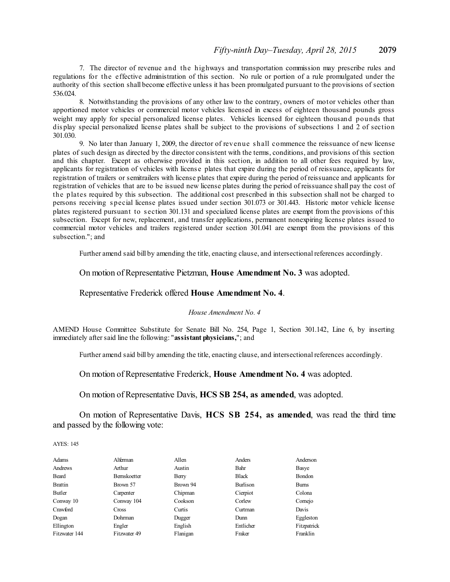7. The director of revenue and the highways and transportation commission may prescribe rules and regulations for the effective administration of this section. No rule or portion of a rule promulgated under the authority of this section shall become effective unless it has been promulgated pursuant to the provisions of section 536.024.

8. Notwithstanding the provisions of any other law to the contrary, owners of motor vehicles other than apportioned motor vehicles or commercial motor vehicles licensed in excess of eighteen thousand pounds gross weight may apply for special personalized license plates. Vehicles licensed for eighteen thousand pounds that dis play special personalized license plates shall be subject to the provisions of subsections 1 and 2 of section 301.030.

9. No later than January 1, 2009, the director of revenue s hall commence the reissuance of new license plates of such design as directed by the director consistent with the terms, conditions, and provisions of this section and this chapter. Except as otherwise provided in this section, in addition to all other fees required by law, applicants for registration of vehicles with licens e plates that expire during the period of reissuance, applicants for registration of trailers or semitrailers with license plates that expire during the period of reissuance and applicants for registration of vehicles that are to be issued new license plates during the period of reissuance shall pay the cost of the plates required by this subsection. The additional cost prescribed in this subsection shall not be charged to persons receiving s pecial license plates issued under section 301.073 or 301.443. Historic motor vehicle license plates registered pursuant to s ection 301.131 and specialized license plates are exempt from the provisions of this subsection. Except for new, replacement, and transfer applications, permanent nonexpiring license plates issued to commercial motor vehicles and trailers registered under section 301.041 are exempt from the provisions of this subsection."; and

Further amend said bill by amending the title, enacting clause, and intersectional references accordingly.

# On motion of Representative Pietzman, **House Amendment No. 3** was adopted.

### Representative Frederick offered **House Amendment No. 4**.

#### *House Amendment No. 4*

AMEND House Committee Substitute for Senate Bill No. 254, Page 1, Section 301.142, Line 6, by inserting immediately aftersaid line the following: "**assistant physicians,**"; and

Further amend said bill by amending the title, enacting clause, and intersectional references accordingly.

On motion of Representative Frederick, **House Amendment No. 4** was adopted.

On motion of Representative Davis, **HCS SB 254, as amended**, was adopted.

On motion of Representative Davis, **HCS SB 254, as amended**, was read the third time and passed by the following vote:

#### AYES: 145

| Adams          | Alferman            | Allen    | Anders       | Anderson     |
|----------------|---------------------|----------|--------------|--------------|
| Andrews        | Arthur              | Austin   | Bahr         | Basye        |
| Beard          | <b>Bernskoetter</b> | Berry    | <b>Black</b> | Bondon       |
| <b>Brattin</b> | Brown 57            | Brown 94 | Burlison     | <b>Burns</b> |
| Butler         | Carpenter           | Chipman  | Cierpiot     | Colona       |
| Conway 10      | Conway 104          | Cookson  | Corlew       | Comejo       |
| Crawford       | <b>Cross</b>        | Curtis   | Curtman      | Davis        |
| Dogan          | Dohrman             | Dugger   | Dunn         | Eggleston    |
| Ellington      | Engler              | English  | Entlicher    | Fitzpatrick  |
| Fitzwater 144  | Fitzwater 49        | Flanigan | Fraker       | Franklin     |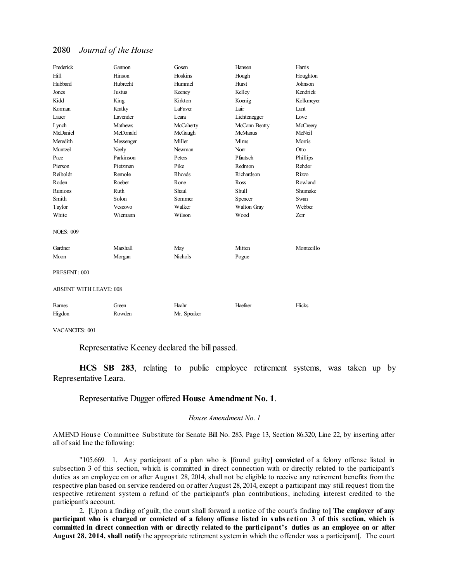| Frederick                     | Gannon          | Gosen       | Hansen         | Harris     |
|-------------------------------|-----------------|-------------|----------------|------------|
| Hill                          | Hinson          | Hoskins     | Hough          | Houghton   |
| Hubbard                       | Hubrecht        | Hummel      | Hurst          | Johnson    |
| Jones                         | Justus          | Keeney      | Kelley         | Kendrick   |
| Kidd                          | King            | Kirkton     | Koenig         | Kolkmeyer  |
| Korman                        | Kratky          | LaFaver     | Lair           | Lant       |
| Lauer                         | <b>Lavender</b> | Leara       | Lichtenegger   | Love       |
| Lynch                         | <b>Mathews</b>  | McCaherty   | McCann Beatty  | McCreery   |
| McDaniel                      | McDonald        | McGaugh     | <b>McManus</b> | McNeil     |
| Meredith                      | Messenger       | Miller      | Mims           | Morris     |
| Muntzel                       | Neely           | Newman      | Norr           | Otto       |
| Pace                          | Parkinson       | Peters      | Pfautsch       | Phillips   |
| Pierson                       | Pietzman        | Pike        | Redmon         | Rehder     |
| Reiboldt                      | Remole          | Rhoads      | Richardson     | Rizzo      |
| Roden                         | Roeber          | Rone        | Ross           | Rowland    |
| <b>Runions</b>                | Ruth            | Shaul       | Shull          | Shumake    |
| Smith                         | Solon           | Sommer      | Spencer        | Swan       |
| Taylor                        | Vescovo         | Walker      | Walton Gray    | Webber     |
| White                         | Wiemann         | Wilson      | Wood           | Zerr       |
| <b>NOES: 009</b>              |                 |             |                |            |
| Gardner                       | Marshall        | May         | Mitten         | Montecillo |
| Moon                          | Morgan          | Nichols     | Pogue          |            |
| PRESENT: 000                  |                 |             |                |            |
| <b>ABSENT WITH LEAVE: 008</b> |                 |             |                |            |
| <b>Barnes</b>                 | Green           | Haahr       | Haefner        | Hicks      |
| Higdon                        | Rowden          | Mr. Speaker |                |            |
|                               |                 |             |                |            |

VACANCIES: 001

Representative Keeney declared the bill passed.

**HCS SB 283**, relating to public employee retirement systems, was taken up by Representative Leara.

# Representative Dugger offered **House Amendment No. 1**.

### *House Amendment No. 1*

AMEND Hous e Committee Substitute for Senate Bill No. 283, Page 13, Section 86.320, Line 22, by inserting after all ofsaid line the following:

"105.669. 1. Any participant of a plan who is **[**found guilty**] convicted** of a felony offense listed in subsection 3 of this section, which is committed in direct connection with or directly related to the participant's duties as an employee on or after August 28, 2014, shall not be eligible to receive any retirement benefits from the respective plan based on service rendered on or after August 28, 2014, except a participant may still request from the respective retirement system a refund of the participant's plan contributions, including interest credited to the participant's account.

2. **[**Upon a finding of guilt, the court shall forward a notice of the court's finding to**] The employer of any** participant who is charged or convicted of a felony offense listed in subsection 3 of this section, which is committed in direct connection with or directly related to the participant's duties as an employee on or after **August 28, 2014, shall notify** the appropriate retirement systemin which the offender was a participant**[**. The court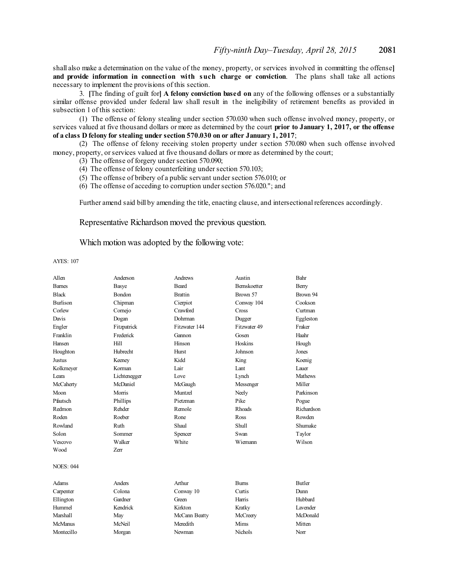shall also make a determination on the value of the money, property, or services involved in committing the offense**] and provide information in connection with such charge or conviction**. The plans shall take all actions necessary to implement the provisions of this section.

3. **[**The finding of guilt for**] A felony conviction based on** any of the following offenses or a substantially similar offense provided under federal law shall result in the ineligibility of retirement benefits as provided in subsection 1 of this section:

(1) The offense of felony stealing under section 570.030 when such offense involved money, property, or services valued at five thousand dollars or more as determined by the court **prior to January 1, 2017, or the offense of a class D felony for stealing under section 570.030 on or after January 1, 2017**;

(2) The offense of felony receiving stolen property under s ection 570.080 when such offense involved money, property, or services valued at five thousand dollars or more as determined by the court;

(3) The offense of forgery undersection 570.090;

- (4) The offense of felony counterfeiting under section 570.103;
- (5) The offense of bribery of a public servant under section 576.010; or
- (6) The offense of acceding to corruption undersection 576.020."; and

Further amend said bill by amending the title, enacting clause, and intersectional references accordingly.

Representative Richardson moved the previous question.

Which motion was adopted by the following vote:

AYES: 107

| Allen            | Anderson     | Andrews        | Austin             | Bahr           |
|------------------|--------------|----------------|--------------------|----------------|
| <b>Barnes</b>    | <b>Basye</b> | <b>Beard</b>   | <b>Bemskoetter</b> | Berry          |
| <b>Black</b>     | Bondon       | <b>Brattin</b> | Brown 57           | Brown 94       |
| <b>Burlison</b>  | Chipman      | Cierpiot       | Conway 104         | Cookson        |
| Corlew           | Cornejo      | Crawford       | Cross              | Curtman        |
| Davis            | Dogan        | Dohrman        | Dugger             | Eggleston      |
| Engler           | Fitzpatrick  | Fitzwater 144  | Fitzwater 49       | Fraker         |
| Franklin         | Frederick    | Gannon         | Gosen              | Haahr          |
| Hansen           | Hill         | Hinson         | Hoskins            | Hough          |
| Houghton         | Hubrecht     | Hurst          | Johnson            | Jones          |
| Justus           | Keeney       | Kidd           | King               | Koenig         |
| Kolkmeyer        | Korman       | Lair           | Lant               | Lauer          |
| Leara            | Lichtenegger | Love           | Lynch              | <b>Mathews</b> |
| McCaherty        | McDaniel     | McGaugh        | Messenger          | Miller         |
| Moon             | Morris       | Muntzel        | Neely              | Parkinson      |
| Pfautsch         | Phillips     | Pietzman       | Pike               | Pogue          |
| Redmon           | Rehder       | Remole         | <b>Rhoads</b>      | Richardson     |
| Roden            | Roeber       | Rone           | Ross               | Rowden         |
| Rowland          | Ruth         | Shaul          | Shull              | Shumake        |
| Solon            | Sommer       | Spencer        | Swan               | Taylor         |
| <b>Vescovo</b>   | Walker       | White          | Wiemann            | Wilson         |
| Wood             | Zerr         |                |                    |                |
| <b>NOES: 044</b> |              |                |                    |                |
| Adams            | Anders       | Arthur         | <b>Burns</b>       | <b>Butler</b>  |
| Carpenter        | Colona       | Conway 10      | Curtis             | Dunn           |
| Ellington        | Gardner      | Green          | Harris             | Hubbard        |
| Hummel           | Kendrick     | Kirkton        | Kratky             | Lavender       |
| Marshall         | May          | McCann Beatty  | McCreery           | McDonald       |
| McManus          | McNeil       | Meredith       | Mims               | Mitten         |
| Montecillo       | Morgan       | Newman         | <b>Nichols</b>     | Norr           |
|                  |              |                |                    |                |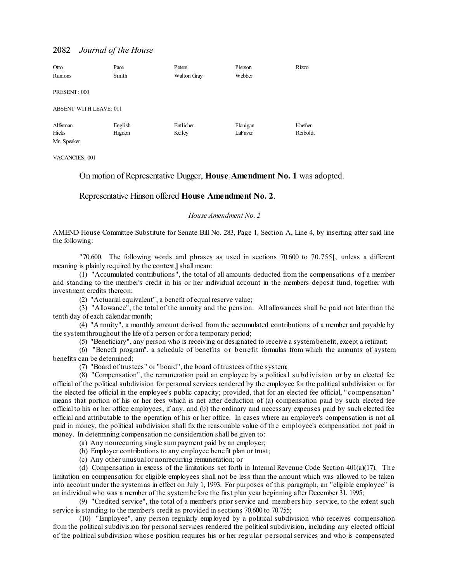| Otto                          | Pace    | Peters      | Pierson  | <b>Rizzo</b> |
|-------------------------------|---------|-------------|----------|--------------|
| Runions                       | Smith   | Walton Gray | Webber   |              |
|                               |         |             |          |              |
| PRESENT: 000                  |         |             |          |              |
|                               |         |             |          |              |
| <b>ABSENT WITH LEAVE: 011</b> |         |             |          |              |
| Alferman                      | English | Entlicher   | Flanigan | Haefner      |
| Hicks                         | Higdon  | Kelley      | LaFaver  | Reiboldt     |
| Mr. Speaker                   |         |             |          |              |

VACANCIES: 001

# On motion of Representative Dugger, **House Amendment No. 1** was adopted.

# Representative Hinson offered **House Amendment No. 2**.

#### *House Amendment No. 2*

AMEND House Committee Substitute for Senate Bill No. 283, Page 1, Section A, Line 4, by inserting after said line the following:

"70.600. The following words and phrases as used in sections 70.600 to 70.755**[**, unless a different meaning is plainly required by the context,**]** shall mean:

(1) "Accumulated contributions", the total of all amounts deducted from the compensations of a member and standing to the member's credit in his or her individual account in the members deposit fund, together with investment credits thereon;

(2) "Actuarial equivalent", a benefit of equal reserve value;

(3) "Allowance", the total of the annuity and the pension. All allowances shall be paid not later than the tenth day of each calendar month;

(4) "Annuity", a monthly amount derived from the accumulated contributions of a member and payable by the systemthroughout the life of a person or for a temporary period;

(5) "Beneficiary", any person who is receiving or designated to receive a systembenefit, except a retirant;

(6) "Benefit program", a schedule of benefits or benefit formulas from which the amounts of system benefits can be determined;

(7) "Board of trustees" or "board", the board of trustees of the system;

(8) "Compensation", the remuneration paid an employee by a political s ubdivision or by an elected fee official of the political subdivision for personalservices rendered by the employee for the politicalsubdivision or for the elected fee official in the employee's public capacity; provided, that for an elected fee official, " compensation" means that portion of his or her fees which is net after deduction of (a) compensation paid by such elected fee official to his or her office employees, if any, and (b) the ordinary and necessary expenses paid by such elected fee official and attributable to the operation of his or her office. In cases where an employee's compensation is not all paid in money, the political subdivision shall fix the reasonable value of the employee's compensation not paid in money. In determining compensation no consideration shall be given to:

(a) Any nonrecurring single sumpayment paid by an employer;

(b) Employer contributions to any employee benefit plan or trust;

(c) Any other unusual or nonrecurring remuneration; or

(d) Compensation in excess of the limitations set forth in Internal Revenue Code Section  $401(a)(17)$ . The limitation on compensation for eligible employees shall not be less than the amount which was allowed to be taken into account under the systemas in effect on July 1, 1993. For purposes of this paragraph, an "eligible employee" is an individual who was a member of the systembefore the first plan year beginning after December 31, 1995;

(9) "Credited service", the total of a member's prior service and members hip s ervice, to the extent such service is standing to the member's credit as provided in sections 70.600 to 70.755;

(10) "Employee", any person regularly employed by a political subdivision who receives compensation from the political subdivision for personal services rendered the political subdivision, including any elected official of the political subdivision whose position requires his or her regular personal services and who is compensated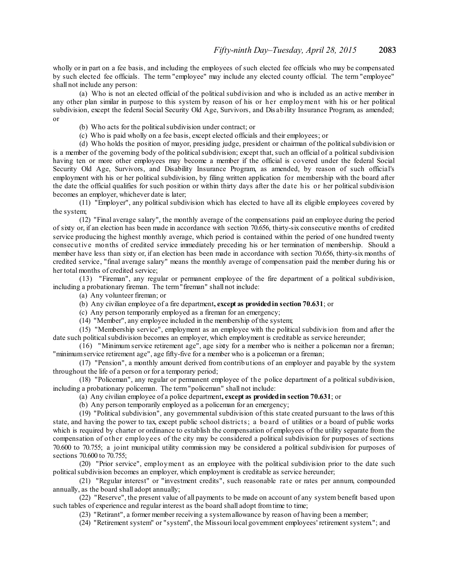wholly or in part on a fee basis, and including the employees of such elected fee officials who may be compensated by such elected fee officials. The term "employee" may include any elected county official. The term "employee" shall not include any person:

(a) Who is not an elected official of the political subdivision and who is included as an active member in any other plan similar in purpose to this system by reason of his or her employment with his or her political subdivision, except the federal Social Security Old Age, Survivors, and Disability Insurance Program, as amended; or

(b) Who acts for the political subdivision under contract; or

(c) Who is paid wholly on a fee basis, except elected officials and their employees; or

(d) Who holds the position of mayor, presiding judge, president or chairman of the politicalsubdivision or is a member of the governing body of the political subdivision; except that, such an official of a political subdivision having ten or more other employees may become a member if the official is covered under the federal Social Security Old Age, Survivors, and Disability Insurance Program, as amended, by reason of such official's employment with his or her political subdivision, by filing written application for membership with the board after the date the official qualifies for such position or within thirty days after the date his or her political subdivision becomes an employer, whichever date is later;

(11) "Employer", any political subdivision which has elected to have all its eligible employees covered by the system;

(12) "Final average salary", the monthly average of the compensations paid an employee during the period of sixty or, if an election has been made in accordance with section 70.656, thirty-six consecutive months of credited service producing the highest monthly average, which period is contained within the period of one hundred twenty consecutive months of credited service immediately preceding his or her termination of membership. Should a member have less than sixty or, if an election has been made in accordance with section 70.656, thirty-six months of credited service, "final average salary" means the monthly average of compensation paid the member during his or her total months of credited service;

(13) "Fireman", any regular or permanent employee of the fire department of a political subdivision, including a probationary fireman. The term"fireman" shall not include:

(a) Any volunteer fireman; or

(b) Any civilian employee of a fire department**, except as providedin section 70.631**; or

(c) Any person temporarily employed as a fireman for an emergency;

(14) "Member", any employee included in the membership of the system;

(15) "Membership service", employment as an employee with the political subdivision from and after the date such political subdivision becomes an employer, which employment is creditable as service hereunder;

(16) "Minimum service retirement age", age sixty for a member who is neither a policeman nor a fireman; "minimumservice retirement age", age fifty-five for a member who is a policeman or a fireman;

(17) "Pension", a monthly amount derived from contributions of an employer and payable by the system throughout the life of a person or for a temporary period;

(18) "Policeman", any regular or permanent employee of the police department of a political subdivision, including a probationary policeman. The term"policeman" shall not include:

(a) Any civilian employee of a police department**, except as providedin section 70.631**; or

(b) Any person temporarily employed as a policeman for an emergency;

(19) "Political subdivision", any governmental subdivision of this state created pursuant to the laws of this state, and having the power to tax, except public school districts; a board of utilities or a board of public works which is required by charter or ordinance to establish the compensation of employees of the utility separate from the compensation of other employees of the city may be considered a political subdivision for purposes of sections 70.600 to 70.755; a joint municipal utility commission may be considered a political subdivision for purposes of sections 70.600 to 70.755;

(20) "Prior service", employment as an employee with the political subdivision prior to the date such political subdivision becomes an employer, which employment is creditable as service hereunder;

(21) "Regular interest" or "investment credits", such reasonable rate or rates per annum, compounded annually, as the board shall adopt annually;

(22) "Reserve", the present value of all payments to be made on account of any system benefit based upon such tables of experience and regular interest as the board shall adopt fromtime to time;

(23) "Retirant", a former member receiving a systemallowance by reason of having been a member;

(24) "Retirement system" or "system", the Missouri local government employees' retirement system."; and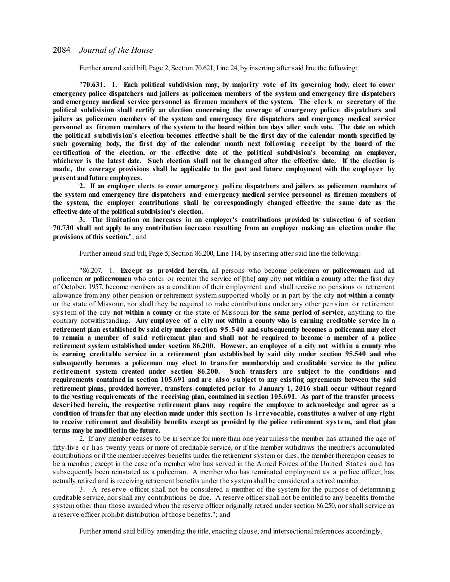Further amend said bill, Page 2, Section 70.621, Line 24, by inserting aftersaid line the following:

"**70.631. 1. Each political subdivision may, by majority vote of its governing body, elect to cover emergency police dispatchers and jailers as policemen members of the system and emergency fire dispatchers and emergency medical service personnel as firemen members of the system. The clerk or secretary of the political subdivision shall certify an election concerning the coverage of emergency police dispatchers and jailers as policemen members of the system and emergency fire dispatchers and emergency medical service** personnel as firemen members of the system to the board within ten days after such vote. The date on which the political subdivision's election becomes effective shall be the first day of the calendar month specified by **such governing body, the first day of the calendar month next following receipt by the board of the certification of the election, or the effective date of the political subdivision's becoming an employer,** whichever is the latest date. Such election shall not be changed after the effective date. If the election is **made, the coverage provisions shall be applicable to the past and future employment with the employer by present andfuture employees.**

**2. If an employer elects to cover emergency police dispatchers and jailers as policemen members of the system and emergency fire dispatchers and emergency medical service personnel as firemen members of the system, the employer contributions shall be correspondingly changed effective the same date as the effective date of the political subdivision's election.**

**3. The limitation on increases in an employer's contributions provided by subsection 6 of section** 70.730 shall not apply to any contribution increase resulting from an employer making an election under the **provisions of this section.**"; and

Further amend said bill, Page 5, Section 86.200, Line 114, by inserting aftersaid line the following:

"86.207. 1. **Except as provided herein,** all persons who become policemen **or policewomen** and all policemen **or policewomen** who enter or reenter the service of **[**the**] any** city **not within a county** after the first day of October, 1957, become members as a condition of their employment and shall receive no pensions or retirement allowance from any other pension or retirement system supported wholly or in part by the city **not within a county** or the state of Missouri, nor shall they be required to make contributions under any other pension or retirement system of the city **not within a county** or the state of Missouri **for the same period of service**, anything to the contrary notwithstanding. **Any employee of a city not within a county who is earning creditable service in a retirement plan established by said city under section 95.540 and subsequently becomes a policeman may elect** to remain a member of said retirement plan and shall not be required to become a member of a police retirement system established under section 86.200. However, an employee of a city not within a county who **is earning creditable service in a retirement plan established by said city under section 95.540 and who subsequently becomes a policeman may elect to transfer membership and creditable service to the police retirement system created under section 86.200. Such transfers are subject to the conditions and** requirements contained in section 105.691 and are also subject to any existing agreements between the said **retirement plans, provided however, transfers completed prior to January 1, 2016 shall occur without regard** to the vesting requirements of the receiving plan, contained in section 105.691. As part of the transfer process **described herein, the respective retirement plans may require the employee to acknowledge and agree as a** condition of transfer that any election made under this section is irrevocable, constitutes a waiver of any right to receive retirement and disability benefits except as provided by the police retirement system, and that plan **terms may be modifiedin the future.**

2. If any member ceases to be in service for more than one year unless the member has attained the age of fifty-five or has twenty years or more of creditable service, or if the member withdraws the member's accumulated contributions or if the member receives benefits under the retirement system or dies, the member thereupon ceases to be a member; except in the case of a member who has served in the Armed Forces of the United States and has subsequently been reinstated as a policeman. A member who has terminated employment as a police officer, has actually retired and is receiving retirement benefits under the systemshall be considered a retired member.

3. A reserve officer shall not be considered a member of the system for the purpose of determining creditable service, norshall any contributions be due. A reserve officershall not be entitled to any benefits fromthe system other than those awarded when the reserve officer originally retired undersection 86.250, norshall service as a reserve officer prohibit distribution of those benefits."; and

Further amend said bill by amending the title, enacting clause, and intersectional references accordingly.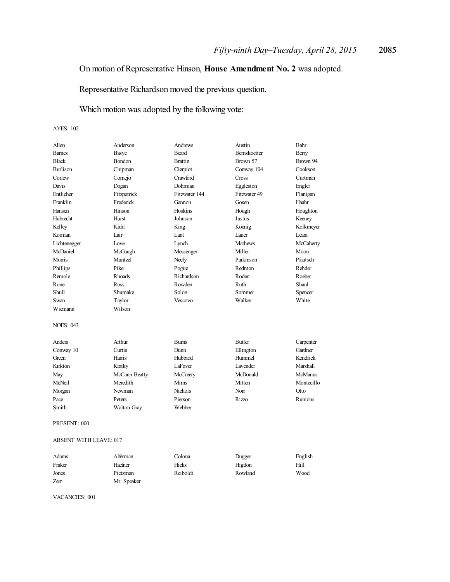# On motion of Representative Hinson, **House Amendment No. 2** was adopted.

Representative Richardson moved the previous question.

# Which motion was adopted by the following vote:

#### AYES: 102

| Allen            | Anderson      | Andrews        | Austin               | Bahr            |
|------------------|---------------|----------------|----------------------|-----------------|
| <b>Barnes</b>    | <b>Basye</b>  | <b>Beard</b>   | Bernskoetter         | Berry           |
| <b>Black</b>     | Bondon        | <b>Brattin</b> | Brown 57             | Brown 94        |
| <b>Burlison</b>  | Chipman       | Cierpiot       | Conway 104           | Cookson         |
| Corlew           | Cornejo       | Crawford       | Cross                | Curtman         |
| Davis            | Dogan         | Dohrman        | Eggleston            | Engler          |
| Entlicher        | Fitzpatrick   | Fitzwater 144  | Fitzwater 49         | Flanigan        |
| Franklin         | Frederick     | Gannon         | Gosen                | Haahr           |
| Hansen           | Hinson        | Hoskins        | Hough                | Houghton        |
| <b>Hubrecht</b>  | Hurst         | Johnson        | <b>Justus</b>        | Keeney          |
| Kelley           | Kidd          | King           | Koenig               | Kolkmeyer       |
| Korman           | Lair          | Lant           | Lauer                | Leara           |
| Lichtenegger     | Love          | Lynch          | <b>Mathews</b>       | McCaherty       |
| McDaniel         | McGaugh       | Messenger      | Miller               | Moon            |
| Morris           | Muntzel       | Neely          | Parkinson            | Pfautsch        |
| Phillips         | Pike          | Pogue          | Redmon               | Rehder          |
| Remole           | Rhoads        | Richardson     | Roden                | Roeber          |
| Rone             | Ross          | Rowden         | Ruth                 | Shaul           |
| Shull            | Shumake       | Solon          | Sommer               | Spencer         |
| Swan             | Taylor        | Vescovo        | Walker               | White           |
| Wiemann          | Wilson        |                |                      |                 |
| <b>NOES: 043</b> |               |                |                      |                 |
| Anders           | Arthur        | <b>Burns</b>   | <b>Butler</b>        | Carpenter       |
| Conway 10        | Curtis        | Dunn           | Ellington            | Gardner         |
| Green            | Harris        | Hubbard        | Hummel               | Kendrick        |
| Kirkton          | Kratky        | LaFaver        | L <sub>avender</sub> | <b>Marshall</b> |
| May              | McCann Beatty | McCreery       | McDonald             | <b>McManus</b>  |
| McNeil           | Meredith      | Mims           | Mitten               | Montecillo      |
| Morgan           | Newman        | <b>Nichols</b> | Norr                 | Otto            |
| Pace             | Peters        | Pierson        | Rizzo                | Runions         |
| Smith            | Walton Gray   | Webber         |                      |                 |
| PRESENT: 000     |               |                |                      |                 |

# ABSENT WITH LEAVE: 017

| Adams  | Alferman    | Colona   | Dugger  | English |
|--------|-------------|----------|---------|---------|
| Fraker | Haefner     | Hicks    | Higdon  | Hill    |
| Jones  | Pietzman    | Reiboldt | Rowland | Wood    |
| Zerr   | Mr. Speaker |          |         |         |

### VACANCIES: 001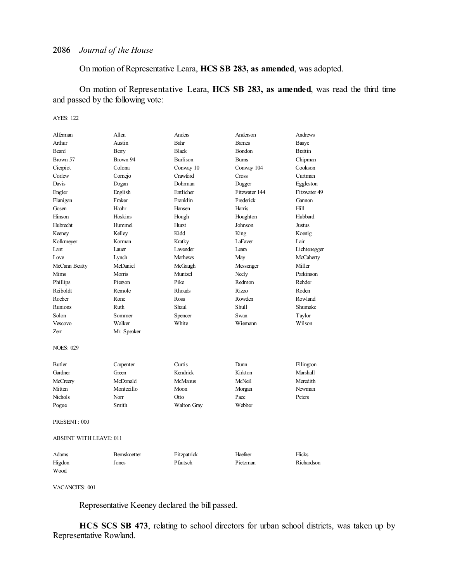On motion of Representative Leara, **HCS SB 283, as amended**, was adopted.

On motion of Representative Leara, **HCS SB 283, as amended**, was read the third time and passed by the following vote:

# AYES: 122

| Alferman         | Allen                         | Anders             | Anderson      | Andrews        |  |
|------------------|-------------------------------|--------------------|---------------|----------------|--|
| Arthur           | Austin                        | Bahr               | <b>Bames</b>  | Basye          |  |
| Beard            | Berry                         | <b>Black</b>       | Bondon        | <b>Brattin</b> |  |
| Brown 57         | Brown 94                      | <b>Burlison</b>    | <b>Bums</b>   | Chipman        |  |
| Cierpiot         | Colona                        | Conway 10          | Conway 104    | Cookson        |  |
| Corlew           | Cornejo                       | Crawford           | Cross         | Curtman        |  |
| Davis            | Dogan                         | Dohrman            | Dugger        | Eggleston      |  |
| Engler           | English                       | Entlicher          | Fitzwater 144 | Fitzwater 49   |  |
| Flanigan         | Fraker                        | Franklin           | Frederick     | Gannon         |  |
| Gosen            | Haahr                         | Hansen             | Harris        | Hill           |  |
| Hinson           | Hoskins                       | Hough              | Houghton      | Hubbard        |  |
| Hubrecht         | Hummel                        | Hurst              | Johnson       | Justus         |  |
| Keeney           | Kelley                        | Kidd               | King          | Koenig         |  |
| Kolkmeyer        | Korman                        | Kratky             | LaFaver       | Lair           |  |
| Lant             | Lauer                         | Lavender           | Leara         | Lichtenegger   |  |
| Love             | Lynch                         | <b>Mathews</b>     | May           | McCaherty      |  |
| McCann Beatty    | McDaniel                      | McGaugh            | Messenger     | Miller         |  |
| Mims             | Morris                        | Muntzel            | Neely         | Parkinson      |  |
| Phillips         | Pierson                       | Pike               | Redmon        | Rehder         |  |
| Reiboldt         | Remole                        | Rhoads             | Rizzo         | Roden          |  |
| Roeber           | Rone                          | Ross               | Rowden        | Rowland        |  |
| Runions          | Ruth                          | Shaul              | Shull         | Shumake        |  |
| Solon            | Sommer                        | Spencer            | Swan          | Taylor         |  |
| Vescovo          | Walker                        | White              | Wiemann       | Wilson         |  |
| Zerr             | Mr. Speaker                   |                    |               |                |  |
| <b>NOES: 029</b> |                               |                    |               |                |  |
| <b>Butler</b>    | Carpenter                     | Curtis             | Dunn          | Ellington      |  |
| Gardner          | Green                         | Kendrick           | Kirkton       | Marshall       |  |
| McCreery         | McDonald                      | <b>McManus</b>     | McNeil        | Meredith       |  |
| Mitten           | Montecillo                    | Moon               | Morgan        | Newman         |  |
| Nichols          | Norr                          | Otto               | Pace          | Peters         |  |
| Pogue            | Smith                         | <b>Walton Gray</b> | Webber        |                |  |
| PRESENT: 000     |                               |                    |               |                |  |
|                  | <b>ABSENT WITH LEAVE: 011</b> |                    |               |                |  |
|                  |                               |                    |               |                |  |

| Adams  | <b>Bernskoetter</b> | Fitzpatrick | Haefner  | Hicks      |
|--------|---------------------|-------------|----------|------------|
| Higdon | Jones               | Pfautsch    | Pietzman | Richardson |
| Wood   |                     |             |          |            |

VACANCIES: 001

Representative Keeney declared the bill passed.

**HCS SCS SB 473**, relating to school directors for urban school districts, was taken up by Representative Rowland.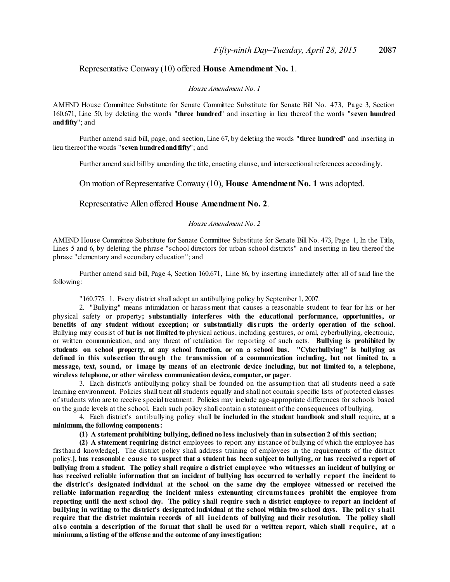# Representative Conway (10) offered **House Amendment No. 1**.

#### *House Amendment No. 1*

AMEND House Committee Substitute for Senate Committee Substitute for Senate Bill No. 473, Page 3, Section 160.671, Line 50, by deleting the words "**three hundred**" and inserting in lieu thereof the words "**seven hundred** and fifty"; and

Further amend said bill, page, and section, Line 67, by deleting the words "**three hundred**" and inserting in lieu thereof the words "**seven hundredandfifty**"; and

Further amend said bill by amending the title, enacting clause, and intersectional references accordingly.

On motion of Representative Conway (10), **House Amendment No. 1** was adopted.

Representative Allen offered **House Amendment No. 2**.

### *House Amendment No. 2*

AMEND House Committee Substitute for Senate Committee Substitute for Senate Bill No. 473, Page 1, In the Title, Lines 5 and 6, by deleting the phrase "school directors for urban school districts" and inserting in lieu thereof the phrase "elementary and secondary education"; and

Further amend said bill, Page 4, Section 160.671, Line 86, by inserting immediately after all of said line the following:

"160.775. 1. Every district shall adopt an antibullying policy by September 1, 2007.

2. "Bullying" means intimidation or harassment that causes a reasonable student to fear for his or her physical safety or property**; substantially interferes with the educational performance, opportunities, or benefits of any student without exception; or substantially dis rupts the orderly operation of the school**. Bullying may consist of **but is not limited to** physical actions, including gestures, or oral, cyberbullying, electronic, or written communication, and any threat of retaliation for reporting of such acts. **Bullying is prohibited by students on school property, at any school function, or on a school bus. "Cyberbullying" is bullying as defined in this subsection through the transmission of a communication including, but not limited to, a** message, text, sound, or image by means of an electronic device including, but not limited to, a telephone, **wireless telephone, or other wireless communication device, computer, or pager**.

3. Each district's antibullying policy shall be founded on the assumption that all students need a safe learning environment. Policies shall treat **all** students equally and shall not contain specific lists of protected classes ofstudents who are to receive special treatment. Policies may include age-appropriate differences for schools based on the grade levels at the school. Each such policy shall contain a statement of the consequences of bullying.

4. Each district's antibullying policy shall **be included in the student handbook and shall** require**, at a minimum, the following components:**

**(1) A statement prohibiting bullying, definedno less inclusively than in subsection 2 of this section;**

**(2) A statement requiring** district employees to report any instance of bullying of which the employee has firsthand knowledge**[**. The district policy shall address training of employees in the requirements of the district policy.], has reasonable cause to suspect that a student has been subject to bullying, or has received a report of bullying from a student. The policy shall require a district employee who witnesses an incident of bullying or has received reliable information that an incident of bullying has occurred to verbally report the incident to **the district's designated individual at the school on the same day the employee witnessed or received the reliable information regarding the incident unless extenuating circumstances prohibit the employee from** reporting until the next school day. The policy shall require such a district employee to report an incident of bullying in writing to the district's designated individual at the school within two school days. The policy shall require that the district maintain records of all incidents of bullying and their resolution. The policy shall also contain a description of the format that shall be used for a written report, which shall require, at a **minimum, a listing of the offense andthe outcome of any investigation;**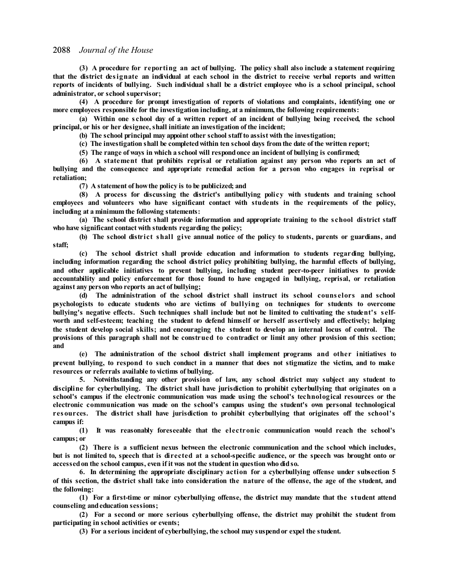**(3) A procedure for reporting an act of bullying. The policy shall also include a statement requiring** that the district designate an individual at each school in the district to receive verbal reports and written reports of incidents of bullying. Such individual shall be a district employee who is a school principal, school **administrator, or school supervisor;**

**(4) A procedure for prompt investigation of reports of violations and complaints, identifying one or more employees responsible for the investigation including, at a minimum, the following requirements:**

(a) Within one school day of a written report of an incident of bullying being received, the school **principal, or his or her designee, shall initiate an investigation of the incident;**

**(b) The school principal may appoint other school staff to assist with the investigation;**

**(c) The investigation shall be completedwithin ten school days from the date of the written report;**

**(5) The range of ways in which a school will respondonce an incident of bullying is confirmed;**

**(6) A statement that prohibits reprisal or retaliation against any person who reports an act of bullying and the consequence and appropriate remedial action for a person who engages in reprisal or retaliation;**

**(7) A statement of howthe policy is to be publicized; and**

**(8) A process for discussing the district's antibullying policy with students and training school employees and volunteers who have significant contact with students in the requirements of the policy, including at a minimum the following statements:**

**(a) The school district shall provide information and appropriate training to the s chool district staff who have significant contact with students regarding the policy;**

**(b) The school district shall give annual notice of the policy to students, parents or guardians, and staff;**

**(c) The school district shall provide education and information to students regarding bullying, including information regarding the school district policy prohibiting bullying, the harmful effects of bullying, and other applicable initiatives to prevent bullying, including student peer-to-peer initiatives to provide accountability and policy enforcement for those found to have engaged in bullying, reprisal, or retaliation against any person who reports an act of bullying;**

**(d) The administration of the school district shall instruct its school couns elors and school psychologists to educate students who are victims of bullying on techniques for students to overcome** bullying's negative effects. Such techniques shall include but not be limited to cultivating the student's self**worth and self-esteem; teaching the student to defend himself or herself assertively and effectively; helping** the student develop social skills; and encouraging the student to develop an internal locus of control. The provisions of this paragraph shall not be construed to contradict or limit any other provision of this section; **and**

**(e) The administration of the school district shall implement programs and other initiatives to** prevent bullying, to respond to such conduct in a manner that does not stigmatize the victim, and to make **resources or referrals available to victims of bullying.**

**5. Notwithstanding any other provision of law, any school district may subject any student to discipline for cyberbullying. The district shall have jurisdiction to prohibit cyberbullying that originates on a school's campus if the electronic communication was made using the school's technological resources or the electronic communication was made on the school's campus using the student's own personal technological res ources. The district shall have jurisdiction to prohibit cyberbullying that originates off the school's campus if:**

**(1) It was reasonably foreseeable that the electronic communication would reach the school's campus; or**

**(2) There is a sufficient nexus between the electronic communication and the school which includes,** but is not limited to, speech that is directed at a school-specific audience, or the speech was brought onto or **accessedon the school campus, even if it was not the student in question who didso.**

**6. In determining the appropriate disciplinary action for a cyberbullying offense under subsection 5** of this section, the district shall take into consideration the nature of the offense, the age of the student, and **the following:**

**(1) For a first-time or minor cyberbullying offense, the district may mandate that the student attend counseling andeducation sessions;**

**(2) For a second or more serious cyberbullying offense, the district may prohibit the student from participating in school activities or events;**

**(3) For a serious incident of cyberbullying, the school may suspendor expel the student.**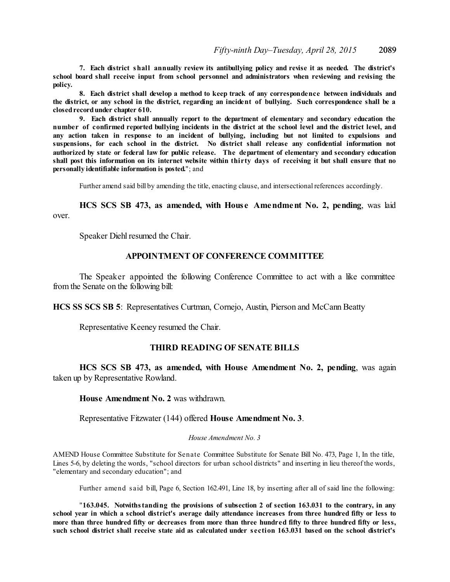**7. Each district shall annually review its antibullying policy and revise it as needed. The district's school board shall receive input from school personnel and administrators when reviewing and revising the policy.**

**8. Each district shall develop a method to keep track of any correspondence between individuals and** the district, or any school in the district, regarding an incident of bullying. Such correspondence shall be a **closedrecordunder chapter 610.**

**9. Each district shall annually report to the department of elementary and secondary education the** number of confirmed reported bullying incidents in the district at the school level and the district level, and **any action taken in response to an incident of bullying, including but not limited to expulsions and suspensions, for each school in the district. No district shall release any confidential information not authorized by state or federal law for public release. The department of elementary and secondary education** shall post this information on its internet website within thirty days of receiving it but shall ensure that no **personally identifiable information is posted.**"; and

Further amend said bill by amending the title, enacting clause, and intersectional references accordingly.

# **HCS SCS SB 473, as amended, with House Amendment No. 2, pending**, was laid over.

Speaker Diehl resumed the Chair.

# **APPOINTMENT OF CONFERENCE COMMITTEE**

The Speaker appointed the following Conference Committee to act with a like committee from the Senate on the following bill:

**HCS SS SCS SB 5**: Representatives Curtman, Cornejo, Austin, Pierson and McCann Beatty

Representative Keeney resumed the Chair.

# **THIRD READING OF SENATE BILLS**

**HCS SCS SB 473, as amended, with House Amendment No. 2, pending**, was again taken up by Representative Rowland.

**House Amendment No. 2** was withdrawn.

Representative Fitzwater (144) offered **House Amendment No. 3**.

#### *House Amendment No. 3*

AMEND House Committee Substitute for Senate Committee Substitute for Senate Bill No. 473, Page 1, In the title, Lines 5-6, by deleting the words, "school directors for urban school districts" and inserting in lieu thereof the words, "elementary and secondary education"; and

Further amend s aid bill, Page 6, Section 162.491, Line 18, by inserting after all of said line the following:

"**163.045. Notwithstanding the provisions of subsection 2 of section 163.031 to the contrary, in any** school year in which a school district's average daily attendance increases from three hundred fifty or less to more than three hundred fifty or decreases from more than three hundred fifty to three hundred fifty or less, such school district shall receive state aid as calculated under section 163.031 based on the school district's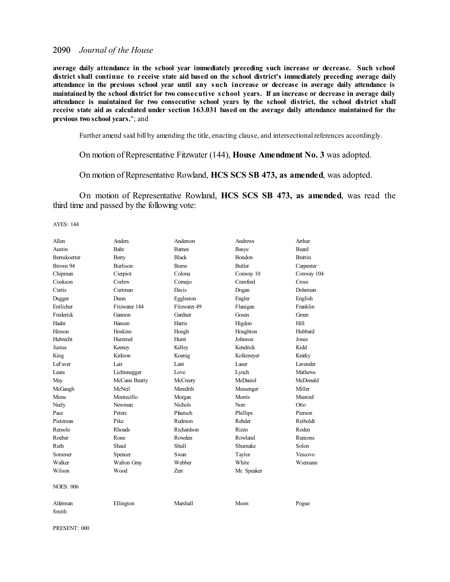**average daily attendance in the school year immediately preceding such increase or decrease. Such school district shall continue to receive state aid based on the school district's immediately preceding average daily attendance in the previous school year until any such increase or decrease in average daily attendance is** maintained by the school district for two consecutive school years. If an increase or decrease in average daily **attendance is maintained for two consecutive school years by the school district, the school district shall** receive state aid as calculated under section 163.031 based on the average daily attendance maintained for the **previous two school years.**"; and

Further amend said bill by amending the title, enacting clause, and intersectional references accordingly.

On motion of Representative Fitzwater (144), **House Amendment No. 3** was adopted.

On motion of Representative Rowland, **HCS SCS SB 473, as amended**, was adopted.

On motion of Representative Rowland, **HCS SCS SB 473, as amended**, was read the third time and passed by the following vote:

AYES: 144

| Allen             | Anders          | Anderson       | Andrews       | Arthur          |
|-------------------|-----------------|----------------|---------------|-----------------|
| Austin            | Bahr            | <b>Barnes</b>  | <b>Basye</b>  | <b>Beard</b>    |
| Bernskoetter      | Berry           | <b>Black</b>   | Bondon        | <b>Brattin</b>  |
| Brown 94          | <b>Burlison</b> | <b>Bums</b>    | <b>Butler</b> | Carpenter       |
| Chipman           | Cierpiot        | Colona         | Conway 10     | Conway 104      |
| Cookson           | Corlew          | Comejo         | Crawford      | Cross           |
| Curtis            | Curtman         | Davis          | Dogan         | <b>Dohrman</b>  |
| Dugger            | Dunn            | Eggleston      | Engler        | English         |
| Entlicher         | Fitzwater 144   | Fitzwater 49   | Flanigan      | Franklin        |
| Frederick         | Gannon          | Gardner        | Gosen         | Green           |
| Haahr             | Hansen          | Harris         | Higdon        | Hill            |
| Hinson            | Hoskins         | Hough          | Houghton      | Hubbard         |
| <b>Hubrecht</b>   | Hummel          | Hurst          | Johnson       | Jones           |
| Justus            | Keeney          | Kelley         | Kendrick      | Kidd            |
| King              | Kirkton         | Koenig         | Kolkmeyer     | Kratky          |
| LaFaver           | Lair            | Lant           | Lauer         | <b>Lavender</b> |
| Leara             | Lichtenegger    | Love           | Lynch         | <b>Mathews</b>  |
| May               | McCann Beatty   | McCreery       | McDaniel      | McDonald        |
| McGaugh           | McNeil          | Meredith       | Messenger     | Miller          |
| Mims              | Montecillo      | Morgan         | Morris        | Muntzel         |
| Neely             | Newman          | <b>Nichols</b> | Norr          | Otto            |
| Pace              | Peters          | Pfautsch       | Phillips      | Pierson         |
| Pietzman          | Pike            | Redmon         | Rehder        | Reiboldt        |
| Remole            | <b>Rhoads</b>   | Richardson     | Rizzo         | Roden           |
| Roeber            | Rone            | Rowden         | Rowland       | <b>Runions</b>  |
| Ruth              | Shaul           | Shull          | Shumake       | Solon           |
| Sommer            | Spencer         | Swan           | Taylor        | Vescovo         |
| Walker            | Walton Gray     | Webber         | White         | Wiemann         |
| Wilson            | Wood            | Zerr           | Mr. Speaker   |                 |
| <b>NOES: 006</b>  |                 |                |               |                 |
| Alferman<br>Smith | Ellington       | Marshall       | Moon          | Pogue           |

PRESENT: 000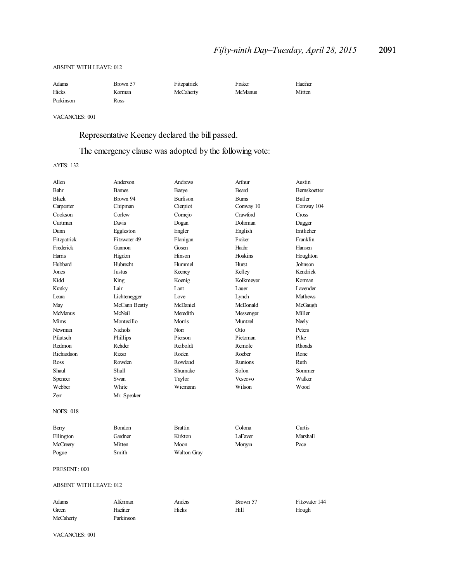#### ABSENT WITH LEAVE: 012

| Adams     | Brown 57 | Fitzpatrick | Fraker  | Haefner |
|-----------|----------|-------------|---------|---------|
| Hicks     | Korman   | McCaherty   | McManus | Mitten  |
| Parkinson | Ross     |             |         |         |

VACANCIES: 001

Representative Keeney declared the bill passed.

# The emergency clause was adopted by the following vote:

AYES: 132

| Allen                  | Anderson      | Andrews         | Arthur       | Austin          |
|------------------------|---------------|-----------------|--------------|-----------------|
| Bahr                   | <b>Barnes</b> | Basye           | <b>Beard</b> | Bernskoetter    |
| <b>Black</b>           | Brown 94      | <b>Burlison</b> | <b>Burns</b> | <b>Butler</b>   |
| Carpenter              | Chipman       | Cierpiot        | Conway 10    | Conway 104      |
| Cookson                | Corlew        | Cornejo         | Crawford     | Cross           |
| Curtman                | Davis         | Dogan           | Dohrman      | Dugger          |
| Dunn                   | Eggleston     | Engler          | English      | Entlicher       |
| Fitzpatrick            | Fitzwater 49  | Flanigan        | Fraker       | Franklin        |
| Frederick              | Gannon        | Gosen           | Haahr        | Hansen          |
| Harris                 | Higdon        | Hinson          | Hoskins      | Houghton        |
| Hubbard                | Hubrecht      | Hummel          | Hurst        | Johnson         |
| Jones                  | Justus        | Keeney          | Kelley       | Kendrick        |
| Kidd                   | King          | Koenig          | Kolkmeyer    | Korman          |
| Kratky                 | Lair          | Lant            | Lauer        | <b>Lavender</b> |
| Leara                  | Lichtenegger  | Love            | Lynch        | <b>Mathews</b>  |
| May                    | McCann Beatty | McDaniel        | McDonald     | McGaugh         |
| <b>McManus</b>         | McNeil        | Meredith        | Messenger    | Miller          |
| Mims                   | Montecillo    | Morris          | Muntzel      | Neely           |
| Newman                 | Nichols       | Norr            | Otto         | Peters          |
| Pfautsch               | Phillips      | Pierson         | Pietzman     | Pike            |
| Redmon                 | Rehder        | Reiboldt        | Remole       | Rhoads          |
| Richardson             | Rizzo         | Roden           | Roeber       | Rone            |
| Ross                   | Rowden        | Rowland         | Runions      | Ruth            |
| Shaul                  | <b>Shull</b>  | Shumake         | Solon        | Sommer          |
| Spencer                | Swan          | Taylor          | Vescovo      | Walker          |
| Webber                 | White         | Wiemann         | Wilson       | Wood            |
| Zerr                   | Mr. Speaker   |                 |              |                 |
| <b>NOES: 018</b>       |               |                 |              |                 |
| Berry                  | Bondon        | <b>Brattin</b>  | Colona       | Curtis          |
| Ellington              | Gardner       | Kirkton         | LaFaver      | <b>Marshall</b> |
| McCreery               | Mitten        | Moon            | Morgan       | Pace            |
| Pogue                  | Smith         | Walton Gray     |              |                 |
| PRESENT: 000           |               |                 |              |                 |
| ABSENT WITH LEAVE: 012 |               |                 |              |                 |
| Adams                  | Alferman      | Anders          | Brown 57     | Fitzwater 144   |

Green Haefner Hicks Hill Hough

McCaherty Parkinson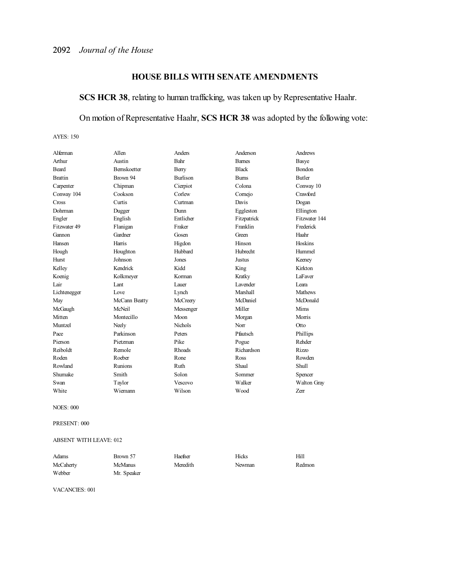# **HOUSE BILLS WITH SENATE AMENDMENTS**

# **SCS HCR 38**, relating to human trafficking, was taken up by Representative Haahr.

# On motion of Representative Haahr, **SCS HCR 38** was adopted by the following vote:

AYES: 150

| Alferman       | Allen               | Anders          | Anderson        | Andrews       |
|----------------|---------------------|-----------------|-----------------|---------------|
| Arthur         | Austin              | Bahr            | <b>Barnes</b>   | Basye         |
| Beard          | <b>Bernskoetter</b> | Berry           | <b>Black</b>    | <b>Bondon</b> |
| <b>Brattin</b> | Brown 94            | <b>Burlison</b> | <b>Burns</b>    | <b>Butler</b> |
| Carpenter      | Chipman             | Cierpiot        | Colona          | Conway 10     |
| Conway 104     | Cookson             | Corlew          | Comejo          | Crawford      |
| Cross          | Curtis              | Curtman         | Davis           | Dogan         |
| Dohrman        | Dugger              | Dunn            | Eggleston       | Ellington     |
| Engler         | English             | Entlicher       | Fitzpatrick     | Fitzwater 144 |
| Fitzwater 49   | Flanigan            | Fraker          | Franklin        | Frederick     |
| Gannon         | Gardner             | Gosen           | Green           | Haahr         |
| Hansen         | Harris              | Higdon          | Hinson          | Hoskins       |
| Hough          | Houghton            | Hubbard         | Hubrecht        | Hummel        |
| Hurst          | Johnson             | Jones           | Justus          | Keeney        |
| Kelley         | Kendrick            | Kidd            | King            | Kirkton       |
| Koenig         | Kolkmeyer           | Korman          | Kratky          | LaFaver       |
| Lair           | Lant                | Lauer           | <b>Lavender</b> | I eara        |
| Lichtenegger   | Love                | Lynch           | Marshall        | Mathews       |
| May            | McCann Beatty       | McCreery        | McDaniel        | McDonald      |
| McGaugh        | McNeil              | Messenger       | Miller          | Mims          |
| Mitten         | Montecillo          | Moon            | Morgan          | Morris        |
| Muntzel        | Neely               | <b>Nichols</b>  | Norr            | Otto          |
| Pace           | Parkinson           | Peters          | Pfautsch        | Phillips      |
| Pierson        | Pietzman            | Pike            | Pogue           | Rehder        |
| Reiboldt       | Remole              | Rhoads          | Richardson      | Rizzo         |
| Roden          | Roeber              | Rone            | Ross            | Rowden        |
| Rowland        | Runions             | Ruth            | Shaul           | <b>Shull</b>  |
| Shumake        | Smith               | Solon           | Sommer          | Spencer       |
| Swan           | Taylor              | Vescovo         | Walker          | Walton Gray   |
| White          | Wiemann             | Wilson          | Wood            | Zerr          |

NOES: 000

PRESENT: 000

#### ABSENT WITH LEAVE: 012

| Adams     | Brown 57    | Haefner  | Hicks  | Hill   |
|-----------|-------------|----------|--------|--------|
| McCaherty | McManus     | Meredith | Newman | Redmon |
| Webber    | Mr. Speaker |          |        |        |

VACANCIES: 001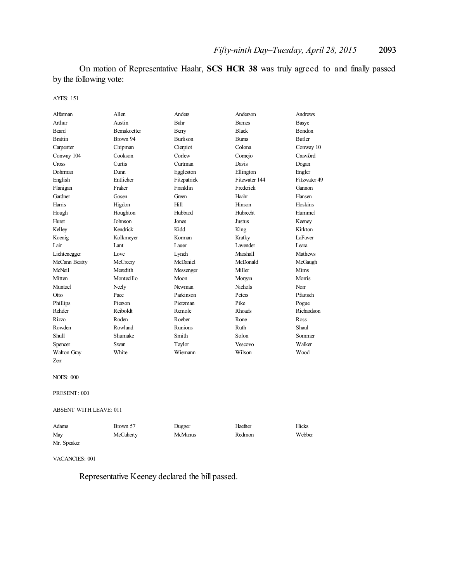On motion of Representative Haahr, **SCS HCR 38** was truly agreed to and finally passed by the following vote:

AYES: 151

| Alferman         | Allen        | Anders          | Anderson       | <b>Andrews</b> |
|------------------|--------------|-----------------|----------------|----------------|
| Arthur           | Austin       | Bahr            | <b>Barnes</b>  | Basye          |
| Beard            | Bernskoetter | Berry           | <b>Black</b>   | Bondon         |
| <b>Brattin</b>   | Brown 94     | <b>Burlison</b> | <b>Burns</b>   | <b>Butler</b>  |
| Carpenter        | Chipman      | Cierpiot        | Colona         | Conway 10      |
| Conway 104       | Cookson      | Corlew          | Comejo         | Crawford       |
| Cross            | Curtis       | Curtman         | Davis          | Dogan          |
| Dohrman          | Dunn         | Eggleston       | Ellington      | Engler         |
| English          | Entlicher    | Fitzpatrick     | Fitzwater 144  | Fitzwater 49   |
| Flanigan         | Fraker       | Franklin        | Frederick      | Gannon         |
| Gardner          | Gosen        | Green           | Haahr          | Hansen         |
| Harris           | Higdon       | Hill            | Hinson         | Hoskins        |
| Hough            | Houghton     | Hubbard         | Hubrecht       | Hummel         |
| Hurst            | Johnson      | Jones           | <b>Justus</b>  | Keeney         |
| Kelley           | Kendrick     | Kidd            | King           | Kirkton        |
| Koenig           | Kolkmeyer    | Korman          | Kratky         | LaFaver        |
| Lair             | Lant         | Lauer           | Lavender       | Leara          |
| Lichtenegger     | Love         | Lynch           | Marshall       | <b>Mathews</b> |
| McCann Beatty    | McCreery     | McDaniel        | McDonald       | McGaugh        |
| McNeil           | Meredith     | Messenger       | Miller         | Mims           |
| Mitten           | Montecillo   | Moon            | Morgan         | Morris         |
| Muntzel          | Neely        | Newman          | <b>Nichols</b> | Norr           |
| Otto             | Pace         | Parkinson       | Peters         | Pfautsch       |
| Phillips         | Pierson      | Pietzman        | Pike           | Pogue          |
| Rehder           | Reiboldt     | Remole          | <b>Rhoads</b>  | Richardson     |
| Rizzo            | Roden        | Roeber          | Rone           | Ross           |
| Rowden           | Rowland      | <b>Runions</b>  | Ruth           | Shaul          |
| Shull            | Shumake      | Smith           | Solon          | Sommer         |
| Spencer          | Swan         | Taylor          | Vescovo        | Walker         |
| Walton Gray      | White        | Wiemann         | Wilson         | Wood           |
| Zerr             |              |                 |                |                |
|                  |              |                 |                |                |
| <b>NOES: 000</b> |              |                 |                |                |

PRESENT: 000

#### ABSENT WITH LEAVE: 011

| Adams       | Brown 57  | Dugger  | Haefner | Hicks  |
|-------------|-----------|---------|---------|--------|
| May         | McCaherty | McManus | Redmon  | Webber |
| Mr. Speaker |           |         |         |        |

VACANCIES: 001

Representative Keeney declared the bill passed.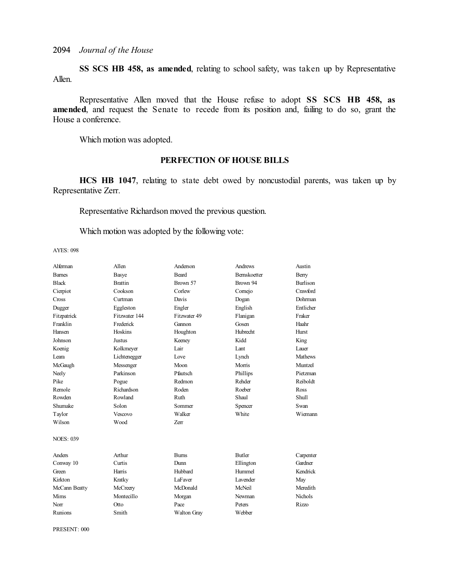**SS SCS HB 458, as amended**, relating to school safety, was taken up by Representative Allen.

Representative Allen moved that the House refuse to adopt **SS SCS HB 458, as** amended, and request the Senate to recede from its position and, failing to do so, grant the House a conference.

Which motion was adopted.

# **PERFECTION OF HOUSE BILLS**

**HCS HB 1047**, relating to state debt owed by noncustodial parents, was taken up by Representative Zerr.

Representative Richardson moved the previous question.

Which motion was adopted by the following vote:

AYES: 098

| Alferman         | Allen          | Anderson           | <b>Andrews</b>      | Austin          |
|------------------|----------------|--------------------|---------------------|-----------------|
| <b>Barnes</b>    | Basye          | <b>Beard</b>       | <b>Bernskoetter</b> | Berry           |
| <b>Black</b>     | <b>Brattin</b> | Brown 57           | Brown 94            | <b>Burlison</b> |
| Cierpiot         | Cookson        | Corlew             | Cornejo             | Crawford        |
| Cross            | Curtman        | Davis              | Dogan               | Dohrman         |
| Dugger           | Eggleston      | Engler             | English             | Entlicher       |
| Fitzpatrick      | Fitzwater 144  | Fitzwater 49       | Flanigan            | Fraker          |
| Franklin         | Frederick      | Gannon             | Gosen               | Haahr           |
| Hansen           | Hoskins        | Houghton           | Hubrecht            | Hurst           |
| Johnson          | Justus         | Keeney             | Kidd                | King            |
| Koenig           | Kolkmeyer      | Lair               | Lant                | Lauer           |
| Leara            | Lichtenegger   | Love               | Lynch               | Mathews         |
| McGaugh          | Messenger      | Moon               | Morris              | Muntzel         |
| Neely            | Parkinson      | Pfautsch           | Phillips            | Pietzman        |
| Pike             | Pogue          | Redmon             | Rehder              | Reiboldt        |
| Remole           | Richardson     | Roden              | Roeber              | Ross            |
| Rowden           | Rowland        | Ruth               | Shaul               | Shull           |
| Shumake          | Solon          | Sommer             | Spencer             | Swan            |
| Taylor           | <b>Vescovo</b> | Walker             | White               | Wiemann         |
| Wilson           | Wood           | Zerr               |                     |                 |
| <b>NOES: 039</b> |                |                    |                     |                 |
| Anders           | Arthur         | <b>Bums</b>        | <b>Butler</b>       | Carpenter       |
| Conway 10        | Curtis         | Dunn               | Ellington           | Gardner         |
| Green            | Harris         | Hubbard            | Hummel              | Kendrick        |
| Kirkton          | Kratky         | LaFaver            | Lavender            | May             |
| McCann Beatty    | McCreery       | McDonald           | McNeil              | Meredith        |
| Mims             | Montecillo     | Morgan             | Newman              | <b>Nichols</b>  |
| Norr             | Otto           | Pace               | Peters              | Rizzo           |
| Runions          | Smith          | <b>Walton Gray</b> | Webber              |                 |

PRESENT: 000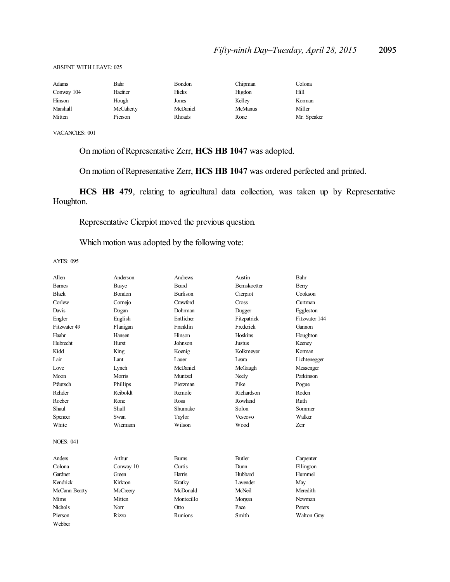### ABSENT WITH LEAVE: 025

| Adams      | Bahr      | Bondon   | Chipman        | Colona      |
|------------|-----------|----------|----------------|-------------|
| Conway 104 | Haefner   | Hicks    | Higdon         | Hill        |
| Hinson     | Hough     | Jones    | Kelley         | Korman      |
| Marshall   | McCaherty | McDaniel | <b>McManus</b> | Miller      |
| Mitten     | Pierson   | Rhoads   | Rone           | Mr. Speaker |

VACANCIES: 001

On motion of Representative Zerr, **HCS HB 1047** was adopted.

On motion of Representative Zerr, **HCS HB 1047** was ordered perfected and printed.

**HCS HB 479**, relating to agricultural data collection, was taken up by Representative Houghton.

Representative Cierpiot moved the previous question.

Which motion was adopted by the following vote:

AYES: 095

| Allen            | Anderson     | Andrews         | Austin             | Bahr          |
|------------------|--------------|-----------------|--------------------|---------------|
| <b>Barnes</b>    | Basye        | Beard           | <b>Bemskoetter</b> | Berry         |
| <b>Black</b>     | Bondon       | <b>Burlison</b> | Cierpiot           | Cookson       |
| Corlew           |              | Crawford        | Cross              | Curtman       |
|                  | Cornejo      |                 |                    |               |
| Davis            | Dogan        | Dohrman         | Dugger             | Eggleston     |
| Engler           | English      | Entlicher       | Fitzpatrick        | Fitzwater 144 |
| Fitzwater 49     | Flanigan     | Franklin        | Frederick          | Gannon        |
| Haahr            | Hansen       | Hinson          | Hoskins            | Houghton      |
| Hubrecht         | <b>Hurst</b> | Johnson         | <b>Justus</b>      | Keeney        |
| Kidd             | King         | Koenig          | Kolkmeyer          | Korman        |
| Lair             | Lant         | Lauer           | Leara              | Lichtenegger  |
| Love             | Lynch        | McDaniel        | McGaugh            | Messenger     |
| Moon             | Morris       | Muntzel         | Neely              | Parkinson     |
| Pfautsch         | Phillips     | Pietzman        | Pike               | Pogue         |
| Rehder           | Reiboldt     | Remole          | Richardson         | Roden         |
| Roeber           | Rone         | Ross            | Rowland            | Ruth          |
| Shaul            | Shull        | Shumake         | Solon              | Sommer        |
| Spencer          | Swan         | Taylor          | <b>Vescovo</b>     | Walker        |
| White            | Wiemann      | Wilson          | Wood               | <b>Zerr</b>   |
| <b>NOES: 041</b> |              |                 |                    |               |
| Anders           | Arthur       | <b>Burns</b>    | <b>Butler</b>      | Carpenter     |
| Colona           | Conway 10    | Curtis          | Dunn               | Ellington     |
| Gardner          | Green        | Harris          | Hubbard            | Hummel        |
| Kendrick         | Kirkton      | Kratky          | Lavender           | May           |
| McCann Beatty    | McCreery     | McDonald        | McNeil             | Meredith      |
| Mims             | Mitten       | Montecillo      | Morgan             | Newman        |
| <b>Nichols</b>   | Norr         | Otto            | Pace               | Peters        |
| Pierson          | Rizzo        | Runions         | Smith              | Walton Gray   |
| Webber           |              |                 |                    |               |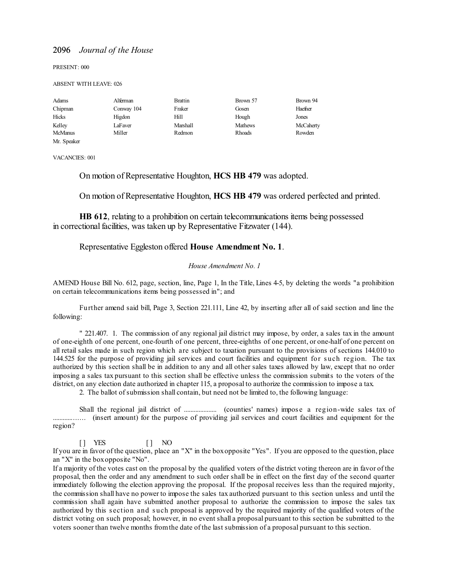PRESENT: 000

ABSENT WITH LEAVE: 026

| Adams          | Alferman   | <b>Brattin</b> | Brown 57       | Brown 94  |
|----------------|------------|----------------|----------------|-----------|
| Chipman        | Conway 104 | Fraker         | Gosen          | Haefner   |
| Hicks          | Higdon     | Hill           | Hough          | Jones     |
| Kelley         | LaFaver    | Marshall       | <b>Mathews</b> | McCaherty |
| <b>McManus</b> | Miller     | Redmon         | <b>Rhoads</b>  | Rowden    |
| Mr. Speaker    |            |                |                |           |

VACANCIES: 001

On motion of Representative Houghton, **HCS HB 479** was adopted.

On motion of Representative Houghton, **HCS HB 479** was ordered perfected and printed.

**HB 612**, relating to a prohibition on certain telecommunications items being possessed in correctional facilities, was taken up by Representative Fitzwater (144).

# Representative Eggleston offered **House Amendment No. 1**.

#### *House Amendment No. 1*

AMEND House Bill No. 612, page, section, line, Page 1, In the Title, Lines 4-5, by deleting the words "a prohibition on certain telecommunications items being possessed in"; and

Further amend said bill, Page 3, Section 221.111, Line 42, by inserting after all of said section and line the following:

" 221.407. 1. The commission of any regional jail district may impose, by order, a sales tax in the amount of one-eighth of one percent, one-fourth of one percent, three-eighths of one percent, or one-half of one percent on all retail sales made in such region which are subject to taxation pursuant to the provisions of sections 144.010 to 144.525 for the purpose of providing jail services and court facilities and equipment for s uch region. The tax authorized by this section shall be in addition to any and all other sales taxes allowed by law, except that no order imposing a sales tax pursuant to this section shall be effective unless the commission submits to the voters of the district, on any election date authorized in chapter 115, a proposal to authorize the commission to impose a tax.

2. The ballot of submission shall contain, but need not be limited to, the following language:

Shall the regional jail district of .................... (counties' names) impos e a region-wide sales tax of .................. (insert amount) for the purpose of providing jail services and court facilities and equipment for the region?

[ ] YES [ ] NO

If you are in favor of the question, place an "X" in the boxopposite "Yes". If you are opposed to the question, place an "X" in the boxopposite "No".

If a majority of the votes cast on the proposal by the qualified voters of the district voting thereon are in favor of the proposal, then the order and any amendment to such order shall be in effect on the first day of the second quarter immediately following the election approving the proposal. If the proposal receives less than the required majority, the commission shall have no power to impose the sales tax authorized pursuant to this section unless and until the commission shall again have submitted another proposal to authorize the commission to impose the sales tax authorized by this s ection and s uch proposal is approved by the required majority of the qualified voters of the district voting on such proposal; however, in no event shall a proposal pursuant to this section be submitted to the voters sooner than twelve months fromthe date of the last submission of a proposal pursuant to this section.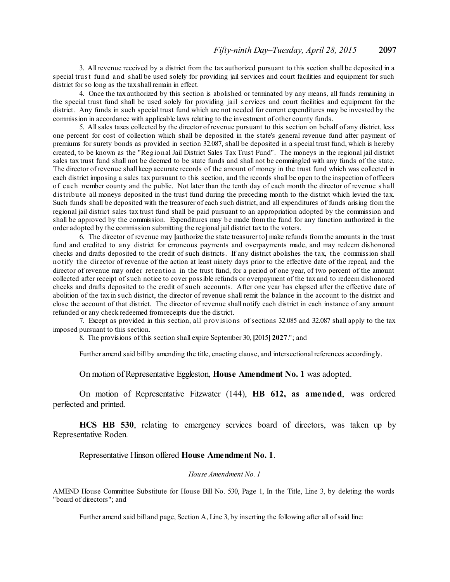3. All revenue received by a district from the tax authorized pursuant to this section shall be deposited in a special trust fund and shall be used solely for providing jail services and court facilities and equipment for such district forso long as the taxshall remain in effect.

4. Once the tax authorized by this section is abolished or terminated by any means, all funds remaining in the special trust fund shall be used solely for providing jail s ervices and court facilities and equipment for the district. Any funds in such special trust fund which are not needed for current expenditures may be invested by the commission in accordance with applicable laws relating to the investment of other county funds.

5. Allsales taxes collected by the director of revenue pursuant to this section on behalf of any district, less one percent for cost of collection which shall be deposited in the state's general revenue fund after payment of premiums for surety bonds as provided in section 32.087, shall be deposited in a special trust fund, which is hereby created, to be known as the "Regional Jail District Sales Tax Trust Fund". The moneys in the regional jail district sales tax trust fund shall not be deemed to be state funds and shall not be commingled with any funds of the state. The director of revenue shall keep accurate records of the amount of money in the trust fund which was collected in each district imposing a sales tax pursuant to this section, and the records shall be open to the inspection of officers of each member county and the public. Not later than the tenth day of each month the director of revenue s hall distribute all moneys deposited in the trust fund during the preceding month to the district which levied the tax. Such funds shall be deposited with the treasurer of each such district, and all expenditures of funds arising from the regional jail district sales tax trust fund shall be paid pursuant to an appropriation adopted by the commission and shall be approved by the commission. Expenditures may be made from the fund for any function authorized in the order adopted by the commission submitting the regional jail district taxto the voters.

6. The director of revenue may **[**authorize the state treasurer to**]** make refunds fromthe amounts in the trust fund and credited to any district for erroneous payments and overpayments made, and may redeem dishonored checks and drafts deposited to the credit of such districts. If any district abolishes the tax, the commission shall notify the director of revenue of the action at least ninety days prior to the effective date of the repeal, and the director of revenue may order retention in the trust fund, for a period of one year, of two percent of the amount collected after receipt of such notice to cover possible refunds or overpayment of the tax and to redeem dishonored checks and drafts deposited to the credit of such accounts. After one year has elapsed after the effective date of abolition of the tax in such district, the director of revenue shall remit the balance in the account to the district and close the account of that district. The director of revenue shall notify each district in each instance of any amount refunded or any check redeemed fromreceipts due the district.

7. Except as provided in this section, all provisions of sections 32.085 and 32.087 shall apply to the tax imposed pursuant to this section.

8. The provisions of this section shall expire September 30, **[**2015**] 2027**."; and

Further amend said bill by amending the title, enacting clause, and intersectional references accordingly.

On motion of Representative Eggleston, **House Amendment No. 1** was adopted.

On motion of Representative Fitzwater (144), **HB 612, as amended**, was ordered perfected and printed.

**HCS HB 530**, relating to emergency services board of directors, was taken up by Representative Roden.

Representative Hinson offered **House Amendment No. 1**.

#### *House Amendment No. 1*

AMEND House Committee Substitute for House Bill No. 530, Page 1, In the Title, Line 3, by deleting the words "board of directors"; and

Further amend said bill and page, Section A, Line 3, by inserting the following after all of said line: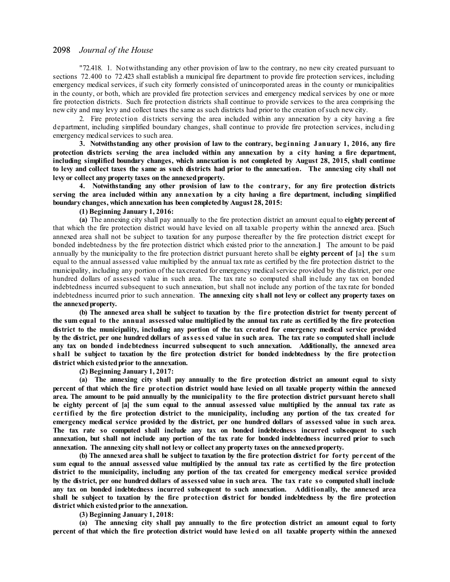"72.418. 1. Notwithstanding any other provision of law to the contrary, no new city created pursuant to sections 72.400 to 72.423 shall establish a municipal fire department to provide fire protection services, including emergency medical services, if such city formerly consisted of unincorporated areas in the county or municipalities in the county, or both, which are provided fire protection services and emergency medical services by one or more fire protection districts. Such fire protection districts shall continue to provide services to the area comprising the new city and may levy and collect taxes the same as such districts had prior to the creation ofsuch new city.

2. Fire protection districts serving the area included within any annexation by a city having a fire department, including simplified boundary changes, shall continue to provide fire protection services, including emergency medical services to such area.

**3. Notwithstanding any other provision of law to the contrary, beginning January 1, 2016, any fire protection districts serving the area included within any annexation by a city having a fire department, including simplified boundary changes, which annexation is not completed by August 28, 2015, shall continue** to levy and collect taxes the same as such districts had prior to the annexation. The annexing city shall not **levy or collect any property taxes on the annexedproperty.**

**4. Notwithstanding any other provision of law to the contrary, for any fire protection districts serving the area included within any annexation by a city having a fire department, including simplified boundary changes, which annexation has been completedby August 28, 2015:**

**(1) Beginning January 1, 2016:**

**(a)** The annexing city shall pay annually to the fire protection district an amount equal to **eighty percent of** that which the fire protection district would have levied on all taxable property within the annexed area. **[**Such annexed area shall not be subject to taxation for any purpose thereafter by the fire protection district except for bonded indebtedness by the fire protection district which existed prior to the annexation.**]** The amount to be paid annually by the municipality to the fire protection district pursuant hereto shall be **eighty percent of [**a**] the** s um equal to the annual assessed value multiplied by the annual tax rate as certified by the fire protection district to the municipality, including any portion of the taxcreated for emergency medicalservice provided by the district, per one hundred dollars of assessed value in such area. The tax rate so computed shall include any tax on bonded indebtedness incurred subsequent to such annexation, but shall not include any portion of the tax rate for bonded indebtedness incurred prior to such annexation. **The annexing city shall not levy or collect any property taxes on the annexedproperty.**

(b) The annexed area shall be subject to taxation by the fire protection district for twenty percent of the sum equal to the annual assessed value multiplied by the annual tax rate as certified by the fire protection **district to the municipality, including any portion of the tax created for emergency medical service provided** by the district, per one hundred dollars of assessed value in such area. The tax rate so computed shall include **any tax on bonded indebtedness incurred subsequent to such annexation. Additionally, the annexed area shall be subject to taxation by the fire protection district for bonded indebtedness by the fire protection district which existedprior to the annexation.**

**(2) Beginning January 1, 2017:**

**(a) The annexing city shall pay annually to the fire protection district an amount equal to sixty** percent of that which the fire protection district would have levied on all taxable property within the annexed area. The amount to be paid annually by the municipality to the fire protection district pursuant hereto shall be eighty percent of [a] the sum equal to the annual assessed value multiplied by the annual tax rate as certified by the fire protection district to the municipality, including any portion of the tax created for emergency medical service provided by the district, per one hundred dollars of assessed value in such area. **The tax rate so computed shall include any tax on bonded indebtedness incurred subsequent to such** annexation, but shall not include any portion of the tax rate for bonded indebtedness incurred prior to such **annexation. The annexing city shall not levy or collect any property taxes on the annexedproperty.**

(b) The annexed area shall be subject to taxation by the fire protection district for forty percent of the sum equal to the annual assessed value multiplied by the annual tax rate as certified by the fire protection **district to the municipality, including any portion of the tax created for emergency medical service provided** by the district, per one hundred dollars of assessed value in such area. The tax rate so computed shall include **any tax on bonded indebtedness incurred subsequent to such annexation. Additionally, the annexed area shall be subject to taxation by the fire protection district for bonded indebtedness by the fire protection district which existedprior to the annexation.**

**(3) Beginning January 1, 2018:**

**(a) The annexing city shall pay annually to the fire protection district an amount equal to forty** percent of that which the fire protection district would have levied on all taxable property within the annexed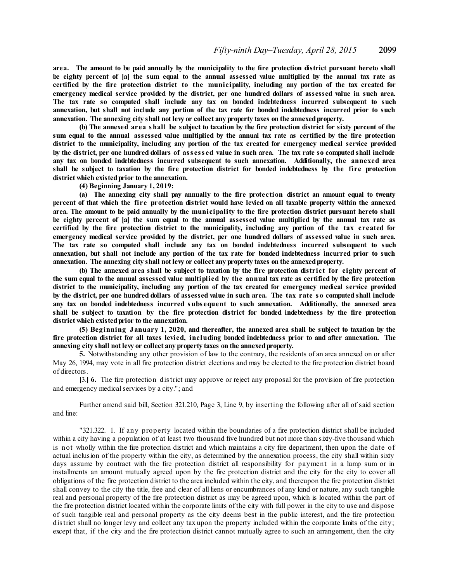area. The amount to be paid annually by the municipality to the fire protection district pursuant hereto shall be eighty percent of [a] the sum equal to the annual assessed value multiplied by the annual tax rate as certified by the fire protection district to the municipality, including any portion of the tax created for emergency medical service provided by the district, per one hundred dollars of assessed value in such area. **The tax rate so computed shall include any tax on bonded indebtedness incurred subsequent to such** annexation, but shall not include any portion of the tax rate for bonded indebtedness incurred prior to such **annexation. The annexing city shall not levy or collect any property taxes on the annexedproperty.**

(b) The annexed area shall be subject to taxation by the fire protection district for sixty percent of the sum equal to the annual assessed value multiplied by the annual tax rate as certified by the fire protection **district to the municipality, including any portion of the tax created for emergency medical service provided** by the district, per one hundred dollars of assessed value in such area. The tax rate so computed shall include **any tax on bonded indebtedness incurred subsequent to such annexation. Additionally, the annexed area** shall be subject to taxation by the fire protection district for bonded indebtedness by the fire protection **district which existedprior to the annexation.**

**(4) Beginning January 1, 2019:**

**(a) The annexing city shall pay annually to the fire protection district an amount equal to twenty** percent of that which the fire protection district would have levied on all taxable property within the annexed area. The amount to be paid annually by the municipality to the fire protection district pursuant hereto shall be eighty percent of [a] the sum equal to the annual assessed value multiplied by the annual tax rate as certified by the fire protection district to the municipality, including any portion of the tax created for emergency medical service provided by the district, per one hundred dollars of assessed value in such area. **The tax rate so computed shall include any tax on bonded indebtedness incurred subsequent to such** annexation, but shall not include any portion of the tax rate for bonded indebtedness incurred prior to such **annexation. The annexing city shall not levy or collect any property taxes on the annexedproperty.**

**(b) The annexed area shall be subject to taxation by the fire protection district for eighty percent of** the sum equal to the annual assessed value multiplied by the annual tax rate as certified by the fire protection **district to the municipality, including any portion of the tax created for emergency medical service provided** by the district, per one hundred dollars of assessed value in such area. The tax rate so computed shall include **any tax on bonded indebtedness incurred subs equent to such annexation. Additionally, the annexed area** shall be subject to taxation by the fire protection district for bonded indebtedness by the fire protection **district which existedprior to the annexation.**

**(5) Beginning January 1, 2020, and thereafter, the annexed area shall be subject to taxation by the fire protection district for all taxes levied, including bonded indebtedness prior to and after annexation. The annexing city shall not levy or collect any property taxes on the annexedproperty.**

**5.** Notwithstanding any other provision of law to the contrary, the residents of an area annexed on or after May 26, 1994, may vote in all fire protection district elections and may be elected to the fire protection district board of directors.

**[**3.**] 6.** The fire protection district may approve or reject any proposal for the provision of fire protection and emergency medicalservices by a city."; and

Further amend said bill, Section 321.210, Page 3, Line 9, by inserting the following after all of said section and line:

"321.322. 1. If any property located within the boundaries of a fire protection district shall be included within a city having a population of at least two thousand five hundred but not more than sixty-five thousand which is not wholly within the fire protection district and which maintains a city fire department, then upon the date of actual inclusion of the property within the city, as determined by the annexation process, the city shall within sixty days assume by contract with the fire protection district all responsibility for payment in a lump sum or in installments an amount mutually agreed upon by the fire protection district and the city for the city to cover all obligations of the fire protection district to the area included within the city, and thereupon the fire protection district shall convey to the city the title, free and clear of all liens or encumbrances of any kind or nature, any such tangible real and personal property of the fire protection district as may be agreed upon, which is located within the part of the fire protection district located within the corporate limits of the city with full power in the city to use and dispose of such tangible real and personal property as the city deems best in the public interest, and the fire protection district shall no longer levy and collect any tax upon the property included within the corporate limits of the city; except that, if the city and the fire protection district cannot mutually agree to such an arrangement, then the city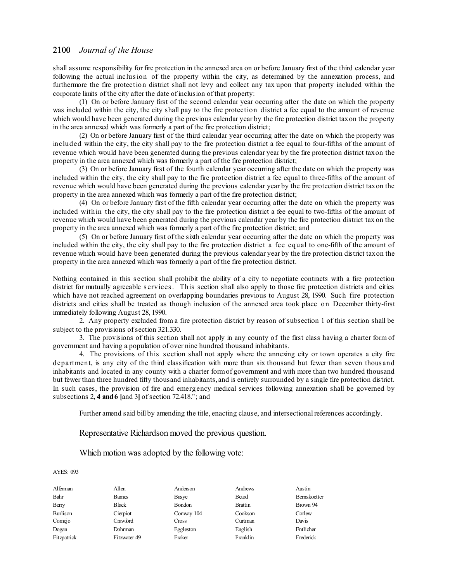shall assume responsibility for fire protection in the annexed area on or before January first of the third calendar year following the actual inclusion of the property within the city, as determined by the annexation process, and furthermore the fire protection district shall not levy and collect any tax upon that property included within the corporate limits of the city after the date of inclusion of that property:

(1) On or before January first of the second calendar year occurring after the date on which the property was included within the city, the city shall pay to the fire protection district a fee equal to the amount of revenue which would have been generated during the previous calendar year by the fire protection district taxon the property in the area annexed which was formerly a part of the fire protection district;

(2) On or before January first of the third calendar year occurring after the date on which the property was included within the city, the city shall pay to the fire protection district a fee equal to four-fifths of the amount of revenue which would have been generated during the previous calendar year by the fire protection district taxon the property in the area annexed which was formerly a part of the fire protection district;

(3) On or before January first of the fourth calendar year occurring after the date on which the property was included within the city, the city shall pay to the fire protection district a fee equal to three-fifths of the amount of revenue which would have been generated during the previous calendar year by the fire protection district taxon the property in the area annexed which was formerly a part of the fire protection district;

(4) On or before January first of the fifth calendar year occurring after the date on which the property was included within the city, the city shall pay to the fire protection district a fee equal to two-fifths of the amount of revenue which would have been generated during the previous calendar year by the fire protection district tax on the property in the area annexed which was formerly a part of the fire protection district; and

(5) On or before January first of the sixth calendar year occurring after the date on which the property was included within the city, the city shall pay to the fire protection district a fee equal to one-fifth of the amount of revenue which would have been generated during the previous calendar year by the fire protection district taxon the property in the area annexed which was formerly a part of the fire protection district.

Nothing contained in this s ection shall prohibit the ability of a city to negotiate contracts with a fire protection district for mutually agreeable services. This section shall also apply to those fire protection districts and cities which have not reached agreement on overlapping boundaries previous to August 28, 1990. Such fire protection districts and cities shall be treated as though inclusion of the annexed area took place on December thirty-first immediately following August 28, 1990.

2. Any property excluded from a fire protection district by reason of subsection 1 of this section shall be subject to the provisions of section 321.330.

3. The provisions of this section shall not apply in any county of the first class having a charter form of government and having a population of over nine hundred thousand inhabitants.

4. The provisions of this s ection shall not apply where the annexing city or town operates a city fire department, is any city of the third classification with more than six thousand but fewer than seven thous and inhabitants and located in any county with a charter formof government and with more than two hundred thousand but fewer than three hundred fifty thousand inhabitants, and is entirely surrounded by a single fire protection district. In such cases, the provision of fire and emergency medical services following annexation shall be governed by subsections 2**, 4 and6 [**and 3**]** ofsection 72.418."; and

Further amend said bill by amending the title, enacting clause, and intersectional references accordingly.

Representative Richardson moved the previous question.

Which motion was adopted by the following vote:

#### AYES: 093

| Alferman    | Allen         | Anderson   | Andrews        | Austin       |
|-------------|---------------|------------|----------------|--------------|
| Bahr        | <b>Barnes</b> | Basye      | Beard          | Bernskoetter |
| Berry       | <b>Black</b>  | Bondon     | <b>Brattin</b> | Brown 94     |
| Burlison    | Cierpiot      | Conway 104 | Cookson        | Corlew       |
| Comejo      | Crawford      | Cross      | Curtman        | Davis        |
| Dogan       | Dohrman       | Eggleston  | English        | Entlicher    |
| Fitzpatrick | Fitzwater 49  | Fraker     | Franklin       | Frederick    |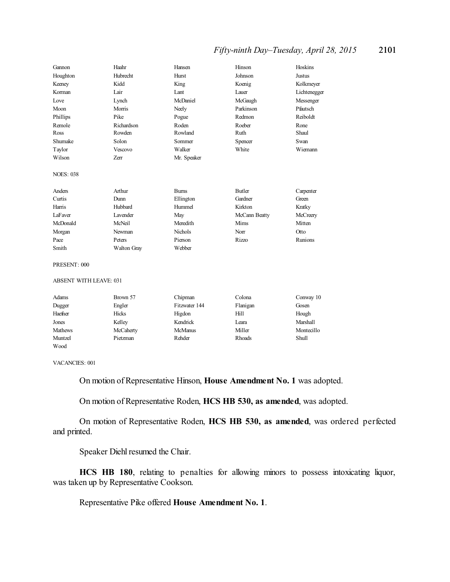# *Fifty-ninth Day–Tuesday, April 28, 2015* 2101

| Hubrecht<br>Johnson<br>Houghton<br>Hurst<br><b>Justus</b><br>Kidd<br>King<br>Koenig<br>Keeney<br>Kolkmeyer<br>Lair<br>Korman<br>Lant<br>Lauer<br>Lichtenegger<br>McDaniel<br>Lynch<br>McGaugh<br>Messenger<br>Love<br>Morris<br>Parkinson<br>Pfautsch<br>Moon<br>Neely<br>Phillips<br>Pike<br>Redmon<br>Reiboldt<br>Pogue<br>Roeber<br>Remole<br>Richardson<br>Roden<br>Rone<br>Rowden<br>Rowland<br>Ruth<br>Shaul<br>Ross<br>Shumake<br>Solon<br>Sommer<br>Swan<br>Spencer<br>Walker<br>White<br>Wiemann<br>Taylor<br><b>Vescovo</b><br>Wilson<br>Zerr<br>Mr. Speaker<br><b>NOES: 038</b><br>Arthur<br><b>Butler</b><br>Anders<br><b>Burns</b><br>Carpenter<br>Curtis<br>Ellington<br>Gardner<br>Green<br>Dunn<br>Hubbard<br>Hummel<br>Harris<br>Kirkton<br>Kratky<br>LaFaver<br><b>Lavender</b><br>May<br>McCann Beatty<br>McCreery<br>Meredith<br>Mitten<br>McDonald<br>McNeil<br>Mims<br>Nichols<br>Morgan<br>Newman<br>Norr<br>Otto<br>Pace<br>Peters<br>Pierson<br>Rizzo<br>Runions<br>Webber<br>Smith<br><b>Walton Gray</b><br>PRESENT: 000<br><b>ABSENT WITH LEAVE: 031</b><br>Brown 57<br>Chipman<br>Colona<br>Conway 10<br>Adams<br>Fitzwater 144<br>Dugger<br>Engler<br>Flanigan<br>Gosen<br>Haefner<br>Hill<br><b>Hicks</b><br>Higdon<br>Hough<br>Kelley<br>Kendrick<br><b>Marshall</b><br>Jones<br>Leara<br>Mathews<br>McCaherty<br><b>McManus</b><br>Miller<br>Montecillo | Gannon  | Haahr    | Hansen | Hinson | Hoskins |
|-----------------------------------------------------------------------------------------------------------------------------------------------------------------------------------------------------------------------------------------------------------------------------------------------------------------------------------------------------------------------------------------------------------------------------------------------------------------------------------------------------------------------------------------------------------------------------------------------------------------------------------------------------------------------------------------------------------------------------------------------------------------------------------------------------------------------------------------------------------------------------------------------------------------------------------------------------------------------------------------------------------------------------------------------------------------------------------------------------------------------------------------------------------------------------------------------------------------------------------------------------------------------------------------------------------------------------------------------------------------------------------------|---------|----------|--------|--------|---------|
|                                                                                                                                                                                                                                                                                                                                                                                                                                                                                                                                                                                                                                                                                                                                                                                                                                                                                                                                                                                                                                                                                                                                                                                                                                                                                                                                                                                         |         |          |        |        |         |
|                                                                                                                                                                                                                                                                                                                                                                                                                                                                                                                                                                                                                                                                                                                                                                                                                                                                                                                                                                                                                                                                                                                                                                                                                                                                                                                                                                                         |         |          |        |        |         |
|                                                                                                                                                                                                                                                                                                                                                                                                                                                                                                                                                                                                                                                                                                                                                                                                                                                                                                                                                                                                                                                                                                                                                                                                                                                                                                                                                                                         |         |          |        |        |         |
|                                                                                                                                                                                                                                                                                                                                                                                                                                                                                                                                                                                                                                                                                                                                                                                                                                                                                                                                                                                                                                                                                                                                                                                                                                                                                                                                                                                         |         |          |        |        |         |
|                                                                                                                                                                                                                                                                                                                                                                                                                                                                                                                                                                                                                                                                                                                                                                                                                                                                                                                                                                                                                                                                                                                                                                                                                                                                                                                                                                                         |         |          |        |        |         |
|                                                                                                                                                                                                                                                                                                                                                                                                                                                                                                                                                                                                                                                                                                                                                                                                                                                                                                                                                                                                                                                                                                                                                                                                                                                                                                                                                                                         |         |          |        |        |         |
|                                                                                                                                                                                                                                                                                                                                                                                                                                                                                                                                                                                                                                                                                                                                                                                                                                                                                                                                                                                                                                                                                                                                                                                                                                                                                                                                                                                         |         |          |        |        |         |
|                                                                                                                                                                                                                                                                                                                                                                                                                                                                                                                                                                                                                                                                                                                                                                                                                                                                                                                                                                                                                                                                                                                                                                                                                                                                                                                                                                                         |         |          |        |        |         |
|                                                                                                                                                                                                                                                                                                                                                                                                                                                                                                                                                                                                                                                                                                                                                                                                                                                                                                                                                                                                                                                                                                                                                                                                                                                                                                                                                                                         |         |          |        |        |         |
|                                                                                                                                                                                                                                                                                                                                                                                                                                                                                                                                                                                                                                                                                                                                                                                                                                                                                                                                                                                                                                                                                                                                                                                                                                                                                                                                                                                         |         |          |        |        |         |
|                                                                                                                                                                                                                                                                                                                                                                                                                                                                                                                                                                                                                                                                                                                                                                                                                                                                                                                                                                                                                                                                                                                                                                                                                                                                                                                                                                                         |         |          |        |        |         |
|                                                                                                                                                                                                                                                                                                                                                                                                                                                                                                                                                                                                                                                                                                                                                                                                                                                                                                                                                                                                                                                                                                                                                                                                                                                                                                                                                                                         |         |          |        |        |         |
|                                                                                                                                                                                                                                                                                                                                                                                                                                                                                                                                                                                                                                                                                                                                                                                                                                                                                                                                                                                                                                                                                                                                                                                                                                                                                                                                                                                         |         |          |        |        |         |
|                                                                                                                                                                                                                                                                                                                                                                                                                                                                                                                                                                                                                                                                                                                                                                                                                                                                                                                                                                                                                                                                                                                                                                                                                                                                                                                                                                                         |         |          |        |        |         |
|                                                                                                                                                                                                                                                                                                                                                                                                                                                                                                                                                                                                                                                                                                                                                                                                                                                                                                                                                                                                                                                                                                                                                                                                                                                                                                                                                                                         |         |          |        |        |         |
|                                                                                                                                                                                                                                                                                                                                                                                                                                                                                                                                                                                                                                                                                                                                                                                                                                                                                                                                                                                                                                                                                                                                                                                                                                                                                                                                                                                         |         |          |        |        |         |
|                                                                                                                                                                                                                                                                                                                                                                                                                                                                                                                                                                                                                                                                                                                                                                                                                                                                                                                                                                                                                                                                                                                                                                                                                                                                                                                                                                                         |         |          |        |        |         |
|                                                                                                                                                                                                                                                                                                                                                                                                                                                                                                                                                                                                                                                                                                                                                                                                                                                                                                                                                                                                                                                                                                                                                                                                                                                                                                                                                                                         |         |          |        |        |         |
|                                                                                                                                                                                                                                                                                                                                                                                                                                                                                                                                                                                                                                                                                                                                                                                                                                                                                                                                                                                                                                                                                                                                                                                                                                                                                                                                                                                         |         |          |        |        |         |
|                                                                                                                                                                                                                                                                                                                                                                                                                                                                                                                                                                                                                                                                                                                                                                                                                                                                                                                                                                                                                                                                                                                                                                                                                                                                                                                                                                                         |         |          |        |        |         |
|                                                                                                                                                                                                                                                                                                                                                                                                                                                                                                                                                                                                                                                                                                                                                                                                                                                                                                                                                                                                                                                                                                                                                                                                                                                                                                                                                                                         |         |          |        |        |         |
|                                                                                                                                                                                                                                                                                                                                                                                                                                                                                                                                                                                                                                                                                                                                                                                                                                                                                                                                                                                                                                                                                                                                                                                                                                                                                                                                                                                         |         |          |        |        |         |
|                                                                                                                                                                                                                                                                                                                                                                                                                                                                                                                                                                                                                                                                                                                                                                                                                                                                                                                                                                                                                                                                                                                                                                                                                                                                                                                                                                                         |         |          |        |        |         |
|                                                                                                                                                                                                                                                                                                                                                                                                                                                                                                                                                                                                                                                                                                                                                                                                                                                                                                                                                                                                                                                                                                                                                                                                                                                                                                                                                                                         |         |          |        |        |         |
|                                                                                                                                                                                                                                                                                                                                                                                                                                                                                                                                                                                                                                                                                                                                                                                                                                                                                                                                                                                                                                                                                                                                                                                                                                                                                                                                                                                         |         |          |        |        |         |
|                                                                                                                                                                                                                                                                                                                                                                                                                                                                                                                                                                                                                                                                                                                                                                                                                                                                                                                                                                                                                                                                                                                                                                                                                                                                                                                                                                                         |         |          |        |        |         |
|                                                                                                                                                                                                                                                                                                                                                                                                                                                                                                                                                                                                                                                                                                                                                                                                                                                                                                                                                                                                                                                                                                                                                                                                                                                                                                                                                                                         |         |          |        |        |         |
|                                                                                                                                                                                                                                                                                                                                                                                                                                                                                                                                                                                                                                                                                                                                                                                                                                                                                                                                                                                                                                                                                                                                                                                                                                                                                                                                                                                         |         |          |        |        |         |
|                                                                                                                                                                                                                                                                                                                                                                                                                                                                                                                                                                                                                                                                                                                                                                                                                                                                                                                                                                                                                                                                                                                                                                                                                                                                                                                                                                                         |         |          |        |        |         |
|                                                                                                                                                                                                                                                                                                                                                                                                                                                                                                                                                                                                                                                                                                                                                                                                                                                                                                                                                                                                                                                                                                                                                                                                                                                                                                                                                                                         | Muntzel | Pietzman | Rehder | Rhoads | Shull   |
| Wood                                                                                                                                                                                                                                                                                                                                                                                                                                                                                                                                                                                                                                                                                                                                                                                                                                                                                                                                                                                                                                                                                                                                                                                                                                                                                                                                                                                    |         |          |        |        |         |

VACANCIES: 001

On motion of Representative Hinson, **House Amendment No. 1** was adopted.

On motion of Representative Roden, **HCS HB 530, as amended**, was adopted.

On motion of Representative Roden, **HCS HB 530, as amended**, was ordered perfected and printed.

Speaker Diehl resumed the Chair.

**HCS HB 180**, relating to penalties for allowing minors to possess intoxicating liquor, was taken up by Representative Cookson.

Representative Pike offered **House Amendment No. 1**.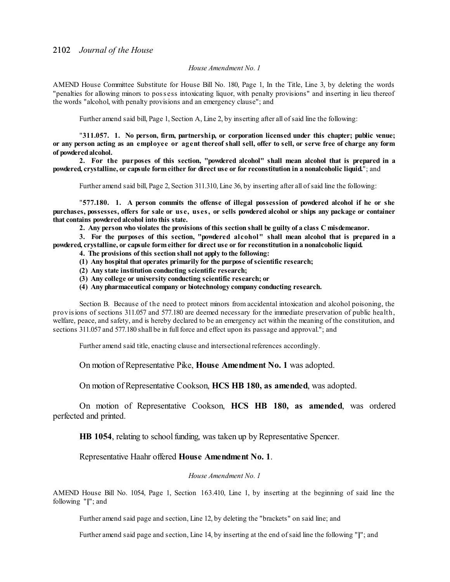### *House Amendment No. 1*

AMEND House Committee Substitute for House Bill No. 180, Page 1, In the Title, Line 3, by deleting the words "penalties for allowing minors to poss ess intoxicating liquor, with penalty provisions" and inserting in lieu thereof the words "alcohol, with penalty provisions and an emergency clause"; and

Further amend said bill, Page 1, Section A, Line 2, by inserting after all ofsaid line the following:

"**311.057. 1. No person, firm, partnership, or corporation licensed under this chapter; public venue;** or any person acting as an employee or agent thereof shall sell, offer to sell, or serve free of charge any form **of powderedalcohol.**

**2. For the purposes of this section, "powdered alcohol" shall mean alcohol that is prepared in a** powdered, crystalline, or capsule form either for direct use or for reconstitution in a nonalcoholic liquid."; and

Further amend said bill, Page 2, Section 311.310, Line 36, by inserting after all ofsaid line the following:

"**577.180. 1. A person commits the offense of illegal possession of powdered alcohol if he or she** purchases, possesses, offers for sale or use, uses, or sells powdered alcohol or ships any package or container **that contains powderedalcohol into this state.**

**2. Any person who violates the provisions of this section shall be guilty of a class C misdemeanor.**

**3. For the purposes of this section, "powdered alcohol" shall mean alcohol that is prepared in a powdered, crystalline, or capsule form either for direct use or for reconstitution in a nonalcoholic liquid.**

**4. The provisions of this section shall not apply to the following:**

- **(1) Any hospital that operates primarily for the purpose ofscientific research;**
- **(2) Any state institution conducting scientific research;**
- **(3) Any college or university conducting scientific research; or**
- **(4) Any pharmaceutical company or biotechnology company conducting research.**

Section B. Because of the need to protect minors from accidental intoxication and alcohol poisoning, the provisions of sections 311.057 and 577.180 are deemed necessary for the immediate preservation of public health, welfare, peace, and safety, and is hereby declared to be an emergency act within the meaning of the constitution, and sections 311.057 and 577.180 shall be in full force and effect upon its passage and approval."; and

Further amend said title, enacting clause and intersectional references accordingly.

On motion of Representative Pike, **House Amendment No. 1** was adopted.

On motion of Representative Cookson, **HCS HB 180, as amended**, was adopted.

On motion of Representative Cookson, **HCS HB 180, as amended**, was ordered perfected and printed.

**HB 1054**, relating to school funding, was taken up by Representative Spencer.

Representative Haahr offered **House Amendment No. 1**.

#### *House Amendment No. 1*

AMEND House Bill No. 1054, Page 1, Section 163.410, Line 1, by inserting at the beginning of said line the following "**[**"; and

Further amend said page and section, Line 12, by deleting the "brackets" on said line; and

Further amend said page and section, Line 14, by inserting at the end ofsaid line the following "**]**"; and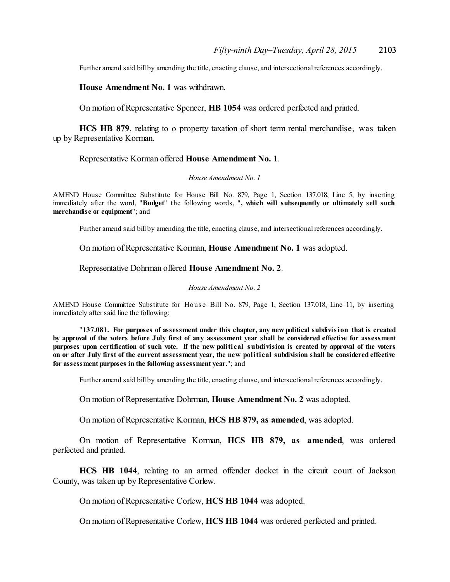Further amend said bill by amending the title, enacting clause, and intersectional references accordingly.

**House Amendment No. 1** was withdrawn.

On motion of Representative Spencer, **HB 1054** was ordered perfected and printed.

**HCS HB 879**, relating to o property taxation of short term rental merchandise, was taken up by Representative Korman.

#### Representative Korman offered **House Amendment No. 1**.

#### *House Amendment No. 1*

AMEND House Committee Substitute for House Bill No. 879, Page 1, Section 137.018, Line 5, by inserting immediately after the word, "**Budget**" the following words, "**, which will subsequently or ultimately sell such merchandise or equipment**"; and

Further amend said bill by amending the title, enacting clause, and intersectional references accordingly.

On motion of Representative Korman, **House Amendment No. 1** was adopted.

### Representative Dohrman offered **House Amendment No. 2**.

#### *House Amendment No. 2*

AMEND House Committee Substitute for House Bill No. 879, Page 1, Section 137.018, Line 11, by inserting immediately after said line the following:

"**137.081. For purposes of assessment under this chapter, any new political subdivision that is created** by approval of the voters before July first of any assessment year shall be considered effective for assessment purposes upon certification of such vote. If the new political subdivision is created by approval of the voters on or after July first of the current assessment year, the new political subdivision shall be considered effective **for assessment purposes in the following assessment year.**"; and

Further amend said bill by amending the title, enacting clause, and intersectional references accordingly.

On motion of Representative Dohrman, **House Amendment No. 2** was adopted.

On motion of Representative Korman, **HCS HB 879, as amended**, was adopted.

On motion of Representative Korman, **HCS HB 879, as amended**, was ordered perfected and printed.

**HCS HB 1044**, relating to an armed offender docket in the circuit court of Jackson County, was taken up by Representative Corlew.

On motion of Representative Corlew, **HCS HB 1044** was adopted.

On motion of Representative Corlew, **HCS HB 1044** was ordered perfected and printed.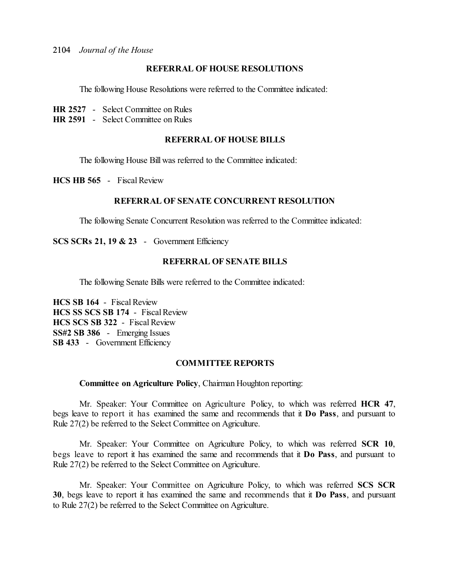## **REFERRAL OF HOUSE RESOLUTIONS**

The following House Resolutions were referred to the Committee indicated:

- **HR 2527** Select Committee on Rules
- **HR 2591** Select Committee on Rules

### **REFERRAL OF HOUSE BILLS**

The following House Bill was referred to the Committee indicated:

**HCS HB 565** - Fiscal Review

## **REFERRAL OF SENATE CONCURRENT RESOLUTION**

The following Senate Concurrent Resolution was referred to the Committee indicated:

**SCS SCRs 21, 19 & 23** - Government Efficiency

### **REFERRAL OF SENATE BILLS**

The following Senate Bills were referred to the Committee indicated:

**HCS SB 164** - Fiscal Review **HCS SS SCS SB 174** - Fiscal Review **HCS SCS SB 322** - Fiscal Review **SS#2 SB 386** - Emerging Issues **SB 433** - Government Efficiency

### **COMMITTEE REPORTS**

### **Committee on Agriculture Policy**, Chairman Houghton reporting:

Mr. Speaker: Your Committee on Agriculture Policy, to which was referred **HCR 47**, begs leave to report it has examined the same and recommends that it **Do Pass**, and pursuant to Rule 27(2) be referred to the Select Committee on Agriculture.

Mr. Speaker: Your Committee on Agriculture Policy, to which was referred **SCR 10**, begs leave to report it has examined the same and recommends that it **Do Pass**, and pursuant to Rule 27(2) be referred to the Select Committee on Agriculture.

Mr. Speaker: Your Committee on Agriculture Policy, to which was referred **SCS SCR 30**, begs leave to report it has examined the same and recommends that it **Do Pass**, and pursuant to Rule 27(2) be referred to the Select Committee on Agriculture.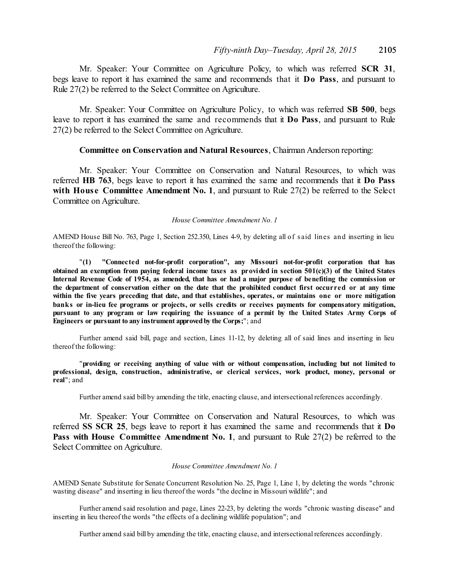Mr. Speaker: Your Committee on Agriculture Policy, to which was referred **SCR 31**, begs leave to report it has examined the same and recommends that it **Do Pass**, and pursuant to Rule 27(2) be referred to the Select Committee on Agriculture.

Mr. Speaker: Your Committee on Agriculture Policy, to which was referred **SB 500**, begs leave to report it has examined the same and recommends that it **Do Pass**, and pursuant to Rule 27(2) be referred to the Select Committee on Agriculture.

### **Committee on Conservation and Natural Resources**, Chairman Anderson reporting:

Mr. Speaker: Your Committee on Conservation and Natural Resources, to which was referred **HB 763**, begs leave to report it has examined the same and recommends that it **Do Pass with House Committee Amendment No. 1**, and pursuant to Rule 27(2) be referred to the Select Committee on Agriculture.

#### *House Committee Amendment No. 1*

AMEND House Bill No. 763, Page 1, Section 252.350, Lines 4-9, by deleting all of s aid lines and inserting in lieu thereof the following:

"**(1) "Connected not-for-profit corporation", any Missouri not-for-profit corporation that has** obtained an exemption from paying federal income taxes as provided in section  $501(c)(3)$  of the United States Internal Revenue Code of 1954, as amended, that has or had a major purpose of benefiting the commission or the department of conservation either on the date that the prohibited conduct first occurred or at any time within the five years preceding that date, and that establishes, operates, or maintains one or more mitigation **banks or in-lieu fee programs or projects, or sells credits or receives payments for compensatory mitigation,** pursuant to any program or law requiring the issuance of a permit by the United States Army Corps of **Engineers or pursuant to any instrument approvedby the Corps;**"; and

Further amend said bill, page and section, Lines 11-12, by deleting all of said lines and inserting in lieu thereof the following:

"**providing or receiving anything of value with or without compensation, including but not limited to professional, design, construction, administrative, or clerical services, work product, money, personal or real**"; and

Further amend said bill by amending the title, enacting clause, and intersectional references accordingly.

Mr. Speaker: Your Committee on Conservation and Natural Resources, to which was referred **SS SCR 25**, begs leave to report it has examined the same and recommends that it **Do Pass with House Committee Amendment No. 1**, and pursuant to Rule 27(2) be referred to the Select Committee on Agriculture.

#### *House Committee Amendment No. 1*

AMEND Senate Substitute for Senate Concurrent Resolution No. 25, Page 1, Line 1, by deleting the words "chronic wasting disease" and inserting in lieu thereof the words "the decline in Missouri wildlife"; and

Further amend said resolution and page, Lines 22-23, by deleting the words "chronic wasting disease" and inserting in lieu thereof the words "the effects of a declining wildlife population"; and

Further amend said bill by amending the title, enacting clause, and intersectional references accordingly.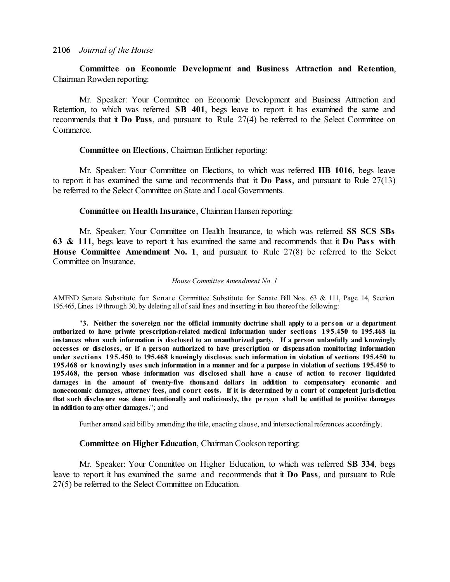# **Committee on Economic Development and Business Attraction and Retention**, Chairman Rowden reporting:

Mr. Speaker: Your Committee on Economic Development and Business Attraction and Retention, to which was referred **SB 401**, begs leave to report it has examined the same and recommends that it **Do Pass**, and pursuant to Rule 27(4) be referred to the Select Committee on Commerce.

### **Committee on Elections**, Chairman Entlicher reporting:

Mr. Speaker: Your Committee on Elections, to which was referred **HB 1016**, begs leave to report it has examined the same and recommends that it **Do Pass**, and pursuant to Rule 27(13) be referred to the Select Committee on State and Local Governments.

### **Committee on Health Insurance**, Chairman Hansen reporting:

Mr. Speaker: Your Committee on Health Insurance, to which was referred **SS SCS SBs 63 & 111**, begs leave to report it has examined the same and recommends that it **Do Pass with House Committee Amendment No. 1**, and pursuant to Rule 27(8) be referred to the Select Committee on Insurance.

#### *House Committee Amendment No. 1*

AMEND Senate Substitute for Senate Committee Substitute for Senate Bill Nos. 63 & 111, Page 14, Section 195.465, Lines 19 through 30, by deleting all ofsaid lines and inserting in lieu thereof the following:

"**3. Neither the sovereign nor the official immunity doctrine shall apply to a pers on or a department authorized to have private prescription-related medical information under sections 195.450 to 195.468 in instances when such information is disclosed to an unauthorized party. If a person unlawfully and knowingly accesses or discloses, or if a person authorized to have prescription or dispensation monitoring information under s ections 195.450 to 195.468 knowingly discloses such information in violation of sections 195.450 to** 195.468 or knowingly uses such information in a manner and for a purpose in violation of sections 195.450 to **195.468, the person whose information was disclosed shall have a cause of action to recover liquidated damages in the amount of twenty-five thousand dollars in addition to compensatory economic and** noneconomic damages, attorney fees, and court costs. If it is determined by a court of competent jurisdiction that such disclosure was done intentionally and maliciously, the person shall be entitled to punitive damages **in addition to any other damages.**"; and

Further amend said bill by amending the title, enacting clause, and intersectional references accordingly.

### **Committee on Higher Education**, Chairman Cookson reporting:

Mr. Speaker: Your Committee on Higher Education, to which was referred **SB 334**, begs leave to report it has examined the same and recommends that it **Do Pass**, and pursuant to Rule 27(5) be referred to the Select Committee on Education.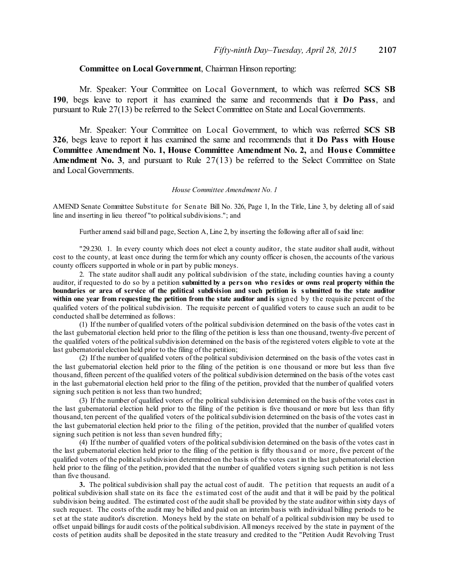## **Committee on Local Government**, Chairman Hinson reporting:

Mr. Speaker: Your Committee on Local Government, to which was referred **SCS SB 190**, begs leave to report it has examined the same and recommends that it **Do Pass**, and pursuant to Rule 27(13) be referred to the Select Committee on State and Local Governments.

Mr. Speaker: Your Committee on Local Government, to which was referred **SCS SB 326**, begs leave to report it has examined the same and recommends that it **Do Pass with House Committee Amendment No. 1, House Committee Amendment No. 2,** and **Hous e Committee** Amendment No. 3, and pursuant to Rule 27(13) be referred to the Select Committee on State and Local Governments.

#### *House Committee Amendment No. 1*

AMEND Senate Committee Substitute for Senate Bill No. 326, Page 1, In the Title, Line 3, by deleting all of said line and inserting in lieu thereof "to political subdivisions."; and

Further amend said bill and page, Section A, Line 2, by inserting the following after all of said line:

"29.230. 1. In every county which does not elect a county auditor, the state auditor shall audit, without cost to the county, at least once during the termfor which any county officer is chosen, the accounts of the various county officers supported in whole or in part by public moneys.

2. The state auditor shall audit any political subdivision of the state, including counties having a county auditor, if requested to do so by a petition **submitted by a pers on who resides or owns real property within the** boundaries or area of service of the political subdivision and such petition is submitted to the state auditor **within one year from requesting the petition from the state auditor and is** signed by the requisite percent of the qualified voters of the political subdivision. The requisite percent of qualified voters to cause such an audit to be conducted shall be determined as follows:

(1) If the number of qualified voters of the political subdivision determined on the basis of the votes cast in the last gubernatorial election held prior to the filing of the petition is less than one thousand, twenty-five percent of the qualified voters of the politicalsubdivision determined on the basis of the registered voters eligible to vote at the last gubernatorial election held prior to the filing of the petition;

(2) If the number of qualified voters of the political subdivision determined on the basis of the votes cast in the last gubernatorial election held prior to the filing of the petition is one thousand or more but less than five thousand, fifteen percent of the qualified voters of the political subdivision determined on the basis of the votes cast in the last gubernatorial election held prior to the filing of the petition, provided that the number of qualified voters signing such petition is not less than two hundred;

(3) If the number of qualified voters of the political subdivision determined on the basis of the votes cast in the last gubernatorial election held prior to the filing of the petition is five thousand or more but less than fifty thousand, ten percent of the qualified voters of the politicalsubdivision determined on the basis of the votes cast in the last gubernatorial election held prior to the filing of the petition, provided that the number of qualified voters signing such petition is not less than seven hundred fifty;

(4) If the number of qualified voters of the politicalsubdivision determined on the basis of the votes cast in the last gubernatorial election held prior to the filing of the petition is fifty thous and or more, five percent of the qualified voters of the political subdivision determined on the basis of the votes cast in the last gubernatorial election held prior to the filing of the petition, provided that the number of qualified voters signing such petition is not less than five thousand.

**3.** The political subdivision shall pay the actual cost of audit. The petition that requests an audit of a political subdivision shall state on its face the estimated cost of the audit and that it will be paid by the political subdivision being audited. The estimated cost of the audit shall be provided by the state auditor within sixty days of such request. The costs of the audit may be billed and paid on an interim basis with individual billing periods to be s et at the state auditor's discretion. Moneys held by the state on behalf of a political subdivision may be used to offset unpaid billings for audit costs of the politicalsubdivision. All moneys received by the state in payment of the costs of petition audits shall be deposited in the state treasury and credited to the "Petition Audit Revolving Trust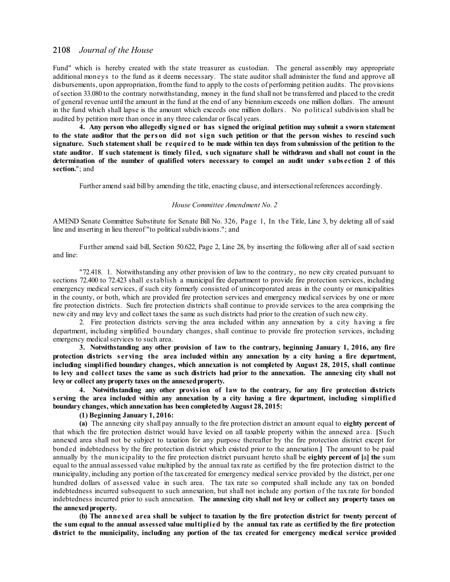Fund" which is hereby created with the state treasurer as custodian. The general assembly may appropriate additional moneys to the fund as it deems necessary. The state auditor shall administer the fund and approve all disbursements, upon appropriation, fromthe fund to apply to the costs of performing petition audits. The provisions ofsection 33.080 to the contrary notwithstanding, money in the fund shall not be transferred and placed to the credit of general revenue until the amount in the fund at the end of any biennium exceeds one million dollars. The amount in the fund which shall lapse is the amount which exceeds one million dollars. No political subdivision shall be audited by petition more than once in any three calendar or fiscal years.

**4. Any person who allegedly signed or has signed the original petition may submit a sworn statement** to the state auditor that the person did not sign such petition or that the person wishes to rescind such signature. Such statement shall be required to be made within ten days from submission of the petition to the state auditor. If such statement is timely filed, such signature shall be withdrawn and shall not count in the determination of the number of qualified wters necessary to compel an audit under subsection 2 of this **section.**"; and

Further amend said bill by amending the title, enacting clause, and intersectional references accordingly.

#### *House Committee Amendment No. 2*

AMEND Senate Committee Substitute for Senate Bill No. 326, Page 1, In the Title, Line 3, by deleting all of said line and inserting in lieu thereof "to political subdivisions."; and

Further amend said bill, Section 50.622, Page 2, Line 28, by inserting the following after all of said section and line:

"72.418. 1. Notwithstanding any other provision of law to the contrary, no new city created pursuant to sections 72.400 to 72.423 shall establish a municipal fire department to provide fire protection services, including emergency medical services, if such city formerly consisted of unincorporated areas in the county or municipalities in the county, or both, which are provided fire protection services and emergency medical services by one or more fire protection districts. Such fire protection districts shall continue to provide services to the area comprising the new city and may levy and collect taxes the same as such districts had prior to the creation ofsuch new city.

2. Fire protection districts serving the area included within any annexation by a city having a fire department, including simplified boundary changes, shall continue to provide fire protection services, including emergency medical services to such area.

**3. Notwithstanding any other provision of law to the contrary, beginning January 1, 2016, any fire protection districts s erving the area included within any annexation by a city having a fire department, including simplified boundary changes, which annexation is not completed by August 28, 2015, shall continue** to levy and collect taxes the same as such districts had prior to the annexation. The annexing city shall not **levy or collect any property taxes on the annexedproperty.**

**4. Notwithstanding any other provision of law to the contrary, for any fire protection districts s erving the area included within any annexation by a city having a fire department, including simplified boundary changes, which annexation has been completedby August 28, 2015:**

#### **(1) Beginning January 1, 2016:**

**(a)** The annexing city shall pay annually to the fire protection district an amount equal to **eighty percent of** that which the fire protection district would have levied on all taxable property within the annexed area. **[**Such annexed area shall not be subject to taxation for any purpose thereafter by the fire protection district except for bonded indebtedness by the fire protection district which existed prior to the annexation.**]** The amount to be paid annually by the municipality to the fire protection district pursuant hereto shall be **eighty percent of [**a**] the** sum equal to the annual assessed value multiplied by the annual tax rate as certified by the fire protection district to the municipality, including any portion of the taxcreated for emergency medical service provided by the district, per one hundred dollars of assessed value in such area. The tax rate so computed shall include any tax on bonded indebtedness incurred subsequent to such annexation, but shall not include any portion of the tax rate for bonded indebtedness incurred prior to such annexation. **The annexing city shall not levy or collect any property taxes on the annexedproperty.**

(b) The annexed area shall be subject to taxation by the fire protection district for twenty percent of the sum equal to the annual assessed value multiplied by the annual tax rate as certified by the fire protection **district to the municipality, including any portion of the tax created for emergency medical service provided**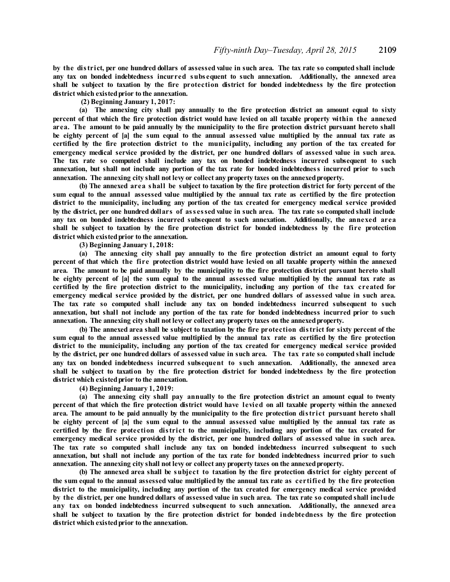by the district, per one hundred dollars of assessed value in such area. The tax rate so computed shall include **any tax on bonded indebtedness incurred subs equent to such annexation. Additionally, the annexed area shall be subject to taxation by the fire protection district for bonded indebtedness by the fire protection district which existedprior to the annexation.**

**(2) Beginning January 1, 2017:**

**(a) The annexing city shall pay annually to the fire protection district an amount equal to sixty** percent of that which the fire protection district would have levied on all taxable property within the annexed area. The amount to be paid annually by the municipality to the fire protection district pursuant hereto shall be eighty percent of [a] the sum equal to the annual assessed value multiplied by the annual tax rate as certified by the fire protection district to the municipality, including any portion of the tax created for emergency medical service provided by the district, per one hundred dollars of assessed value in such area. **The tax rate so computed shall include any tax on bonded indebtedness incurred subsequent to such** annexation, but shall not include any portion of the tax rate for bonded indebtedness incurred prior to such **annexation. The annexing city shall not levy or collect any property taxes on the annexedproperty.**

(b) The annexed area shall be subject to taxation by the fire protection district for forty percent of the sum equal to the annual assessed value multiplied by the annual tax rate as certified by the fire protection **district to the municipality, including any portion of the tax created for emergency medical service provided** by the district, per one hundred dollars of assessed value in such area. The tax rate so computed shall include **any tax on bonded indebtedness incurred subsequent to such annexation. Additionally, the annexed area** shall be subject to taxation by the fire protection district for bonded indebtedness by the fire protection **district which existedprior to the annexation.**

**(3) Beginning January 1, 2018:**

**(a) The annexing city shall pay annually to the fire protection district an amount equal to forty** percent of that which the fire protection district would have levied on all taxable property within the annexed area. The amount to be paid annually by the municipality to the fire protection district pursuant hereto shall be eighty percent of [a] the sum equal to the annual assessed value multiplied by the annual tax rate as certified by the fire protection district to the municipality, including any portion of the tax created for emergency medical service provided by the district, per one hundred dollars of assessed value in such area. **The tax rate so computed shall include any tax on bonded indebtedness incurred subsequent to such** annexation, but shall not include any portion of the tax rate for bonded indebtedness incurred prior to such **annexation. The annexing city shall not levy or collect any property taxes on the annexedproperty.**

(b) The annexed area shall be subject to taxation by the fire protection district for sixty percent of the sum equal to the annual assessed value multiplied by the annual tax rate as certified by the fire protection **district to the municipality, including any portion of the tax created for emergency medical service provided** by the district, per one hundred dollars of assessed value in such area. The tax rate so computed shall include **any tax on bonded indebtedness incurred subsequent to such annexation. Additionally, the annexed area** shall be subject to taxation by the fire protection district for bonded indebtedness by the fire protection **district which existedprior to the annexation.**

**(4) Beginning January 1, 2019:**

**(a) The annexing city shall pay annually to the fire protection district an amount equal to twenty** percent of that which the fire protection district would have levied on all taxable property within the annexed area. The amount to be paid annually by the municipality to the fire protection district pursuant hereto shall be eighty percent of [a] the sum equal to the annual assessed value multiplied by the annual tax rate as certified by the fire protection district to the municipality, including any portion of the tax created for emergency medical service provided by the district, per one hundred dollars of assessed value in such area. **The tax rate so computed shall include any tax on bonded indebtedness incurred subsequent to such** annexation, but shall not include any portion of the tax rate for bonded indebtedness incurred prior to such **annexation. The annexing city shall not levy or collect any property taxes on the annexedproperty.**

**(b) The annexed area shall be subject to taxation by the fire protection district for eighty percent of** the sum equal to the annual assessed value multiplied by the annual tax rate as certified by the fire protection **district to the municipality, including any portion of the tax created for emergency medical service provided** by the district, per one hundred dollars of assessed value in such area. The tax rate so computed shall include **any tax on bonded indebtedness incurred subsequent to such annexation. Additionally, the annexed area** shall be subject to taxation by the fire protection district for bonded indebtedness by the fire protection **district which existedprior to the annexation.**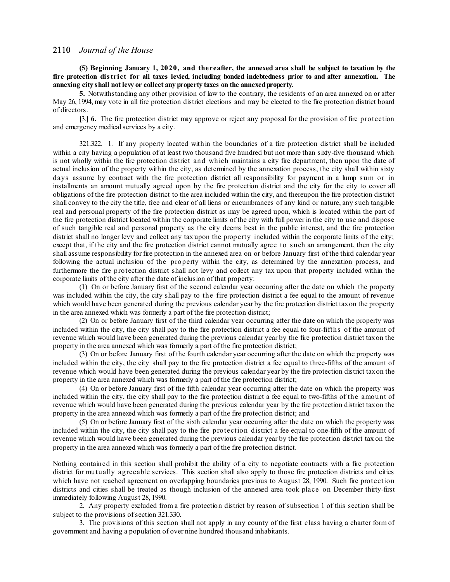**(5) Beginning January 1, 2020, and thereafter, the annexed area shall be subject to taxation by the fire protection district for all taxes levied, including bonded indebtedness prior to and after annexation. The annexing city shall not levy or collect any property taxes on the annexedproperty.**

**5.** Notwithstanding any other provision of law to the contrary, the residents of an area annexed on or after May 26, 1994, may vote in all fire protection district elections and may be elected to the fire protection district board of directors.

**[**3.**] 6.** The fire protection district may approve or reject any proposal for the provision of fire protection and emergency medicalservices by a city.

321.322. 1. If any property located within the boundaries of a fire protection district shall be included within a city having a population of at least two thousand five hundred but not more than sixty-five thousand which is not wholly within the fire protection district and which maintains a city fire department, then upon the date of actual inclusion of the property within the city, as determined by the annexation process, the city shall within sixty days assume by contract with the fire protection district all responsibility for payment in a lump sum or in installments an amount mutually agreed upon by the fire protection district and the city for the city to cover all obligations of the fire protection district to the area included within the city, and thereupon the fire protection district shall convey to the city the title, free and clear of all liens or encumbrances of any kind or nature, any such tangible real and personal property of the fire protection district as may be agreed upon, which is located within the part of the fire protection district located within the corporate limits of the city with full power in the city to use and dispose of such tangible real and personal property as the city deems best in the public interest, and the fire protection district shall no longer levy and collect any tax upon the property included within the corporate limits of the city; except that, if the city and the fire protection district cannot mutually agree to such an arrangement, then the city shall assume responsibility for fire protection in the annexed area on or before January first of the third calendar year following the actual inclusion of the property within the city, as determined by the annexation process, and furthermore the fire protection district shall not levy and collect any tax upon that property included within the corporate limits of the city after the date of inclusion of that property:

(1) On or before January first of the second calendar year occurring after the date on which the property was included within the city, the city shall pay to the fire protection district a fee equal to the amount of revenue which would have been generated during the previous calendar year by the fire protection district taxon the property in the area annexed which was formerly a part of the fire protection district;

(2) On or before January first of the third calendar year occurring after the date on which the property was included within the city, the city shall pay to the fire protection district a fee equal to four-fifths of the amount of revenue which would have been generated during the previous calendar year by the fire protection district taxon the property in the area annexed which was formerly a part of the fire protection district;

(3) On or before January first of the fourth calendar year occurring after the date on which the property was included within the city, the city shall pay to the fire protection district a fee equal to three-fifths of the amount of revenue which would have been generated during the previous calendar year by the fire protection district taxon the property in the area annexed which was formerly a part of the fire protection district;

(4) On or before January first of the fifth calendar year occurring after the date on which the property was included within the city, the city shall pay to the fire protection district a fee equal to two-fifths of the amount of revenue which would have been generated during the previous calendar year by the fire protection district taxon the property in the area annexed which was formerly a part of the fire protection district; and

(5) On or before January first of the sixth calendar year occurring after the date on which the property was included within the city, the city shall pay to the fire protection district a fee equal to one-fifth of the amount of revenue which would have been generated during the previous calendar year by the fire protection district tax on the property in the area annexed which was formerly a part of the fire protection district.

Nothing contained in this section shall prohibit the ability of a city to negotiate contracts with a fire protection district for mutually agreeable services. This section shall also apply to those fire protection districts and cities which have not reached agreement on overlapping boundaries previous to August 28, 1990. Such fire protection districts and cities shall be treated as though inclusion of the annexed area took place on December thirty-first immediately following August 28, 1990.

2. Any property excluded from a fire protection district by reason of subsection 1 of this section shall be subject to the provisions of section 321.330.

3. The provisions of this section shall not apply in any county of the first class having a charter form of government and having a population of over nine hundred thousand inhabitants.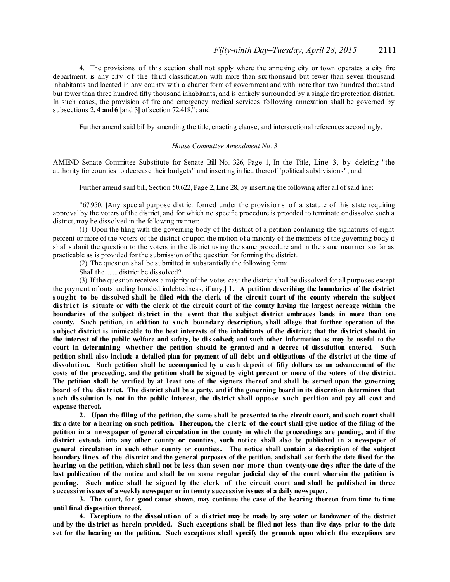4. The provisions of this section shall not apply where the annexing city or town operates a city fire department, is any city of the third classification with more than six thousand but fewer than seven thousand inhabitants and located in any county with a charter form of government and with more than two hundred thousand but fewer than three hundred fifty thousand inhabitants, and is entirely surrounded by a single fire protection district. In such cases, the provision of fire and emergency medical services following annexation shall be governed by subsections 2**, 4 and6 [**and 3**]** ofsection 72.418."; and

Further amend said bill by amending the title, enacting clause, and intersectional references accordingly.

#### *House Committee Amendment No. 3*

AMEND Senate Committee Substitute for Senate Bill No. 326, Page 1, In the Title, Line 3, by deleting "the authority for counties to decrease their budgets" and inserting in lieu thereof "politicalsubdivisions"; and

Further amend said bill, Section 50.622, Page 2, Line 28, by inserting the following after all of said line:

"67.950. **[**Any special purpose district formed under the provisions of a statute of this state requiring approval by the voters of the district, and for which no specific procedure is provided to terminate or dissolve such a district, may be dissolved in the following manner:

(1) Upon the filing with the governing body of the district of a petition containing the signatures of eight percent or more of the voters of the district or upon the motion of a majority of the members of the governing body it shall submit the question to the voters in the district using the same procedure and in the same manner so far as practicable as is provided for the submission of the question for forming the district.

(2) The question shall be submitted in substantially the following form:

Shall the ....... district be dissolved?

(3) If the question receives a majority of the votes cast the district shall be dissolved for all purposes except the payment of outstanding bonded indebtedness, if any.**] 1. A petition describing the boundaries of the district** sought to be dissolved shall be filed with the clerk of the circuit court of the county wherein the subject district is situate or with the clerk of the circuit court of the county having the largest acreage within the boundaries of the subject district in the event that the subject district embraces lands in more than one **county. Such petition, in addition to such boundary description, shall allege that further operation of the** subject district is inimicable to the best interests of the inhabitants of the district; that the district should, in the interest of the public welfare and safety, be dissolved; and such other information as may be useful to the **court in determining whether the petition should be granted and a decree of dissolution entered. Such** petition shall also include a detailed plan for payment of all debt and obligations of the district at the time of dissolution. Such petition shall be accompanied by a cash deposit of fifty dollars as an advancement of the costs of the proceeding, and the petition shall be signed by eight percent or more of the voters of the district. The petition shall be verified by at least one of the signers thereof and shall be served upon the governing board of the district. The district shall be a party, and if the governing board in its discretion determines that such dissolution is not in the public interest, the district shall oppose such petition and pay all cost and **expense thereof.**

2. Upon the filing of the petition, the same shall be presented to the circuit court, and such court shall fix a date for a hearing on such petition. Thereupon, the clerk of the court shall give notice of the filing of the petition in a newspaper of general circulation in the county in which the proceedings are pending, and if the district extends into any other county or counties, such notice shall also be published in a newspaper of general circulation in such other county or counties. The notice shall contain a description of the subject boundary lines of the district and the general purposes of the petition, and shall set forth the date fixed for the hearing on the petition, which shall not be less than seven nor more than twenty-one days after the date of the last publication of the notice and shall be on some regular judicial day of the court wherein the petition is pending. Such notice shall be signed by the clerk of the circuit court and shall be published in three **successive issues of a weekly newspaper or in twenty successive issues of a daily newspaper.**

3. The court, for good cause shown, may continue the case of the hearing thereon from time to time **until final disposition thereof.**

4. Exceptions to the dissolution of a district may be made by any voter or landowner of the district and by the district as herein provided. Such exceptions shall be filed not less than five days prior to the date set for the hearing on the petition. Such exceptions shall specify the grounds upon which the exceptions are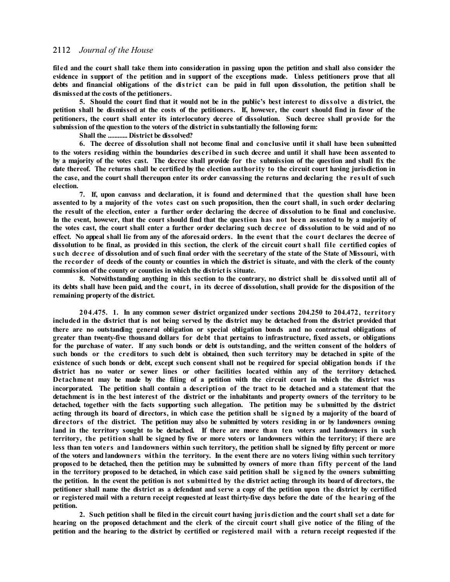filed and the court shall take them into consideration in passing upon the petition and shall also consider the evidence in support of the petition and in support of the exceptions made. Unless petitioners prove that all debts and financial obligations of the district can be paid in full upon dissolution, the petition shall be **dismissedat the costs of the petitioners.**

5. Should the court find that it would not be in the public's best interest to dissolve a district, the petition shall be dismissed at the costs of the petitioners. If, however, the court should find in favor of the **petitioners, the court shall enter its interlocutory decree of dissolution. Such decree shall provide for the submission of the question to the voters of the district in substantially the following form:**

**Shall the ............ District be dissolved?**

**6. The decree of dissolution shall not become final and conclusive until it shall have been submitted** to the voters residing within the boundaries described in such decree and until it shall have been assented to by a majority of the votes cast. The decree shall provide for the submission of the question and shall fix the date thereof. The returns shall be certified by the election authority to the circuit court having jurisdiction in the case, and the court shall thereupon enter its order canvassing the returns and declaring the result of such **election.**

**7. If, upon canvass and declaration, it is found and determined that the question shall have been** assented to by a majority of the votes cast on such proposition, then the court shall, in such order declaring the result of the election, enter a further order declaring the decree of dissolution to be final and conclusive. In the event, however, that the court should find that the question has not been assented to by a majority of the votes cast, the court shall enter a further order declaring such decree of dissolution to be void and of no effect. No appeal shall lie from any of the aforesaid orders. In the event that the court declares the decree of dissolution to be final, as provided in this section, the clerk of the circuit court shall file certified copies of such decree of dissolution and of such final order with the secretary of the state of the State of Missouri, with the recorder of deeds of the county or counties in which the district is situate, and with the clerk of the county **commission of the county or counties in which the district is situate.**

**8. Notwithstanding anything in this section to the contrary, no district shall be dissolved until all of** its debts shall have been paid, and the court, in its decree of dissolution, shall provide for the disposition of the **remaining property of the district.**

**204.475. 1. In any common sewer district organized under sections 204.250 to 204.472, territory** included in the district that is not being served by the district may be detached from the district provided that **there are no outstanding general obligation or special obligation bonds and no contractual obligations of greater than twenty-five thousand dollars for debt that pertains to infrastructure, fixed assets, or obligations** for the purchase of water. If any such bonds or debt is outstanding, and the written consent of the holders of such bonds or the creditors to such debt is obtained, then such territory may be detached in spite of the existence of such bonds or debt, except such consent shall not be required for special obligation bonds if the **district has no water or sewer lines or other facilities located within any of the territory detached.** Detachment may be made by the filing of a petition with the circuit court in which the district was incorporated. The petition shall contain a description of the tract to be detached and a statement that the detachment is in the best interest of the district or the inhabitants and property owners of the territory to be **detached, together with the facts supporting such allegation. The petition may be submitted by the district** acting through its board of directors, in which case the petition shall be signed by a majority of the board of directors of the district. The petition may also be submitted by voters residing in or by landowners owning land in the territory sought to be detached. If there are more than ten voters and landowners in such territory, the petition shall be signed by five or more voters or landowners within the territory; if there are less than ten voters and landowners within such territory, the petition shall be signed by fifty percent or more of the voters and landowners within the territory. In the event there are no voters living within such territory proposed to be detached, then the petition may be submitted by owners of more than fifty percent of the land in the territory proposed to be detached, in which case said petition shall be signed by the owners submitting the petition. In the event the petition is not submitted by the district acting through its board of directors, the petitioner shall name the district as a defendant and serve a copy of the petition upon the district by certified or registered mail with a return receipt requested at least thirty-five days before the date of the hearing of the **petition.**

2. Such petition shall be filed in the circuit court having juris diction and the court shall set a date for hearing on the proposed detachment and the clerk of the circuit court shall give notice of the filing of the petition and the hearing to the district by certified or registered mail with a return receipt requested if the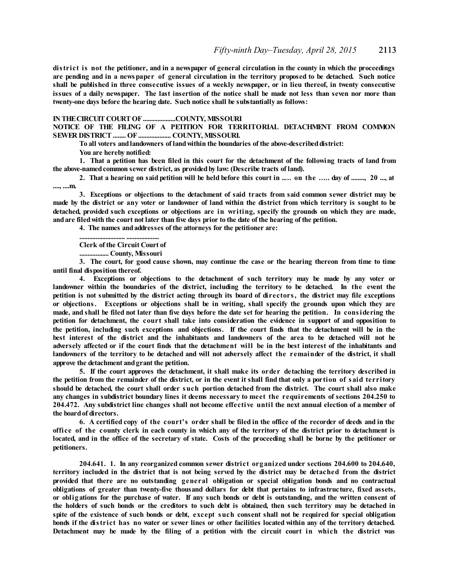district is not the petitioner, and in a newspaper of general circulation in the county in which the proceedings are pending and in a newspaper of general circulation in the territory proposed to be detached. Such notice shall be published in three consecutive issues of a weekly newspaper, or in lieu thereof, in twenty consecutive issues of a daily newspaper. The last insertion of the notice shall be made not less than seven nor more than **twenty-one days before the hearing date. Such notice shall be substantially as follows:**

#### **IN THECIRCUIT COURT OF....................COUNTY, MISSOURI**

**NOTICE OF THE FILING OF A PETITION FOR TERRITORIAL DETACHMENT FROM COMMON SEWER DISTRICT........ OF.................... COUNTY, MISSOURI.**

**To all voters andlandowners of landwithin the boundaries of the above-describeddistrict:**

**You are hereby notified:**

1. That a petition has been filed in this court for the detachment of the following tracts of land from **the above-namedcommon sewer district, as providedby law: (Describe tracts of land).**

2. That a hearing on said petition will be held before this court in ..... on the ..... day of ........, 20 ..., at **...., ....m.**

**3. Exceptions or objections to the detachment of said tracts from said common sewer district may be** made by the district or any wter or landowner of land within the district from which territory is sought to be detached, provided such exceptions or objections are in writing, specify the grounds on which they are made, **andare filedwith the court not later than five days prior to the date of the hearing of the petition.**

**4. The names andaddresses of the attorneys for the petitioner are:**

**............................ ....................**

**Clerk of the Circuit Court of**

**.................. County, Missouri**

3. The court, for good cause shown, may continue the case or the hearing thereon from time to time **until final disposition thereof.**

**4. Exceptions or objections to the detachment of such territory may be made by any voter or landowner within the boundaries of the district, including the territory to be detached. In the event the** petition is not submitted by the district acting through its board of directors, the district may file exceptions **or objections. Exceptions or objections shall be in writing, shall specify the grounds upon which they are** made, and shall be filed not later than five days before the date set for hearing the petition. In considering the **petition for detachment, the court shall take into consideration the evidence in support of and opposition to** the petition, including such exceptions and objections. If the court finds that the detachment will be in the best interest of the district and the inhabitants and landowners of the area to be detached will not be adversely affected or if the court finds that the detachment will be in the best interest of the inhabitants and landowners of the territory to be detached and will not adversely affect the remainder of the district, it shall **approve the detachment andgrant the petition.**

**5. If the court approves the detachment, it shall make its order detaching the territory described in** the petition from the remainder of the district, or in the event it shall find that only a portion of said territory should be detached, the court shall order such portion detached from the district. The court shall also make any changes in subdistrict boundary lines it deems necessary to meet the requirements of sections 204.250 to 204.472. Any subdistrict line changes shall not become effective until the next annual election of a member of **the boardof directors.**

6. A certified copy of the court's order shall be filed in the office of the recorder of deeds and in the office of the county clerk in each county in which any of the territory of the district prior to detachment is located, and in the office of the secretary of state. Costs of the proceeding shall be borne by the petitioner or **petitioners.**

**204.641. 1. In any reorganized common sewer district organized under sections 204.600 to 204.640,** territory included in the district that is not being served by the district may be detached from the district **provided that there are no outstanding general obligation or special obligation bonds and no contractual obligations of greater than twenty-five thousand dollars for debt that pertains to infrastructure, fixed assets,** or obligations for the purchase of water. If any such bonds or debt is outstanding, and the written consent of the holders of such bonds or the creditors to such debt is obtained, then such territory may be detached in spite of the existence of such bonds or debt, except such consent shall not be required for special obligation bonds if the district has no water or sewer lines or other facilities located within any of the territory detached. Detachment may be made by the filing of a petition with the circuit court in which the district was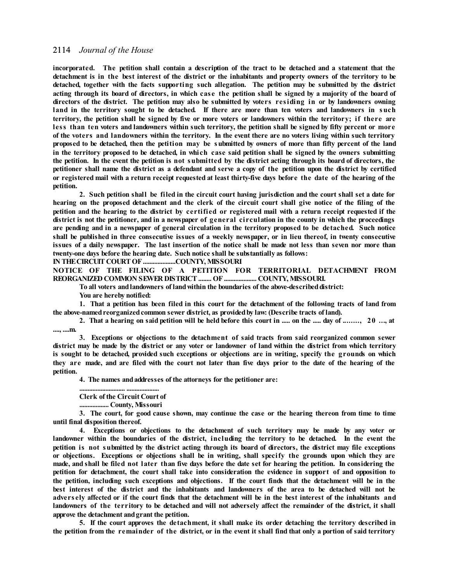incorporated. The petition shall contain a description of the tract to be detached and a statement that the detachment is in the best interest of the district or the inhabitants and property owners of the territory to be **detached, together with the facts supporting such allegation. The petition may be submitted by the district** acting through its board of directors, in which case the petition shall be signed by a majority of the board of directors of the district. The petition may also be submitted by voters residing in or by landowners owning land in the territory sought to be detached. If there are more than ten voters and landowners in such territory, the petition shall be signed by five or more voters or landowners within the territory; if there are less than ten voters and landowners within such territory, the petition shall be signed by fifty percent or more of the voters and landowners within the territory. In the event there are no voters living within such territory proposed to be detached, then the petition may be submitted by owners of more than fifty percent of the land in the territory proposed to be detached, in which case said petition shall be signed by the owners submitting the petition. In the event the petition is not submitted by the district acting through its board of directors, the petitioner shall name the district as a defendant and serve a copy of the petition upon the district by certified or registered mail with a return receipt requested at least thirty-five days before the date of the hearing of the **petition.**

2. Such petition shall be filed in the circuit court having jurisdiction and the court shall set a date for hearing on the proposed detachment and the clerk of the circuit court shall give notice of the filing of the petition and the hearing to the district by certified or registered mail with a return receipt requested if the district is not the petitioner, and in a newspaper of general circulation in the county in which the proceedings are pending and in a newspaper of general circulation in the territory proposed to be detached. Such notice shall be published in three consecutive issues of a weekly newspaper, or in lieu thereof, in twenty consecutive issues of a daily newspaper. The last insertion of the notice shall be made not less than seven nor more than **twenty-one days before the hearing date. Such notice shall be substantially as follows:**

**IN THECIRCUIT COURT OF....................COUNTY, MISSOURI**

**NOTICE OF THE FILING OF A PETITION FOR TERRITORIAL DETACHMENT FROM REORGANIZED COMMON SEWER DISTRICT........ OF.................... COUNTY, MISSOURI.**

**To all voters andlandowners of landwithin the boundaries of the above-describeddistrict:**

**You are hereby notified:**

1. That a petition has been filed in this court for the detachment of the following tracts of land from **the above-namedreorganizedcommon sewer district, as providedby law: (Describe tracts of land).**

2. That a hearing on said petition will be held before this court in ..... on the ..... day of ........, 20 ..., at **...., ....m.**

**3. Exceptions or objections to the detachment of said tracts from said reorganized common sewer** district may be made by the district or any voter or landowner of land within the district from which territory is sought to be detached, provided such exceptions or objections are in writing, specify the grounds on which they are made, and are filed with the court not later than five days prior to the date of the hearing of the **petition.**

**4. The names andaddresses of the attorneys for the petitioner are:**

#### **............................ .................... Clerk of the Circuit Court of**

**.................. County, Missouri**

3. The court, for good cause shown, may continue the case or the hearing thereon from time to time **until final disposition thereof.**

**4. Exceptions or objections to the detachment of such territory may be made by any voter or landowner within the boundaries of the district, including the territory to be detached. In the event the** petition is not submitted by the district acting through its board of directors, the district may file exceptions or objections. Exceptions or objections shall be in writing, shall specify the grounds upon which they are made, and shall be filed not later than five days before the date set for hearing the petition. In considering the petition for detachment, the court shall take into consideration the evidence in support of and opposition to the petition, including such exceptions and objections. If the court finds that the detachment will be in the **best interest of the district and the inhabitants and landowners of the area to be detached will not be** adversely affected or if the court finds that the detachment will be in the best interest of the inhabitants and landowners of the territory to be detached and will not adversely affect the remainder of the district, it shall **approve the detachment andgrant the petition.**

**5. If the court approves the detachment, it shall make its order detaching the territory described in** the petition from the remainder of the district, or in the event it shall find that only a portion of said territory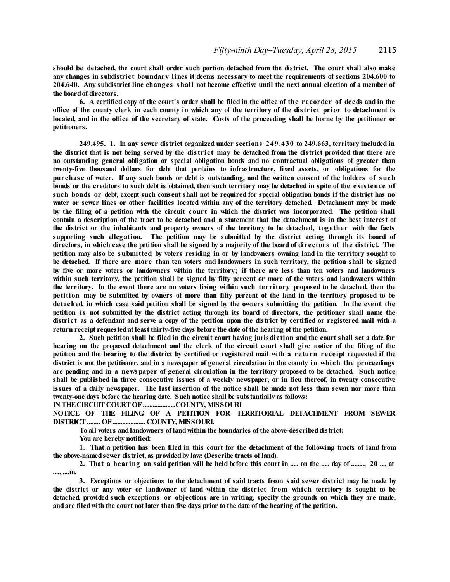should be detached, the court shall order such portion detached from the district. The court shall also make any changes in subdistrict boundary lines it deems necessary to meet the requirements of sections 204.600 to 204.640. Any subdistrict line changes shall not become effective until the next annual election of a member of **the boardof directors.**

6. A certified copy of the court's order shall be filed in the office of the recorder of deeds and in the office of the county clerk in each county in which any of the territory of the district prior to detachment is located, and in the office of the secretary of state. Costs of the proceeding shall be borne by the petitioner or **petitioners.**

**249.495. 1. In any sewer district organized under sections 249.430 to 249.663, territory included in** the district that is not being served by the district may be detached from the district provided that there are **no outstanding general obligation or special obligation bonds and no contractual obligations of greater than twenty-five thousand dollars for debt that pertains to infrastructure, fixed assets, or obligations for the** purchase of water. If any such bonds or debt is outstanding, and the written consent of the holders of such bonds or the creditors to such debt is obtained, then such territory may be detached in spite of the existence of such bonds or debt, except such consent shall not be required for special obligation bonds if the district has no water or sewer lines or other facilities located within any of the territory detached. Detachment may be made by the filing of a petition with the circuit court in which the district was incorporated. The petition shall contain a description of the tract to be detached and a statement that the detachment is in the best interest of **the district or the inhabitants and property owners of the territory to be detached, together with the facts supporting such allegation. The petition may be submitted by the district acting through its board of** directors, in which case the petition shall be signed by a majority of the board of directors of the district. The petition may also be submitted by voters residing in or by landowners owning land in the territory sought to be detached. If there are more than ten voters and landowners in such territory, the petition shall be signed by five or more voters or landowners within the territory; if there are less than ten voters and landowners within such territory, the petition shall be signed by fifty percent or more of the voters and landowners within the territory. In the event there are no voters living within such territory proposed to be detached, then the petition may be submitted by owners of more than fifty percent of the land in the territory proposed to be detached, in which case said petition shall be signed by the owners submitting the petition. In the event the petition is not submitted by the district acting through its board of directors, the petitioner shall name the district as a defendant and serve a copy of the petition upon the district by certified or registered mail with a **return receipt requestedat least thirty-five days before the date of the hearing of the petition.**

2. Such petition shall be filed in the circuit court having juris diction and the court shall set a date for hearing on the proposed detachment and the clerk of the circuit court shall give notice of the filing of the petition and the hearing to the district by certified or registered mail with a return receipt requested if the district is not the petitioner, and in a newspaper of general circulation in the county in which the proceedings are pending and in a newspaper of general circulation in the territory proposed to be detached. Such notice shall be published in three consecutive issues of a weekly newspaper, or in lieu thereof, in twenty consecutive issues of a daily newspaper. The last insertion of the notice shall be made not less than seven nor more than **twenty-one days before the hearing date. Such notice shall be substantially as follows:**

**IN THECIRCUIT COURT OF....................COUNTY, MISSOURI**

**NOTICE OF THE FILING OF A PETITION FOR TERRITORIAL DETACHMENT FROM SEWER DISTRICT........ OF.................... COUNTY, MISSOURI.**

**To all voters andlandowners of landwithin the boundaries of the above-describeddistrict:**

**You are hereby notified:**

1. That a petition has been filed in this court for the detachment of the following tracts of land from **the above-namedsewer district, as providedby law: (Describe tracts of land).**

2. That a hearing on said petition will be held before this court in ..... on the ..... day of ........., 20 ..., at **...., ....m.**

3. Exceptions or objections to the detachment of said tracts from said sewer district may be made by the district or any voter or landowner of land within the district from which territory is sought to be detached, provided such exceptions or objections are in writing, specify the grounds on which they are made, **andare filedwith the court not later than five days prior to the date of the hearing of the petition.**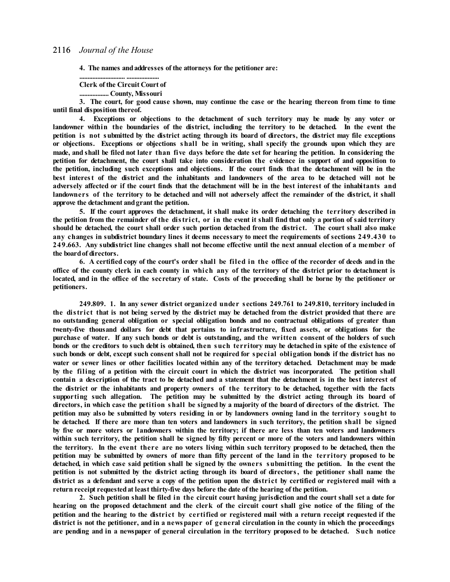**4. The names andaddresses of the attorneys for the petitioner are:**

**............................ .................... Clerk of the Circuit Court of**

**.................. County, Missouri**

3. The court, for good cause shown, may continue the case or the hearing thereon from time to time **until final disposition thereof.**

**4. Exceptions or objections to the detachment of such territory may be made by any voter or landowner within the boundaries of the district, including the territory to be detached. In the event the** petition is not submitted by the district acting through its board of directors, the district may file exceptions or objections. Exceptions or objections shall be in writing, shall specify the grounds upon which they are made, and shall be filed not later than five days before the date set for hearing the petition. In considering the petition for detachment, the court shall take into consideration the evidence in support of and opposition to the petition, including such exceptions and objections. If the court finds that the detachment will be in the best interest of the district and the inhabitants and landowners of the area to be detached will not be adversely affected or if the court finds that the detachment will be in the best interest of the inhabitants and landowners of the territory to be detached and will not adversely affect the remainder of the district, it shall **approve the detachment andgrant the petition.**

**5. If the court approves the detachment, it shall make its order detaching the territory described in** the petition from the remainder of the district, or in the event it shall find that only a portion of said territory should be detached, the court shall order such portion detached from the district. The court shall also make any changes in subdistrict boundary lines it deems necessary to meet the requirements of sections 249.430 to 249.663. Any subdistrict line changes shall not become effective until the next annual election of a member of **the boardof directors.**

6. A certified copy of the court's order shall be filed in the office of the recorder of deeds and in the office of the county clerk in each county in which any of the territory of the district prior to detachment is located, and in the office of the secretary of state. Costs of the proceeding shall be borne by the petitioner or **petitioners.**

**249.809. 1. In any sewer district organized under s ections 249.761 to 249.810, territory included in** the district that is not being served by the district may be detached from the district provided that there are **no outstanding general obligation or special obligation bonds and no contractual obligations of greater than twenty-five thousand dollars for debt that pertains to infrastructure, fixed assets, or obligations for the** purchase of water. If any such bonds or debt is outstanding, and the written consent of the holders of such bonds or the creditors to such debt is obtained, then such territory may be detached in spite of the existence of such bonds or debt, except such consent shall not be required for special obligation bonds if the district has no water or sewer lines or other facilities located within any of the territory detached. Detachment may be made by the filing of a petition with the circuit court in which the district was incorporated. The petition shall contain a description of the tract to be detached and a statement that the detachment is in the best interest of the district or the inhabitants and property owners of the territory to be detached, together with the facts **supporting such allegation. The petition may be submitted by the district acting through its board of** directors, in which case the petition shall be signed by a majority of the board of directors of the district. The petition may also be submitted by voters residing in or by landowners owning land in the territory sought to be detached. If there are more than ten voters and landowners in such territory, the petition shall be signed by five or more voters or landowners within the territory; if there are less than ten voters and landowners within such territory, the petition shall be signed by fifty percent or more of the voters and landowners within the territory. In the event there are no voters living within such territory proposed to be detached, then the petition may be submitted by owners of more than fifty percent of the land in the territory proposed to be detached, in which case said petition shall be signed by the owners submitting the petition. In the event the petition is not submitted by the district acting through its board of directors, the petitioner shall name the district as a defendant and serve a copy of the petition upon the district by certified or registered mail with a **return receipt requestedat least thirty-five days before the date of the hearing of the petition.**

2. Such petition shall be filed in the circuit court having jurisdiction and the court shall set a date for hearing on the proposed detachment and the clerk of the circuit court shall give notice of the filing of the petition and the hearing to the district by certified or registered mail with a return receipt requested if the district is not the petitioner, and in a newspaper of general circulation in the county in which the proceedings are pending and in a newspaper of general circulation in the territory proposed to be detached. Such notice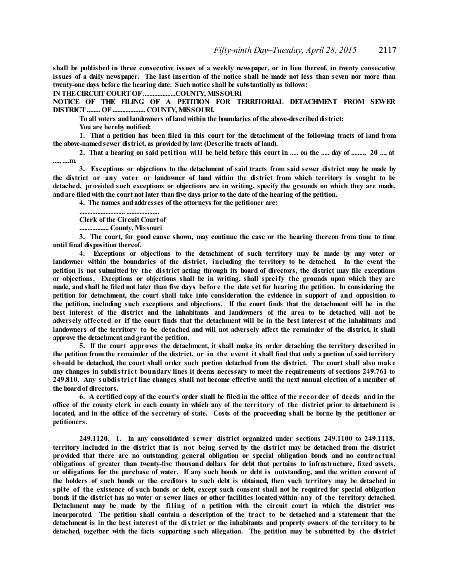shall be published in three consecutive issues of a weekly newspaper, or in lieu thereof, in twenty consecutive issues of a daily newspaper. The last insertion of the notice shall be made not less than seven nor more than **twenty-one days before the hearing date. Such notice shall be substantially as follows:**

**IN THECIRCUIT COURT OF....................COUNTY, MISSOURI**

**NOTICE OF THE FILING OF A PETITION FOR TERRITORIAL DETACHMENT FROM SEWER DISTRICT........ OF.................... COUNTY, MISSOURI.**

**To all voters andlandowners of landwithin the boundaries of the above-describeddistrict: You are hereby notified:**

1. That a petition has been filed in this court for the detachment of the following tracts of land from **the above-namedsewer district, as providedby law: (Describe tracts of land).**

2. That a hearing on said petition will be held before this court in ..... on the ..... day of ........, 20 ..., at **...., ....m.**

3. Exceptions or objections to the detachment of said tracts from said sewer district may be made by the district or any voter or landowner of land within the district from which territory is sought to be **detached, provided such exceptions or objections are in writing, specify the grounds on which they are made, andare filedwith the court not later than five days prior to the date of the hearing of the petition.**

**4. The names andaddresses of the attorneys for the petitioner are:**

**............................ .................... Clerk of the Circuit Court of**

**.................. County, Missouri**

3. The court, for good cause shown, may continue the case or the hearing thereon from time to time **until final disposition thereof.**

**4. Exceptions or objections to the detachment of such territory may be made by any voter or landowner within the boundaries of the district, including the territory to be detached. In the event the** petition is not submitted by the district acting through its board of directors, the district may file exceptions or objections. Exceptions or objections shall be in writing, shall specify the grounds upon which they are made, and shall be filed not later than five days before the date set for hearing the petition. In considering the petition for detachment, the court shall take into consideration the evidence in support of and opposition to the petition, including such exceptions and objections. If the court finds that the detachment will be in the **best interest of the district and the inhabitants and landowners of the area to be detached will not be** adversely affected or if the court finds that the detachment will be in the best interest of the inhabitants and landowners of the territory to be detached and will not adversely affect the remainder of the district, it shall **approve the detachment andgrant the petition.**

**5. If the court approves the detachment, it shall make its order detaching the territory described in** the petition from the remainder of the district, or in the event it shall find that only a portion of said territory should be detached, the court shall order such portion detached from the district. The court shall also make any changes in subdistrict boundary lines it deems necessary to meet the requirements of sections 249.761 to 249.810. Any subdistrict line changes shall not become effective until the next annual election of a member of **the boardof directors.**

6. A certified copy of the court's order shall be filed in the office of the recorder of deeds and in the office of the county clerk in each county in which any of the territory of the district prior to detachment is located, and in the office of the secretary of state. Costs of the proceeding shall be borne by the petitioner or **petitioners.**

**249.1120. 1. In any consolidated s ewer district organized under sections 249.1100 to 249.1118,** territory included in the district that is not being served by the district may be detached from the district **provided that there are no outstanding general obligation or special obligation bonds and no contractual obligations of greater than twenty-five thousand dollars for debt that pertains to infrastructure, fixed assets,** or obligations for the purchase of water. If any such bonds or debt is outstanding, and the written consent of the holders of such bonds or the creditors to such debt is obtained, then such territory may be detached in spite of the existence of such bonds or debt, except such consent shall not be required for special obligation bonds if the district has no water or sewer lines or other facilities located within any of the territory detached. Detachment may be made by the filing of a petition with the circuit court in which the district was incorporated. The petition shall contain a description of the tract to be detached and a statement that the detachment is in the best interest of the district or the inhabitants and property owners of the territory to be **detached, together with the facts supporting such allegation. The petition may be submitted by the district**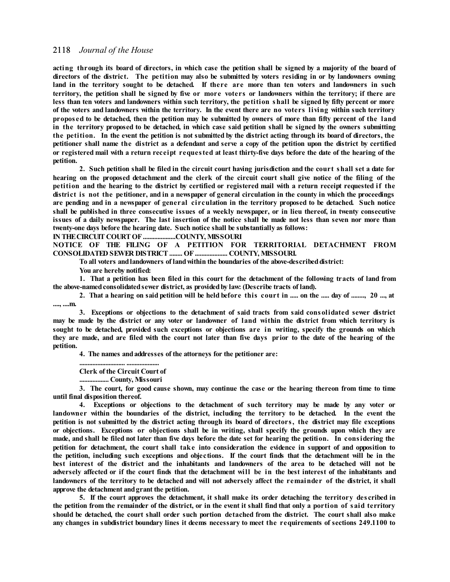acting through its board of directors, in which case the petition shall be signed by a majority of the board of directors of the district. The petition may also be submitted by voters residing in or by landowners owning land in the territory sought to be detached. If there are more than ten voters and landowners in such territory, the petition shall be signed by five or more voters or landowners within the territory; if there are less than ten voters and landowners within such territory, the petition shall be signed by fifty percent or more of the voters and landowners within the territory. In the event there are no voters living within such territory proposed to be detached, then the petition may be submitted by owners of more than fifty percent of the land in the territory proposed to be detached, in which case said petition shall be signed by the owners submitting the petition. In the event the petition is not submitted by the district acting through its board of directors, the petitioner shall name the district as a defendant and serve a copy of the petition upon the district by certified or registered mail with a return receipt requested at least thirty-five days before the date of the hearing of the **petition.**

2. Such petition shall be filed in the circuit court having jurisdiction and the court shall set a date for hearing on the proposed detachment and the clerk of the circuit court shall give notice of the filing of the petition and the hearing to the district by certified or registered mail with a return receipt requested if the district is not the petitioner, and in a newspaper of general circulation in the county in which the proceedings are pending and in a newspaper of general circulation in the territory proposed to be detached. Such notice shall be published in three consecutive issues of a weekly newspaper, or in lieu thereof, in twenty consecutive issues of a daily newspaper. The last insertion of the notice shall be made not less than seven nor more than **twenty-one days before the hearing date. Such notice shall be substantially as follows:**

**IN THECIRCUIT COURT OF....................COUNTY, MISSOURI**

**NOTICE OF THE FILING OF A PETITION FOR TERRITORIAL DETACHMENT FROM CONSOLIDATED SEWER DISTRICT........ OF.................... COUNTY, MISSOURI.**

**To all voters andlandowners of landwithin the boundaries of the above-describeddistrict:**

**You are hereby notified:**

1. That a petition has been filed in this court for the detachment of the following tracts of land from **the above-namedconsolidatedsewer district, as providedby law: (Describe tracts of land).**

2. That a hearing on said petition will be held before this court in ..... on the ..... day of ........, 20 ..., at **...., ....m.**

**3. Exceptions or objections to the detachment of said tracts from said cons olidated sewer district** may be made by the district or any voter or landowner of land within the district from which territory is **sought to be detached, provided such exceptions or objections are in writing, specify the grounds on which** they are made, and are filed with the court not later than five days prior to the date of the hearing of the **petition.**

**4. The names andaddresses of the attorneys for the petitioner are:**

**............................ .................... Clerk of the Circuit Court of**

**.................. County, Missouri**

3. The court, for good cause shown, may continue the case or the hearing thereon from time to time **until final disposition thereof.**

**4. Exceptions or objections to the detachment of such territory may be made by any voter or landowner within the boundaries of the district, including the territory to be detached. In the event the** petition is not submitted by the district acting through its board of directors, the district may file exceptions or objections. Exceptions or objections shall be in writing, shall specify the grounds upon which they are made, and shall be filed not later than five days before the date set for hearing the petition. In considering the **petition for detachment, the court shall take into consideration the evidence in support of and opposition to** the petition, including such exceptions and objections. If the court finds that the detachment will be in the best interest of the district and the inhabitants and landowners of the area to be detached will not be adversely affected or if the court finds that the detachment will be in the best interest of the inhabitants and landowners of the territory to be detached and will not adversely affect the remainder of the district, it shall **approve the detachment andgrant the petition.**

5. If the court approves the detachment, it shall make its order detaching the territory described in the petition from the remainder of the district, or in the event it shall find that only a portion of said territory should be detached, the court shall order such portion detached from the district. The court shall also make any changes in subdistrict boundary lines it deems necessary to meet the requirements of sections 249.1100 to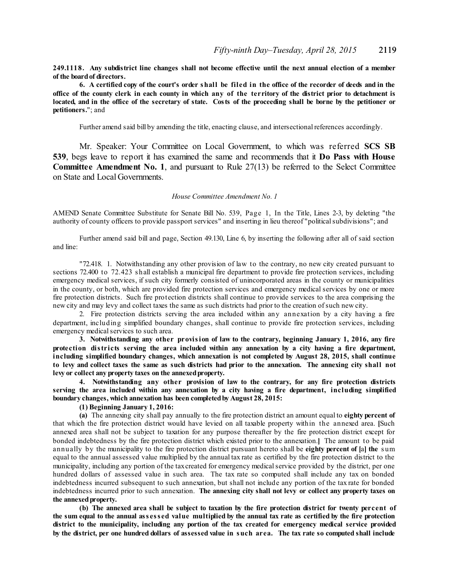249.1118. Any subdistrict line changes shall not become effective until the next annual election of a member **of the boardof directors.**

6. A certified copy of the court's order shall be filed in the office of the recorder of deeds and in the office of the county clerk in each county in which any of the territory of the district prior to detachment is located, and in the office of the secretary of state. Costs of the proceeding shall be borne by the petitioner or **petitioners.**"; and

Further amend said bill by amending the title, enacting clause, and intersectional references accordingly.

Mr. Speaker: Your Committee on Local Government, to which was referred **SCS SB 539**, begs leave to report it has examined the same and recommends that it **Do Pass with House Committee Amendment No. 1**, and pursuant to Rule 27(13) be referred to the Select Committee on State and Local Governments.

#### *House Committee Amendment No. 1*

AMEND Senate Committee Substitute for Senate Bill No. 539, Page 1, In the Title, Lines 2-3, by deleting "the authority of county officers to provide passport services" and inserting in lieu thereof "politicalsubdivisions"; and

Further amend said bill and page, Section 49.130, Line 6, by inserting the following after all of said section and line:

"72.418. 1. Notwithstanding any other provision of law to the contrary, no new city created pursuant to sections 72.400 to 72.423 shall establish a municipal fire department to provide fire protection services, including emergency medical services, if such city formerly consisted of unincorporated areas in the county or municipalities in the county, or both, which are provided fire protection services and emergency medical services by one or more fire protection districts. Such fire protection districts shall continue to provide services to the area comprising the new city and may levy and collect taxes the same as such districts had prior to the creation ofsuch new city.

2. Fire protection districts serving the area included within any annexation by a city having a fire department, including simplified boundary changes, shall continue to provide fire protection services, including emergency medical services to such area.

**3. Notwithstanding any other provision of law to the contrary, beginning January 1, 2016, any fire protection districts serving the area included within any annexation by a city having a fire department, including simplified boundary changes, which annexation is not completed by August 28, 2015, shall continue** to levy and collect taxes the same as such districts had prior to the annexation. The annexing city shall not **levy or collect any property taxes on the annexedproperty.**

**4. Notwithstanding any other provision of law to the contrary, for any fire protection districts serving the area included within any annexation by a city having a fire department, including simplified boundary changes, which annexation has been completedby August 28, 2015:**

**(1) Beginning January 1, 2016:**

**(a)** The annexing city shall pay annually to the fire protection district an amount equal to **eighty percent of** that which the fire protection district would have levied on all taxable property within the annexed area. **[**Such annexed area shall not be subject to taxation for any purpose thereafter by the fire protection district except for bonded indebtedness by the fire protection district which existed prior to the annexation.**]** The amount to be paid annually by the municipality to the fire protection district pursuant hereto shall be **eighty percent of [**a**] the** s um equal to the annual assessed value multiplied by the annual tax rate as certified by the fire protection district to the municipality, including any portion of the taxcreated for emergency medicalservice provided by the district, per one hundred dollars of assessed value in such area. The tax rate so computed shall include any tax on bonded indebtedness incurred subsequent to such annexation, but shall not include any portion of the tax rate for bonded indebtedness incurred prior to such annexation. **The annexing city shall not levy or collect any property taxes on the annexedproperty.**

(b) The annexed area shall be subject to taxation by the fire protection district for twenty percent of the sum equal to the annual assessed value multiplied by the annual tax rate as certified by the fire protection **district to the municipality, including any portion of the tax created for emergency medical service provided** by the district, per one hundred dollars of assessed value in such area. The tax rate so computed shall include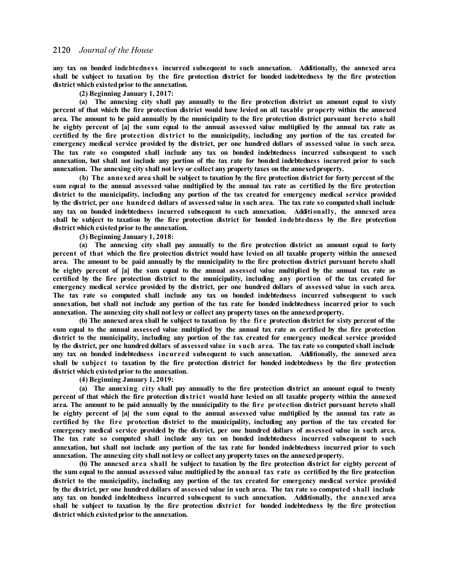**any tax on bonded indebtedness incurred subsequent to such annexation. Additionally, the annexed area** shall be subject to taxation by the fire protection district for bonded indebtedness by the fire protection **district which existedprior to the annexation.**

**(2) Beginning January 1, 2017:**

**(a) The annexing city shall pay annually to the fire protection district an amount equal to sixty** percent of that which the fire protection district would have levied on all taxable property within the annexed area. The amount to be paid annually by the municipality to the fire protection district pursuant hereto shall be eighty percent of [a] the sum equal to the annual assessed value multiplied by the annual tax rate as certified by the fire protection district to the municipality, including any portion of the tax created for emergency medical service provided by the district, per one hundred dollars of assessed value in such area. **The tax rate so computed shall include any tax on bonded indebtedness incurred subsequent to such** annexation, but shall not include any portion of the tax rate for bonded indebtedness incurred prior to such **annexation. The annexing city shall not levy or collect any property taxes on the annexedproperty.**

(b) The annexed area shall be subject to taxation by the fire protection district for forty percent of the sum equal to the annual assessed value multiplied by the annual tax rate as certified by the fire protection **district to the municipality, including any portion of the tax created for emergency medical service provided** by the district, per one hundred dollars of assessed value in such area. The tax rate so computed shall include **any tax on bonded indebtedness incurred subsequent to such annexation. Additionally, the annexed area** shall be subject to taxation by the fire protection district for bonded indebtedness by the fire protection **district which existedprior to the annexation.**

**(3) Beginning January 1, 2018:**

**(a) The annexing city shall pay annually to the fire protection district an amount equal to forty** percent of that which the fire protection district would have levied on all taxable property within the annexed area. The amount to be paid annually by the municipality to the fire protection district pursuant hereto shall be eighty percent of [a] the sum equal to the annual assessed value multiplied by the annual tax rate as certified by the fire protection district to the municipality, including any portion of the tax created for emergency medical service provided by the district, per one hundred dollars of assessed value in such area. **The tax rate so computed shall include any tax on bonded indebtedness incurred subsequent to such** annexation, but shall not include any portion of the tax rate for bonded indebtedness incurred prior to such **annexation. The annexing city shall not levy or collect any property taxes on the annexedproperty.**

(b) The annexed area shall be subject to taxation by the fire protection district for sixty percent of the sum equal to the annual assessed value multiplied by the annual tax rate as certified by the fire protection **district to the municipality, including any portion of the tax created for emergency medical service provided** by the district, per one hundred dollars of assessed value in such area. The tax rate so computed shall include **any tax on bonded indebtedness incurred subsequent to such annexation. Additionally, the annexed area** shall be subject to taxation by the fire protection district for bonded indebtedness by the fire protection **district which existedprior to the annexation.**

**(4) Beginning January 1, 2019:**

**(a) The annexing city shall pay annually to the fire protection district an amount equal to twenty** percent of that which the fire protection district would have levied on all taxable property within the annexed area. The amount to be paid annually by the municipality to the fire protection district pursuant hereto shall be eighty percent of [a] the sum equal to the annual assessed value multiplied by the annual tax rate as certified by the fire protection district to the municipality, including any portion of the tax created for emergency medical service provided by the district, per one hundred dollars of assessed value in such area. **The tax rate so computed shall include any tax on bonded indebtedness incurred subsequent to such** annexation, but shall not include any portion of the tax rate for bonded indebtedness incurred prior to such **annexation. The annexing city shall not levy or collect any property taxes on the annexedproperty.**

**(b) The annexed area shall be subject to taxation by the fire protection district for eighty percent of** the sum equal to the annual assessed value multiplied by the annual tax rate as certified by the fire protection **district to the municipality, including any portion of the tax created for emergency medical service provided** by the district, per one hundred dollars of assessed value in such area. The tax rate so computed shall include **any tax on bonded indebtedness incurred subsequent to such annexation. Additionally, the annexed area** shall be subject to taxation by the fire protection district for bonded indebtedness by the fire protection **district which existedprior to the annexation.**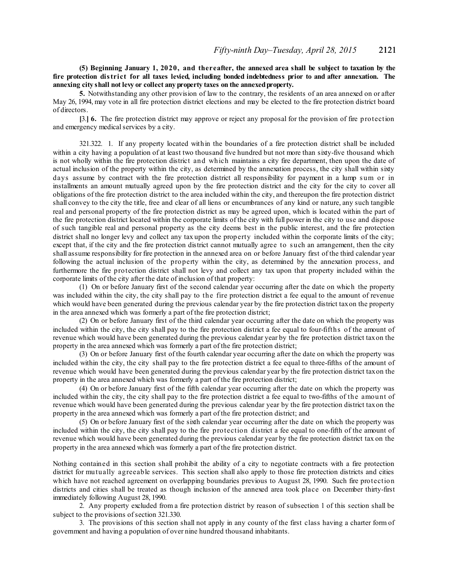**(5) Beginning January 1, 2020, and thereafter, the annexed area shall be subject to taxation by the fire protection district for all taxes levied, including bonded indebtedness prior to and after annexation. The annexing city shall not levy or collect any property taxes on the annexedproperty.**

**5.** Notwithstanding any other provision of law to the contrary, the residents of an area annexed on or after May 26, 1994, may vote in all fire protection district elections and may be elected to the fire protection district board of directors.

**[**3.**] 6.** The fire protection district may approve or reject any proposal for the provision of fire protection and emergency medicalservices by a city.

321.322. 1. If any property located within the boundaries of a fire protection district shall be included within a city having a population of at least two thousand five hundred but not more than sixty-five thousand which is not wholly within the fire protection district and which maintains a city fire department, then upon the date of actual inclusion of the property within the city, as determined by the annexation process, the city shall within sixty days assume by contract with the fire protection district all responsibility for payment in a lump sum or in installments an amount mutually agreed upon by the fire protection district and the city for the city to cover all obligations of the fire protection district to the area included within the city, and thereupon the fire protection district shall convey to the city the title, free and clear of all liens or encumbrances of any kind or nature, any such tangible real and personal property of the fire protection district as may be agreed upon, which is located within the part of the fire protection district located within the corporate limits of the city with full power in the city to use and dispose of such tangible real and personal property as the city deems best in the public interest, and the fire protection district shall no longer levy and collect any tax upon the property included within the corporate limits of the city; except that, if the city and the fire protection district cannot mutually agree to such an arrangement, then the city shall assume responsibility for fire protection in the annexed area on or before January first of the third calendar year following the actual inclusion of the property within the city, as determined by the annexation process, and furthermore the fire protection district shall not levy and collect any tax upon that property included within the corporate limits of the city after the date of inclusion of that property:

(1) On or before January first of the second calendar year occurring after the date on which the property was included within the city, the city shall pay to the fire protection district a fee equal to the amount of revenue which would have been generated during the previous calendar year by the fire protection district taxon the property in the area annexed which was formerly a part of the fire protection district;

(2) On or before January first of the third calendar year occurring after the date on which the property was included within the city, the city shall pay to the fire protection district a fee equal to four-fifths of the amount of revenue which would have been generated during the previous calendar year by the fire protection district taxon the property in the area annexed which was formerly a part of the fire protection district;

(3) On or before January first of the fourth calendar year occurring after the date on which the property was included within the city, the city shall pay to the fire protection district a fee equal to three-fifths of the amount of revenue which would have been generated during the previous calendar year by the fire protection district taxon the property in the area annexed which was formerly a part of the fire protection district;

(4) On or before January first of the fifth calendar year occurring after the date on which the property was included within the city, the city shall pay to the fire protection district a fee equal to two-fifths of the amount of revenue which would have been generated during the previous calendar year by the fire protection district taxon the property in the area annexed which was formerly a part of the fire protection district; and

(5) On or before January first of the sixth calendar year occurring after the date on which the property was included within the city, the city shall pay to the fire protection district a fee equal to one-fifth of the amount of revenue which would have been generated during the previous calendar year by the fire protection district tax on the property in the area annexed which was formerly a part of the fire protection district.

Nothing contained in this section shall prohibit the ability of a city to negotiate contracts with a fire protection district for mutually agreeable services. This section shall also apply to those fire protection districts and cities which have not reached agreement on overlapping boundaries previous to August 28, 1990. Such fire protection districts and cities shall be treated as though inclusion of the annexed area took place on December thirty-first immediately following August 28, 1990.

2. Any property excluded from a fire protection district by reason of subsection 1 of this section shall be subject to the provisions of section 321.330.

3. The provisions of this section shall not apply in any county of the first class having a charter form of government and having a population of over nine hundred thousand inhabitants.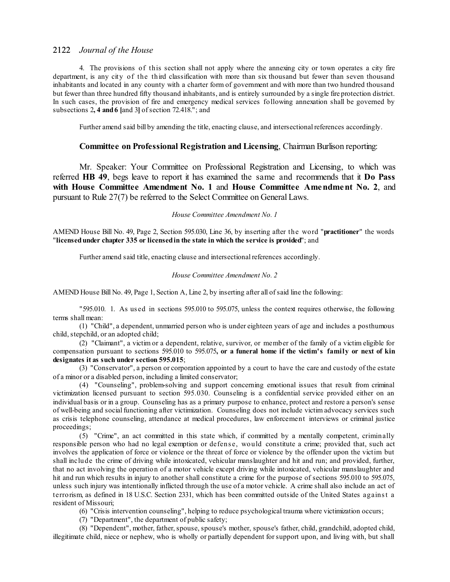4. The provisions of this section shall not apply where the annexing city or town operates a city fire department, is any city of the third classification with more than six thousand but fewer than seven thousand inhabitants and located in any county with a charter form of government and with more than two hundred thousand but fewer than three hundred fifty thousand inhabitants, and is entirely surrounded by a single fire protection district. In such cases, the provision of fire and emergency medical services following annexation shall be governed by subsections 2**, 4 and6 [**and 3**]** ofsection 72.418."; and

Further amend said bill by amending the title, enacting clause, and intersectional references accordingly.

### **Committee on Professional Registration and Licensing**, Chairman Burlison reporting:

Mr. Speaker: Your Committee on Professional Registration and Licensing, to which was referred **HB 49**, begs leave to report it has examined the same and recommends that it **Do Pass with House Committee Amendment No. 1** and **House Committee Amendment No. 2**, and pursuant to Rule 27(7) be referred to the Select Committee on General Laws.

#### *House Committee Amendment No. 1*

AMEND House Bill No. 49, Page 2, Section 595.030, Line 36, by inserting after the word "**practitioner**" the words "**licensedunder chapter 335 or licensedin the state in which the service is provided**"; and

Further amend said title, enacting clause and intersectional references accordingly.

#### *House Committee Amendment No. 2*

AMEND House Bill No. 49, Page 1, Section A, Line 2, by inserting after all ofsaid line the following:

"595.010. 1. As us ed in sections 595.010 to 595.075, unless the context requires otherwise, the following terms shall mean:

(1) "Child", a dependent, unmarried person who is under eighteen years of age and includes a posthumous child, stepchild, or an adopted child;

(2) "Claimant", a victim or a dependent, relative, survivor, or member of the family of a victim eligible for compensation pursuant to sections 595.010 to 595.075**, or a funeral home if the victim's family or next of kin designates it as such under section 595.015**;

(3) "Conservator", a person or corporation appointed by a court to have the care and custody of the estate of a minor or a disabled person, including a limited conservator;

(4) "Counseling", problem-solving and support concerning emotional issues that result from criminal victimization licensed pursuant to section 595.030. Counseling is a confidential service provided either on an individual basis or in a group. Counseling has as a primary purpose to enhance, protect and restore a person's sense of well-being and socialfunctioning after victimization. Counseling does not include victim advocacy services such as crisis telephone counseling, attendance at medical procedures, law enforcement interviews or criminal justice proceedings;

(5) "Crime", an act committed in this state which, if committed by a mentally competent, criminally responsible person who had no legal exemption or defens e, would constitute a crime; provided that, such act involves the application of force or violence or the threat of force or violence by the offender upon the victim but shall include the crime of driving while intoxicated, vehicular manslaughter and hit and run; and provided, further, that no act involving the operation of a motor vehicle except driving while intoxicated, vehicular manslaughter and hit and run which results in injury to another shall constitute a crime for the purpose of sections 595.010 to 595.075, unless such injury was intentionally inflicted through the use of a motor vehicle. A crime shall also include an act of terrorism, as defined in 18 U.S.C. Section 2331, which has been committed outside of the United States against a resident of Missouri;

(6) "Crisis intervention counseling", helping to reduce psychological trauma where victimization occurs;

(7) "Department", the department of public safety;

(8) "Dependent", mother, father,spouse, spouse's mother, spouse's father, child, grandchild, adopted child, illegitimate child, niece or nephew, who is wholly or partially dependent forsupport upon, and living with, but shall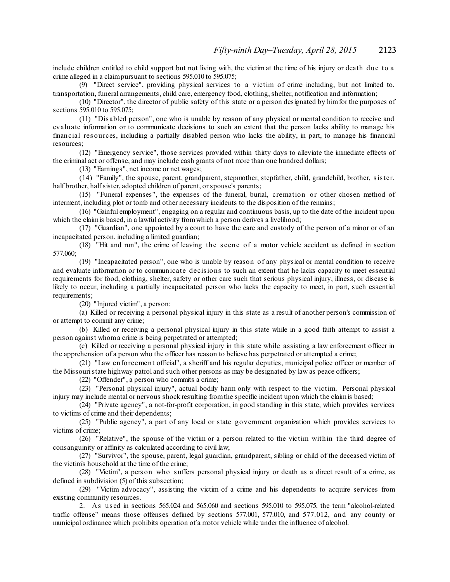include children entitled to child support but not living with, the victim at the time of his injury or death due to a crime alleged in a claimpursuant to sections 595.010 to 595.075;

(9) "Direct service", providing physical services to a victim of crime including, but not limited to, transportation, funeral arrangements, child care, emergency food, clothing, shelter, notification and information;

(10) "Director", the director of public safety of this state or a person designated by himfor the purposes of sections 595.010 to 595.075;

(11) "Dis abled person", one who is unable by reason of any physical or mental condition to receive and evaluate information or to communicate decisions to such an extent that the person lacks ability to manage his financial res ources, including a partially disabled person who lacks the ability, in part, to manage his financial resources;

(12) "Emergency service", those services provided within thirty days to alleviate the immediate effects of the criminal act or offense, and may include cash grants of not more than one hundred dollars;

(13) "Earnings", net income or net wages;

(14) "Family", the spouse, parent, grandparent, stepmother, stepfather, child, grandchild, brother, sister, half brother, half sister, adopted children of parent, or spouse's parents;

(15) "Funeral expenses", the expenses of the funeral, burial, cremation or other chosen method of interment, including plot or tomb and other necessary incidents to the disposition of the remains;

(16) "Gainful employment", engaging on a regular and continuous basis, up to the date of the incident upon which the claimis based, in a lawful activity fromwhich a person derives a livelihood;

(17) "Guardian", one appointed by a court to have the care and custody of the person of a minor or of an incapacitated person, including a limited guardian;

(18) "Hit and run", the crime of leaving the s cene of a motor vehicle accident as defined in section 577.060;

(19) "Incapacitated person", one who is unable by reason of any physical or mental condition to receive and evaluate information or to communicate decisions to such an extent that he lacks capacity to meet essential requirements for food, clothing, shelter, safety or other care such that serious physical injury, illness, or disease is likely to occur, including a partially incapacitated person who lacks the capacity to meet, in part, such essential requirements;

(20) "Injured victim", a person:

(a) Killed or receiving a personal physical injury in this state as a result of another person's commission of or attempt to commit any crime;

(b) Killed or receiving a personal physical injury in this state while in a good faith attempt to assist a person against whoma crime is being perpetrated or attempted;

(c) Killed or receiving a personal physical injury in this state while assisting a law enforcement officer in the apprehension of a person who the officer has reason to believe has perpetrated or attempted a crime;

(21) "Law enforcement official", a sheriff and his regular deputies, municipal police officer or member of the Missouristate highway patrol and such other persons as may be designated by law as peace officers;

(22) "Offender", a person who commits a crime;

(23) "Personal physical injury", actual bodily harm only with respect to the victim. Personal physical injury may include mental or nervous shock resulting fromthe specific incident upon which the claimis based;

(24) "Private agency", a not-for-profit corporation, in good standing in this state, which provides services to victims of crime and their dependents;

(25) "Public agency", a part of any local or state government organization which provides services to victims of crime;

(26) "Relative", the spouse of the victim or a person related to the victim within the third degree of consanguinity or affinity as calculated according to civil law;

(27) "Survivor", the spouse, parent, legal guardian, grandparent, sibling or child of the deceased victim of the victim's household at the time of the crime;

(28) "Victim", a pers on who s uffers personal physical injury or death as a direct result of a crime, as defined in subdivision (5) of this subsection;

(29) "Victim advocacy", assisting the victim of a crime and his dependents to acquire services from existing community resources.

2. As us ed in sections 565.024 and 565.060 and sections 595.010 to 595.075, the term "alcohol-related traffic offense" means those offenses defined by sections 577.001, 577.010, and 577.012, and any county or municipal ordinance which prohibits operation of a motor vehicle while under the influence of alcohol.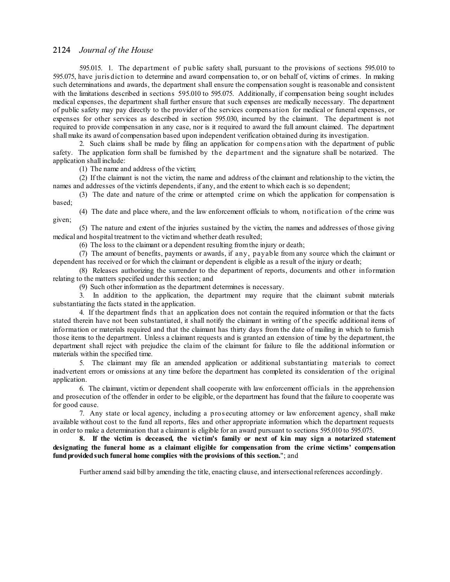595.015. 1. The department of public safety shall, pursuant to the provisions of sections 595.010 to 595.075, have juris diction to determine and award compensation to, or on behalf of, victims of crimes. In making such determinations and awards, the department shall ensure the compensation sought is reasonable and consistent with the limitations described in sections 595.010 to 595.075. Additionally, if compensation being sought includes medical expenses, the department shall further ensure that such expenses are medically necessary. The department of public safety may pay directly to the provider of the services compens ation for medical or funeral expenses, or expenses for other services as described in section 595.030, incurred by the claimant. The department is not required to provide compensation in any case, nor is it required to award the full amount claimed. The department shall make its award of compensation based upon independent verification obtained during its investigation.

2. Such claims shall be made by filing an application for compens ation with the department of public safety. The application form shall be furnished by the department and the signature shall be notarized. The application shall include:

(1) The name and address of the victim;

(2) If the claimant is not the victim, the name and address of the claimant and relationship to the victim, the names and addresses of the victim's dependents, if any, and the extent to which each is so dependent;

(3) The date and nature of the crime or attempted crime on which the application for compensation is based;

(4) The date and place where, and the law enforcement officials to whom, notification of the crime was given;

(5) The nature and extent of the injuries sustained by the victim, the names and addresses of those giving medical and hospital treatment to the victimand whether death resulted;

(6) The loss to the claimant or a dependent resulting fromthe injury or death;

(7) The amount of benefits, payments or awards, if any, payable from any source which the claimant or dependent has received or for which the claimant or dependent is eligible as a result of the injury or death;

(8) Releases authorizing the surrender to the department of reports, documents and other information relating to the matters specified under this section; and

(9) Such other information as the department determines is necessary.

3. In addition to the application, the department may require that the claimant submit materials substantiating the facts stated in the application.

4. If the department finds that an application does not contain the required information or that the facts stated therein have not been substantiated, it shall notify the claimant in writing of the specific additional items of information or materials required and that the claimant has thirty days from the date of mailing in which to furnish those items to the department. Unless a claimant requests and is granted an extension of time by the department, the department shall reject with prejudice the claim of the claimant for failure to file the additional information or materials within the specified time.

5. The claimant may file an amended application or additional substantiating materials to correct inadvertent errors or omissions at any time before the department has completed its consideration of the original application.

6. The claimant, victim or dependent shall cooperate with law enforcement officials in the apprehension and prosecution of the offender in order to be eligible, or the department has found that the failure to cooperate was for good cause.

7. Any state or local agency, including a pros ecuting attorney or law enforcement agency, shall make available without cost to the fund all reports, files and other appropriate information which the department requests in order to make a determination that a claimant is eligible for an award pursuant to sections 595.010 to 595.075.

**8. If the victim is deceased, the victim's family or next of kin may sign a notarized statement designating the funeral home as a claimant eligible for compensation from the crime victims' compensation fundprovidedsuch funeral home complies with the provisions of this section.**"; and

Further amend said bill by amending the title, enacting clause, and intersectional references accordingly.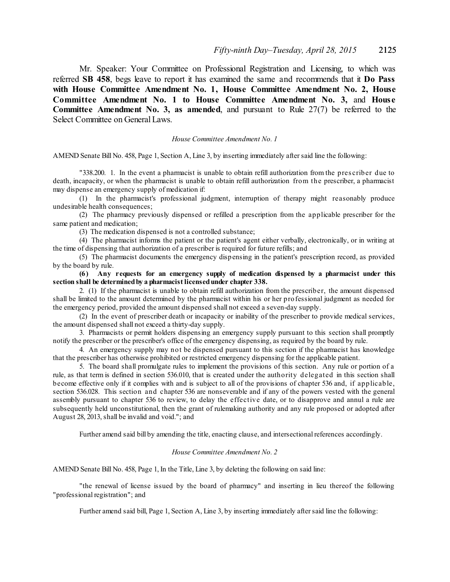Mr. Speaker: Your Committee on Professional Registration and Licensing, to which was referred **SB 458**, begs leave to report it has examined the same and recommends that it **Do Pass with House Committee Amendment No. 1, House Committee Amendment No. 2, House Committee Amendment No. 1 to House Committee Amendment No. 3,** and **House Committee Amendment No. 3, as amended**, and pursuant to Rule 27(7) be referred to the Select Committee on General Laws.

#### *House Committee Amendment No. 1*

AMEND Senate Bill No. 458, Page 1, Section A, Line 3, by inserting immediately aftersaid line the following:

"338.200. 1. In the event a pharmacist is unable to obtain refill authorization from the pres criber due to death, incapacity, or when the pharmacist is unable to obtain refill authorization from the prescriber, a pharmacist may dispense an emergency supply of medication if:

(1) In the pharmacist's professional judgment, interruption of therapy might reasonably produce undesirable health consequences;

(2) The pharmacy previously dispensed or refilled a prescription from the applicable prescriber for the same patient and medication;

(3) The medication dispensed is not a controlled substance;

(4) The pharmacist informs the patient or the patient's agent either verbally, electronically, or in writing at the time of dispensing that authorization of a prescriber is required for future refills; and

(5) The pharmacist documents the emergency dispensing in the patient's prescription record, as provided by the board by rule.

**(6) Any requests for an emergency supply of medication dispensed by a pharmacist under this section shall be determinedby a pharmacist licensedunder chapter 338.**

2. (1) If the pharmacist is unable to obtain refill authorization from the prescriber, the amount dispensed shall be limited to the amount determined by the pharmacist within his or her professional judgment as needed for the emergency period, provided the amount dispensed shall not exceed a seven-day supply.

(2) In the event of prescriber death or incapacity or inability of the prescriber to provide medical services, the amount dispensed shall not exceed a thirty-day supply.

3. Pharmacists or permit holders dispensing an emergency supply pursuant to this section shall promptly notify the prescriber or the prescriber's office of the emergency dispensing, as required by the board by rule.

4. An emergency supply may not be dispensed pursuant to this section if the pharmacist has knowledge that the prescriber has otherwise prohibited or restricted emergency dispensing for the applicable patient.

5. The board shall promulgate rules to implement the provisions of this section. Any rule or portion of a rule, as that term is defined in section 536.010, that is created under the authority delegated in this section shall become effective only if it complies with and is subject to all of the provisions of chapter 536 and, if applicable, section 536.028. This section and chapter 536 are nonseverable and if any of the powers vested with the general assembly pursuant to chapter 536 to review, to delay the effective date, or to disapprove and annul a rule are subsequently held unconstitutional, then the grant of rulemaking authority and any rule proposed or adopted after August 28, 2013, shall be invalid and void."; and

Further amend said bill by amending the title, enacting clause, and intersectional references accordingly.

#### *House Committee Amendment No. 2*

AMEND Senate Bill No. 458, Page 1, In the Title, Line 3, by deleting the following on said line:

"the renewal of license issued by the board of pharmacy" and inserting in lieu thereof the following "professional registration"; and

Further amend said bill, Page 1, Section A, Line 3, by inserting immediately aftersaid line the following: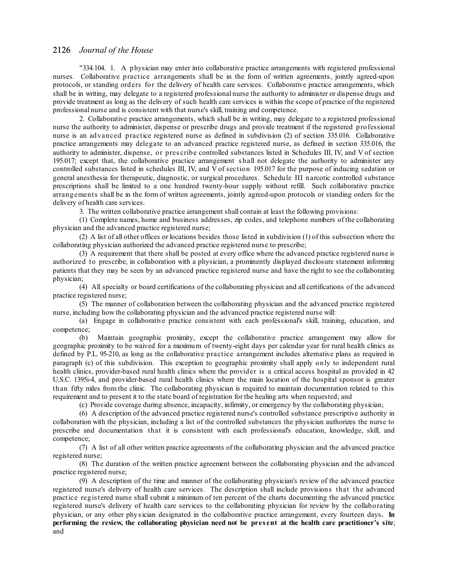"334.104. 1. A physician may enter into collaborative practice arrangements with registered professional nurses. Collaborative practice arrangements shall be in the form of written agreements, jointly agreed-upon protocols, or standing orders for the delivery of health care services. Collaborative practice arrangements, which shall be in writing, may delegate to a registered professional nurse the authority to administer or dispense drugs and provide treatment as long as the delivery of such health care services is within the scope of practice of the registered professional nurse and is consistent with that nurse's skill, training and competence.

2. Collaborative practice arrangements, which shall be in writing, may delegate to a registered professional nurse the authority to administer, dispense or prescribe drugs and provide treatment if the registered professional nurse is an advanced practice registered nurse as defined in subdivision (2) of section 335.016. Collaborative practice arrangements may delegate to an advanced practice registered nurse, as defined in section 335.016, the authority to administer, dispense, or pres cribe controlled substances listed in Schedules III, IV, and V of section 195.017; except that, the collaborative practice arrangement s hall not delegate the authority to administer any controlled substances listed in schedules III, IV, and V of section 195.017 for the purpose of inducing sedation or general anesthesia for therapeutic, diagnostic, or surgical procedures. Schedule III narcotic controlled substance prescriptions shall be limited to a one hundred twenty-hour supply without refill. Such collaborative practice arrangements shall be in the form of written agreements, jointly agreed-upon protocols or standing orders for the delivery of health care services.

3. The written collaborative practice arrangement shall contain at least the following provisions:

(1) Complete names, home and business addresses, zip codes, and telephone numbers of the collaborating physician and the advanced practice registered nurse;

(2) A list of all other offices or locations besides those listed in subdivision (1) of this subsection where the collaborating physician authorized the advanced practice registered nurse to prescribe;

(3) A requirement that there shall be posted at every office where the advanced practice registered nurse is authorized to prescribe, in collaboration with a physician, a prominently displayed disclosure statement informing patients that they may be seen by an advanced practice registered nurse and have the right to see the collaborating physician;

(4) All specialty or board certifications of the collaborating physician and all certifications of the advanced practice registered nurse;

(5) The manner of collaboration between the collaborating physician and the advanced practice registered nurse, including how the collaborating physician and the advanced practice registered nurse will:

(a) Engage in collaborative practice consistent with each professional's skill, training, education, and competence;

(b) Maintain geographic proximity, except the collaborative practice arrangement may allow for geographic proximity to be waived for a maximum of twenty-eight days per calendar year for rural health clinics as defined by P.L. 95-210, as long as the collaborative practice arrangement includes alternative plans as required in paragraph (c) of this subdivision. This exception to geographic proximity shall apply only to independent rural health clinics, provider-based rural health clinics where the provider is a critical access hospital as provided in 42 U.S.C. 1395i-4, and provider-based rural health clinics where the main location of the hospital sponsor is greater than fifty miles from the clinic. The collaborating physician is required to maintain documentation related to this requirement and to present it to the state board of registration for the healing arts when requested; and

(c) Provide coverage during absence, incapacity, infirmity, or emergency by the collaborating physician;

(6) A description of the advanced practice registered nurse's controlled substance prescriptive authority in collaboration with the physician, including a list of the controlled substances the physician authorizes the nurse to prescribe and documentation that it is consistent with each professional's education, knowledge, skill, and competence;

(7) A list of all other written practice agreements of the collaborating physician and the advanced practice registered nurse;

(8) The duration of the written practice agreement between the collaborating physician and the advanced practice registered nurse;

(9) A description of the time and manner of the collaborating physician's review of the advanced practice registered nurse's delivery of health care services. The description shall include provisions that the advanced practice registered nurse shall submit a minimum of ten percent of the charts documenting the advanced practice registered nurse's delivery of health care services to the collaborating physician for review by the collaborating physician, or any other physician designated in the collaborative practice arrangement, every fourteen days**. In** performing the review, the collaborating physician need not be present at the health care practitioner's site; and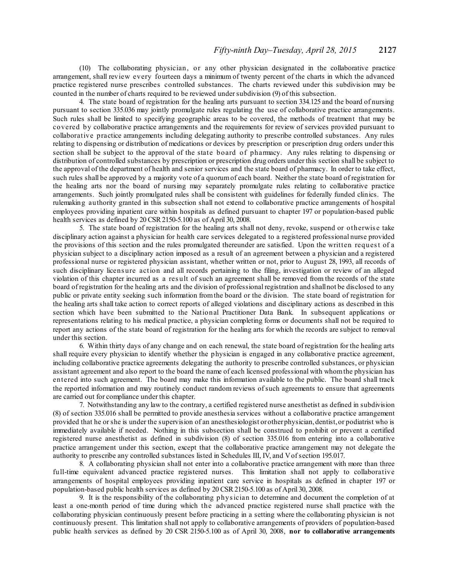(10) The collaborating physician, or any other physician designated in the collaborative practice arrangement, shall review every fourteen days a minimum of twenty percent of the charts in which the advanced practice registered nurse prescribes controlled substances. The charts reviewed under this subdivision may be counted in the number of charts required to be reviewed undersubdivision (9) of this subsection.

4. The state board of registration for the healing arts pursuant to section 334.125 and the board of nursing pursuant to section 335.036 may jointly promulgate rules regulating the use of collaborative practice arrangements. Such rules shall be limited to specifying geographic areas to be covered, the methods of treatment that may be covered by collaborative practice arrangements and the requirements for review of services provided pursuant to collaborative practice arrangements including delegating authority to prescribe controlled substances. Any rules relating to dispensing or distribution of medications or devices by prescription or prescription drug orders under this section shall be subject to the approval of the state board of pharmacy. Any rules relating to dispensing or distribution of controlled substances by prescription or prescription drug orders under this section shall be subject to the approval of the department of health and senior services and the state board of pharmacy. In order to take effect, such rules shall be approved by a majority vote of a quorumof each board. Neither the state board of registration for the healing arts nor the board of nursing may separately promulgate rules relating to collaborative practice arrangements. Such jointly promulgated rules shall be consistent with guidelines for federally funded clinics. The rulemaking authority granted in this subsection shall not extend to collaborative practice arrangements of hospital employees providing inpatient care within hospitals as defined pursuant to chapter 197 or population-based public health services as defined by 20 CSR2150-5.100 as of April 30, 2008.

5. The state board of registration for the healing arts shall not deny, revoke, suspend or otherwis e take disciplinary action against a physician for health care services delegated to a registered professional nurse provided the provisions of this section and the rules promulgated thereunder are satisfied. Upon the written request of a physician subject to a disciplinary action imposed as a result of an agreement between a physician and a registered professional nurse or registered physician assistant, whether written or not, prior to August 28, 1993, all records of such disciplinary licens ure action and all records pertaining to the filing, investigation or review of an alleged violation of this chapter incurred as a res ult of such an agreement shall be removed from the records of the state board of registration for the healing arts and the division of professional registration and shallnot be disclosed to any public or private entity seeking such information fromthe board or the division. The state board of registration for the healing arts shall take action to correct reports of alleged violations and disciplinary actions as described in this section which have been submitted to the National Practitioner Data Bank. In subsequent applications or representations relating to his medical practice, a physician completing forms or documents shall not be required to report any actions of the state board of registration for the healing arts for which the records are subject to removal under this section.

6. Within thirty days of any change and on each renewal, the state board of registration for the healing arts shall require every physician to identify whether the physician is engaged in any collaborative practice agreement, including collaborative practice agreements delegating the authority to prescribe controlled substances, or physician assistant agreement and also report to the board the name of each licensed professional with whomthe physician has entered into such agreement. The board may make this information available to the public. The board shall track the reported information and may routinely conduct random reviews ofsuch agreements to ensure that agreements are carried out for compliance under this chapter.

7. Notwithstanding any law to the contrary, a certified registered nurse anesthetist as defined in subdivision (8) of section 335.016 shall be permitted to provide anesthesia services without a collaborative practice arrangement provided that he orshe is under the supervision of an anesthesiologist orotherphysician,dentist,or podiatrist who is immediately available if needed. Nothing in this subsection shall be construed to prohibit or prevent a certified registered nurse anesthetist as defined in subdivision (8) of section 335.016 from entering into a collaborative practice arrangement under this section, except that the collaborative practice arrangement may not delegate the authority to prescribe any controlled substances listed in Schedules III, IV, and Vofsection 195.017.

8. A collaborating physician shall not enter into a collaborative practice arrangement with more than three full-time equivalent advanced practice registered nurses. This limitation shall not apply to collaborative arrangements of hospital employees providing inpatient care service in hospitals as defined in chapter 197 or population-based public health services as defined by 20 CSR2150-5.100 as of April 30, 2008.

9. It is the responsibility of the collaborating physician to determine and document the completion of at least a one-month period of time during which the advanced practice registered nurse shall practice with the collaborating physician continuously present before practicing in a setting where the collaborating physician is not continuously present. This limitation shall not apply to collaborative arrangements of providers of population-based public health services as defined by 20 CSR 2150-5.100 as of April 30, 2008, **nor to collaborative arrangements**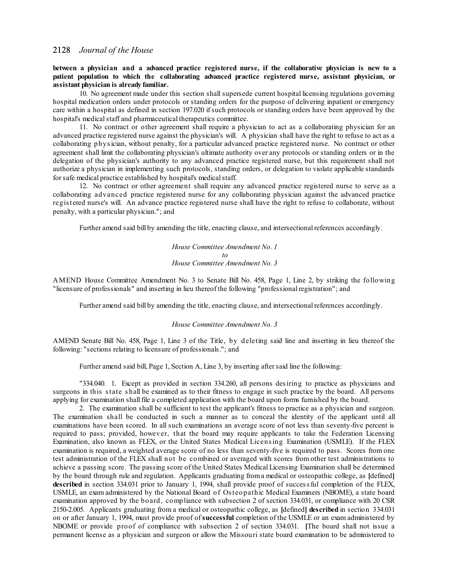#### **between a physician and a advanced practice registered nurse, if the collaborative physician is new to a patient population to which the collaborating advanced practice registered nurse, assistant physician, or assistant physician is already familiar.**

10. No agreement made under this section shall supersede current hospital licensing regulations governing hospital medication orders under protocols or standing orders for the purpose of delivering inpatient or emergency care within a hospital as defined in section 197.020 ifsuch protocols orstanding orders have been approved by the hospital's medical staff and pharmaceutical therapeutics committee.

11. No contract or other agreement shall require a physician to act as a collaborating physician for an advanced practice registered nurse against the physician's will. A physician shall have the right to refuse to act as a collaborating physician, without penalty, for a particular advanced practice registered nurse. No contract or other agreement shall limit the collaborating physician's ultimate authority over any protocols or standing orders or in the delegation of the physician's authority to any advanced practice registered nurse, but this requirement shall not authorize a physician in implementing such protocols, standing orders, or delegation to violate applicable standards for safe medical practice established by hospital's medical staff.

12. No contract or other agreement shall require any advanced practice registered nurse to serve as a collaborating advanced practice registered nurse for any collaborating physician against the advanced practice registered nurse's will. An advance practice registered nurse shall have the right to refuse to collaborate, without penalty, with a particular physician."; and

Further amend said bill by amending the title, enacting clause, and intersectional references accordingly.

*House Committee Amendment No. 1 to House Committee Amendment No. 3*

AMEND House Committee Amendment No. 3 to Senate Bill No. 458, Page 1, Line 2, by striking the following "licensure of professionals" and inserting in lieu thereof the following "professional registration"; and

Further amend said bill by amending the title, enacting clause, and intersectional references accordingly.

#### *House Committee Amendment No. 3*

AMEND Senate Bill No. 458, Page 1, Line 3 of the Title, by deleting said line and inserting in lieu thereof the following: "sections relating to licensure of professionals."; and

Further amend said bill, Page 1, Section A, Line 3, by inserting aftersaid line the following:

"334.040. 1. Except as provided in section 334.260, all persons desiring to practice as physicians and surgeons in this state shall be examined as to their fitness to engage in such practice by the board. All persons applying for examination shall file a completed application with the board upon forms furnished by the board.

2. The examination shall be sufficient to test the applicant's fitness to practice as a physician and surgeon. The examination shall be conducted in such a manner as to conceal the identity of the applicant until all examinations have been scored. In all such examinations an average score of not less than seventy-five percent is required to pass; provided, however, that the board may require applicants to take the Federation Licensing Examination, also known as FLEX, or the United States Medical Licensing Examination (USMLE). If the FLEX examination is required, a weighted average score of no less than seventy-five is required to pass. Scores from one test administration of the FLEX shall not be combined or averaged with scores from other test administrations to achieve a passing score. The passing score of the United States Medical Licensing Examination shall be determined by the board through rule and regulation. Applicants graduating froma medical or osteopathic college, as **[**defined**] described** in section 334.031 prior to January 1, 1994, shall provide proof of successful completion of the FLEX, USMLE, an exam administered by the National Board of Osteopathic Medical Examiners (NBOME), a state board examination approved by the board, compliance with subsection 2 of section 334.031, or compliance with 20 CSR 2150-2.005. Applicants graduating from a medical or osteopathic college, as **[**defined**] described** in section 334.031 on or after January 1, 1994, must provide proof of**successful** completion of the USMLE or an exam administered by NBOME or provide proof of compliance with subsection 2 of section 334.031. **[**The board shall not issue a permanent license as a physician and surgeon or allow the Missouri state board examination to be administered to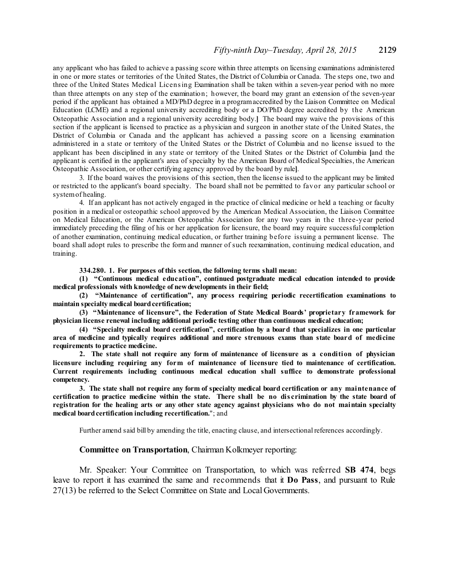any applicant who has failed to achieve a passing score within three attempts on licensing examinations administered in one or more states or territories of the United States, the District of Columbia or Canada. The steps one, two and three of the United States Medical Licensing Examination shall be taken within a seven-year period with no more than three attempts on any step of the examination; however, the board may grant an extension of the seven-year period if the applicant has obtained a MD/PhD degree in a programaccredited by the Liaison Committee on Medical Education (LCME) and a regional university accrediting body or a DO/PhD degree accredited by the American Osteopathic Association and a regional university accrediting body.**]** The board may waive the provisions of this section if the applicant is licensed to practice as a physician and surgeon in another state of the United States, the District of Columbia or Canada and the applicant has achieved a passing score on a licensing examination administered in a state or territory of the United States or the District of Columbia and no license issued to the applicant has been disciplined in any state or territory of the United States or the District of Columbia **[**and the applicant is certified in the applicant's area of specialty by the American Board of Medical Specialties, the American Osteopathic Association, or other certifying agency approved by the board by rule**]**.

3. If the board waives the provisions of this section, then the license issued to the applicant may be limited or restricted to the applicant's board specialty. The board shall not be permitted to favor any particular school or systemof healing.

4. If an applicant has not actively engaged in the practice of clinical medicine or held a teaching or faculty position in a medical or osteopathic school approved by the American Medical Association, the Liaison Committee on Medical Education, or the American Osteopathic Association for any two years in the three-year period immediately preceding the filing of his or her application for licensure, the board may require successful completion of another examination, continuing medical education, or further training before issuing a permanent license. The board shall adopt rules to prescribe the form and manner of such reexamination, continuing medical education, and training.

#### **334.280. 1. For purposes of this section, the following terms shall mean:**

**(1) "Continuous medical education", continued postgraduate medical education intended to provide medical professionals with knowledge of newdevelopments in their field;**

**(2) "Maintenance of certification", any process requiring periodic recertification examinations to maintain specialty medical boardcertification;**

**(3) "Maintenance of licensure", the Federation of State Medical Boards' proprietary framework for physician license renewal including additional periodic testing other than continuous medical education;**

**(4) "Specialty medical board certification", certification by a board that specializes in one particular area of medicine and typically requires additional and more strenuous exams than state board of medicine requirements to practice medicine.**

**2. The state shall not require any form of maintenance of licensure as a condition of physician licensure including requiring any form of maintenance of licensure tied to maintenance of certification. Current requirements including continuous medical education shall suffice to demonstrate professional competency.**

**3. The state shall not require any form of specialty medical board certification or any maintenance of** certification to practice medicine within the state. There shall be no discrimination by the state board of registration for the healing arts or any other state agency against physicians who do not maintain specialty **medical boardcertification including recertification.**"; and

Further amend said bill by amending the title, enacting clause, and intersectional references accordingly.

#### **Committee on Transportation**, Chairman Kolkmeyer reporting:

Mr. Speaker: Your Committee on Transportation, to which was referred **SB 474**, begs leave to report it has examined the same and recommends that it **Do Pass**, and pursuant to Rule 27(13) be referred to the Select Committee on State and Local Governments.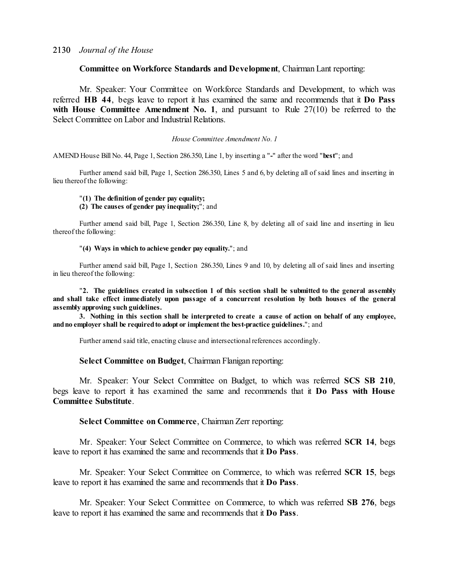## **Committee on Workforce Standards and Development**, Chairman Lant reporting:

Mr. Speaker: Your Committee on Workforce Standards and Development, to which was referred **HB 44**, begs leave to report it has examined the same and recommends that it **Do Pass with House Committee Amendment No. 1**, and pursuant to Rule 27(10) be referred to the Select Committee on Labor and Industrial Relations.

### *House Committee Amendment No. 1*

AMEND House Bill No. 44, Page 1, Section 286.350, Line 1, by inserting a "**-**" after the word "**best**"; and

Further amend said bill, Page 1, Section 286.350, Lines 5 and 6, by deleting all of said lines and inserting in lieu thereof the following:

### "**(1) The definition of gender pay equality;**

**(2) The causes of gender pay inequality;**"; and

Further amend said bill, Page 1, Section 286.350, Line 8, by deleting all of said line and inserting in lieu thereof the following:

### "**(4) Ways in which to achieve gender pay equality.**"; and

Further amend said bill, Page 1, Section 286.350, Lines 9 and 10, by deleting all of said lines and inserting in lieu thereof the following:

"**2. The guidelines created in subsection 1 of this section shall be submitted to the general assembly and shall take effect immediately upon passage of a concurrent resolution by both houses of the general assembly approving such guidelines.**

3. Nothing in this section shall be interpreted to create a cause of action on behalf of any employee, **andno employer shall be requiredto adopt or implement the best-practice guidelines.**"; and

Further amend said title, enacting clause and intersectional references accordingly.

## **Select Committee on Budget**, Chairman Flanigan reporting:

Mr. Speaker: Your Select Committee on Budget, to which was referred **SCS SB 210**, begs leave to report it has examined the same and recommends that it **Do Pass with House Committee Substitute**.

## **Select Committee on Commerce**, Chairman Zerr reporting:

Mr. Speaker: Your Select Committee on Commerce, to which was referred **SCR 14**, begs leave to report it has examined the same and recommends that it **Do Pass**.

Mr. Speaker: Your Select Committee on Commerce, to which was referred **SCR 15**, begs leave to report it has examined the same and recommends that it **Do Pass**.

Mr. Speaker: Your Select Committee on Commerce, to which was referred **SB 276**, begs leave to report it has examined the same and recommends that it **Do Pass**.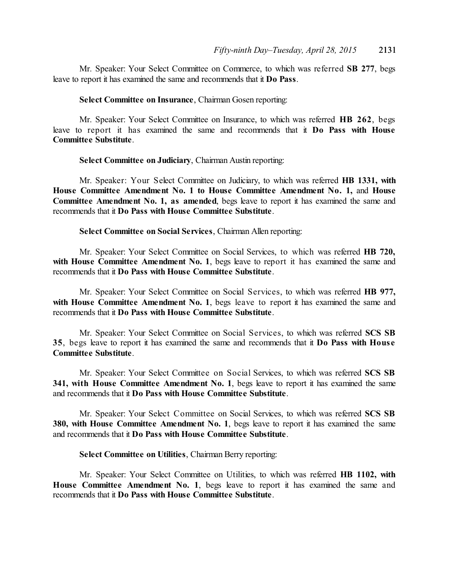Mr. Speaker: Your Select Committee on Commerce, to which was referred **SB 277**, begs leave to report it has examined the same and recommends that it **Do Pass**.

**Select Committee on Insurance**, Chairman Gosen reporting:

Mr. Speaker: Your Select Committee on Insurance, to which was referred **HB 262**, begs leave to report it has examined the same and recommends that it **Do Pass with House Committee Substitute**.

**Select Committee on Judiciary**, Chairman Austin reporting:

Mr. Speaker: Your Select Committee on Judiciary, to which was referred **HB 1331, with House Committee Amendment No. 1 to House Committee Amendment No. 1,** and **House Committee Amendment No. 1, as amended**, begs leave to report it has examined the same and recommends that it **Do Pass with House Committee Substitute**.

**Select Committee on Social Services**, Chairman Allen reporting:

Mr. Speaker: Your Select Committee on Social Services, to which was referred **HB 720, with House Committee Amendment No. 1**, begs leave to report it has examined the same and recommends that it **Do Pass with House Committee Substitute**.

Mr. Speaker: Your Select Committee on Social Services, to which was referred **HB 977, with House Committee Amendment No. 1**, begs leave to report it has examined the same and recommends that it **Do Pass with House Committee Substitute**.

Mr. Speaker: Your Select Committee on Social Services, to which was referred **SCS SB 35**, begs leave to report it has examined the same and recommends that it **Do Pass with Hous e Committee Substitute**.

Mr. Speaker: Your Select Committee on Social Services, to which was referred **SCS SB 341, with House Committee Amendment No. 1**, begs leave to report it has examined the same and recommends that it **Do Pass with House Committee Substitute**.

Mr. Speaker: Your Select Committee on Social Services, to which was referred **SCS SB 380, with House Committee Amendment No. 1**, begs leave to report it has examined the same and recommends that it **Do Pass with House Committee Substitute**.

**Select Committee on Utilities**, Chairman Berry reporting:

Mr. Speaker: Your Select Committee on Utilities, to which was referred **HB 1102, with House Committee Amendment No. 1**, begs leave to report it has examined the same and recommends that it **Do Pass with House Committee Substitute**.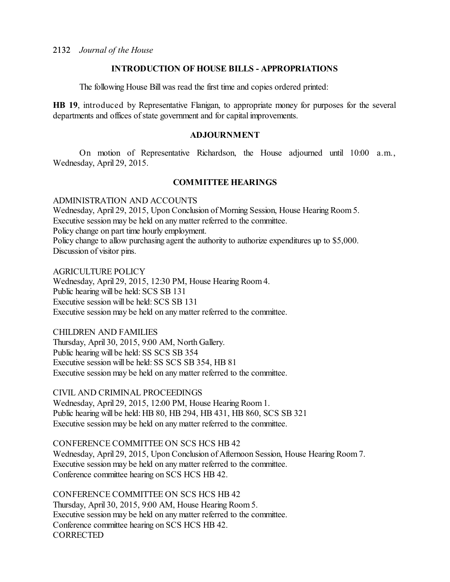## **INTRODUCTION OF HOUSE BILLS - APPROPRIATIONS**

The following House Bill was read the first time and copies ordered printed:

**HB 19**, introduced by Representative Flanigan, to appropriate money for purposes for the several departments and offices of state government and for capital improvements.

## **ADJOURNMENT**

On motion of Representative Richardson, the House adjourned until 10:00 a.m., Wednesday, April 29, 2015.

## **COMMITTEE HEARINGS**

ADMINISTRATION AND ACCOUNTS

Wednesday, April 29, 2015, Upon Conclusion of Morning Session, House Hearing Room 5. Executive session may be held on any matter referred to the committee. Policy change on part time hourly employment. Policy change to allow purchasing agent the authority to authorize expenditures up to \$5,000. Discussion of visitor pins.

AGRICULTURE POLICY Wednesday, April 29, 2015, 12:30 PM, House Hearing Room 4. Public hearing will be held: SCS SB 131 Executive session will be held: SCS SB 131 Executive session may be held on any matter referred to the committee.

CHILDREN AND FAMILIES Thursday, April 30, 2015, 9:00 AM, North Gallery. Public hearing will be held: SS SCS SB 354 Executive session will be held: SS SCS SB 354, HB 81 Executive session may be held on any matter referred to the committee.

CIVIL AND CRIMINAL PROCEEDINGS Wednesday, April 29, 2015, 12:00 PM, House Hearing Room 1. Public hearing will be held: HB 80, HB 294, HB 431, HB 860, SCS SB 321 Executive session may be held on any matter referred to the committee.

CONFERENCE COMMITTEE ON SCS HCS HB 42 Wednesday, April 29, 2015, Upon Conclusion of Afternoon Session, House Hearing Room 7. Executive session may be held on any matter referred to the committee. Conference committee hearing on SCS HCS HB 42.

CONFERENCE COMMITTEE ON SCS HCS HB 42 Thursday, April 30, 2015, 9:00 AM, House Hearing Room 5. Executive session may be held on any matter referred to the committee. Conference committee hearing on SCS HCS HB 42. **CORRECTED**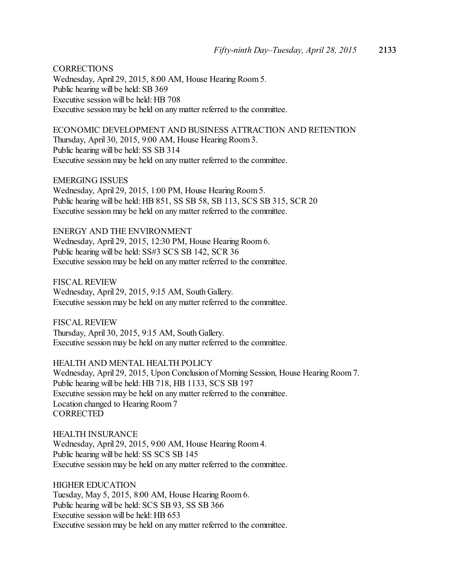**CORRECTIONS** Wednesday, April 29, 2015, 8:00 AM, House Hearing Room 5. Public hearing will be held: SB 369 Executive session will be held: HB 708 Executive session may be held on any matter referred to the committee.

ECONOMIC DEVELOPMENT AND BUSINESS ATTRACTION AND RETENTION Thursday, April 30, 2015, 9:00 AM, House Hearing Room 3. Public hearing will be held: SS SB 314 Executive session may be held on any matter referred to the committee.

EMERGING ISSUES Wednesday, April 29, 2015, 1:00 PM, House Hearing Room5. Public hearing will be held: HB 851, SS SB 58, SB 113, SCS SB 315, SCR 20 Executive session may be held on any matter referred to the committee.

ENERGY AND THE ENVIRONMENT Wednesday, April 29, 2015, 12:30 PM, House Hearing Room 6. Public hearing will be held: SS#3 SCS SB 142, SCR 36 Executive session may be held on any matter referred to the committee.

FISCAL REVIEW Wednesday, April 29, 2015, 9:15 AM, South Gallery. Executive session may be held on any matter referred to the committee.

FISCAL REVIEW Thursday, April 30, 2015, 9:15 AM, South Gallery. Executive session may be held on any matter referred to the committee.

HEALTH AND MENTAL HEALTH POLICY Wednesday, April 29, 2015, Upon Conclusion of Morning Session, House Hearing Room 7. Public hearing will be held: HB 718, HB 1133, SCS SB 197 Executive session may be held on any matter referred to the committee. Location changed to Hearing Room7 **CORRECTED** 

HEALTH INSURANCE Wednesday, April 29, 2015, 9:00 AM, House Hearing Room 4. Public hearing will be held: SS SCS SB 145 Executive session may be held on any matter referred to the committee.

HIGHER EDUCATION Tuesday, May 5, 2015, 8:00 AM, House Hearing Room 6. Public hearing will be held: SCS SB 93, SS SB 366 Executive session will be held: HB 653 Executive session may be held on any matter referred to the committee.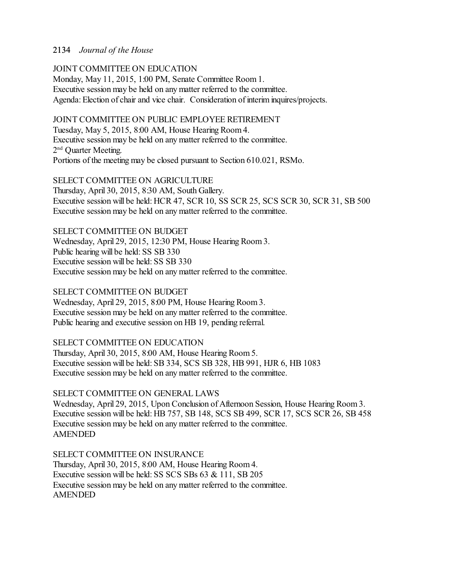## JOINT COMMITTEE ON EDUCATION

Monday, May 11, 2015, 1:00 PM, Senate Committee Room 1. Executive session may be held on any matter referred to the committee. Agenda: Election of chair and vice chair. Consideration of interim inquires/projects.

### JOINT COMMITTEE ON PUBLIC EMPLOYEE RETIREMENT

Tuesday, May 5, 2015, 8:00 AM, House Hearing Room 4. Executive session may be held on any matter referred to the committee. 2<sup>nd</sup> Quarter Meeting.

Portions of the meeting may be closed pursuant to Section 610.021, RSMo.

# SELECT COMMITTEE ON AGRICULTURE

Thursday, April 30, 2015, 8:30 AM, South Gallery. Executive session will be held: HCR 47, SCR 10, SS SCR 25, SCS SCR 30, SCR 31, SB 500 Executive session may be held on any matter referred to the committee.

## SELECT COMMITTEE ON BUDGET

Wednesday, April 29, 2015, 12:30 PM, House Hearing Room 3. Public hearing will be held: SS SB 330 Executive session will be held: SS SB 330 Executive session may be held on any matter referred to the committee.

## SELECT COMMITTEE ON BUDGET

Wednesday, April 29, 2015, 8:00 PM, House Hearing Room3. Executive session may be held on any matter referred to the committee. Public hearing and executive session on HB 19, pending referral.

## SELECT COMMITTEE ON EDUCATION

Thursday, April 30, 2015, 8:00 AM, House Hearing Room 5. Executive session will be held: SB 334, SCS SB 328, HB 991, HJR 6, HB 1083 Executive session may be held on any matter referred to the committee.

# SELECT COMMITTEE ON GENERAL LAWS

Wednesday, April 29, 2015, Upon Conclusion of Afternoon Session, House Hearing Room 3. Executive session will be held: HB 757, SB 148, SCS SB 499, SCR 17, SCS SCR 26, SB 458 Executive session may be held on any matter referred to the committee. AMENDED

# SELECT COMMITTEE ON INSURANCE Thursday, April 30, 2015, 8:00 AM, House Hearing Room 4. Executive session will be held: SS SCS SBs 63 & 111, SB 205 Executive session may be held on any matter referred to the committee. AMENDED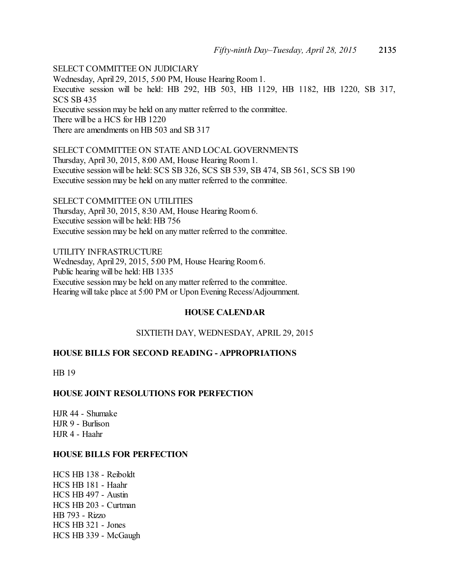## SELECT COMMITTEE ON JUDICIARY

Wednesday, April 29, 2015, 5:00 PM, House Hearing Room1. Executive session will be held: HB 292, HB 503, HB 1129, HB 1182, HB 1220, SB 317, SCS SB 435 Executive session may be held on any matter referred to the committee. There will be a HCS for HB 1220 There are amendments on HB 503 and SB 317

SELECT COMMITTEE ON STATE AND LOCAL GOVERNMENTS Thursday, April 30, 2015, 8:00 AM, House Hearing Room 1. Executive session will be held: SCS SB 326, SCS SB 539, SB 474, SB 561, SCS SB 190 Executive session may be held on any matter referred to the committee.

SELECT COMMITTEE ON UTILITIES Thursday, April 30, 2015, 8:30 AM, House Hearing Room 6. Executive session will be held: HB 756 Executive session may be held on any matter referred to the committee.

UTILITY INFRASTRUCTURE Wednesday, April 29, 2015, 5:00 PM, House Hearing Room6. Public hearing will be held: HB 1335 Executive session may be held on any matter referred to the committee. Hearing will take place at 5:00 PM or Upon Evening Recess/Adjournment.

## **HOUSE CALENDAR**

## SIXTIETH DAY, WEDNESDAY, APRIL 29, 2015

## **HOUSE BILLS FOR SECOND READING - APPROPRIATIONS**

HB 19

## **HOUSE JOINT RESOLUTIONS FOR PERFECTION**

HJR 44 - Shumake HJR 9 - Burlison HJR 4 - Haahr

### **HOUSE BILLS FOR PERFECTION**

HCS HB 138 - Reiboldt HCS HB 181 - Haahr HCS HB 497 - Austin HCS HB 203 - Curtman HB 793 - Rizzo HCS HB 321 - Jones HCS HB 339 - McGaugh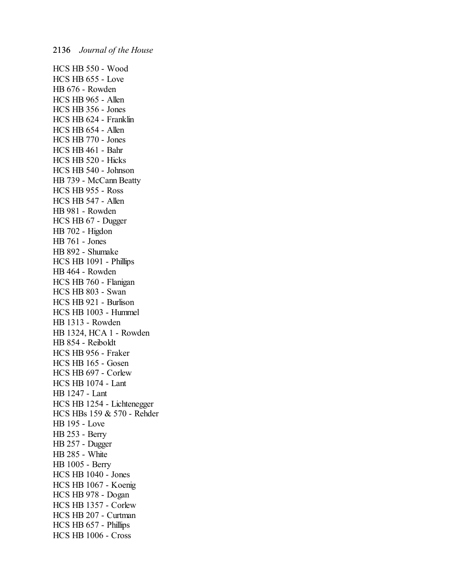HCS HB 550 - Wood HCS HB 655 - Love HB 676 - Rowden HCS HB 965 - Allen HCS HB 356 - Jones HCS HB 624 - Franklin HCS HB 654 - Allen HCS HB 770 - Jones HCS HB 461 - Bahr HCS HB 520 - Hicks HCS HB 540 - Johnson HB 739 - McCann Beatty HCS HB 955 - Ross HCS HB 547 - Allen HB 981 - Rowden HCS HB 67 - Dugger HB 702 - Higdon HB 761 - Jones HB 892 - Shumake HCS HB 1091 - Phillips HB 464 - Rowden HCS HB 760 - Flanigan HCS HB 803 - Swan HCS HB 921 - Burlison HCS HB 1003 - Hummel HB 1313 - Rowden HB 1324, HCA 1 - Rowden HB 854 - Reiboldt HCS HB 956 - Fraker HCS HB 165 - Gosen HCS HB 697 - Corlew HCS HB 1074 - Lant HB 1247 - Lant HCS HB 1254 - Lichtenegger HCS HBs 159 & 570 - Rehder HB 195 - Love HB 253 - Berry HB 257 - Dugger HB 285 - White HB 1005 - Berry HCS HB 1040 - Jones HCS HB 1067 - Koenig HCS HB 978 - Dogan HCS HB 1357 - Corlew HCS HB 207 - Curtman HCS HB 657 - Phillips HCS HB 1006 - Cross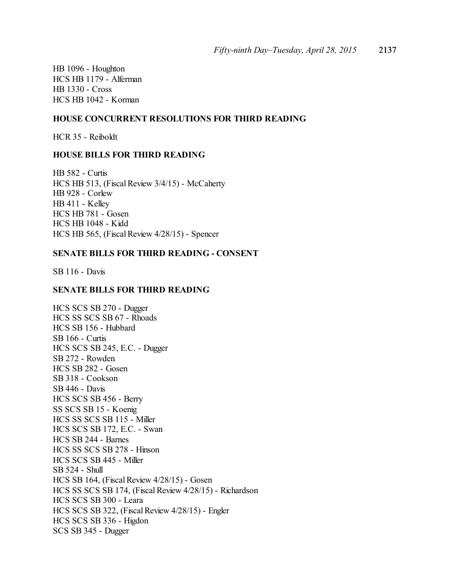HB 1096 - Houghton HCS HB 1179 - Alferman HB 1330 - Cross HCS HB 1042 - Korman

## **HOUSE CONCURRENT RESOLUTIONS FOR THIRD READING**

HCR 35 - Reiboldt

### **HOUSE BILLS FOR THIRD READING**

HB 582 - Curtis HCS HB 513, (Fiscal Review 3/4/15) - McCaherty HB 928 - Corlew HB 411 - Kelley HCS HB 781 - Gosen HCS HB 1048 - Kidd HCS HB 565, (Fiscal Review 4/28/15) - Spencer

### **SENATE BILLS FOR THIRD READING - CONSENT**

SB 116 - Davis

## **SENATE BILLS FOR THIRD READING**

HCS SCS SB 270 - Dugger HCS SS SCS SB 67 - Rhoads HCS SB 156 - Hubbard SB 166 - Curtis HCS SCS SB 245, E.C. - Dugger SB 272 - Rowden HCS SB 282 - Gosen SB 318 - Cookson SB 446 - Davis HCS SCS SB 456 - Berry SS SCS SB 15 - Koenig HCS SS SCS SB 115 - Miller HCS SCS SB 172, E.C. - Swan HCS SB 244 - Barnes HCS SS SCS SB 278 - Hinson HCS SCS SB 445 - Miller SB 524 - Shull HCS SB 164, (Fiscal Review 4/28/15) - Gosen HCS SS SCS SB 174, (Fiscal Review 4/28/15) - Richardson HCS SCS SB 300 - Leara HCS SCS SB 322, (Fiscal Review 4/28/15) - Engler HCS SCS SB 336 - Higdon SCS SB 345 - Dugger